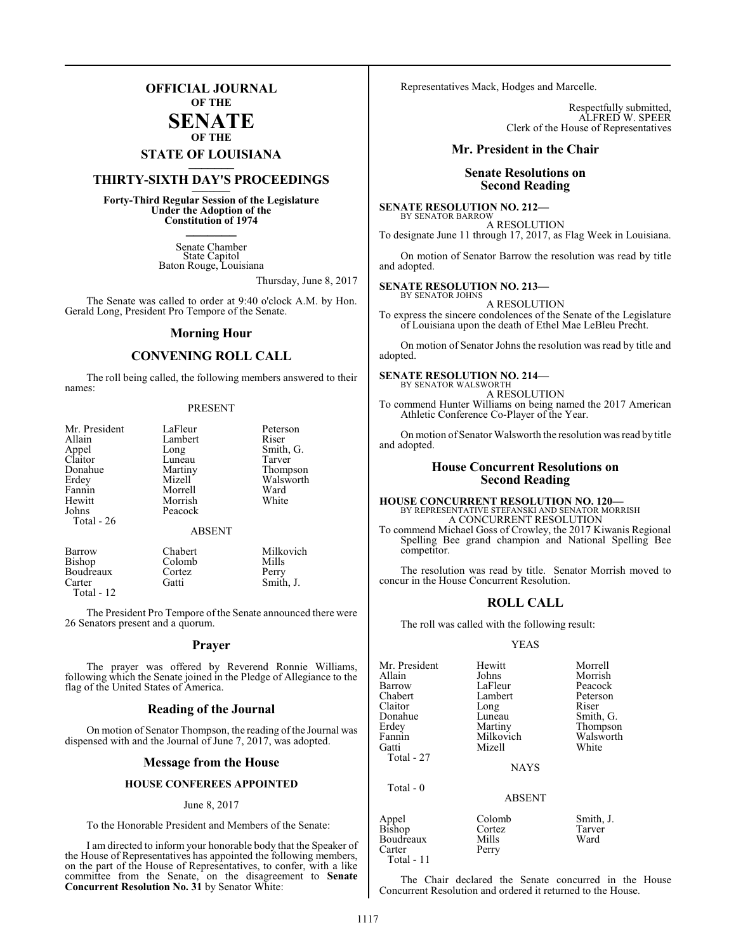### **OFFICIAL JOURNAL OF THE**

### **SENATE OF THE**

## **STATE OF LOUISIANA \_\_\_\_\_\_\_**

## **THIRTY-SIXTH DAY'S PROCEEDINGS \_\_\_\_\_\_\_**

**Forty-Third Regular Session of the Legislature Under the Adoption of the Constitution of 1974 \_\_\_\_\_\_\_**

> Senate Chamber State Capitol Baton Rouge, Louisiana

> > Thursday, June 8, 2017

The Senate was called to order at 9:40 o'clock A.M. by Hon. Gerald Long, President Pro Tempore of the Senate.

### **Morning Hour**

### **CONVENING ROLL CALL**

The roll being called, the following members answered to their names:

### PRESENT

| Mr. President    | LaFleur       | Peterson  |
|------------------|---------------|-----------|
| Allain           | Lambert       | Riser     |
|                  | Long          | Smith, G. |
| Appel<br>Claitor | Luneau        | Tarver    |
| Donahue          | Martiny       | Thompson  |
| Erdey            | Mizell        | Walsworth |
| Fannin           | Morrell       | Ward      |
| Hewitt           | Morrish       | White     |
| Johns            | Peacock       |           |
| Total - 26       |               |           |
|                  | <b>ABSENT</b> |           |
| Barrow           | Chabert       | Milkovich |
| <b>Bishop</b>    | Colomb        | Mills     |

Boudreaux Cortez Perry<br>Carter Gatti Smith Smith, J. Total - 12

The President Pro Tempore of the Senate announced there were 26 Senators present and a quorum.

### **Prayer**

The prayer was offered by Reverend Ronnie Williams, following which the Senate joined in the Pledge of Allegiance to the flag of the United States of America.

### **Reading of the Journal**

On motion of Senator Thompson, the reading of the Journal was dispensed with and the Journal of June 7, 2017, was adopted.

### **Message from the House**

### **HOUSE CONFEREES APPOINTED**

### June 8, 2017

To the Honorable President and Members of the Senate:

I am directed to inform your honorable body that the Speaker of the House of Representatives has appointed the following members, on the part of the House of Representatives, to confer, with a like committee from the Senate, on the disagreement to **Senate Concurrent Resolution No. 31** by Senator White:

Representatives Mack, Hodges and Marcelle.

Respectfully submitted, ALFRED W. SPEER Clerk of the House of Representatives

### **Mr. President in the Chair**

### **Senate Resolutions on Second Reading**

### **SENATE RESOLUTION NO. 212—** BY SENATOR BARROW

A RESOLUTION To designate June 11 through 17, 2017, as Flag Week in Louisiana.

On motion of Senator Barrow the resolution was read by title and adopted.

### **SENATE RESOLUTION NO. 213—** BY SENATOR JOHNS

A RESOLUTION

To express the sincere condolences of the Senate of the Legislature of Louisiana upon the death of Ethel Mae LeBleu Precht.

On motion of Senator Johns the resolution was read by title and adopted.

### **SENATE RESOLUTION NO. 214—**

BY SENATOR WALSWORTH A RESOLUTION

To commend Hunter Williams on being named the 2017 American Athletic Conference Co-Player of the Year.

On motion of Senator Walsworth the resolution was read by title and adopted.

### **House Concurrent Resolutions on Second Reading**

### **HOUSE CONCURRENT RESOLUTION NO. 120—** BY REPRESENTATIVE STEFANSKI AND SENATOR MORRISH A CONCURRENT RESOLUTION

To commend Michael Goss of Crowley, the 2017 Kiwanis Regional Spelling Bee grand champion and National Spelling Bee competitor.

The resolution was read by title. Senator Morrish moved to concur in the House Concurrent Resolution.

### **ROLL CALL**

The roll was called with the following result:

### YEAS

| Mr. President | Hewitt        | Morrell   |
|---------------|---------------|-----------|
| Allain        | Johns         | Morrish   |
| Barrow        | LaFleur       | Peacock   |
| Chabert       | Lambert       | Peterson  |
| Claitor       | Long          | Riser     |
| Donahue       | Luneau        | Smith, G. |
| Erdey         | Martiny       | Thompson  |
| Fannin        | Milkovich     | Walsworth |
| Gatti         | Mizell        | White     |
| Total - 27    |               |           |
|               | <b>NAYS</b>   |           |
| Total $-0$    |               |           |
|               | <b>ABSENT</b> |           |
| Appel         | Colomb        | Smith, J. |
| Bishop        | Cortez        | Tarver    |
| Boudreaux     | Mills         | Ward      |
| Carter        | Perry         |           |

The Chair declared the Senate concurred in the House Concurrent Resolution and ordered it returned to the House.

Carter Total - 11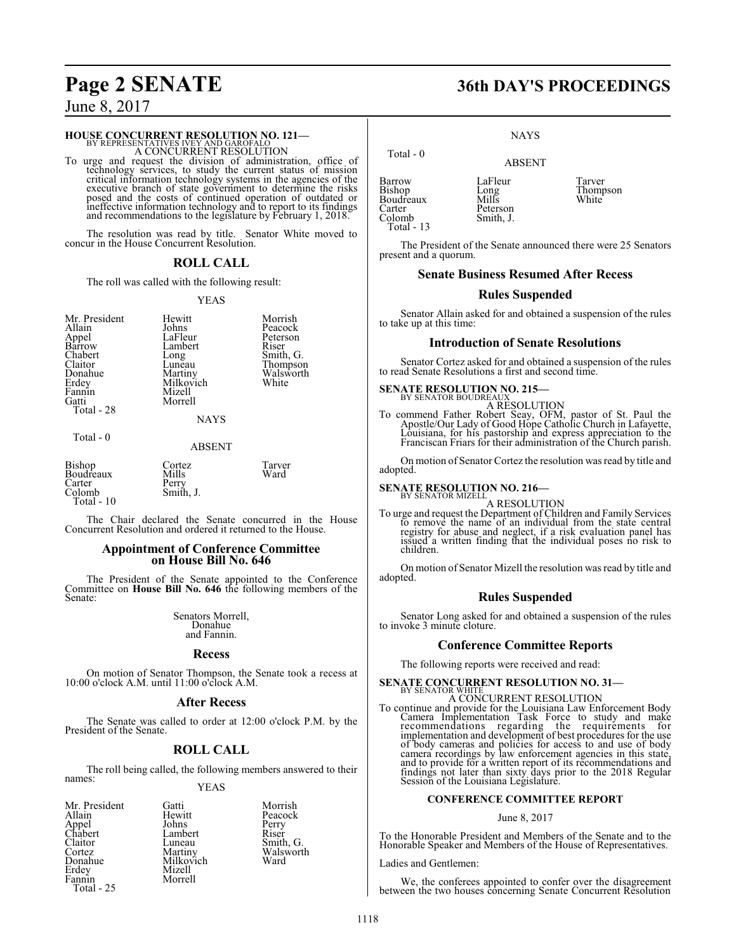## **HOUSE CONCURRENT RESOLUTION NO. 121-**<br>BY REPRESENTATIVES IVEY AND GAROFALO

A CONCURRENT RESOLUTION

To urge and request the division of administration, office of technology services, to study the current status of mission critical information technology systems in the agencies of the executive branch of state government to determine the risks posed and the costs of continued operation of outdated or ineffective information technology and to report to its findings and recommendations to the legislature by February 1, 2018.

The resolution was read by title. Senator White moved to concur in the House Concurrent Resolution.

### **ROLL CALL**

The roll was called with the following result:

### YEAS

| Mr. President<br>Allain<br>Appel<br>Barrow<br>Chabert<br>Claitor<br>Donahue<br>Erdey<br>Fannin<br>Gatti<br>Total - 28<br>Total $-0$ | Hewitt<br>Johns<br>LaFleur<br>Lambert<br>Long<br>Lunĕau<br>Martiny<br>Milkovich<br>Mizell<br>Morrell<br><b>NAYS</b><br><b>ABSENT</b> | Morrish<br>Peacock<br>Peterson<br>Riser<br>Smith, G.<br>Thompson<br>Walsworth<br>White |
|-------------------------------------------------------------------------------------------------------------------------------------|--------------------------------------------------------------------------------------------------------------------------------------|----------------------------------------------------------------------------------------|
| Bishop<br>Boudreaux<br>Carter                                                                                                       | Cortez<br>Mills<br>Perry                                                                                                             | Tarver<br>Ward                                                                         |

Carter Perry<br>Colomb Smith, J.

Colomb Total - 10

The Chair declared the Senate concurred in the House Concurrent Resolution and ordered it returned to the House.

### **Appointment of Conference Committee on House Bill No. 646**

The President of the Senate appointed to the Conference Committee on **House Bill No. 646** the following members of the Senate:

> Senators Morrell, Donahue and Fannin.

### **Recess**

On motion of Senator Thompson, the Senate took a recess at 10:00 o'clock A.M. until 11:00 o'clock A.M.

### **After Recess**

The Senate was called to order at 12:00 o'clock P.M. by the President of the Senate.

### **ROLL CALL**

The roll being called, the following members answered to their names: YEAS

Mr. President Gatti Morrish<br>Allain Hewitt Peacock Appel Johns Perry Chabert Lambert Riser Claitor Luneau Smith, G. Cortez Martiny Walsworth Erdey<br>Fannin Total - 25

Hewitt Peacock<br>
Johns Perry

Milkovich<br>Mizell Morrell

## **Page 2 SENATE 36th DAY'S PROCEEDINGS**

**NAYS** 

ABSENT

 Total - 0 Barrow LaFleur Tarver<br>Bishop Long Thomp Boudreaux<br>Carter Carter Peterson<br>Colomb Smith, J. Total - 13

Long Thompson<br>Mills White

The President of the Senate announced there were 25 Senators present and a quorum.

Smith, J.

### **Senate Business Resumed After Recess**

### **Rules Suspended**

Senator Allain asked for and obtained a suspension of the rules to take up at this time:

### **Introduction of Senate Resolutions**

Senator Cortez asked for and obtained a suspension of the rules to read Senate Resolutions a first and second time.

## **SENATE RESOLUTION NO. 215-<br><b>BY SENATOR BOUDREAUX**

A RESOLUTION

To commend Father Robert Seay, OFM, pastor of St. Paul the Apostle/Our Lady of Good Hope Catholic Church in Lafayette, Louisiana, for his pastorship and express appreciation to the Franciscan Friars for their administration of the Church parish.

On motion of Senator Cortez the resolution was read by title and adopted.

## **SENATE RESOLUTION NO. 216—**<br>BY SENATOR MIZELL

A RESOLUTION

To urge and request the Department of Children and Family Services to remove the name of an individual from the state central registry for abuse and neglect, if a risk evaluation panel has issued a written finding that the individual poses no risk to children.

On motion of Senator Mizell the resolution was read by title and adopted.

### **Rules Suspended**

Senator Long asked for and obtained a suspension of the rules to invoke 3 minute cloture.

### **Conference Committee Reports**

The following reports were received and read:

## **SENATE CONCURRENT RESOLUTION NO. 31—**<br>BY SENATOR WHITE

A CONCURRENT RESOLUTION<br>To continue and provide for the Louisiana Law Enforcement Body<br>Camera Implementation Task Force to study and make<br>recommendations regarding the requirements for<br>implementation and development of bes of body cameras and policies for access to and use of body camera recordings by law enforcement agencies in this state, and to provide for a written report of its recommendations and findings not later than sixty days prior to the 2018 Regular Session of the Louisiana Legislature.

### **CONFERENCE COMMITTEE REPORT**

June 8, 2017

To the Honorable President and Members of the Senate and to the Honorable Speaker and Members of the House of Representatives.

Ladies and Gentlemen:

We, the conferees appointed to confer over the disagreement between the two houses concerning Senate Concurrent Resolution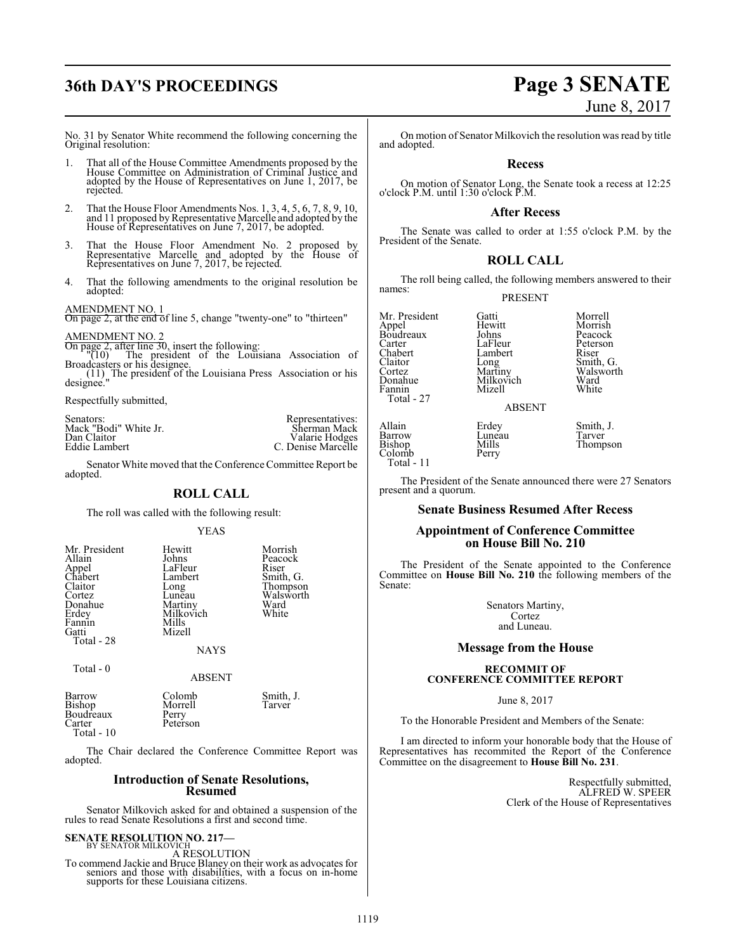## **36th DAY'S PROCEEDINGS Page 3 SENATE**

# June 8, 2017

No. 31 by Senator White recommend the following concerning the Original resolution:

- 1. That all of the House Committee Amendments proposed by the House Committee on Administration of Criminal Justice and adopted by the House of Representatives on June 1, 2017, be rejected.
- 2. That the House Floor Amendments Nos. 1, 3, 4, 5, 6, 7, 8, 9, 10, and 11 proposed byRepresentative Marcelle and adopted by the House of Representatives on June 7, 2017, be adopted.
- 3. That the House Floor Amendment No. 2 proposed by Representative Marcelle and adopted by the House of Representatives on June 7, 2017, be rejected.
- 4. That the following amendments to the original resolution be adopted:

### AMENDMENT NO. 1

On page 2, at the end of line 5, change "twenty-one" to "thirteen"

AMENDMENT NO. 2<br>
On page 2, after line 30, insert the following:<br>
"(10) The president of the Louisiana Association of<br>
Broadcasters or his designee.

(11) The president of the Louisiana Press Association or his designee."

Respectfully submitted,

| Senators:             | Representatives:   |
|-----------------------|--------------------|
| Mack "Bodi" White Jr. | Sherman Mack       |
| Dan Claitor           | Valarie Hodges     |
| Eddie Lambert         | C. Denise Marcelle |
|                       |                    |

Senator White moved that the Conference Committee Report be adopted.

### **ROLL CALL**

The roll was called with the following result:

YEAS

| Mr. President<br>Allain<br>Appel<br>Chabert<br>Claitor<br>Cortez<br>Donahue<br>Erdey<br>Fannin<br>Gatti<br>Total - 28 | Hewitt<br>Johns<br>LaFleur<br>Lambert<br>Long<br>Lunēau<br>Martiny<br>Milkovich<br>Mills<br>Mizell<br><b>NAYS</b> | Morrish<br>Peacock<br>Riser<br>Smith, G.<br>Thompson<br>Walsworth<br>Ward<br>White |
|-----------------------------------------------------------------------------------------------------------------------|-------------------------------------------------------------------------------------------------------------------|------------------------------------------------------------------------------------|
|-----------------------------------------------------------------------------------------------------------------------|-------------------------------------------------------------------------------------------------------------------|------------------------------------------------------------------------------------|

Total - 0

### ABSENT

| Barrow     | Colomb   | Smith, J. |
|------------|----------|-----------|
| Bishop     | Morrell  | Tarver    |
| Boudreaux  | Perry    |           |
| Carter     | Peterson |           |
| Total - 10 |          |           |

The Chair declared the Conference Committee Report was adopted.

### **Introduction of Senate Resolutions, Resumed**

Senator Milkovich asked for and obtained a suspension of the rules to read Senate Resolutions a first and second time.

## **SENATE RESOLUTION NO. 217-**<br>BY SENATOR MILKOVICH

A RESOLUTION To commend Jackie and Bruce Blaney on their work as advocates for seniors and those with disabilities, with a focus on in-home supports for these Louisiana citizens.

On motion of Senator Milkovich the resolution was read by title and adopted.

### **Recess**

On motion of Senator Long, the Senate took a recess at 12:25 o'clock P.M. until 1:30 o'clock P.M.

### **After Recess**

The Senate was called to order at 1:55 o'clock P.M. by the President of the Senate.

### **ROLL CALL**

The roll being called, the following members answered to their names:

PRESENT

Mr. President Gatti Gatti Morrell<br>Appel Hewitt Morrish Boudreaux Johns<br>Carter LaFleur Carter LaFleur Peterson Chabert Lambert Riser<br>Claitor Long Smith, G. Claitor Long<br>Cortez Martiny Cortez Martiny Walsworth<br>
Donahue Milkovich Ward Donahue Milkovich Ward<br>Fannin Mizell White Total - 27 Allain Erdey<br>Barrow Lunea<br>Bishop Mills

Hewitt Morrish<br>
Johns Peacock

### ABSENT

Mizell

Colomb Total - 11

Erdey Smith, J.<br>Luneau Tarver Mills Thompson<br>Perry

The President of the Senate announced there were 27 Senators present and a quorum.

### **Senate Business Resumed After Recess**

### **Appointment of Conference Committee on House Bill No. 210**

The President of the Senate appointed to the Conference Committee on **House Bill No. 210** the following members of the Senate:

> Senators Martiny, Cortez and Luneau.

### **Message from the House**

### **RECOMMIT OF CONFERENCE COMMITTEE REPORT**

June 8, 2017

To the Honorable President and Members of the Senate:

I am directed to inform your honorable body that the House of Representatives has recommited the Report of the Conference Committee on the disagreement to **House Bill No. 231**.

> Respectfully submitted, ALFRED W. SPEER Clerk of the House of Representatives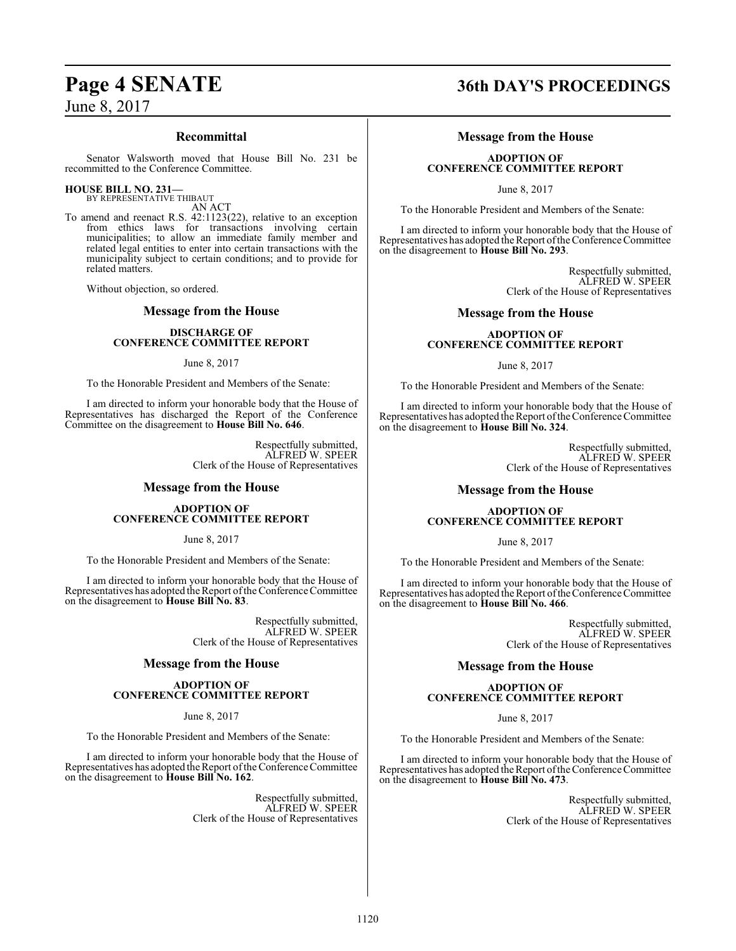### **Recommittal**

Senator Walsworth moved that House Bill No. 231 be recommitted to the Conference Committee.

## **HOUSE BILL NO. 231—** BY REPRESENTATIVE THIBAUT

AN ACT

To amend and reenact R.S. 42:1123(22), relative to an exception from ethics laws for transactions involving certain municipalities; to allow an immediate family member and related legal entities to enter into certain transactions with the municipality subject to certain conditions; and to provide for related matters.

Without objection, so ordered.

### **Message from the House**

### **DISCHARGE OF CONFERENCE COMMITTEE REPORT**

June 8, 2017

To the Honorable President and Members of the Senate:

I am directed to inform your honorable body that the House of Representatives has discharged the Report of the Conference Committee on the disagreement to **House Bill No. 646**.

> Respectfully submitted, ALFRED W. SPEER Clerk of the House of Representatives

### **Message from the House**

### **ADOPTION OF CONFERENCE COMMITTEE REPORT**

June 8, 2017

To the Honorable President and Members of the Senate:

I am directed to inform your honorable body that the House of Representatives has adopted the Report ofthe Conference Committee on the disagreement to **House Bill No. 83**.

> Respectfully submitted, ALFRED W. SPEER Clerk of the House of Representatives

### **Message from the House**

### **ADOPTION OF CONFERENCE COMMITTEE REPORT**

June 8, 2017

To the Honorable President and Members of the Senate:

I am directed to inform your honorable body that the House of Representatives has adopted the Report ofthe Conference Committee on the disagreement to **House Bill No. 162**.

> Respectfully submitted, ALFRED W. SPEER Clerk of the House of Representatives

## **Page 4 SENATE 36th DAY'S PROCEEDINGS**

### **Message from the House**

### **ADOPTION OF CONFERENCE COMMITTEE REPORT**

June 8, 2017

To the Honorable President and Members of the Senate:

I am directed to inform your honorable body that the House of Representatives has adopted the Report ofthe Conference Committee on the disagreement to **House Bill No. 293**.

> Respectfully submitted, ALFRED W. SPEER Clerk of the House of Representatives

### **Message from the House**

### **ADOPTION OF CONFERENCE COMMITTEE REPORT**

June 8, 2017

To the Honorable President and Members of the Senate:

I am directed to inform your honorable body that the House of Representatives has adopted the Report ofthe Conference Committee on the disagreement to **House Bill No. 324**.

> Respectfully submitted, ALFRED W. SPEER Clerk of the House of Representatives

### **Message from the House**

### **ADOPTION OF CONFERENCE COMMITTEE REPORT**

June 8, 2017

To the Honorable President and Members of the Senate:

I am directed to inform your honorable body that the House of Representatives has adopted the Report of the Conference Committee on the disagreement to **House Bill No. 466**.

> Respectfully submitted, ALFRED W. SPEER Clerk of the House of Representatives

### **Message from the House**

### **ADOPTION OF CONFERENCE COMMITTEE REPORT**

June 8, 2017

To the Honorable President and Members of the Senate:

I am directed to inform your honorable body that the House of Representatives has adopted the Report ofthe Conference Committee on the disagreement to **House Bill No. 473**.

> Respectfully submitted, ALFRED W. SPEER Clerk of the House of Representatives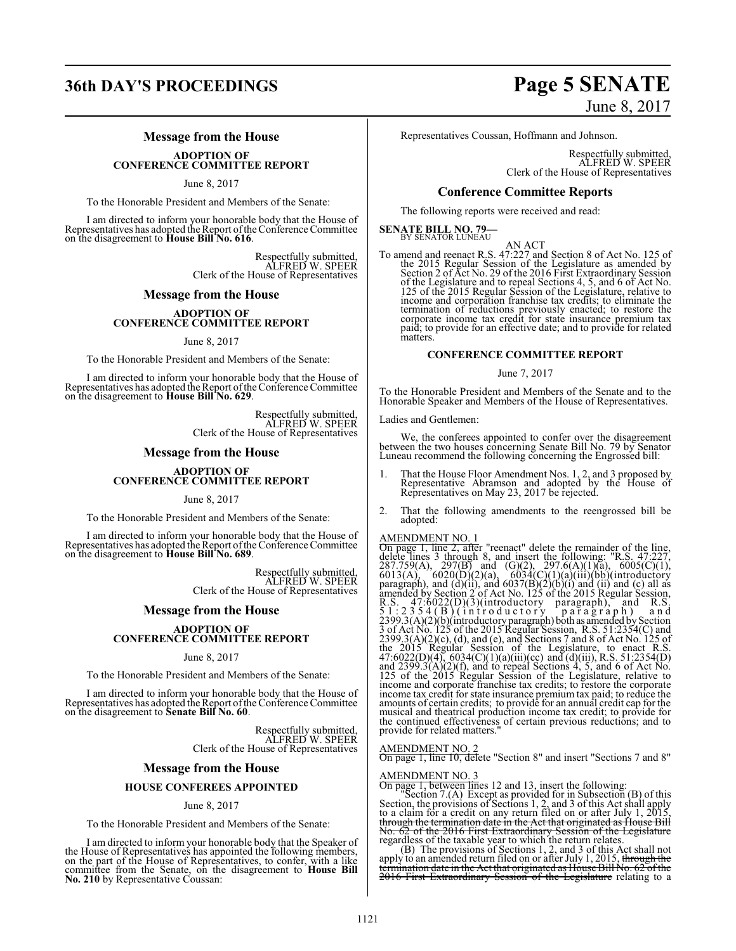## **36th DAY'S PROCEEDINGS Page 5 SENATE**

### **Message from the House**

### **ADOPTION OF CONFERENCE COMMITTEE REPORT**

June 8, 2017

To the Honorable President and Members of the Senate:

I am directed to inform your honorable body that the House of Representatives has adopted the Report ofthe Conference Committee on the disagreement to **House Bill No. 616**.

> Respectfully submitted, ALFRED W. SPEER Clerk of the House of Representatives

### **Message from the House**

## **ADOPTION OF CONFERENCE COMMITTEE REPORT**

June 8, 2017

To the Honorable President and Members of the Senate:

I am directed to inform your honorable body that the House of Representatives has adopted the Report ofthe Conference Committee on the disagreement to **House Bill No. 629**.

Respectfully submitted, ALFRED W. SPEER Clerk of the House of Representatives

### **Message from the House**

## **ADOPTION OF CONFERENCE COMMITTEE REPORT**

June 8, 2017

To the Honorable President and Members of the Senate:

I am directed to inform your honorable body that the House of Representatives has adopted the Report ofthe Conference Committee on the disagreement to **House Bill No. 689**.

> Respectfully submitted, ALFRED W. SPEER Clerk of the House of Representatives

### **Message from the House**

## **ADOPTION OF CONFERENCE COMMITTEE REPORT**

June 8, 2017

To the Honorable President and Members of the Senate:

I am directed to inform your honorable body that the House of Representatives has adopted the Report ofthe Conference Committee on the disagreement to **Senate Bill No. 60**.

> Respectfully submitted, ALFRED W. SPEER Clerk of the House of Representatives

### **Message from the House**

### **HOUSE CONFEREES APPOINTED**

### June 8, 2017

To the Honorable President and Members of the Senate:

I am directed to inform your honorable body that the Speaker of the House of Representatives has appointed the following members,<br>on the part of the House of Representatives, to confer, with a like<br>committee from the Senate, on the disagreement to **House Bill**<br>**No. 210** by Representati

# June 8, 2017

Representatives Coussan, Hoffmann and Johnson.

Respectfully submitted, ALFRED W. SPEER Clerk of the House of Representatives

### **Conference Committee Reports**

The following reports were received and read:

**SENATE BILL NO. 79-**<br>BY SENATOR LUNEAU

AN ACT<br>To amend and reenact R.S. 47:227 and Section 8 of Act No. 125 of<br>the 2015 Regular Session of the Legislature as amended by<br>Section 2 of Act No. 29 of the 2016 First Extraordinary Session<br>of the Legislature and to re income and corporation franchise tax credits; to eliminate the termination of reductions previously enacted; to restore the corporate income tax credit for state insurance premium tax paid; to provide for an effective date; and to provide for related matters.

### **CONFERENCE COMMITTEE REPORT**

### June 7, 2017

To the Honorable President and Members of the Senate and to the Honorable Speaker and Members of the House of Representatives.

Ladies and Gentlemen:

We, the conferees appointed to confer over the disagreement<br>between the two houses concerning Senate Bill No. 79 by Senator<br>Luneau recommend the following concerning the Engrossed bill:

- 1. That the House Floor Amendment Nos. 1, 2, and 3 proposed by Representative Abramson and adopted by the House of Representatives on May 23, 2017 be rejected.
- 2. That the following amendments to the reengrossed bill be adopted:

AMENDMENT NO. 1<br>On page 1, line 2, after "reenact" delete the remainder of the line,<br>delete lines 3 through 8, and insert the following: "R.S. 47:227,<br>287.759(A), 297(B) and (G)(2), 297.6(A)(1)(a), 6005(C)(1),<br>6013(A), 60 the continued effectiveness of certain previous reductions; and to provide for related matters."

### AMENDMENT NO. 2

On page 1, line 10, delete "Section 8" and insert "Sections 7 and 8"

### AMENDMENT NO. 3

On page 1, between lines 12 and 13, insert the following:<br>"Section 7.(A) Except as provided for in Subsection (B) of this<br>Section, the provisions of Sections 1, 2, and 3 of this Act shall apply<br>to a claim for a credit on

No. 62 of the 2016 First Extraordinary Session of the Legislature<br>regardless of the taxable year to which the return relates.<br>(B) The provisions of Sections 1, 2, and 3 of this Act shall not<br>apply to an amended return file 2016 First Extraordinary Session of the Legislature relating to a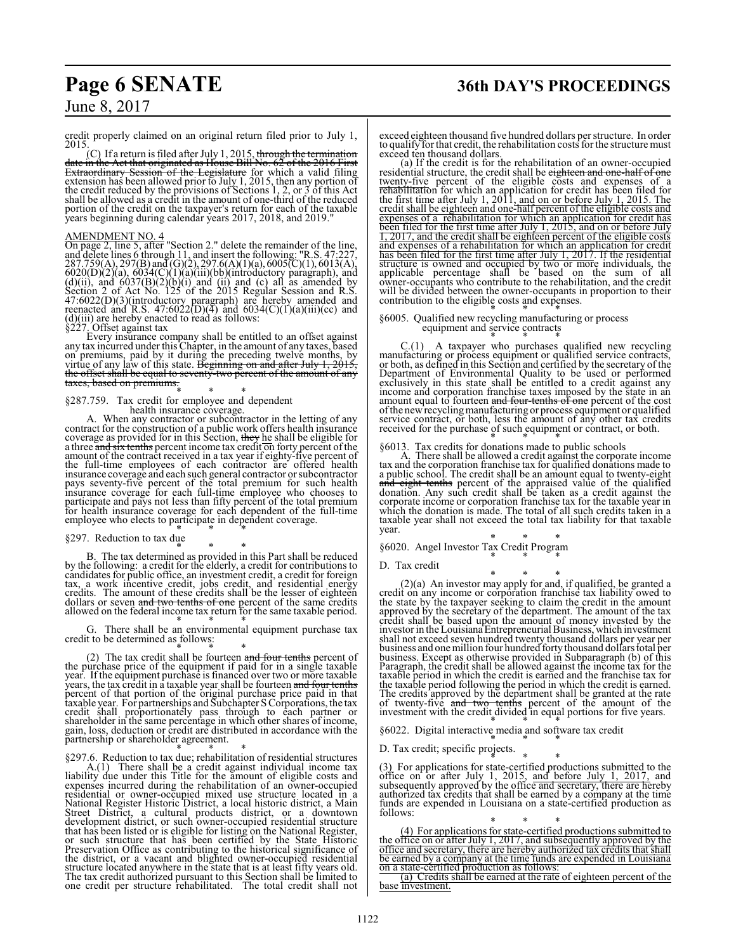credit properly claimed on an original return filed prior to July 1, 2015.

(C) If a return is filed after July 1, 2015, <del>through the termination<br>date in the Act that originated as House Bill No. 62 of the 2016 First<br>Extraordinary Session of the Legislature for which a valid filing<br>extension has </del> portion of the credit on the taxpayer's return for each of the taxable years beginning during calendar years 2017, 2018, and 2019."

AMENDMENT NO. 4<br>On page 2, line 5, after "Section 2." delete the remainder of the line,<br>and delete lines 6 through 11, and insert the following: "R.S. 47:227,<br>287.759(A), 297(B) and (G)(2), 297.6(A)(1)(a), 6005(C)(1), 601 (d)(iii) are hereby enacted to read as follows: §227. Offset against tax

Every insurance company shall be entitled to an offset against<br>any tax incurred under this Chapter, in the amount of any taxes, based<br>on premiums, paid by it during the preceding twelve months, by<br>virtue of any law of thi the offset shall be equal to seventy-two percent of the amount of any taxes, based on premiums.

## \* \* \* §287.759. Tax credit for employee and dependent

health insurance coverage. A. When any contractor or subcontractor in the letting of any contract for the construction of a public work offers health insurance<br>coverage as provided for in this Section, they he shall be eligible for<br>a three and six tenths percent income tax credit on forty percent of the<br>amount the full-time employees of each contractor are offered health insurance coverage and each such general contractor or subcontractor<br>pays seventy-five percent of the total premium for such health<br>msurance coverage for each full-time employee who chooses to<br>participate and pays not less employee who elects to participate in dependent coverage.

### §297. Reduction to tax due

\* \* \* B. The tax determined as provided in this Part shall be reduced by the following: a credit for the elderly, a credit for contributions to candidates for public office, an investment credit, a credit for foreign tax, a work incentive credit, jobs credit, and residential energy credits. dollars or seven and two tenths of one percent of the same credits<br>allowed on the federal income tax return for the same taxable period.

G. There shall be an environmental equipment purchase tax credit to be determined as follows:

(2) The tax credit shall be fourteen and four tenths percent of<br>the purchase price of the equipment if paid for in a single taxable<br>year. If the equipment purchase is financed over two or more taxable<br>years, the tax credit taxable year. For partnerships and Subchapter S Corporations, the tax credit shall proportionately pass through to each partner or shareholder in the same percentage in which other shares of income, gain, loss, deduction or credit are distributed in accordance with the partnership or shareholder agreement.

\* \* \* §297.6. Reduction to tax due; rehabilitation of residential structures A.(1) There shall be a credit against individual income tax liability due under this Title for the amount of eligible costs and expenses incurred during the rehabilitation of an owner-occupied residential or owner-occupied mixed use structure located in a National Register Historic District, a local historic district, a Main Street District, are ultural products district, or a downtown development district, or s The tax credit authorized pursuant to this Section shall be limited to one credit per structure rehabilitated. The total credit shall not

exceed eighteen thousand five hundred dollars per structure. In order to qualify for that credit, the rehabilitation costs for the structure must

exceed ten thousand dollars. (a) If the credit is for the rehabilitation of an owner-occupied residential structure, the credit shall be eighteen and one-half of one<br>twenty-five percent of the eligible costs and expenses of a<br>rehabilitation for which an application for credit has been filed for<br>the first time after expenses of a rehabilitation for which an application for credit has been filed for the first time after July 1, 2015, and on or before July 1, 2017, and the credit shall be eighteen percent of the eligible costs and expenses of a rehabilitation for which an application for credit<br>has been filed for the first time after July 1, 2017. If the residential<br>structure is owned and occupied by two or more individuals, the<br>applicable perc will be divided between the owner-occupants in proportion to their contribution to the eligible costs and expenses.

### \* \* \* §6005. Qualified new recycling manufacturing or process equipment and service contracts

C.(1) A taxpayer who purchases qualified new recycling<br>manufacturing or process equipment or qualified service contracts,<br>or both, as defined in this Section and certified by the secretary of the Department of Environmental Quality to be used or performed<br>exclusively in this state shall be entitled to a credit against any<br>income and corporation franchise taxes imposed by the state in an<br>amount equal to fourteen and of the new recycling manufacturing or process equipment or qualified service contract, or both, less the amount of any other tax credits received for the purchase of such equipment or contract, or both.

\* \* \* §6013. Tax credits for donations made to public schools A. There shall be allowed a credit against the corporate income tax and the corporation franchise tax for qualified donations made to<br>a public school. The credit shall be an amount equal to twenty-eight<br>and eight tenths percent of the appraised value of the qualified<br>donation. Any such taxable year shall not exceed the total tax liability for that taxable year.

\* \* \* §6020. Angel Investor Tax Credit Program \* \* \*

### D. Tax credit

 $(2)(a)$  An investor may apply for and, if qualified, be granted a<br>credit on any income or corporation franchise tax liability owed to<br>the state by the taxpayer seeking to claim the credit in the amount<br>approved by the sec business. Except as otherwise provided in Subparagraph (b) of this<br>Paragraph, the credit shall be allowed against the income tax for the<br>taxable period in which the credit is earned and the franchise tax for<br>the taxable p

§6022. Digital interactive media and software tax credit

D. Tax credit; specific projects.

(3) For applications for state-certified productions submitted to the office on or after July 1, 2015, and before July 1, 2017, and subsequently approved by the office and secretary, there are hereby authorized tax credit funds are expended in Louisiana on a state-certified production as follows:

\* \* \* (4) For applications for state-certified productions submitted to the office on or after July 1, 2017, and subsequently approved by the office and secretary, there are hereby authorized tax credits that shall be earned by a company at the time funds are expended in Louisiana on a state-certified production as follows:

(a) Credits shall be earned at the rate of eighteen percent of the base investment.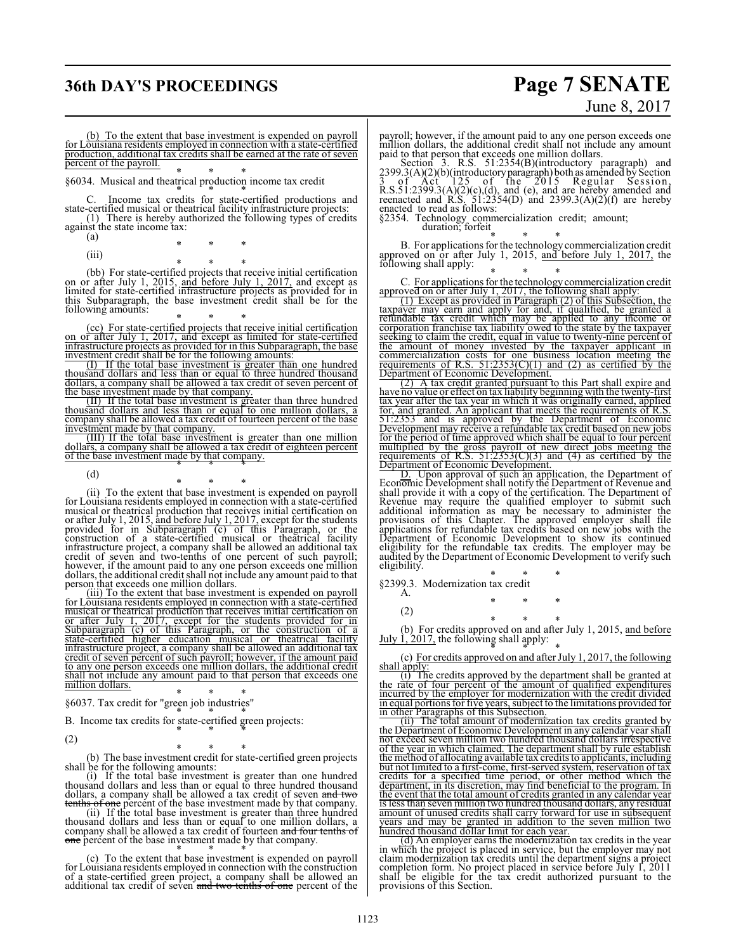## **36th DAY'S PROCEEDINGS Page 7 SENATE**

# June 8, 2017

(b) To the extent that base investment is expended on payroll for Louisiana residents employed in connection with a state-certified production, additional tax credits shall be earned at the rate of seven percent of the payroll.

\* \* \* §6034. Musical and theatrical production income tax credit

\* \* \* C. Income tax credits for state-certified productions and state-certified musical or theatrical facility infrastructure projects: (1) There is hereby authorized the following types of credits against the state income tax:

- (a) \* \* \*
	- (iii)

<sup>\*</sup> \* \* (bb) For state-certified projects that receive initial certification<br>on or after July 1, 2015, and before July 1, 2017, and except as<br>limited for state-certified infrastructure projects as provided for in this Subparagraph, the base investment credit shall be for the following amounts:

 $\text{ (cc)}$  For state-certified projects that receive initial certification on or after July 1, 2017, and except as limited for state-certified infrastructure projects as provided for in this Subparagraph, the base investment credit shall be for the following amounts

(I) If the total base investment is greater than one hundred thousand dollars and less than or equal to three hundred thousand dollars, a company shall be allowed a tax credit of seven percent of the base investment made by that company.

(II) If the total base investment is greater than three hundred thousand dollars and less than or equal to one million dollars, a company shall be allowed a tax credit of fourteen percent of the base investment made by that company. (III) If the total base investment is greater than one million

dollars, a company shall be allowed a tax credit of eighteen percent<br>of the base investment made by that company.

(d)

(ii) To the extent that base investment is expended on payroll<br>for Louisiana residents employed in connection with a state-certified<br>musical or the<br>attrical production that receives initial certification on<br>or after July infrastructure project, a company shall be allowed an additional tax credit of seven and two-tenths of one percent of such payroll; however, if the amount paid to any one person exceeds one million dollars, the additional credit shall not include any amount paid to that person that exceeds one million dollars.

(iii) To the extent that base investment is expended on payroll for Louisiana residents employed in connection with a state-certified musical or theatrical production that receives initial certification on or after July 1, 2017, except for the students provided for in Subparagraph (c) of this Paragraph, or the construction of a state-certified higher education musical or theatrical facility infrastructure project, a company shall be allowed an additional tax credit of seven percent of such payroll; however, if the amount paid to any one person exceeds one million dollars, the additional credit shall not include any amount paid to that person that exceeds one million dollars.

\* \* \* §6037. Tax credit for "green job industries"

B. Income tax credits for state-certified green projects:

(2)

\* \* \* (b) The base investment credit for state-certified green projects shall be for the following amounts:

(i) If the total base investment is greater than one hundred<br>thousand dollars and less than or equal to three hundred thousand<br>dollars, a company shall be allowed a tax credit of seven and two<br>tenths of one percent of the

one percent of the base investment made by that company.

\* \* \* (c) To the extent that base investment is expended on payroll for Louisiana residents employed in connection with the construction of a state-certified green project, a company shall be allowed an additional tax credit of seven and two tenths of one percent of the payroll; however, if the amount paid to any one person exceeds one million dollars, the additional credit shall not include any amount

paid to that person that exceeds one million dollars.<br>Section 3. R.S. 51:2354(B)(introductory paragraph) and<br>2399.3(A)(2)(b)(introductory paragraph) both as amended by Section<br>3 of Act 125 of the 2015 Regular Session,<br>R.S enacted to read as follows:

§2354. Technology commercialization credit; amount; duration; forfeit

\* \* \* B. For applications for the technology commercialization credit approved on or after July 1, 2015,  $\frac{and}{b}$  before July 1, 2017, the following shall apply:

C. For applications for the technology commercialization credit<br>approved on or after July 1, 2017, the following shall apply:

(1) Except as provided in Paragraph (2) of this Subsection, the taxpayer may earn and apply for and, if qualified, be granted a refundable tax credit which may be applied to any income or corporation franchise tax liability owed to the state by the taxpayer seeking to claim the credit, equal in value to twenty-nine percent of the amount of money invested by the taxpayer applicant in commercialization costs for one business location meeting the requirements of R.S.  $51:2353(C)(1)$  and (2) as certified by the Department of Economic Development.

(2) A tax credit granted pursuant to this Part shall expire and have no value or effect on tax liability beginning with the twenty-first tax year after the tax year in which it was originally earned, applied for, and granted. An applicant that meets the requirements of R.S. 51:2353 and is approved by the Department of Economic Development may receive a refundable tax credit based on new jobs for the period of time approved which shall be equal to four percent multiplied by the gross payroll of new direct jobs meeting the requirements of R.S. 51:2353(C)(3) and (4) as certified by the Department of Economic Development.

D. Upon approval of such an application, the Department of Economic Development shall notify the Department of Revenue and shall provide it with a copy of the certification. The Department of<br>Revenue may require the qualified employer to submit such<br>additional information as may be necessary to administer the<br>provisions of this Chapter. The ap eligibility for the refundable tax credits. The employer may be audited by the Department of Economic Development to verify such eligibility.

\* \* \* §2399.3. Modernization tax credit

- A. \* \* \*
- (2)

(b) For credits approved on and after July 1, 2015, <u>and before July 1, 2017</u>, the following shall apply:

(c) For credits approved on and after July 1, 2017, the following shall apply:

(i) The credits approved by the department shall be granted at the rate of four percent of the amount of qualified expenditures incurred by the employer for modernization with the credit divided in equal portions for five years, subject to the limitations provided for in other Paragraphs of this Subsection.

(ii) The total amount of modernization tax credits granted by the Department of Economic Development in any calendar year shall not exceed seven million two hundred thousand dollars irrespective of the year in which claimed. The department shall by rule establish the method of allocating available tax credits to applicants, including but not limited to a first-come, first-served system, reservation of tax credits for a specified time period, or other method which the department, in its discretion, may find beneficial to the program. In the event that the total amount of credits granted in any calendar year is less than seven million two hundred thousand dollars, any residual amount of unused credits shall carry forward for use in subsequent years and may be granted in addition to the seven million two hundred thousand dollar limit for each year.

(d) An employer earns the modernization tax credits in the year<br>in which the project is placed in service, but the employer may not<br>claim modernization tax credits until the department signs a project<br>completion form. No shall be eligible for the tax credit authorized pursuant to the provisions of this Section.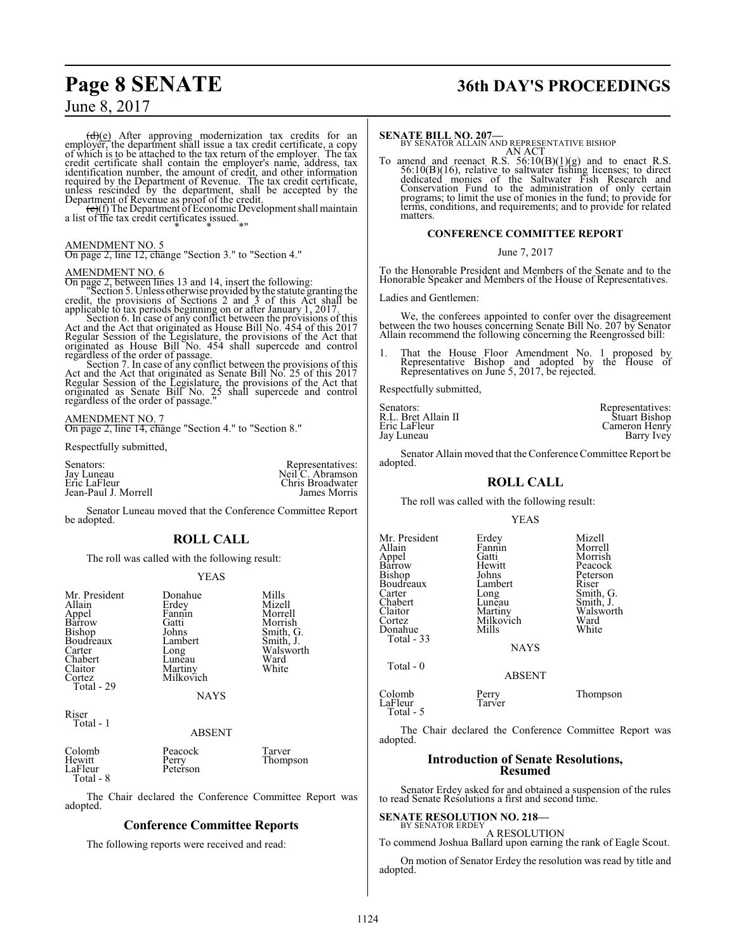## **Page 8 SENATE 36th DAY'S PROCEEDINGS**

### June 8, 2017

 $(d)(e)$  After approving modernization tax credits for an employer, the department shall issue a tax credit certificate, a copy of which is to be attached to the tax return of the employer. The tax credit certificate shall contain the employer's name, address, tax<br>identification number, the amount of credit, and other information<br>required by the Department of Revenue. The tax credit certificate,<br>unless rescinded by

a list of the tax credit certificates issued....

### AMENDMENT NO. 5

On page 2, line 12, change "Section 3." to "Section 4."

### AMENDMENT NO. 6

On page 2, between lines 13 and 14, insert the following: "Section 5. Unless otherwise provided by the statute granting the credit, the provisions of Sections 2 and 3 of this Act shall be

applicable to tax periods beginning on or after January 1, 2017. Section 6. In case of any conflict between the provisions of this Act and the Act that originated as House Bill No. 454 of this 2017 Regular Session of the Legislature, the provisions of the Act that originated as House Bill No. 454 shall supercede and control

regardless of the order of passage. Section 7. In case of any conflict between the provisions of this Act and the Act that originated as Senate Bill No. 25 of this 2017<br>Regular Session of the Legislature, the provisions of the Act that<br>originated as Senate Bill No. 25 shall supercede and control<br>regardless of the order of

### AMENDMENT NO. 7

On page 2, line 14, change "Section 4." to "Section 8."

Respectfully submitted,

| Representatives:<br>Neil C. Abramson<br>Chris Broadwater<br>James Morris |
|--------------------------------------------------------------------------|
|                                                                          |
|                                                                          |

Senator Luneau moved that the Conference Committee Report be adopted.

### **ROLL CALL**

The roll was called with the following result:

### YEAS

| Mr. President<br>Allain<br>Appel<br>Barrow<br>Bishop<br>Boudreaux<br>Carter<br>Chabert<br>Claitor<br>Cortez<br>Total - 29 | Donahue<br>Erdey<br>Fannin<br>Gatti<br>Johns<br>Lambert<br>Long<br>Lunēau<br>Martiny<br>Milkovich<br><b>NAYS</b> | Mills<br>Mizell<br>Morrell<br>Morrish<br>Smith, G.<br>Smith, J.<br>Walsworth<br>Ward<br>White |
|---------------------------------------------------------------------------------------------------------------------------|------------------------------------------------------------------------------------------------------------------|-----------------------------------------------------------------------------------------------|
| $\bf p$ icer                                                                                                              |                                                                                                                  |                                                                                               |

Riser Total - 1

### ABSENT

| Colomb<br>Hewitt<br>LaFleur<br>Total - 8 | Peacock<br>Perry<br>Peterson | Tarver<br>Thompson |
|------------------------------------------|------------------------------|--------------------|
|------------------------------------------|------------------------------|--------------------|

The Chair declared the Conference Committee Report was adopted.

### **Conference Committee Reports**

The following reports were received and read:

**SENATE BILL NO. 207—**<br>BY SENATOR ALLAIN AND REPRESENTATIVE BISHOP AN ACT

To amend and reenact R.S.  $56:10(B)(1)(g)$  and to enact R.S.<br>56:10(B)(16), relative to saltwater fishing licenses; to direct<br>dedicated monies of the Saltwater Fish Research and<br>Conservation Fund to the administration of only matters.

### **CONFERENCE COMMITTEE REPORT**

June 7, 2017

To the Honorable President and Members of the Senate and to the Honorable Speaker and Members of the House of Representatives.

Ladies and Gentlemen:

We, the conferees appointed to confer over the disagreement between the two houses concerning Senate Bill No. 207 by Senator Allain recommend the following concerning the Reengrossed bill:

1. That the House Floor Amendment No. 1 proposed by Representative Bishop and adopted by the House of Representatives on June 5, 2017, be rejected.

Respectfully submitted,

| Senators:           | Representatives: |
|---------------------|------------------|
| R.L. Bret Allain II | Stuart Bishop    |
| Eric LaFleur        | Cameron Henry    |
| Jay Luneau          | Barry Ivey       |

Senator Allain moved that the Conference Committee Report be adopted.

### **ROLL CALL**

The roll was called with the following result:

|  | v<br>٧ |
|--|--------|
|--|--------|

| Mr. President<br>Allain<br>Appel<br>Barrow<br><b>Bishop</b><br>Boudreaux<br>Carter<br>Chabert<br>Claitor<br>Cortez<br>Donahue<br>Total $-33$ | Erdey<br>Fannin<br>Gatti<br>Hewitt<br>Johns<br>Lambert<br>Long<br>Luneau<br>Martiny<br>Milkovich<br>Mills<br><b>NAYS</b> | Mizell<br>Morrell<br>Morrish<br>Peacock<br>Peterson<br>Riser<br>Smith, G.<br>Smith, J.<br>Walsworth<br>Ward<br>White |
|----------------------------------------------------------------------------------------------------------------------------------------------|--------------------------------------------------------------------------------------------------------------------------|----------------------------------------------------------------------------------------------------------------------|
| Total $-0$                                                                                                                                   | <b>ABSENT</b>                                                                                                            |                                                                                                                      |
| $\sim$ 1 1                                                                                                                                   | $\mathbf{r}$                                                                                                             | $-1$                                                                                                                 |

Colomb Perry Thompson Total - 5

The Chair declared the Conference Committee Report was adopted.

### **Introduction of Senate Resolutions, Resumed**

Senator Erdey asked for and obtained a suspension of the rules to read Senate Resolutions a first and second time.

## **SENATE RESOLUTION NO. 218–**<br>BY SENATOR ERDEY

A RESOLUTION

To commend Joshua Ballard upon earning the rank of Eagle Scout. On motion of Senator Erdey the resolution was read by title and

LaFleur

adopted.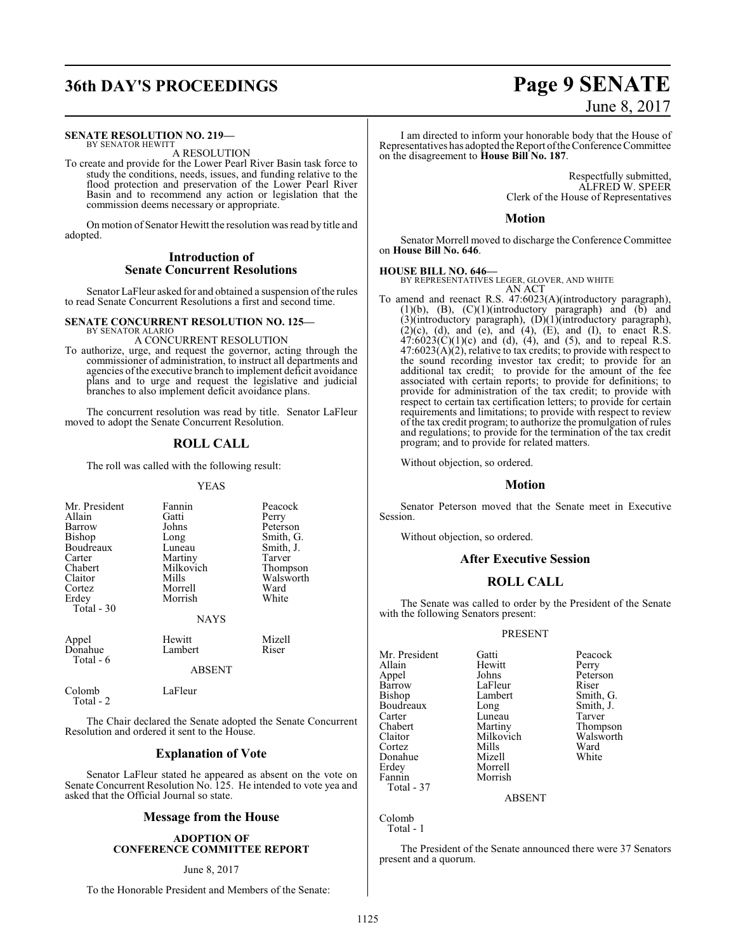## **36th DAY'S PROCEEDINGS Page 9 SENATE**

### **SENATE RESOLUTION NO. 219—**

BY SENATOR HEWITT A RESOLUTION

To create and provide for the Lower Pearl River Basin task force to study the conditions, needs, issues, and funding relative to the flood protection and preservation of the Lower Pearl River Basin and to recommend any action or legislation that the commission deems necessary or appropriate.

On motion of Senator Hewitt the resolution was read by title and adopted.

### **Introduction of Senate Concurrent Resolutions**

Senator LaFleur asked for and obtained a suspension ofthe rules to read Senate Concurrent Resolutions a first and second time.

### **SENATE CONCURRENT RESOLUTION NO. 125—** BY SENATOR ALARIO

A CONCURRENT RESOLUTION

To authorize, urge, and request the governor, acting through the commissioner of administration, to instruct all departments and agencies of the executive branch to implement deficit avoidance plans and to urge and request the legislative and judicial branches to also implement deficit avoidance plans.

The concurrent resolution was read by title. Senator LaFleur moved to adopt the Senate Concurrent Resolution.

### **ROLL CALL**

The roll was called with the following result:

### YEAS

| Mr. President<br>Allain<br>Barrow<br><b>Bishop</b><br>Boudreaux<br>Carter<br>Chabert<br>Claitor<br>Cortez<br>Erdey<br>Total - 30 | Fannin<br>Gatti<br>Johns<br>Long<br>Luneau<br>Martiny<br>Milkovich<br>Mills<br>Morrell<br>Morrish<br><b>NAYS</b> | Peacock<br>Perry<br>Peterson<br>Smith, G.<br>Smith, J.<br>Tarver<br>Thompson<br>Walsworth<br>Ward<br>White |
|----------------------------------------------------------------------------------------------------------------------------------|------------------------------------------------------------------------------------------------------------------|------------------------------------------------------------------------------------------------------------|
| Appel<br>Donahue<br>Total - 6                                                                                                    | Hewitt<br>Lambert<br><b>ABSENT</b>                                                                               | Mizell<br>Riser                                                                                            |
| Colomb<br>Total - 2                                                                                                              | LaFleur                                                                                                          |                                                                                                            |

The Chair declared the Senate adopted the Senate Concurrent Resolution and ordered it sent to the House.

### **Explanation of Vote**

Senator LaFleur stated he appeared as absent on the vote on Senate Concurrent Resolution No. 125. He intended to vote yea and asked that the Official Journal so state.

### **Message from the House**

### **ADOPTION OF CONFERENCE COMMITTEE REPORT**

### June 8, 2017

To the Honorable President and Members of the Senate:

# June 8, 2017

I am directed to inform your honorable body that the House of Representatives has adopted the Report ofthe Conference Committee on the disagreement to **House Bill No. 187**.

> Respectfully submitted, ALFRED W. SPEER Clerk of the House of Representatives

### **Motion**

Senator Morrell moved to discharge the Conference Committee on **House Bill No. 646**.

**HOUSE BILL NO. 646—** BY REPRESENTATIVES LEGER, GLOVER, AND WHITE AN ACT

To amend and reenact R.S. 47:6023(A)(introductory paragraph), (1)(b), (B), (C)(1)(introductory paragraph) and (b) and (3)(introductory paragraph), (D)(1)(introductory paragraph),  $(2)(c)$ ,  $(d)$ , and  $(e)$ , and  $(4)$ ,  $(E)$ , and  $(I)$ , to enact R.S.  $47:6023(C)(1)(c)$  and (d), (4), and (5), and to repeal R.S.  $47:6023(A)(2)$ , relative to tax credits; to provide with respect to the sound recording investor tax credit; to provide for an additional tax credit; to provide for the amount of the fee associated with certain reports; to provide for definitions; to provide for administration of the tax credit; to provide with respect to certain tax certification letters; to provide for certain requirements and limitations; to provide with respect to review of the tax credit program; to authorize the promulgation of rules and regulations; to provide for the termination of the tax credit program; and to provide for related matters.

Without objection, so ordered.

### **Motion**

Senator Peterson moved that the Senate meet in Executive Session.

Without objection, so ordered.

### **After Executive Session**

### **ROLL CALL**

The Senate was called to order by the President of the Senate with the following Senators present:

### PRESENT

Mr. President Gatti Peacock<br>Allain Hewitt Perry Allain Hewitt<br>
Appel Johns Appel Johns Peterson<br>Barrow LaFleur Riser Barrow LaFleur<br>Bishop Lambert Boudreaux Long Smith,<br>Carter Luneau Tarver Carter Luneau<br>Chabert Martiny Chabert Martiny Thompson<br>Claitor Milkovich Walsworth Cortez Mills Ward Donahue<br>Erdey Erdey Morrell<br>Fannin Morrish Total - 37

Lambert Smith, G.<br>
Long Smith, J. Milkovich Walsworth<br>
Mills Ward

ABSENT

Morrish

Colomb Total - 1

The President of the Senate announced there were 37 Senators present and a quorum.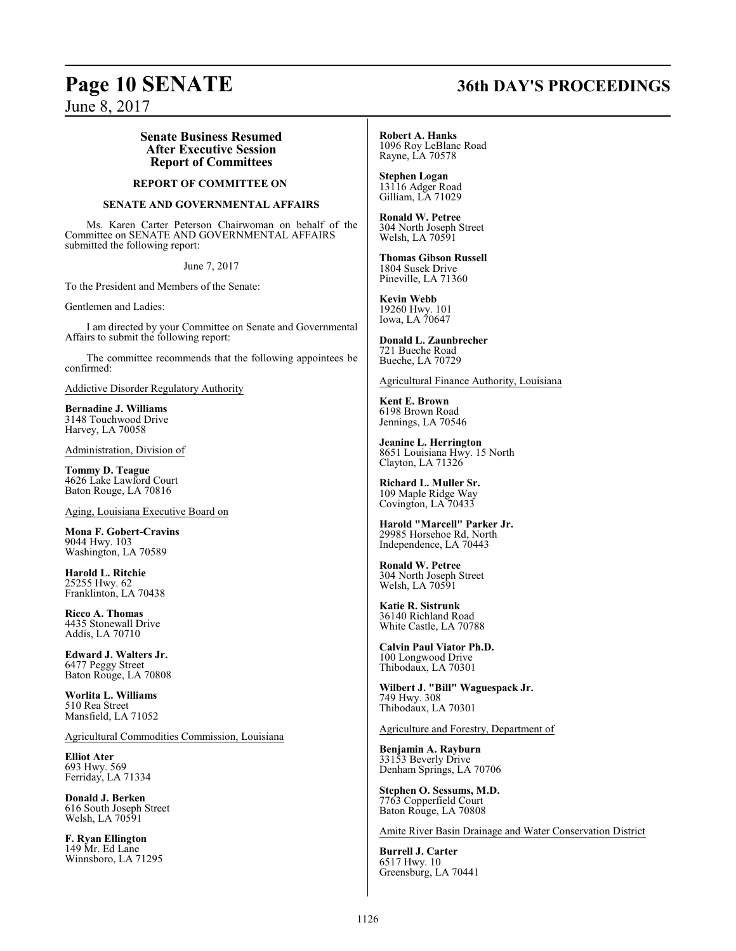## **Page 10 SENATE 36th DAY'S PROCEEDINGS**

June 8, 2017

### **Senate Business Resumed After Executive Session Report of Committees**

### **REPORT OF COMMITTEE ON**

### **SENATE AND GOVERNMENTAL AFFAIRS**

Ms. Karen Carter Peterson Chairwoman on behalf of the Committee on SENATE AND GOVERNMENTAL AFFAIRS submitted the following report:

June 7, 2017

To the President and Members of the Senate:

Gentlemen and Ladies:

I am directed by your Committee on Senate and Governmental Affairs to submit the following report:

The committee recommends that the following appointees be confirmed:

Addictive Disorder Regulatory Authority

**Bernadine J. Williams** 3148 Touchwood Drive Harvey, LA 70058

Administration, Division of

**Tommy D. Teague** 4626 Lake Lawford Court Baton Rouge, LA 70816

Aging, Louisiana Executive Board on

**Mona F. Gobert-Cravins** 9044 Hwy. 103 Washington, LA 70589

**Harold L. Ritchie** 25255 Hwy. 62 Franklinton, LA 70438

**Ricco A. Thomas** 4435 Stonewall Drive Addis, LA 70710

**Edward J. Walters Jr.** 6477 Peggy Street Baton Rouge, LA 70808

**Worlita L. Williams** 510 Rea Street Mansfield, LA 71052

Agricultural Commodities Commission, Louisiana

**Elliot Ater** 693 Hwy. 569 Ferriday, LA 71334

**Donald J. Berken** 616 South Joseph Street Welsh, LA 70591

**F. Ryan Ellington** 149 Mr. Ed Lane Winnsboro, LA 71295 **Robert A. Hanks** 1096 Roy LeBlanc Road Rayne, LA 70578

**Stephen Logan** 13116 Adger Road Gilliam, LA 71029

**Ronald W. Petree** 304 North Joseph Street Welsh, LA 70591

**Thomas Gibson Russell** 1804 Susek Drive Pineville, LA 71360

**Kevin Webb** 19260 Hwy. 101 Iowa, LA 70647

**Donald L. Zaunbrecher** 721 Bueche Road Bueche, LA 70729

Agricultural Finance Authority, Louisiana

**Kent E. Brown** 6198 Brown Road Jennings, LA 70546

**Jeanine L. Herrington** 8651 Louisiana Hwy. 15 North Clayton, LA 71326

**Richard L. Muller Sr.** 109 Maple Ridge Way Covington, LA 70433

**Harold "Marcell" Parker Jr.** 29985 Horsehoe Rd, North Independence, LA 70443

**Ronald W. Petree** 304 North Joseph Street Welsh, LA 70591

**Katie R. Sistrunk** 36140 Richland Road White Castle, LA 70788

**Calvin Paul Viator Ph.D.** 100 Longwood Drive Thibodaux, LA 70301

**Wilbert J. "Bill" Waguespack Jr.** 749 Hwy. 308 Thibodaux, LA 70301

Agriculture and Forestry, Department of

**Benjamin A. Rayburn** 33153 Beverly Drive Denham Springs, LA 70706

**Stephen O. Sessums, M.D.** 7763 Copperfield Court Baton Rouge, LA 70808

Amite River Basin Drainage and Water Conservation District

**Burrell J. Carter** 6517 Hwy. 10 Greensburg, LA 70441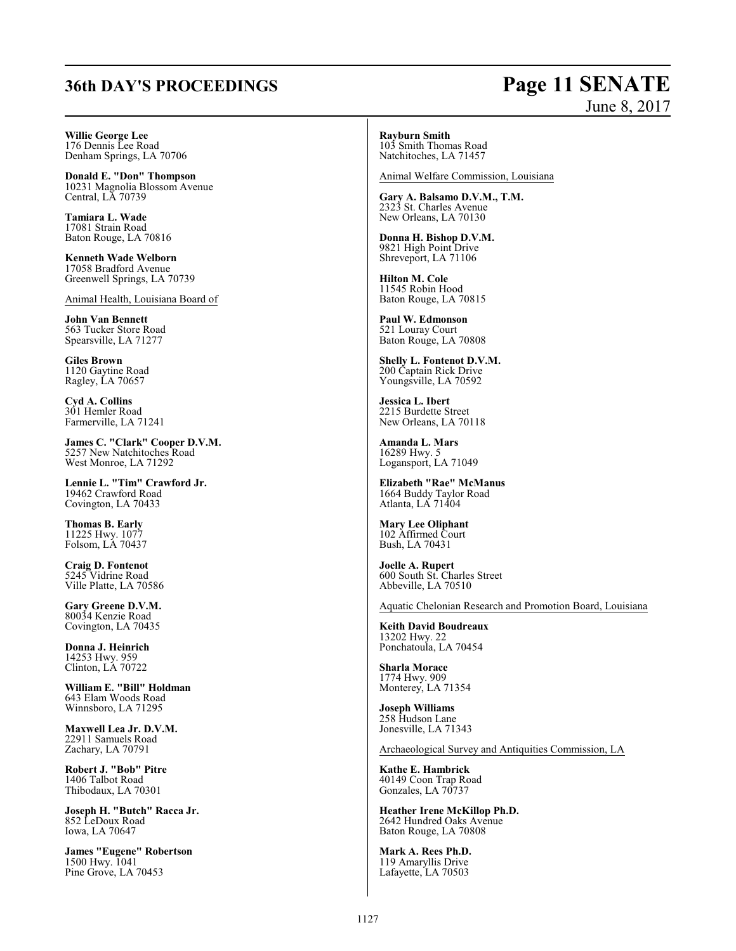## **36th DAY'S PROCEEDINGS Page 11 SENATE**

# June 8, 2017

**Willie George Lee** 176 Dennis Lee Road Denham Springs, LA 70706

**Donald E. "Don" Thompson** 10231 Magnolia Blossom Avenue Central, LA 70739

**Tamiara L. Wade** 17081 Strain Road Baton Rouge, LA 70816

**Kenneth Wade Welborn** 17058 Bradford Avenue Greenwell Springs, LA 70739

Animal Health, Louisiana Board of

**John Van Bennett** 563 Tucker Store Road Spearsville, LA 71277

**Giles Brown** 1120 Gaytine Road Ragley, LA 70657

**Cyd A. Collins** 301 Hemler Road Farmerville, LA 71241

**James C. "Clark" Cooper D.V.M.** 5257 New Natchitoches Road West Monroe, LA 71292

**Lennie L. "Tim" Crawford Jr.** 19462 Crawford Road Covington, LA 70433

**Thomas B. Early** 11225 Hwy. 1077 Folsom, LA 70437

**Craig D. Fontenot** 5245 Vidrine Road Ville Platte, LA 70586

**Gary Greene D.V.M.** 80034 Kenzie Road Covington, LA 70435

**Donna J. Heinrich** 14253 Hwy. 959 Clinton, LA 70722

**William E. "Bill" Holdman** 643 Elam Woods Road Winnsboro, LA 71295

**Maxwell Lea Jr. D.V.M.** 22911 Samuels Road Zachary, LA 70791

**Robert J. "Bob" Pitre** 1406 Talbot Road Thibodaux, LA 70301

**Joseph H. "Butch" Racca Jr.** 852 LeDoux Road Iowa, LA 70647

**James "Eugene" Robertson** 1500 Hwy. 1041 Pine Grove, LA 70453

### **Rayburn Smith**

103 Smith Thomas Road Natchitoches, LA 71457

Animal Welfare Commission, Louisiana

**Gary A. Balsamo D.V.M., T.M.** 2323 St. Charles Avenue New Orleans, LA 70130

**Donna H. Bishop D.V.M.** 9821 High Point Drive Shreveport, LA 71106

**Hilton M. Cole** 11545 Robin Hood Baton Rouge, LA 70815

**Paul W. Edmonson** 521 Louray Court Baton Rouge, LA 70808

**Shelly L. Fontenot D.V.M.** 200 Captain Rick Drive Youngsville, LA 70592

**Jessica L. Ibert** 2215 Burdette Street New Orleans, LA 70118

**Amanda L. Mars** 16289 Hwy. 5 Logansport, LA 71049

**Elizabeth "Rae" McManus** 1664 Buddy Taylor Road Atlanta, LA 71404

**Mary Lee Oliphant** 102 Affirmed Court Bush, LA 70431

**Joelle A. Rupert** 600 South St. Charles Street Abbeville, LA 70510

Aquatic Chelonian Research and Promotion Board, Louisiana

**Keith David Boudreaux** 13202 Hwy. 22 Ponchatoula, LA 70454

**Sharla Morace** 1774 Hwy. 909 Monterey, LA 71354

**Joseph Williams** 258 Hudson Lane Jonesville, LA 71343

Archaeological Survey and Antiquities Commission, LA

**Kathe E. Hambrick** 40149 Coon Trap Road Gonzales, LA 70737

**Heather Irene McKillop Ph.D.** 2642 Hundred Oaks Avenue Baton Rouge, LA 70808

**Mark A. Rees Ph.D.** 119 Amaryllis Drive Lafayette, LA 70503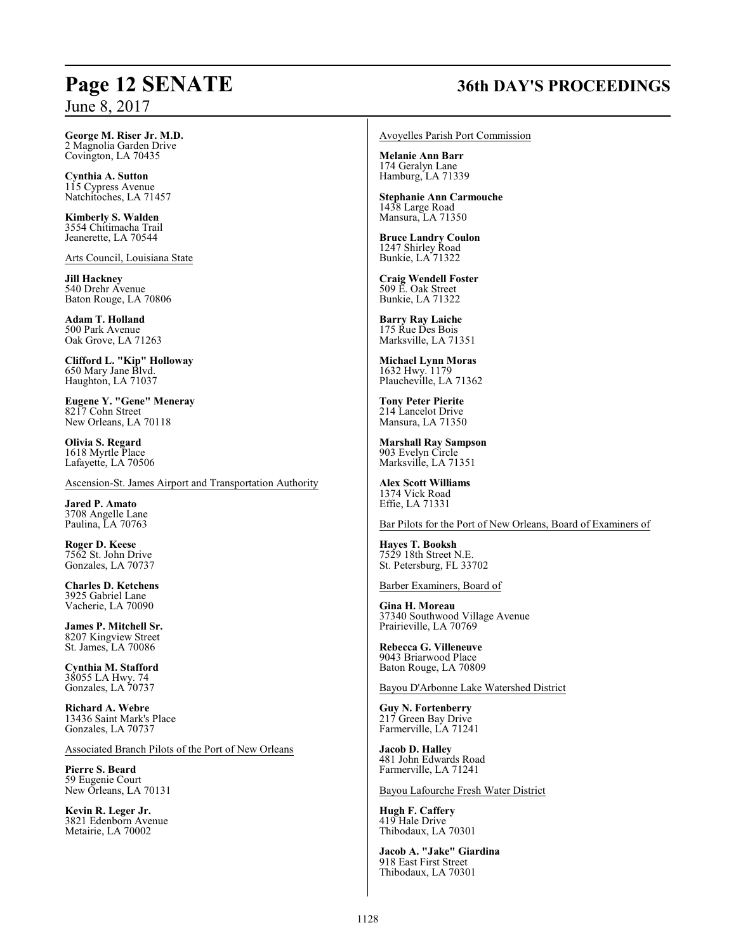## **Page 12 SENATE 36th DAY'S PROCEEDINGS**

**George M. Riser Jr. M.D.** 2 Magnolia Garden Drive Covington, LA 70435

**Cynthia A. Sutton** 115 Cypress Avenue Natchitoches, LA 71457

**Kimberly S. Walden** 3554 Chitimacha Trail Jeanerette, LA 70544

Arts Council, Louisiana State

**Jill Hackney** 540 Drehr Avenue Baton Rouge, LA 70806

**Adam T. Holland** 500 Park Avenue Oak Grove, LA 71263

**Clifford L. "Kip" Holloway** 650 Mary Jane Blvd. Haughton, LA 71037

**Eugene Y. "Gene" Meneray** 8217 Cohn Street New Orleans, LA 70118

**Olivia S. Regard** 1618 Myrtle Place Lafayette, LA 70506

Ascension-St. James Airport and Transportation Authority

**Jared P. Amato** 3708 Angelle Lane Paulina, LA 70763

**Roger D. Keese** 7562 St. John Drive Gonzales, LA 70737

**Charles D. Ketchens** 3925 Gabriel Lane Vacherie, LA 70090

**James P. Mitchell Sr.** 8207 Kingview Street St. James, LA 70086

**Cynthia M. Stafford** 38055 LA Hwy. 74 Gonzales, LA 70737

**Richard A. Webre** 13436 Saint Mark's Place Gonzales, LA 70737

Associated Branch Pilots of the Port of New Orleans

**Pierre S. Beard** 59 Eugenie Court New Orleans, LA 70131

**Kevin R. Leger Jr.** 3821 Edenborn Avenue Metairie, LA 70002

Avoyelles Parish Port Commission

**Melanie Ann Barr** 174 Geralyn Lane Hamburg, LA 71339

**Stephanie Ann Carmouche** 1438 Large Road Mansura, LA 71350

**Bruce Landry Coulon** 1247 Shirley Road Bunkie, LA 71322

**Craig Wendell Foster** 509 E. Oak Street Bunkie, LA 71322

**Barry Ray Laiche** 175 Rue Des Bois Marksville, LA 71351

**Michael Lynn Moras** 1632 Hwy. 1179 Plaucheville, LA 71362

**Tony Peter Pierite** 214 Lancelot Drive Mansura, LA 71350

**Marshall Ray Sampson** 903 Evelyn Circle Marksville, LA 71351

**Alex Scott Williams** 1374 Vick Road Effie, LA 71331

Bar Pilots for the Port of New Orleans, Board of Examiners of

**Hayes T. Booksh** 7529 18th Street N.E. St. Petersburg, FL 33702

Barber Examiners, Board of

**Gina H. Moreau** 37340 Southwood Village Avenue Prairieville, LA 70769

**Rebecca G. Villeneuve** 9043 Briarwood Place Baton Rouge, LA 70809

Bayou D'Arbonne Lake Watershed District

**Guy N. Fortenberry** 217 Green Bay Drive Farmerville, LA 71241

**Jacob D. Halley** 481 John Edwards Road Farmerville, LA 71241

Bayou Lafourche Fresh Water District

**Hugh F. Caffery** 419 Hale Drive Thibodaux, LA 70301

**Jacob A. "Jake" Giardina** 918 East First Street Thibodaux, LA 70301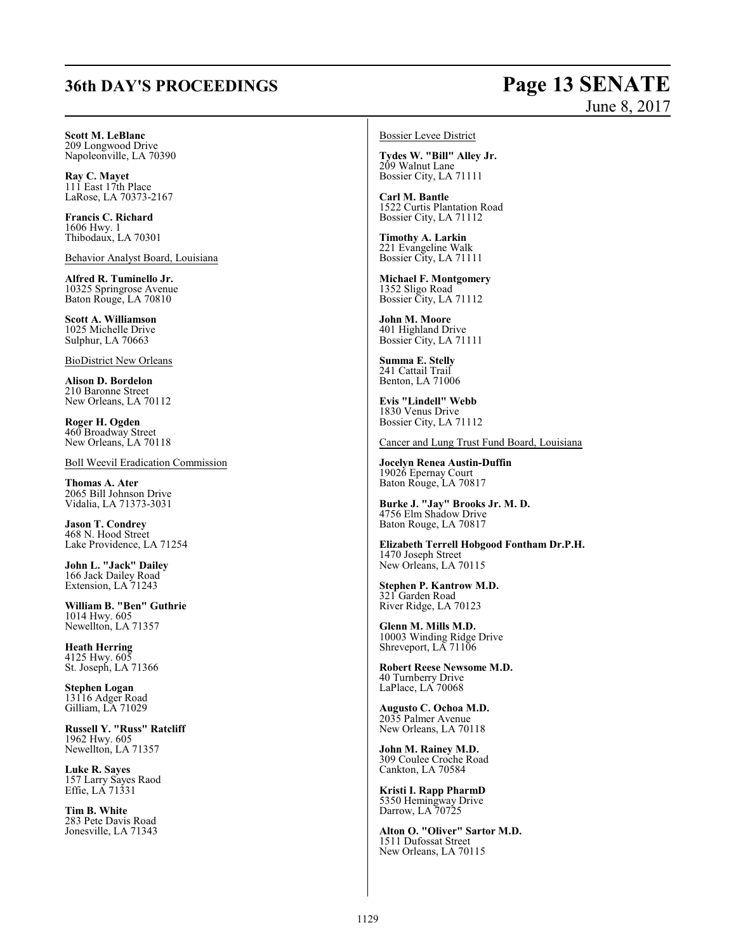## **36th DAY'S PROCEEDINGS Page 13 SENATE**

# June 8, 2017

**Scott M. LeBlanc** 209 Longwood Drive

Napoleonville, LA 70390

**Ray C. Mayet** 111 East 17th Place LaRose, LA 70373-2167

**Francis C. Richard** 1606 Hwy. 1 Thibodaux, LA 70301

Behavior Analyst Board, Louisiana

**Alfred R. Tuminello Jr.** 10325 Springrose Avenue Baton Rouge, LA 70810

**Scott A. Williamson** 1025 Michelle Drive Sulphur, LA 70663

BioDistrict New Orleans

**Alison D. Bordelon** 210 Baronne Street New Orleans, LA 70112

**Roger H. Ogden** 460 Broadway Street New Orleans, LA 70118

Boll Weevil Eradication Commission

**Thomas A. Ater** 2065 Bill Johnson Drive Vidalia, LA 71373-3031

**Jason T. Condrey** 468 N. Hood Street Lake Providence, LA 71254

**John L. "Jack" Dailey** 166 Jack Dailey Road Extension, LA 71243

**William B. "Ben" Guthrie** 1014 Hwy. 605 Newellton, LA 71357

**Heath Herring** 4125 Hwy. 605 St. Joseph, LA 71366

**Stephen Logan** 13116 Adger Road Gilliam, LA 71029

**Russell Y. "Russ" Ratcliff** 1962 Hwy. 605 Newellton, LA 71357

**Luke R. Sayes** 157 Larry Sayes Raod Effie, LA 71331

**Tim B. White** 283 Pete Davis Road Jonesville, LA 71343 Bossier Levee District

**Tydes W. "Bill" Alley Jr.** 209 Walnut Lane Bossier City, LA 71111

**Carl M. Bantle** 1522 Curtis Plantation Road Bossier City, LA 71112

**Timothy A. Larkin** 221 Evangeline Walk Bossier City, LA 71111

**Michael F. Montgomery** 1352 Sligo Road Bossier City, LA 71112

**John M. Moore** 401 Highland Drive Bossier City, LA 71111

**Summa E. Stelly** 241 Cattail Trail Benton, LA 71006

**Evis "Lindell" Webb** 1830 Venus Drive Bossier City, LA 71112

Cancer and Lung Trust Fund Board, Louisiana

**Jocelyn Renea Austin-Duffin** 19026 Epernay Court Baton Rouge, LA 70817

**Burke J. "Jay" Brooks Jr. M. D.** 4756 Elm Shadow Drive Baton Rouge, LA 70817

**Elizabeth Terrell Hobgood Fontham Dr.P.H.** 1470 Joseph Street New Orleans, LA 70115

**Stephen P. Kantrow M.D.** 321 Garden Road River Ridge, LA 70123

**Glenn M. Mills M.D.** 10003 Winding Ridge Drive Shreveport, LA 71106

**Robert Reese Newsome M.D.** 40 Turnberry Drive LaPlace, LA 70068

**Augusto C. Ochoa M.D.** 2035 Palmer Avenue New Orleans, LA 70118

**John M. Rainey M.D.** 309 Coulee Croche Road Cankton, LA 70584

**Kristi I. Rapp PharmD** 5350 Hemingway Drive Darrow, LA 70725

**Alton O. "Oliver" Sartor M.D.** 1511 Dufossat Street New Orleans, LA 70115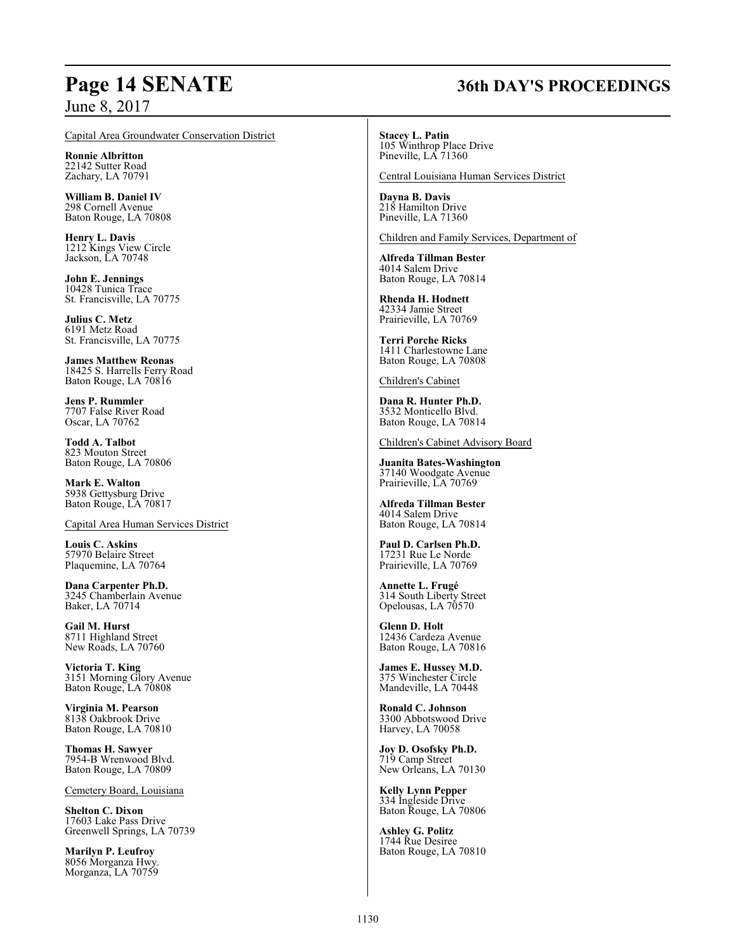## **Page 14 SENATE 36th DAY'S PROCEEDINGS**

June 8, 2017

### Capital Area Groundwater Conservation District

**Ronnie Albritton** 22142 Sutter Road Zachary, LA 70791

**William B. Daniel IV** 298 Cornell Avenue Baton Rouge, LA 70808

**Henry L. Davis** 1212 Kings View Circle Jackson, LA 70748

**John E. Jennings** 10428 Tunica Trace St. Francisville, LA 70775

**Julius C. Metz** 6191 Metz Road St. Francisville, LA 70775

**James Matthew Reonas** 18425 S. Harrells Ferry Road Baton Rouge, LA 70816

**Jens P. Rummler** 7707 False River Road Oscar, LA 70762

**Todd A. Talbot** 823 Mouton Street Baton Rouge, LA 70806

**Mark E. Walton** 5938 Gettysburg Drive Baton Rouge, LA 70817

Capital Area Human Services District

**Louis C. Askins** 57970 Belaire Street Plaquemine, LA 70764

**Dana Carpenter Ph.D.** 3245 Chamberlain Avenue Baker, LA 70714

**Gail M. Hurst** 8711 Highland Street New Roads, LA 70760

**Victoria T. King** 3151 Morning Glory Avenue Baton Rouge, LA 70808

**Virginia M. Pearson** 8138 Oakbrook Drive Baton Rouge, LA 70810

**Thomas H. Sawyer** 7954-B Wrenwood Blvd. Baton Rouge, LA 70809

Cemetery Board, Louisiana

**Shelton C. Dixon** 17603 Lake Pass Drive Greenwell Springs, LA 70739

**Marilyn P. Leufroy** 8056 Morganza Hwy. Morganza, LA 70759 **Stacey L. Patin** 105 Winthrop Place Drive Pineville, LA 71360

Central Louisiana Human Services District

**Dayna B. Davis** 218 Hamilton Drive Pineville, LA 71360

Children and Family Services, Department of

**Alfreda Tillman Bester** 4014 Salem Drive Baton Rouge, LA 70814

**Rhenda H. Hodnett** 42334 Jamie Street Prairieville, LA 70769

**Terri Porche Ricks** 1411 Charlestowne Lane Baton Rouge, LA 70808

### Children's Cabinet

**Dana R. Hunter Ph.D.** 3532 Monticello Blvd. Baton Rouge, LA 70814

Children's Cabinet Advisory Board

**Juanita Bates-Washington** 37140 Woodgate Avenue Prairieville, LA 70769

**Alfreda Tillman Bester** 4014 Salem Drive Baton Rouge, LA 70814

**Paul D. Carlsen Ph.D.** 17231 Rue Le Norde Prairieville, LA 70769

**Annette L. Frugé** 314 South Liberty Street Opelousas, LA 70570

**Glenn D. Holt** 12436 Cardeza Avenue Baton Rouge, LA 70816

**James E. Hussey M.D.** 375 Winchester Circle Mandeville, LA 70448

**Ronald C. Johnson** 3300 Abbotswood Drive Harvey, LA 70058

**Joy D. Osofsky Ph.D.** 719 Camp Street New Orleans, LA 70130

**Kelly Lynn Pepper** 334 Ingleside Drive Baton Rouge, LA 70806

**Ashley G. Politz** 1744 Rue Desiree Baton Rouge, LA 70810

### 1130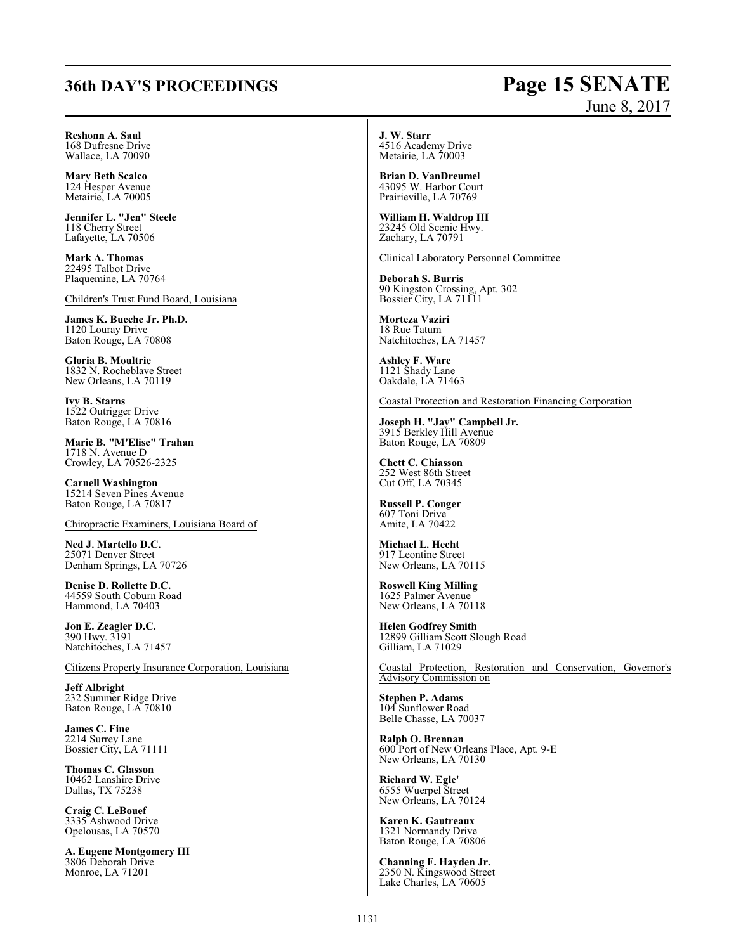## **36th DAY'S PROCEEDINGS Page 15 SENATE**

# June 8, 2017

**Reshonn A. Saul** 168 Dufresne Drive

Wallace, LA 70090

**Mary Beth Scalco** 124 Hesper Avenue Metairie, LA 70005

**Jennifer L. "Jen" Steele** 118 Cherry Street Lafayette, LA 70506

**Mark A. Thomas** 22495 Talbot Drive Plaquemine, LA 70764

Children's Trust Fund Board, Louisiana

**James K. Bueche Jr. Ph.D.** 1120 Louray Drive Baton Rouge, LA 70808

**Gloria B. Moultrie** 1832 N. Rocheblave Street New Orleans, LA 70119

**Ivy B. Starns** 1522 Outrigger Drive Baton Rouge, LA 70816

**Marie B. "M'Elise" Trahan** 1718 N. Avenue D Crowley, LA 70526-2325

**Carnell Washington** 15214 Seven Pines Avenue Baton Rouge, LA 70817

Chiropractic Examiners, Louisiana Board of

**Ned J. Martello D.C.** 25071 Denver Street Denham Springs, LA 70726

**Denise D. Rollette D.C.** 44559 South Coburn Road Hammond, LA 70403

**Jon E. Zeagler D.C.** 390 Hwy. 3191 Natchitoches, LA 71457

Citizens Property Insurance Corporation, Louisiana

**Jeff Albright** 232 Summer Ridge Drive Baton Rouge, LA 70810

**James C. Fine** 2214 Surrey Lane Bossier City, LA 71111

**Thomas C. Glasson** 10462 Lanshire Drive Dallas, TX 75238

**Craig C. LeBouef** 3335 Ashwood Drive Opelousas, LA 70570

**A. Eugene Montgomery III** 3806 Deborah Drive Monroe, LA 71201

**J. W. Starr** 4516 Academy Drive Metairie, LA 70003

**Brian D. VanDreumel** 43095 W. Harbor Court Prairieville, LA 70769

**William H. Waldrop III** 23245 Old Scenic Hwy. Zachary, LA 70791

Clinical Laboratory Personnel Committee

**Deborah S. Burris** 90 Kingston Crossing, Apt. 302 Bossier City, LA 71111

**Morteza Vaziri** 18 Rue Tatum Natchitoches, LA 71457

**Ashley F. Ware** 1121 Shady Lane Oakdale, LA 71463

Coastal Protection and Restoration Financing Corporation

**Joseph H. "Jay" Campbell Jr.** 3915 Berkley Hill Avenue Baton Rouge, LA 70809

**Chett C. Chiasson** 252 West 86th Street Cut Off, LA 70345

**Russell P. Conger** 607 Toni Drive Amite, LA 70422

**Michael L. Hecht** 917 Leontine Street New Orleans, LA 70115

**Roswell King Milling** 1625 Palmer Avenue New Orleans, LA 70118

**Helen Godfrey Smith** 12899 Gilliam Scott Slough Road Gilliam, LA 71029

Coastal Protection, Restoration and Conservation, Governor's Advisory Commission on

**Stephen P. Adams** 104 Sunflower Road Belle Chasse, LA 70037

**Ralph O. Brennan** 600 Port of New Orleans Place, Apt. 9-E New Orleans, LA 70130

**Richard W. Egle'** 6555 Wuerpel Street New Orleans, LA 70124

**Karen K. Gautreaux** 1321 Normandy Drive Baton Rouge, LA 70806

**Channing F. Hayden Jr.** 2350 N. Kingswood Street Lake Charles, LA 70605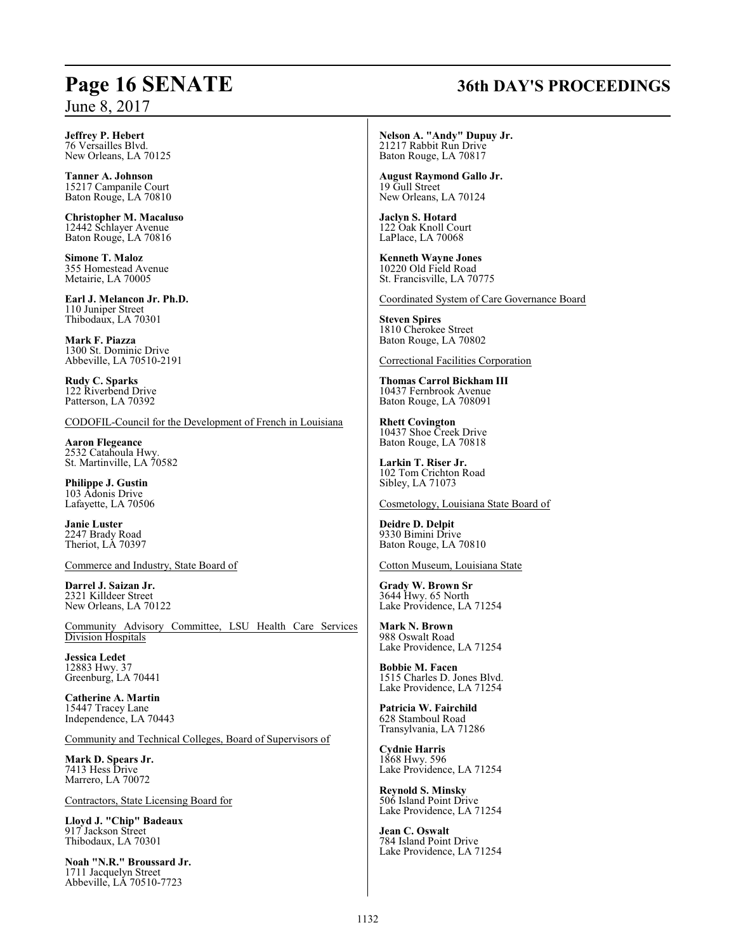## **Page 16 SENATE 36th DAY'S PROCEEDINGS**

**Nelson A. "Andy" Dupuy Jr.** 21217 Rabbit Run Drive Baton Rouge, LA 70817

**August Raymond Gallo Jr.** 19 Gull Street New Orleans, LA 70124

**Jaclyn S. Hotard** 122 Oak Knoll Court LaPlace, LA 70068

**Kenneth Wayne Jones** 10220 Old Field Road St. Francisville, LA 70775

Coordinated System of Care Governance Board

**Steven Spires** 1810 Cherokee Street Baton Rouge, LA 70802

Correctional Facilities Corporation

**Thomas Carrol Bickham III** 10437 Fernbrook Avenue Baton Rouge, LA 708091

**Rhett Covington** 10437 Shoe Creek Drive Baton Rouge, LA 70818

**Larkin T. Riser Jr.** 102 Tom Crichton Road Sibley, LA 71073

Cosmetology, Louisiana State Board of

**Deidre D. Delpit** 9330 Bimini Drive Baton Rouge, LA 70810

Cotton Museum, Louisiana State

**Grady W. Brown Sr** 3644 Hwy. 65 North Lake Providence, LA 71254

**Mark N. Brown** 988 Oswalt Road Lake Providence, LA 71254

**Bobbie M. Facen** 1515 Charles D. Jones Blvd. Lake Providence, LA 71254

**Patricia W. Fairchild** 628 Stamboul Road Transylvania, LA 71286

**Cydnie Harris** 1868 Hwy. 596 Lake Providence, LA 71254

**Reynold S. Minsky** 506 Island Point Drive Lake Providence, LA 71254

**Jean C. Oswalt** 784 Island Point Drive Lake Providence, LA 71254

**Jeffrey P. Hebert** 76 Versailles Blvd. New Orleans, LA 70125

**Tanner A. Johnson** 15217 Campanile Court Baton Rouge, LA 70810

**Christopher M. Macaluso** 12442 Schlayer Avenue Baton Rouge, LA 70816

**Simone T. Maloz** 355 Homestead Avenue Metairie, LA 70005

**Earl J. Melancon Jr. Ph.D.** 110 Juniper Street Thibodaux, LA 70301

**Mark F. Piazza** 1300 St. Dominic Drive Abbeville, LA 70510-2191

**Rudy C. Sparks** 122 Riverbend Drive Patterson, LA 70392

CODOFIL-Council for the Development of French in Louisiana

**Aaron Flegeance** 2532 Catahoula Hwy. St. Martinville, LA 70582

**Philippe J. Gustin** 103 Adonis Drive Lafayette, LA 70506

**Janie Luster** 2247 Brady Road Theriot, LA 70397

Commerce and Industry, State Board of

**Darrel J. Saizan Jr.** 2321 Killdeer Street New Orleans, LA 70122

Community Advisory Committee, LSU Health Care Services Division Hospitals

**Jessica Ledet** 12883 Hwy. 37 Greenburg, LA 70441

**Catherine A. Martin** 15447 Tracey Lane Independence, LA 70443

Community and Technical Colleges, Board of Supervisors of

**Mark D. Spears Jr.** 7413 Hess Drive Marrero, LA 70072

Contractors, State Licensing Board for

**Lloyd J. "Chip" Badeaux** 917 Jackson Street Thibodaux, LA 70301

**Noah "N.R." Broussard Jr.** 1711 Jacquelyn Street Abbeville, LA 70510-7723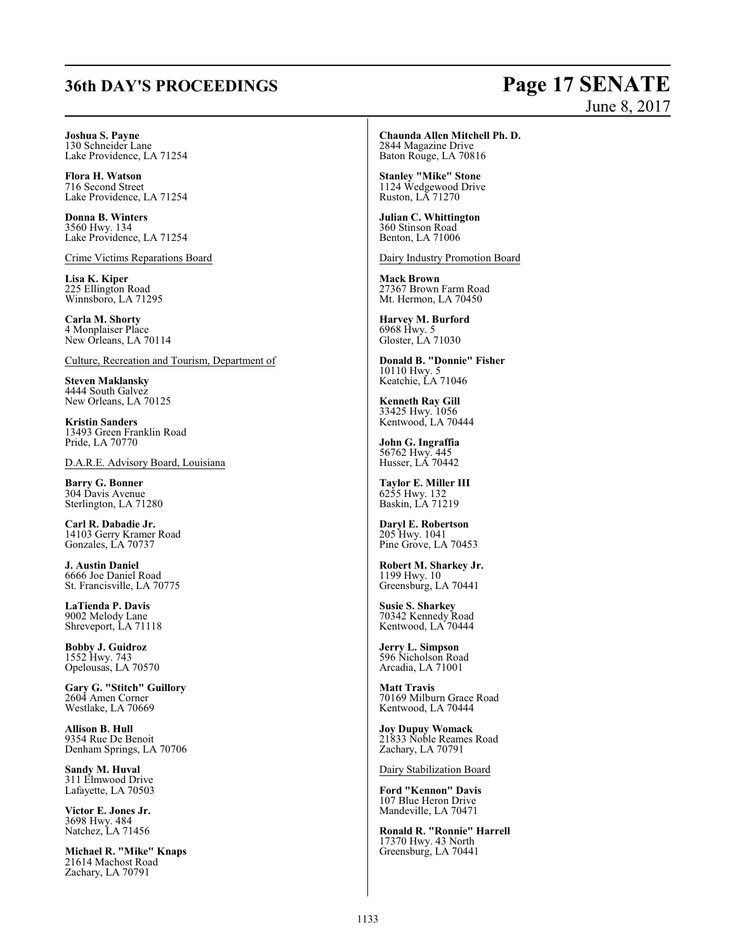## **36th DAY'S PROCEEDINGS Page 17 SENATE**

# June 8, 2017

**Joshua S. Payne** 130 Schneider Lane Lake Providence, LA 71254

**Flora H. Watson** 716 Second Street Lake Providence, LA 71254

**Donna B. Winters** 3560 Hwy. 134 Lake Providence, LA 71254

Crime Victims Reparations Board

**Lisa K. Kiper** 225 Ellington Road Winnsboro, LA 71295

**Carla M. Shorty** 4 Monplaiser Place New Orleans, LA 70114

Culture, Recreation and Tourism, Department of

**Steven Maklansky** 4444 South Galvez New Orleans, LA 70125

**Kristin Sanders** 13493 Green Franklin Road Pride, LA 70770

D.A.R.E. Advisory Board, Louisiana

**Barry G. Bonner** 304 Davis Avenue Sterlington, LA 71280

**Carl R. Dabadie Jr.** 14103 Gerry Kramer Road Gonzales, LA 70737

**J. Austin Daniel** 6666 Joe Daniel Road St. Francisville, LA 70775

**LaTienda P. Davis** 9002 Melody Lane Shreveport, LA 71118

**Bobby J. Guidroz** 1552 Hwy. 743 Opelousas, LA 70570

**Gary G. "Stitch" Guillory** 2604 Amen Corner Westlake, LA 70669

**Allison B. Hull** 9354 Rue De Benoit Denham Springs, LA 70706

**Sandy M. Huval** 311 Elmwood Drive Lafayette, LA 70503

**Victor E. Jones Jr.** 3698 Hwy. 484 Natchez, LA 71456

**Michael R. "Mike" Knaps** 21614 Machost Road Zachary, LA 70791

**Chaunda Allen Mitchell Ph. D.** 2844 Magazine Drive

Baton Rouge, LA 70816 **Stanley "Mike" Stone**

1124 Wedgewood Drive Ruston, LA 71270

**Julian C. Whittington** 360 Stinson Road Benton, LA 71006

Dairy Industry Promotion Board

**Mack Brown** 27367 Brown Farm Road Mt. Hermon, LA 70450

**Harvey M. Burford** 6968 Hwy. 5 Gloster, LA 71030

**Donald B. "Donnie" Fisher** 10110 Hwy. 5 Keatchie, LA 71046

**Kenneth Ray Gill** 33425 Hwy. 1056 Kentwood, LA 70444

**John G. Ingraffia** 56762 Hwy. 445 Husser, LA 70442

**Taylor E. Miller III** 6255 Hwy. 132 Baskin, LA 71219

**Daryl E. Robertson** 205 Hwy. 1041 Pine Grove, LA 70453

**Robert M. Sharkey Jr.** 1199 Hwy. 10 Greensburg, LA 70441

**Susie S. Sharkey** 70342 Kennedy Road Kentwood, LA 70444

**Jerry L. Simpson** 596 Nicholson Road Arcadia, LA 71001

**Matt Travis** 70169 Milburn Grace Road Kentwood, LA 70444

**Joy Dupuy Womack** 21833 Noble Reames Road Zachary, LA 70791

Dairy Stabilization Board

**Ford "Kennon" Davis** 107 Blue Heron Drive Mandeville, LA 70471

**Ronald R. "Ronnie" Harrell** 17370 Hwy. 43 North Greensburg, LA 70441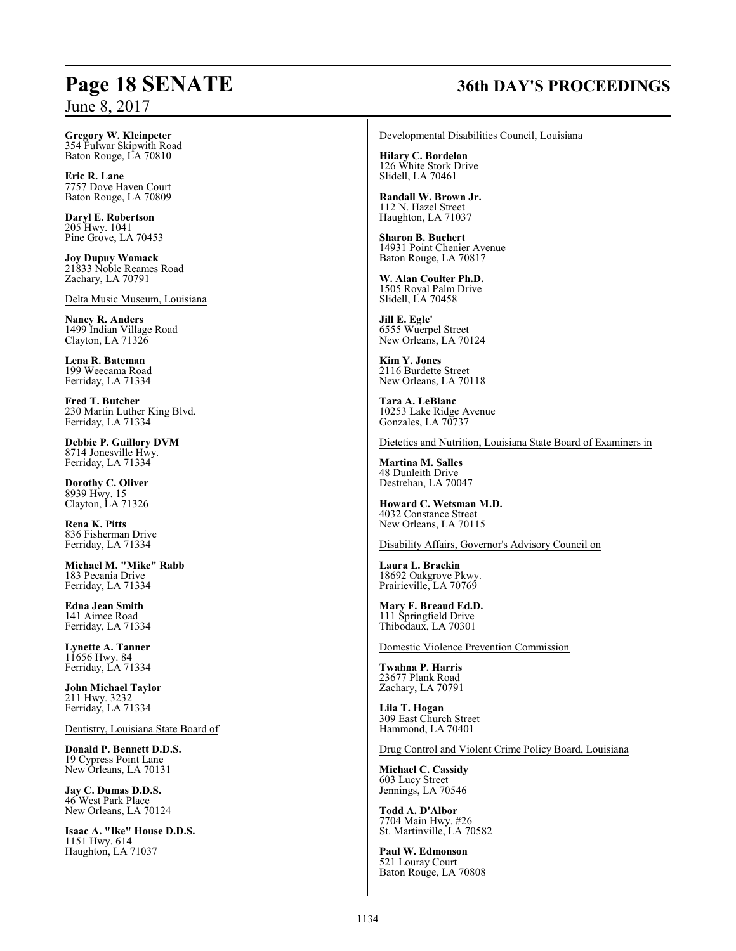## **Page 18 SENATE 36th DAY'S PROCEEDINGS**

**Gregory W. Kleinpeter** 354 Fulwar Skipwith Road Baton Rouge, LA 70810

**Eric R. Lane** 7757 Dove Haven Court Baton Rouge, LA 70809

**Daryl E. Robertson** 205 Hwy. 1041 Pine Grove, LA 70453

**Joy Dupuy Womack** 21833 Noble Reames Road Zachary, LA 70791

Delta Music Museum, Louisiana

**Nancy R. Anders** 1499 Indian Village Road Clayton, LA 71326

**Lena R. Bateman** 199 Weecama Road Ferriday, LA 71334

**Fred T. Butcher** 230 Martin Luther King Blvd. Ferriday, LA 71334

**Debbie P. Guillory DVM** 8714 Jonesville Hwy. Ferriday, LA 71334

**Dorothy C. Oliver** 8939 Hwy. 15 Clayton, LA 71326

**Rena K. Pitts** 836 Fisherman Drive Ferriday, LA 71334

**Michael M. "Mike" Rabb** 183 Pecania Drive Ferriday, LA 71334

**Edna Jean Smith** 141 Aimee Road Ferriday, LA 71334

**Lynette A. Tanner** 11656 Hwy. 84 Ferriday, LA 71334

**John Michael Taylor** 211 Hwy. 3232 Ferriday, LA 71334

Dentistry, Louisiana State Board of

**Donald P. Bennett D.D.S.** 19 Cypress Point Lane New Orleans, LA 70131

**Jay C. Dumas D.D.S.** 46 West Park Place New Orleans, LA 70124

**Isaac A. "Ike" House D.D.S.** 1151 Hwy. 614 Haughton, LA 71037

Developmental Disabilities Council, Louisiana

**Hilary C. Bordelon** 126 White Stork Drive Slidell, LA 70461

**Randall W. Brown Jr.** 112 N. Hazel Street Haughton, LA 71037

**Sharon B. Buchert** 14931 Point Chenier Avenue Baton Rouge, LA 70817

**W. Alan Coulter Ph.D.** 1505 Royal Palm Drive Slidell, LA 70458

**Jill E. Egle'** 6555 Wuerpel Street New Orleans, LA 70124

**Kim Y. Jones** 2116 Burdette Street New Orleans, LA 70118

**Tara A. LeBlanc** 10253 Lake Ridge Avenue Gonzales, LA 70737

Dietetics and Nutrition, Louisiana State Board of Examiners in

**Martina M. Salles** 48 Dunleith Drive Destrehan, LA 70047

**Howard C. Wetsman M.D.** 4032 Constance Street New Orleans, LA 70115

Disability Affairs, Governor's Advisory Council on

**Laura L. Brackin** 18692 Oakgrove Pkwy. Prairieville, LA 70769

**Mary F. Breaud Ed.D.** 111 Springfield Drive Thibodaux, LA 70301

Domestic Violence Prevention Commission

**Twahna P. Harris** 23677 Plank Road Zachary, LA 70791

**Lila T. Hogan** 309 East Church Street Hammond, LA 70401

Drug Control and Violent Crime Policy Board, Louisiana

**Michael C. Cassidy** 603 Lucy Street Jennings, LA 70546

**Todd A. D'Albor** 7704 Main Hwy. #26 St. Martinville, LA 70582

**Paul W. Edmonson** 521 Louray Court Baton Rouge, LA 70808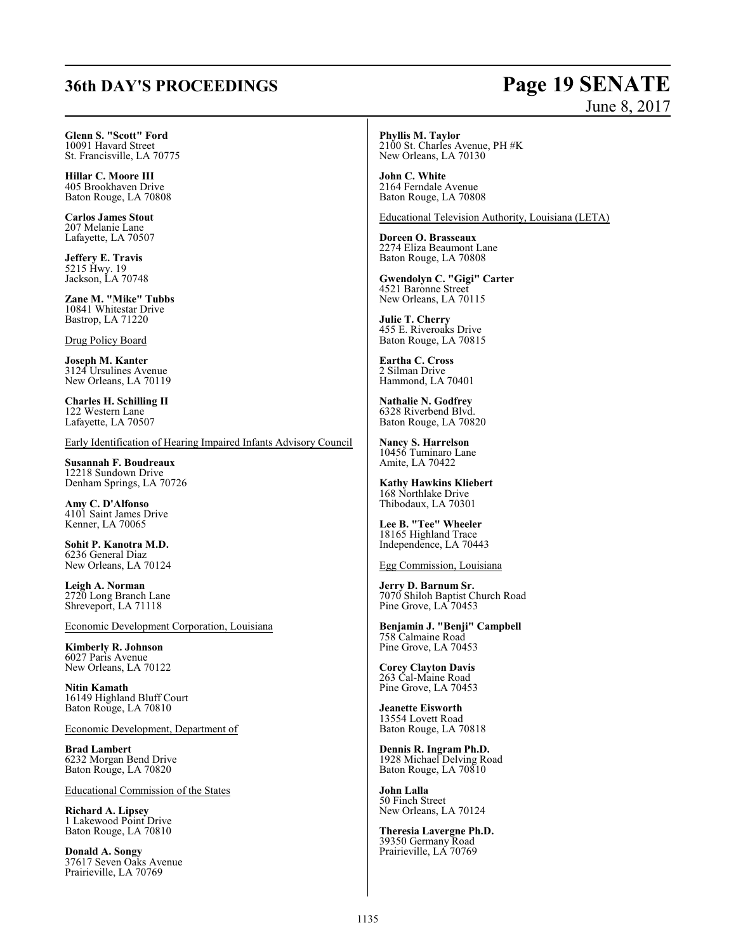## **36th DAY'S PROCEEDINGS Page 19 SENATE**

# June 8, 2017

**Glenn S. "Scott" Ford** 10091 Havard Street St. Francisville, LA 70775

**Hillar C. Moore III** 405 Brookhaven Drive Baton Rouge, LA 70808

**Carlos James Stout** 207 Melanie Lane Lafayette, LA 70507

**Jeffery E. Travis** 5215 Hwy. 19 Jackson, LA 70748

**Zane M. "Mike" Tubbs** 10841 Whitestar Drive Bastrop, LA 71220

Drug Policy Board

**Joseph M. Kanter** 3124 Ursulines Avenue New Orleans, LA 70119

**Charles H. Schilling II** 122 Western Lane Lafayette, LA 70507

Early Identification of Hearing Impaired Infants Advisory Council

**Susannah F. Boudreaux** 12218 Sundown Drive Denham Springs, LA 70726

**Amy C. D'Alfonso** 4101 Saint James Drive Kenner, LA 70065

**Sohit P. Kanotra M.D.** 6236 General Diaz New Orleans, LA 70124

**Leigh A. Norman** 2720 Long Branch Lane Shreveport, LA 71118

Economic Development Corporation, Louisiana

**Kimberly R. Johnson** 6027 Paris Avenue New Orleans, LA 70122

**Nitin Kamath** 16149 Highland Bluff Court Baton Rouge, LA 70810

Economic Development, Department of

**Brad Lambert** 6232 Morgan Bend Drive Baton Rouge, LA 70820

Educational Commission of the States

**Richard A. Lipsey** 1 Lakewood Point Drive Baton Rouge, LA 70810

**Donald A. Songy** 37617 Seven Oaks Avenue Prairieville, LA 70769

**Phyllis M. Taylor** 2100 St. Charles Avenue, PH #K New Orleans, LA 70130

**John C. White** 2164 Ferndale Avenue Baton Rouge, LA 70808

Educational Television Authority, Louisiana (LETA)

**Doreen O. Brasseaux** 2274 Eliza Beaumont Lane Baton Rouge, LA 70808

**Gwendolyn C. "Gigi" Carter** 4521 Baronne Street New Orleans, LA 70115

**Julie T. Cherry** 455 E. Riveroaks Drive Baton Rouge, LA 70815

**Eartha C. Cross** 2 Silman Drive Hammond, LA 70401

**Nathalie N. Godfrey** 6328 Riverbend Blvd. Baton Rouge, LA 70820

**Nancy S. Harrelson** 10456 Tuminaro Lane Amite, LA 70422

**Kathy Hawkins Kliebert** 168 Northlake Drive Thibodaux, LA 70301

**Lee B. "Tee" Wheeler** 18165 Highland Trace Independence, LA 70443

Egg Commission, Louisiana

**Jerry D. Barnum Sr.** 7070 Shiloh Baptist Church Road Pine Grove, LA 70453

**Benjamin J. "Benji" Campbell** 758 Calmaine Road Pine Grove, LA 70453

**Corey Clayton Davis** 263 Cal-Maine Road Pine Grove, LA 70453

**Jeanette Eisworth** 13554 Lovett Road Baton Rouge, LA 70818

**Dennis R. Ingram Ph.D.** 1928 Michael Delving Road Baton Rouge, LA 70810

**John Lalla** 50 Finch Street New Orleans, LA 70124

**Theresia Lavergne Ph.D.** 39350 Germany Road Prairieville, LA 70769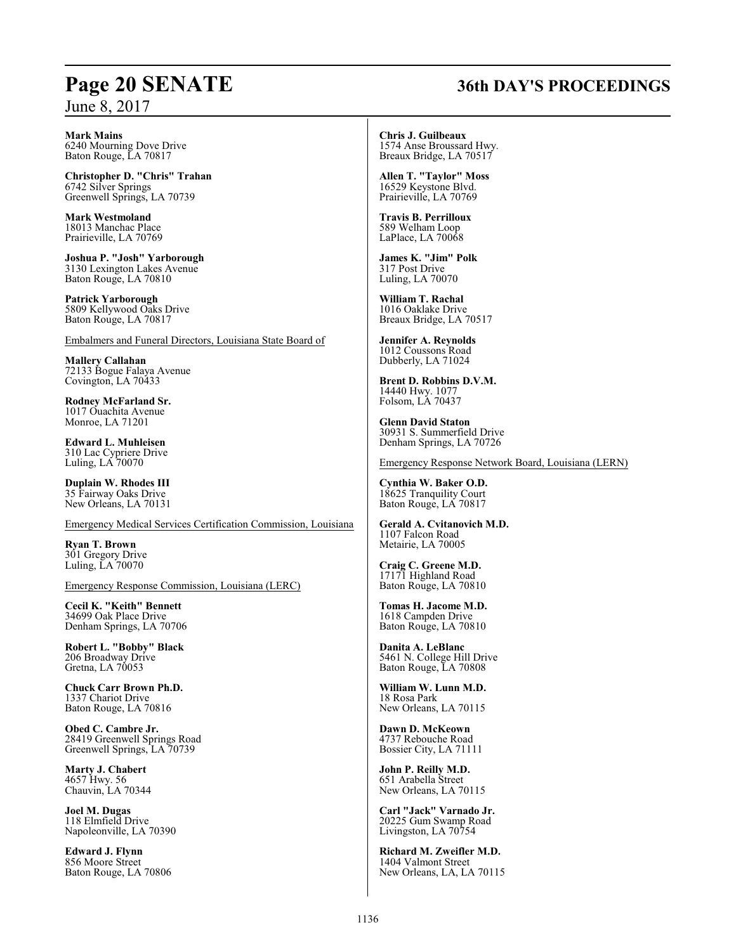## **Page 20 SENATE 36th DAY'S PROCEEDINGS**

**Mark Mains**

6240 Mourning Dove Drive Baton Rouge, LA 70817

**Christopher D. "Chris" Trahan** 6742 Silver Springs Greenwell Springs, LA 70739

**Mark Westmoland** 18013 Manchac Place Prairieville, LA 70769

**Joshua P. "Josh" Yarborough** 3130 Lexington Lakes Avenue Baton Rouge, LA 70810

**Patrick Yarborough** 5809 Kellywood Oaks Drive Baton Rouge, LA 70817

Embalmers and Funeral Directors, Louisiana State Board of

**Mallery Callahan** 72133 Bogue Falaya Avenue Covington, LA 70433

**Rodney McFarland Sr.** 1017 Ouachita Avenue Monroe, LA 71201

**Edward L. Muhleisen** 310 Lac Cypriere Drive Luling, LA 70070

**Duplain W. Rhodes III** 35 Fairway Oaks Drive New Orleans, LA 70131

Emergency Medical Services Certification Commission, Louisiana

**Ryan T. Brown** 301 Gregory Drive Luling, LA 70070

Emergency Response Commission, Louisiana (LERC)

**Cecil K. "Keith" Bennett** 34699 Oak Place Drive Denham Springs, LA 70706

**Robert L. "Bobby" Black** 206 Broadway Drive Gretna, LA 70053

**Chuck Carr Brown Ph.D.** 1337 Chariot Drive Baton Rouge, LA 70816

**Obed C. Cambre Jr.** 28419 Greenwell Springs Road Greenwell Springs, LA 70739

**Marty J. Chabert** 4657 Hwy. 56 Chauvin, LA 70344

**Joel M. Dugas** 118 Elmfield Drive Napoleonville, LA 70390

**Edward J. Flynn** 856 Moore Street Baton Rouge, LA 70806 **Chris J. Guilbeaux** 1574 Anse Broussard Hwy.

Breaux Bridge, LA 70517

**Allen T. "Taylor" Moss** 16529 Keystone Blvd. Prairieville, LA 70769

**Travis B. Perrilloux** 589 Welham Loop LaPlace, LA 70068

**James K. "Jim" Polk** 317 Post Drive Luling, LA 70070

**William T. Rachal** 1016 Oaklake Drive Breaux Bridge, LA 70517

**Jennifer A. Reynolds** 1012 Coussons Road Dubberly, LA 71024

**Brent D. Robbins D.V.M.** 14440 Hwy. 1077 Folsom, LA 70437

**Glenn David Staton** 30931 S. Summerfield Drive Denham Springs, LA 70726

Emergency Response Network Board, Louisiana (LERN)

**Cynthia W. Baker O.D.** 18625 Tranquility Court Baton Rouge, LA 70817

**Gerald A. Cvitanovich M.D.** 1107 Falcon Road Metairie, LA 70005

**Craig C. Greene M.D.** 17171 Highland Road Baton Rouge, LA 70810

**Tomas H. Jacome M.D.** 1618 Campden Drive Baton Rouge, LA 70810

**Danita A. LeBlanc** 5461 N. College Hill Drive Baton Rouge, LA 70808

**William W. Lunn M.D.** 18 Rosa Park New Orleans, LA 70115

**Dawn D. McKeown** 4737 Rebouche Road Bossier City, LA 71111

**John P. Reilly M.D.** 651 Arabella Street New Orleans, LA 70115

**Carl "Jack" Varnado Jr.** 20225 Gum Swamp Road Livingston, LA 70754

**Richard M. Zweifler M.D.** 1404 Valmont Street New Orleans, LA, LA 70115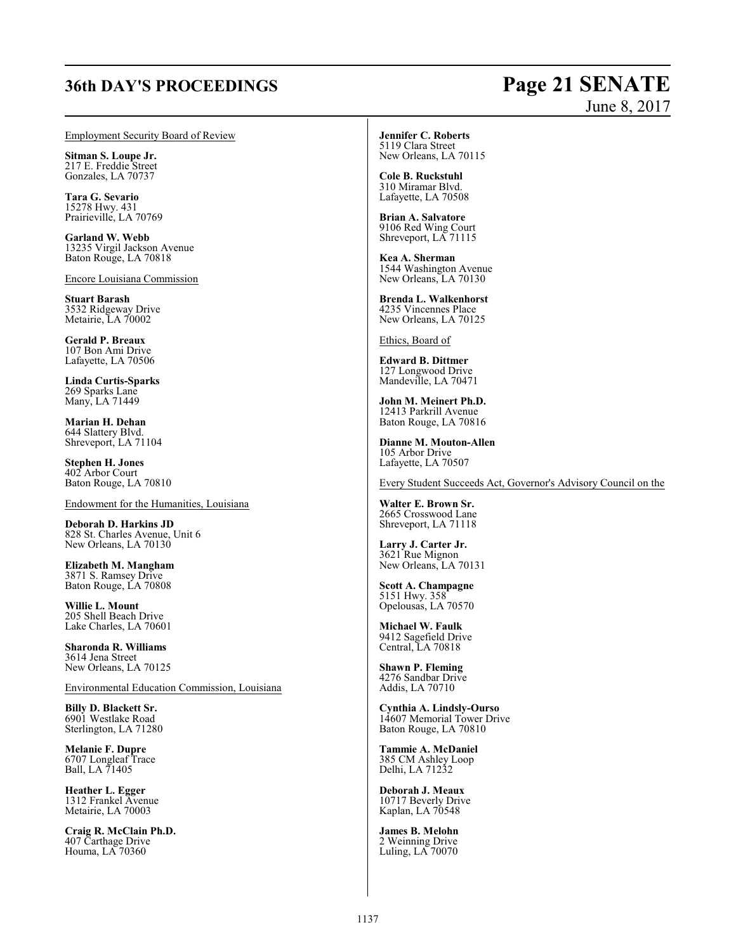## **36th DAY'S PROCEEDINGS Page 21 SENATE** June 8, 2017

### Employment Security Board of Review

**Sitman S. Loupe Jr.** 217 E. Freddie Street Gonzales, LA 70737

**Tara G. Sevario** 15278 Hwy. 431 Prairieville, LA 70769

**Garland W. Webb** 13235 Virgil Jackson Avenue Baton Rouge, LA 70818

Encore Louisiana Commission

**Stuart Barash** 3532 Ridgeway Drive Metairie, LA 70002

**Gerald P. Breaux** 107 Bon Ami Drive Lafayette, LA 70506

**Linda Curtis-Sparks** 269 Sparks Lane Many, LA 71449

**Marian H. Dehan** 644 Slattery Blvd. Shreveport, LA 71104

**Stephen H. Jones** 402 Arbor Court Baton Rouge, LA 70810

Endowment for the Humanities, Louisiana

**Deborah D. Harkins JD** 828 St. Charles Avenue, Unit 6 New Orleans, LA 70130

**Elizabeth M. Mangham** 3871 S. Ramsey Drive Baton Rouge, LA 70808

**Willie L. Mount** 205 Shell Beach Drive Lake Charles, LA 70601

**Sharonda R. Williams** 3614 Jena Street New Orleans, LA 70125

Environmental Education Commission, Louisiana

**Billy D. Blackett Sr.** 6901 Westlake Road Sterlington, LA 71280

**Melanie F. Dupre** 6707 Longleaf Trace Ball, LA 71405

**Heather L. Egger** 1312 Frankel Avenue Metairie, LA 70003

**Craig R. McClain Ph.D.** 407 Carthage Drive Houma, LA 70360

### **Jennifer C. Roberts** 5119 Clara Street

New Orleans, LA 70115

**Cole B. Ruckstuhl** 310 Miramar Blvd. Lafayette, LA 70508

**Brian A. Salvatore** 9106 Red Wing Court Shreveport, LA 71115

**Kea A. Sherman** 1544 Washington Avenue New Orleans, LA 70130

**Brenda L. Walkenhorst** 4235 Vincennes Place New Orleans, LA 70125

Ethics, Board of

**Edward B. Dittmer** 127 Longwood Drive Mandeville, LA 70471

**John M. Meinert Ph.D.** 12413 Parkrill Avenue Baton Rouge, LA 70816

**Dianne M. Mouton-Allen** 105 Arbor Drive Lafayette, LA 70507

Every Student Succeeds Act, Governor's Advisory Council on the

**Walter E. Brown Sr.** 2665 Crosswood Lane Shreveport, LA 71118

**Larry J. Carter Jr.** 3621 Rue Mignon New Orleans, LA 70131

**Scott A. Champagne** 5151 Hwy. 358 Opelousas, LA 70570

**Michael W. Faulk** 9412 Sagefield Drive Central, LA 70818

**Shawn P. Fleming** 4276 Sandbar Drive Addis, LA 70710

**Cynthia A. Lindsly-Ourso** 14607 Memorial Tower Drive Baton Rouge, LA 70810

**Tammie A. McDaniel** 385 CM Ashley Loop Delhi, LA 71232

**Deborah J. Meaux** 10717 Beverly Drive Kaplan, LA 70548

**James B. Melohn** 2 Weinning Drive Luling, LA 70070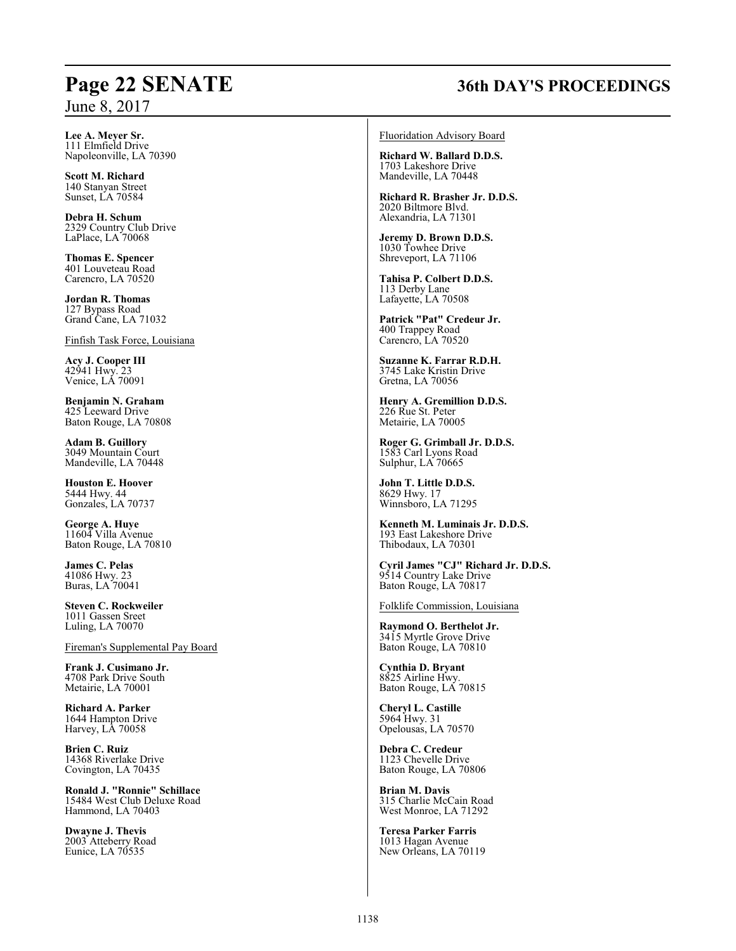## **Page 22 SENATE 36th DAY'S PROCEEDINGS**

**Lee A. Meyer Sr.** 111 Elmfield Drive Napoleonville, LA 70390

**Scott M. Richard** 140 Stanyan Street Sunset, LA 70584

**Debra H. Schum** 2329 Country Club Drive LaPlace, LA 70068

**Thomas E. Spencer** 401 Louveteau Road Carencro, LA 70520

**Jordan R. Thomas** 127 Bypass Road Grand Cane, LA 71032

Finfish Task Force, Louisiana

**Acy J. Cooper III** 42941 Hwy. 23 Venice, LA 70091

**Benjamin N. Graham** 425 Leeward Drive Baton Rouge, LA 70808

**Adam B. Guillory** 3049 Mountain Court Mandeville, LA 70448

**Houston E. Hoover** 5444 Hwy. 44 Gonzales, LA 70737

**George A. Huye** 11604 Villa Avenue Baton Rouge, LA 70810

**James C. Pelas** 41086 Hwy. 23 Buras, LA 70041

**Steven C. Rockweiler** 1011 Gassen Sreet Luling, LA 70070

Fireman's Supplemental Pay Board

**Frank J. Cusimano Jr.** 4708 Park Drive South Metairie, LA 70001

**Richard A. Parker** 1644 Hampton Drive Harvey, LA 70058

**Brien C. Ruiz** 14368 Riverlake Drive Covington, LA 70435

**Ronald J. "Ronnie" Schillace** 15484 West Club Deluxe Road Hammond, LA 70403

**Dwayne J. Thevis** 2003 Atteberry Road Eunice, LA 70535

### Fluoridation Advisory Board

**Richard W. Ballard D.D.S.** 1703 Lakeshore Drive Mandeville, LA 70448

**Richard R. Brasher Jr. D.D.S.** 2020 Biltmore Blvd. Alexandria, LA 71301

**Jeremy D. Brown D.D.S.** 1030 Towhee Drive Shreveport, LA 71106

**Tahisa P. Colbert D.D.S.** 113 Derby Lane Lafayette, LA 70508

**Patrick "Pat" Credeur Jr.** 400 Trappey Road Carencro, LA 70520

**Suzanne K. Farrar R.D.H.** 3745 Lake Kristin Drive Gretna, LA 70056

**Henry A. Gremillion D.D.S.** 226 Rue St. Peter Metairie, LA 70005

**Roger G. Grimball Jr. D.D.S.** 1583 Carl Lyons Road Sulphur, LA 70665

**John T. Little D.D.S.** 8629 Hwy. 17 Winnsboro, LA 71295

**Kenneth M. Luminais Jr. D.D.S.** 193 East Lakeshore Drive Thibodaux, LA 70301

**Cyril James "CJ" Richard Jr. D.D.S.** 9514 Country Lake Drive Baton Rouge, LA 70817

Folklife Commission, Louisiana

**Raymond O. Berthelot Jr.** 3415 Myrtle Grove Drive Baton Rouge, LA 70810

**Cynthia D. Bryant** 8825 Airline Hwy. Baton Rouge, LA 70815

**Cheryl L. Castille** 5964 Hwy. 31 Opelousas, LA 70570

**Debra C. Credeur** 1123 Chevelle Drive Baton Rouge, LA 70806

**Brian M. Davis** 315 Charlie McCain Road West Monroe, LA 71292

**Teresa Parker Farris** 1013 Hagan Avenue New Orleans, LA 70119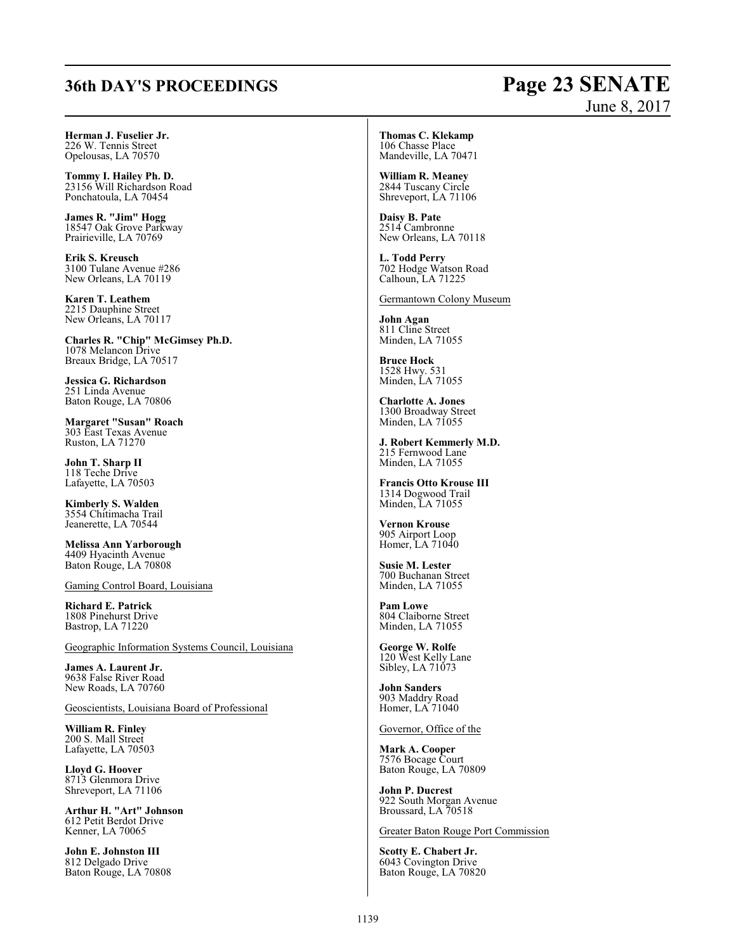## **36th DAY'S PROCEEDINGS Page 23 SENATE**

# June 8, 2017

**Herman J. Fuselier Jr.** 226 W. Tennis Street Opelousas, LA 70570

**Tommy I. Hailey Ph. D.** 23156 Will Richardson Road Ponchatoula, LA 70454

**James R. "Jim" Hogg** 18547 Oak Grove Parkway Prairieville, LA 70769

**Erik S. Kreusch** 3100 Tulane Avenue #286 New Orleans, LA 70119

**Karen T. Leathem** 2215 Dauphine Street New Orleans, LA 70117

**Charles R. "Chip" McGimsey Ph.D.** 1078 Melancon Drive Breaux Bridge, LA 70517

**Jessica G. Richardson** 251 Linda Avenue Baton Rouge, LA 70806

**Margaret "Susan" Roach** 303 East Texas Avenue Ruston, LA 71270

**John T. Sharp II** 118 Teche Drive Lafayette, LA 70503

**Kimberly S. Walden** 3554 Chitimacha Trail Jeanerette, LA 70544

**Melissa Ann Yarborough** 4409 Hyacinth Avenue Baton Rouge, LA 70808

Gaming Control Board, Louisiana

**Richard E. Patrick** 1808 Pinehurst Drive Bastrop, LA 71220

Geographic Information Systems Council, Louisiana

**James A. Laurent Jr.** 9638 False River Road New Roads, LA 70760

Geoscientists, Louisiana Board of Professional

**William R. Finley** 200 S. Mall Street Lafayette, LA 70503

**Lloyd G. Hoover** 8713 Glenmora Drive Shreveport, LA 71106

**Arthur H. "Art" Johnson** 612 Petit Berdot Drive Kenner, LA 70065

**John E. Johnston III** 812 Delgado Drive Baton Rouge, LA 70808 **Thomas C. Klekamp** 106 Chasse Place Mandeville, LA 70471

**William R. Meaney** 2844 Tuscany Circle Shreveport, LA 71106

**Daisy B. Pate** 2514 Cambronne New Orleans, LA 70118

**L. Todd Perry** 702 Hodge Watson Road Calhoun, LA 71225

Germantown Colony Museum

**John Agan** 811 Cline Street Minden, LA 71055

**Bruce Hock** 1528 Hwy. 531 Minden, LA 71055

**Charlotte A. Jones** 1300 Broadway Street Minden, LA 71055

**J. Robert Kemmerly M.D.** 215 Fernwood Lane Minden, LA 71055

**Francis Otto Krouse III** 1314 Dogwood Trail Minden, LA 71055

**Vernon Krouse** 905 Airport Loop Homer, LA 71040

**Susie M. Lester** 700 Buchanan Street Minden, LA 71055

**Pam Lowe** 804 Claiborne Street Minden, LA 71055

**George W. Rolfe** 120 West Kelly Lane Sibley, LA 71073

**John Sanders** 903 Maddry Road Homer, LA 71040

Governor, Office of the

**Mark A. Cooper** 7576 Bocage Court Baton Rouge, LA 70809

**John P. Ducrest** 922 South Morgan Avenue Broussard, LA 70518

Greater Baton Rouge Port Commission

**Scotty E. Chabert Jr.** 6043 Covington Drive Baton Rouge, LA 70820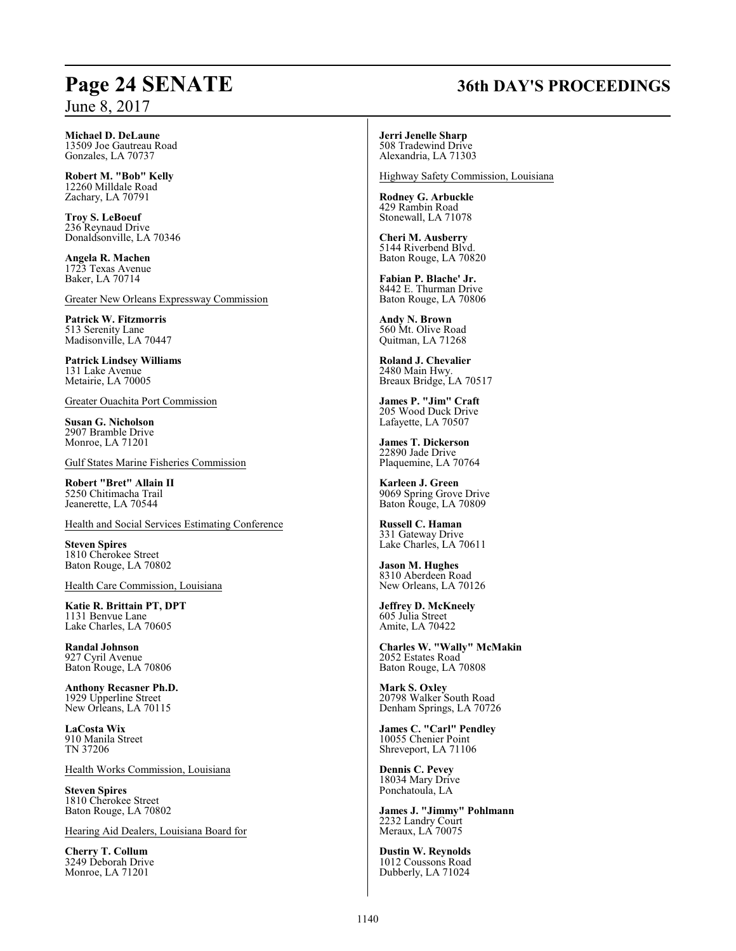## **Page 24 SENATE 36th DAY'S PROCEEDINGS**

June 8, 2017

**Michael D. DeLaune** 13509 Joe Gautreau Road Gonzales, LA 70737

**Robert M. "Bob" Kelly** 12260 Milldale Road Zachary, LA 70791

**Troy S. LeBoeuf** 236 Reynaud Drive Donaldsonville, LA 70346

**Angela R. Machen** 1723 Texas Avenue Baker, LA 70714

Greater New Orleans Expressway Commission

**Patrick W. Fitzmorris** 513 Serenity Lane Madisonville, LA 70447

**Patrick Lindsey Williams** 131 Lake Avenue Metairie, LA 70005

Greater Ouachita Port Commission

**Susan G. Nicholson** 2907 Bramble Drive Monroe, LA 71201

Gulf States Marine Fisheries Commission

**Robert "Bret" Allain II** 5250 Chitimacha Trail Jeanerette, LA 70544

Health and Social Services Estimating Conference

**Steven Spires** 1810 Cherokee Street Baton Rouge, LA 70802

Health Care Commission, Louisiana

**Katie R. Brittain PT, DPT** 1131 Benvue Lane Lake Charles, LA 70605

**Randal Johnson** 927 Cyril Avenue Baton Rouge, LA 70806

**Anthony Recasner Ph.D.** 1929 Upperline Street New Orleans, LA 70115

**LaCosta Wix** 910 Manila Street TN 37206

Health Works Commission, Louisiana

**Steven Spires** 1810 Cherokee Street Baton Rouge, LA 70802

Hearing Aid Dealers, Louisiana Board for

**Cherry T. Collum** 3249 Deborah Drive Monroe, LA 71201

**Jerri Jenelle Sharp** 508 Tradewind Drive Alexandria, LA 71303

Highway Safety Commission, Louisiana

**Rodney G. Arbuckle** 429 Rambin Road Stonewall, LA 71078

**Cheri M. Ausberry** 5144 Riverbend Blvd. Baton Rouge, LA 70820

**Fabian P. Blache' Jr.** 8442 E. Thurman Drive Baton Rouge, LA 70806

**Andy N. Brown** 560 Mt. Olive Road Quitman, LA 71268

**Roland J. Chevalier** 2480 Main Hwy. Breaux Bridge, LA 70517

**James P. "Jim" Craft** 205 Wood Duck Drive Lafayette, LA 70507

**James T. Dickerson** 22890 Jade Drive Plaquemine, LA 70764

**Karleen J. Green** 9069 Spring Grove Drive Baton Rouge, LA 70809

**Russell C. Haman** 331 Gateway Drive Lake Charles, LA 70611

**Jason M. Hughes** 8310 Aberdeen Road New Orleans, LA 70126

**Jeffrey D. McKneely** 605 Julia Street Amite, LA 70422

**Charles W. "Wally" McMakin** 2052 Estates Road Baton Rouge, LA 70808

**Mark S. Oxley** 20798 Walker South Road Denham Springs, LA 70726

**James C. "Carl" Pendley** 10055 Chenier Point Shreveport, LA 71106

**Dennis C. Pevey** 18034 Mary Drive Ponchatoula, LA

**James J. "Jimmy" Pohlmann** 2232 Landry Court Meraux, LA 70075

**Dustin W. Reynolds** 1012 Coussons Road Dubberly, LA 71024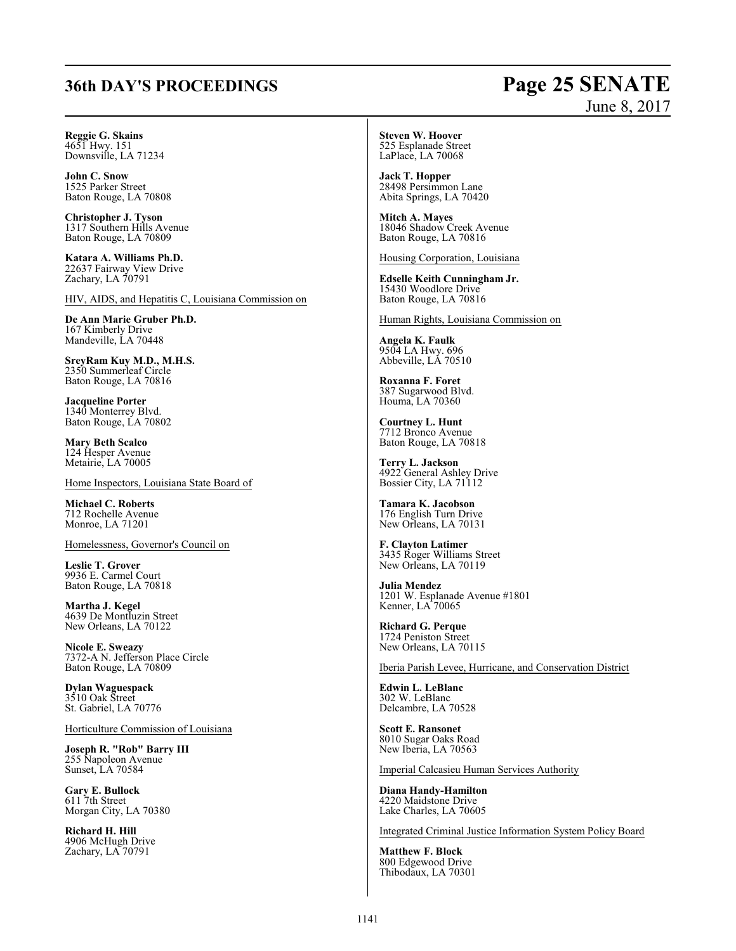## **36th DAY'S PROCEEDINGS Page 25 SENATE**

# June 8, 2017

**Reggie G. Skains** 4651 Hwy. 151 Downsville, LA 71234

**John C. Snow** 1525 Parker Street Baton Rouge, LA 70808

**Christopher J. Tyson** 1317 Southern Hills Avenue Baton Rouge, LA 70809

**Katara A. Williams Ph.D.** 22637 Fairway View Drive Zachary, LA 70791

HIV, AIDS, and Hepatitis C, Louisiana Commission on

**De Ann Marie Gruber Ph.D.** 167 Kimberly Drive Mandeville, LA 70448

**SreyRam Kuy M.D., M.H.S.** 2350 Summerleaf Circle Baton Rouge, LA 70816

**Jacqueline Porter** 1340 Monterrey Blvd. Baton Rouge, LA 70802

**Mary Beth Scalco** 124 Hesper Avenue Metairie, LA 70005

Home Inspectors, Louisiana State Board of

**Michael C. Roberts** 712 Rochelle Avenue Monroe, LA 71201

Homelessness, Governor's Council on

**Leslie T. Grover** 9936 E. Carmel Court Baton Rouge, LA 70818

**Martha J. Kegel** 4639 De Montluzin Street New Orleans, LA 70122

**Nicole E. Sweazy** 7372-A N. Jefferson Place Circle Baton Rouge, LA 70809

**Dylan Waguespack** 3510 Oak Street St. Gabriel, LA 70776

Horticulture Commission of Louisiana

**Joseph R. "Rob" Barry III** 255 Napoleon Avenue Sunset, LA 70584

**Gary E. Bullock** 611 7th Street Morgan City, LA 70380

**Richard H. Hill** 4906 McHugh Drive Zachary, LA 70791

**Steven W. Hoover** 525 Esplanade Street LaPlace, LA 70068

**Jack T. Hopper** 28498 Persimmon Lane Abita Springs, LA 70420

**Mitch A. Mayes** 18046 Shadow Creek Avenue Baton Rouge, LA 70816

Housing Corporation, Louisiana

**Edselle Keith Cunningham Jr.** 15430 Woodlore Drive Baton Rouge, LA 70816

Human Rights, Louisiana Commission on

**Angela K. Faulk** 9504 LA Hwy. 696 Abbeville, LA 70510

**Roxanna F. Foret** 387 Sugarwood Blvd. Houma, LA 70360

**Courtney L. Hunt** 7712 Bronco Avenue Baton Rouge, LA 70818

**Terry L. Jackson** 4922 General Ashley Drive Bossier City, LA 71112

**Tamara K. Jacobson** 176 English Turn Drive New Orleans, LA 70131

**F. Clayton Latimer** 3435 Roger Williams Street New Orleans, LA 70119

**Julia Mendez** 1201 W. Esplanade Avenue #1801 Kenner, LA 70065

**Richard G. Perque** 1724 Peniston Street New Orleans, LA 70115

Iberia Parish Levee, Hurricane, and Conservation District

**Edwin L. LeBlanc** 302 W. LeBlanc Delcambre, LA 70528

**Scott E. Ransonet** 8010 Sugar Oaks Road New Iberia, LA 70563

Imperial Calcasieu Human Services Authority

**Diana Handy-Hamilton** 4220 Maidstone Drive Lake Charles, LA 70605

Integrated Criminal Justice Information System Policy Board

**Matthew F. Block** 800 Edgewood Drive Thibodaux, LA 70301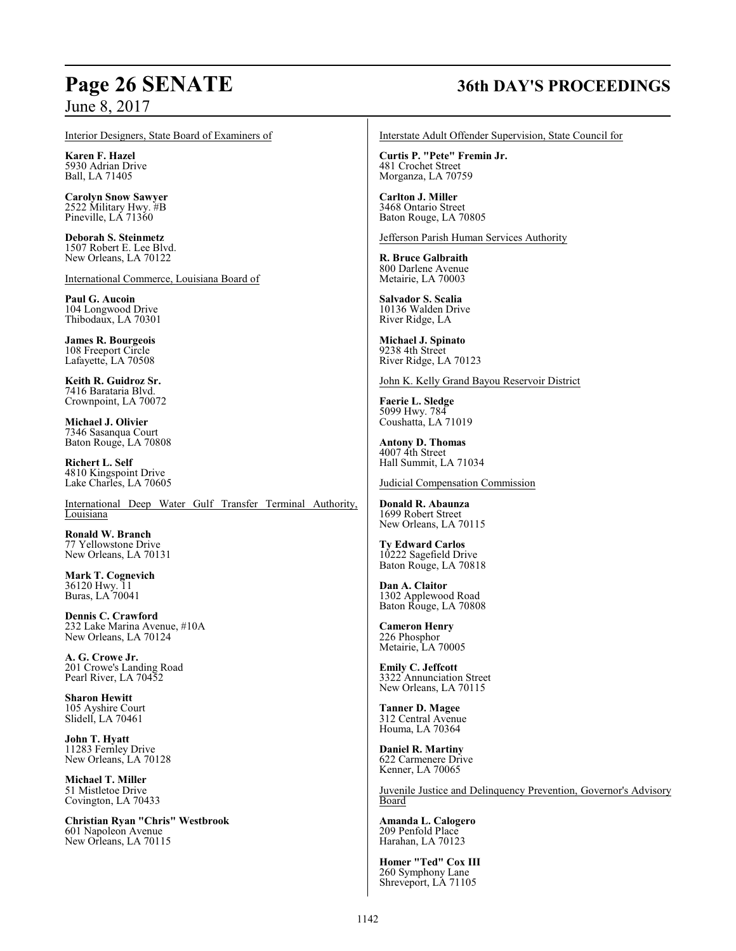### Interior Designers, State Board of Examiners of

**Karen F. Hazel** 5930 Adrian Drive Ball, LA 71405

**Carolyn Snow Sawyer** 2522 Military Hwy. #B Pineville, LÁ 71360

**Deborah S. Steinmetz** 1507 Robert E. Lee Blvd. New Orleans, LA 70122

International Commerce, Louisiana Board of

**Paul G. Aucoin** 104 Longwood Drive Thibodaux, LA 70301

**James R. Bourgeois** 108 Freeport Circle Lafayette, LA 70508

**Keith R. Guidroz Sr.** 7416 Barataria Blvd. Crownpoint, LA 70072

**Michael J. Olivier** 7346 Sasanqua Court Baton Rouge, LA 70808

**Richert L. Self** 4810 Kingspoint Drive Lake Charles, LA 70605

International Deep Water Gulf Transfer Terminal Authority, Louisiana

**Ronald W. Branch** 77 Yellowstone Drive New Orleans, LA 70131

**Mark T. Cognevich** 36120 Hwy. 11 Buras, LA 70041

**Dennis C. Crawford** 232 Lake Marina Avenue, #10A New Orleans, LA 70124

**A. G. Crowe Jr.** 201 Crowe's Landing Road Pearl River, LA 70452

**Sharon Hewitt** 105 Ayshire Court Slidell, LA 70461

**John T. Hyatt** 11283 Fernley Drive New Orleans, LA 70128

**Michael T. Miller** 51 Mistletoe Drive Covington, LA 70433

**Christian Ryan "Chris" Westbrook** 601 Napoleon Avenue New Orleans, LA 70115

## **Page 26 SENATE 36th DAY'S PROCEEDINGS**

Interstate Adult Offender Supervision, State Council for

**Curtis P. "Pete" Fremin Jr.** 481 Crochet Street Morganza, LA 70759

**Carlton J. Miller** 3468 Ontario Street Baton Rouge, LA 70805

Jefferson Parish Human Services Authority

**R. Bruce Galbraith** 800 Darlene Avenue Metairie, LA 70003

**Salvador S. Scalia** 10136 Walden Drive River Ridge, LA

**Michael J. Spinato** 9238 4th Street River Ridge, LA 70123

John K. Kelly Grand Bayou Reservoir District

**Faerie L. Sledge** 5099 Hwy. 784 Coushatta, LA 71019

**Antony D. Thomas** 4007 4th Street Hall Summit, LA 71034

Judicial Compensation Commission

**Donald R. Abaunza** 1699 Robert Street New Orleans, LA 70115

**Ty Edward Carlos** 10222 Sagefield Drive Baton Rouge, LA 70818

**Dan A. Claitor** 1302 Applewood Road Baton Rouge, LA 70808

**Cameron Henry** 226 Phosphor Metairie, LA 70005

**Emily C. Jeffcott** 3322 Annunciation Street New Orleans, LA 70115

**Tanner D. Magee** 312 Central Avenue Houma, LA 70364

**Daniel R. Martiny** 622 Carmenere Drive Kenner, LA 70065

Juvenile Justice and Delinquency Prevention, Governor's Advisory Board

**Amanda L. Calogero** 209 Penfold Place Harahan, LA 70123

**Homer "Ted" Cox III** 260 Symphony Lane Shreveport, LA 71105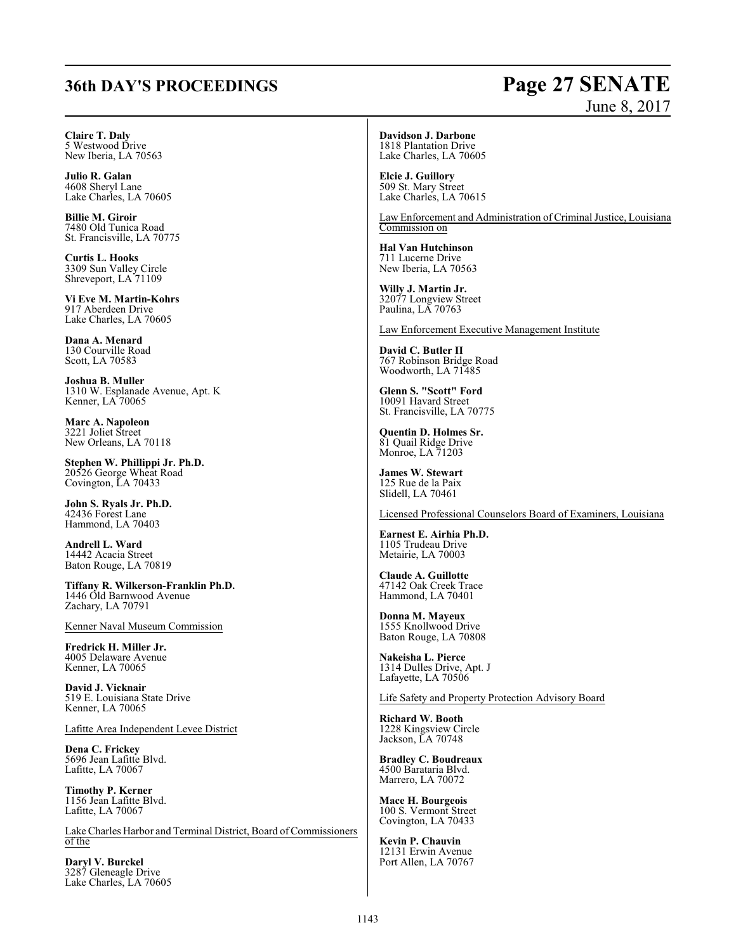## **36th DAY'S PROCEEDINGS Page 27 SENATE**

# June 8, 2017

**Claire T. Daly** 5 Westwood Drive New Iberia, LA 70563

**Julio R. Galan** 4608 Sheryl Lane Lake Charles, LA 70605

**Billie M. Giroir** 7480 Old Tunica Road St. Francisville, LA 70775

**Curtis L. Hooks** 3309 Sun Valley Circle Shreveport, LA 71109

**Vi Eve M. Martin-Kohrs** 917 Aberdeen Drive Lake Charles, LA 70605

**Dana A. Menard** 130 Courville Road Scott, LA 70583

**Joshua B. Muller** 1310 W. Esplanade Avenue, Apt. K Kenner, LA 70065

**Marc A. Napoleon** 3221 Joliet Street New Orleans, LA 70118

**Stephen W. Phillippi Jr. Ph.D.** 20526 George Wheat Road Covington, LA 70433

**John S. Ryals Jr. Ph.D.** 42436 Forest Lane Hammond, LA 70403

**Andrell L. Ward** 14442 Acacia Street Baton Rouge, LA 70819

**Tiffany R. Wilkerson-Franklin Ph.D.** 1446 Old Barnwood Avenue Zachary, LA 70791

Kenner Naval Museum Commission

**Fredrick H. Miller Jr.** 4005 Delaware Avenue Kenner, LA 70065

**David J. Vicknair** 519 E. Louisiana State Drive Kenner, LA 70065

Lafitte Area Independent Levee District

**Dena C. Frickey** 5696 Jean Lafitte Blvd. Lafitte, LA 70067

**Timothy P. Kerner** 1156 Jean Lafitte Blvd. Lafitte, LA 70067

Lake Charles Harbor and Terminal District, Board of Commissioners of the

**Daryl V. Burckel** 3287 Gleneagle Drive Lake Charles, LA 70605 **Davidson J. Darbone** 1818 Plantation Drive Lake Charles, LA 70605

**Elcie J. Guillory** 509 St. Mary Street Lake Charles, LA 70615

Law Enforcement and Administration of Criminal Justice, Louisiana Commission on

**Hal Van Hutchinson** 711 Lucerne Drive New Iberia, LA 70563

**Willy J. Martin Jr.** 32077 Longview Street Paulina, LA 70763

Law Enforcement Executive Management Institute

**David C. Butler II** 767 Robinson Bridge Road Woodworth, LA 71485

**Glenn S. "Scott" Ford** 10091 Havard Street St. Francisville, LA 70775

**Quentin D. Holmes Sr.** 81 Quail Ridge Drive Monroe, LA 71203

**James W. Stewart** 125 Rue de la Paix Slidell, LA 70461

Licensed Professional Counselors Board of Examiners, Louisiana

**Earnest E. Airhia Ph.D.** 1105 Trudeau Drive Metairie, LA 70003

**Claude A. Guillotte** 47142 Oak Creek Trace Hammond, LA 70401

**Donna M. Mayeux** 1555 Knollwood Drive Baton Rouge, LA 70808

**Nakeisha L. Pierce** 1314 Dulles Drive, Apt. J Lafayette, LA 70506

Life Safety and Property Protection Advisory Board

**Richard W. Booth** 1228 Kingsview Circle Jackson, LA 70748

**Bradley C. Boudreaux** 4500 Barataria Blvd. Marrero, LA 70072

**Mace H. Bourgeois** 100 S. Vermont Street Covington, LA 70433

**Kevin P. Chauvin** 12131 Erwin Avenue Port Allen, LA 70767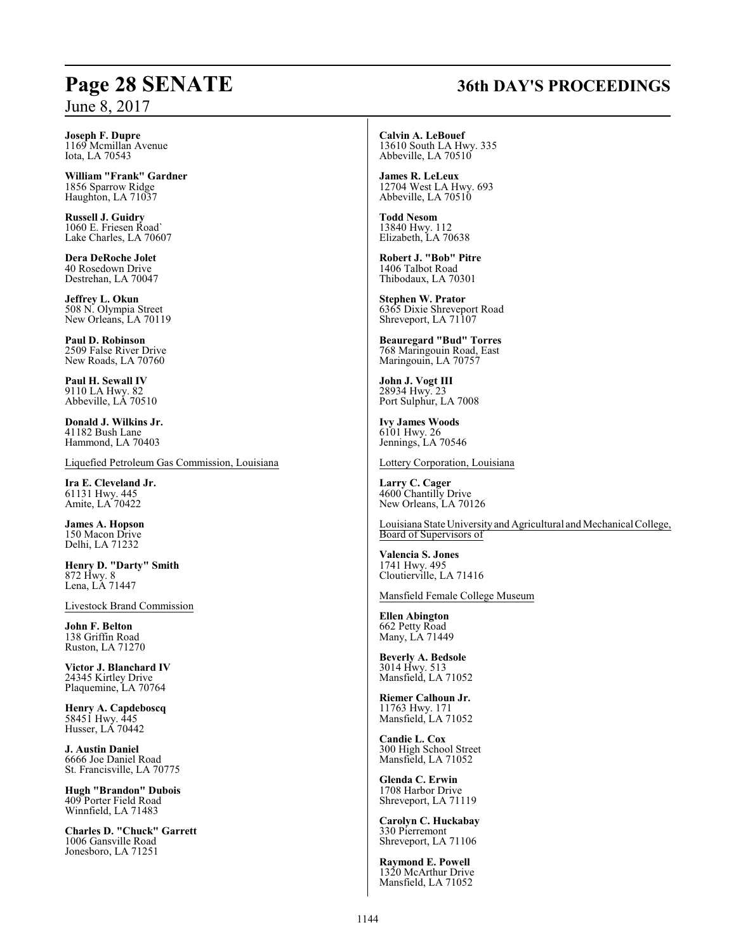## **Page 28 SENATE 36th DAY'S PROCEEDINGS**

**Joseph F. Dupre** 1169 Mcmillan Avenue Iota, LA 70543

**William "Frank" Gardner** 1856 Sparrow Ridge Haughton, LA 71037

**Russell J. Guidry** 1060 E. Friesen Road` Lake Charles, LA 70607

**Dera DeRoche Jolet** 40 Rosedown Drive Destrehan, LA 70047

**Jeffrey L. Okun** 508 N. Olympia Street New Orleans, LA 70119

**Paul D. Robinson** 2509 False River Drive New Roads, LA 70760

**Paul H. Sewall IV** 9110 LA Hwy. 82 Abbeville, LA 70510

**Donald J. Wilkins Jr.** 41182 Bush Lane Hammond, LA 70403

Liquefied Petroleum Gas Commission, Louisiana

**Ira E. Cleveland Jr.** 61131 Hwy. 445 Amite, LA 70422

**James A. Hopson** 150 Macon Drive Delhi, LA 71232

**Henry D. "Darty" Smith** 872 Hwy. 8 Lena, LA 71447

Livestock Brand Commission

**John F. Belton** 138 Griffin Road Ruston, LA 71270

**Victor J. Blanchard IV** 24345 Kirtley Drive Plaquemine, LA 70764

**Henry A. Capdeboscq** 58451 Hwy. 445 Husser, LA 70442

**J. Austin Daniel** 6666 Joe Daniel Road St. Francisville, LA 70775

**Hugh "Brandon" Dubois** 409 Porter Field Road Winnfield, LA 71483

**Charles D. "Chuck" Garrett** 1006 Gansville Road Jonesboro, LA 71251

**Calvin A. LeBouef** 13610 South LA Hwy. 335 Abbeville, LA 70510

**James R. LeLeux** 12704 West LA Hwy. 693 Abbeville, LA 70510

**Todd Nesom** 13840 Hwy. 112 Elizabeth, LA 70638

**Robert J. "Bob" Pitre** 1406 Talbot Road Thibodaux, LA 70301

**Stephen W. Prator** 6365 Dixie Shreveport Road Shreveport, LA 71107

**Beauregard "Bud" Torres** 768 Maringouin Road, East Maringouin, LA 70757

**John J. Vogt III** 28934 Hwy. 23 Port Sulphur, LA 7008

**Ivy James Woods** 6101 Hwy. 26 Jennings, LA 70546

Lottery Corporation, Louisiana

**Larry C. Cager** 4600 Chantilly Drive New Orleans, LA 70126

Louisiana State Universityand Agricultural and Mechanical College, Board of Supervisors of

**Valencia S. Jones** 1741 Hwy. 495 Cloutierville, LA 71416

Mansfield Female College Museum

**Ellen Abington** 662 Petty Road Many, LA 71449

**Beverly A. Bedsole** 3014 Hwy. 513 Mansfield, LA 71052

**Riemer Calhoun Jr.** 11763 Hwy. 171 Mansfield, LA 71052

**Candie L. Cox** 300 High School Street Mansfield, LA 71052

**Glenda C. Erwin** 1708 Harbor Drive Shreveport, LA 71119

**Carolyn C. Huckabay** 330 Pierremont Shreveport, LA 71106

**Raymond E. Powell** 1320 McArthur Drive Mansfield, LA 71052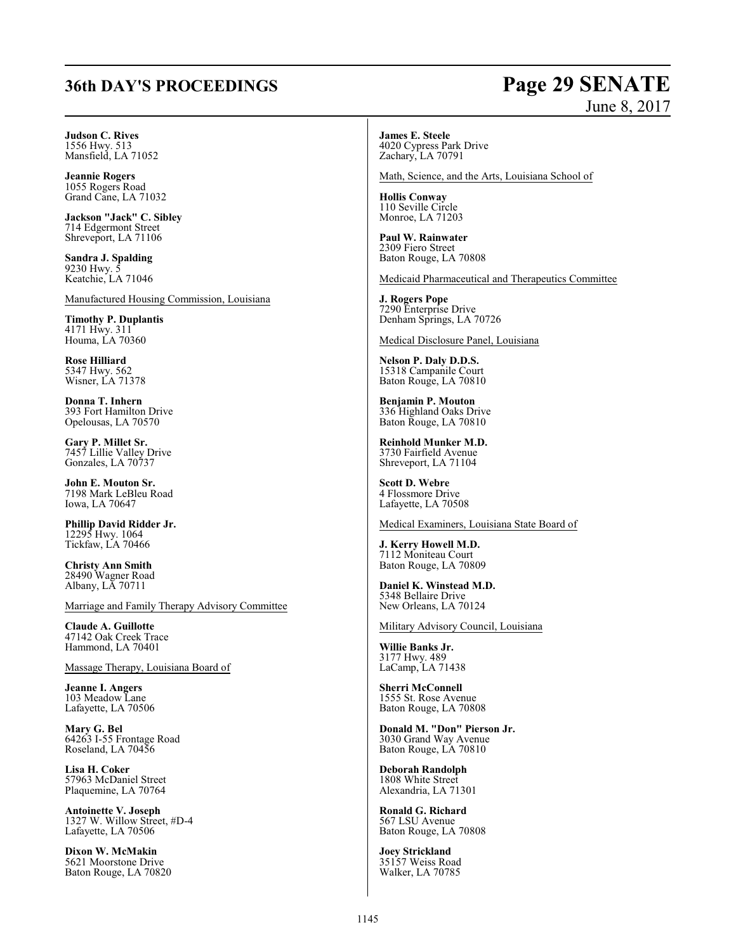## **36th DAY'S PROCEEDINGS Page 29 SENATE**

# June 8, 2017

### **Judson C. Rives**

1556 Hwy. 513 Mansfield, LA 71052

**Jeannie Rogers** 1055 Rogers Road Grand Cane, LA 71032

**Jackson "Jack" C. Sibley** 714 Edgermont Street Shreveport, LA 71106

**Sandra J. Spalding** 9230 Hwy. 5 Keatchie, LA 71046

Manufactured Housing Commission, Louisiana

**Timothy P. Duplantis** 4171 Hwy. 311 Houma, LA 70360

**Rose Hilliard** 5347 Hwy. 562 Wisner, LA 71378

**Donna T. Inhern** 393 Fort Hamilton Drive Opelousas, LA 70570

**Gary P. Millet Sr.** 7457 Lillie Valley Drive Gonzales, LA 70737

**John E. Mouton Sr.** 7198 Mark LeBleu Road Iowa, LA 70647

**Phillip David Ridder Jr.** 12295 Hwy. 1064 Tickfaw, LA 70466

**Christy Ann Smith** 28490 Wagner Road Albany, LA 70711

Marriage and Family Therapy Advisory Committee

**Claude A. Guillotte** 47142 Oak Creek Trace Hammond, LA 70401

Massage Therapy, Louisiana Board of

**Jeanne I. Angers** 103 Meadow Lane Lafayette, LA 70506

**Mary G. Bel** 64263 I-55 Frontage Road Roseland, LA 70456

**Lisa H. Coker** 57963 McDaniel Street Plaquemine, LA 70764

**Antoinette V. Joseph** 1327 W. Willow Street, #D-4 Lafayette, LA 70506

**Dixon W. McMakin** 5621 Moorstone Drive Baton Rouge, LA 70820 **James E. Steele** 4020 Cypress Park Drive Zachary, LA 70791

Math, Science, and the Arts, Louisiana School of

**Hollis Conway** 110 Seville Circle Monroe, LA 71203

**Paul W. Rainwater** 2309 Fiero Street Baton Rouge, LA 70808

Medicaid Pharmaceutical and Therapeutics Committee

**J. Rogers Pope** 7290 Enterprise Drive Denham Springs, LA 70726

Medical Disclosure Panel, Louisiana

**Nelson P. Daly D.D.S.** 15318 Campanile Court Baton Rouge, LA 70810

**Benjamin P. Mouton** 336 Highland Oaks Drive Baton Rouge, LA 70810

**Reinhold Munker M.D.** 3730 Fairfield Avenue Shreveport, LA 71104

**Scott D. Webre** 4 Flossmore Drive Lafayette, LA 70508

Medical Examiners, Louisiana State Board of

**J. Kerry Howell M.D.** 7112 Moniteau Court Baton Rouge, LA 70809

**Daniel K. Winstead M.D.** 5348 Bellaire Drive New Orleans, LA 70124

Military Advisory Council, Louisiana

**Willie Banks Jr.** 3177 Hwy. 489 LaCamp, LA 71438

**Sherri McConnell** 1555 St. Rose Avenue Baton Rouge, LA 70808

**Donald M. "Don" Pierson Jr.** 3030 Grand Way Avenue Baton Rouge, LA 70810

**Deborah Randolph** 1808 White Street Alexandria, LA 71301

**Ronald G. Richard** 567 LSU Avenue Baton Rouge, LA 70808

**Joey Strickland** 35157 Weiss Road Walker, LA 70785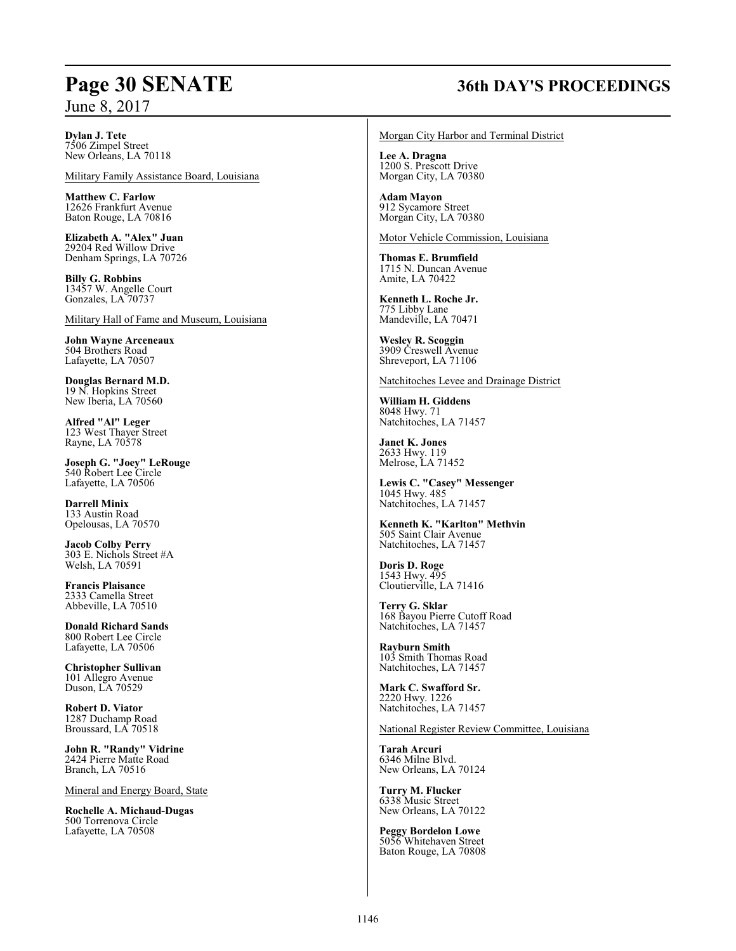## **Page 30 SENATE 36th DAY'S PROCEEDINGS**

**Dylan J. Tete**

7506 Zimpel Street New Orleans, LA 70118

Military Family Assistance Board, Louisiana

**Matthew C. Farlow** 12626 Frankfurt Avenue Baton Rouge, LA 70816

**Elizabeth A. "Alex" Juan** 29204 Red Willow Drive Denham Springs, LA 70726

**Billy G. Robbins** 13457 W. Angelle Court Gonzales, LA 70737

Military Hall of Fame and Museum, Louisiana

**John Wayne Arceneaux** 504 Brothers Road Lafayette, LA 70507

**Douglas Bernard M.D.** 19 N. Hopkins Street New Iberia, LA 70560

**Alfred "Al" Leger** 123 West Thayer Street Rayne, LA 70578

**Joseph G. "Joey" LeRouge** 540 Robert Lee Circle Lafayette, LA 70506

**Darrell Minix** 133 Austin Road Opelousas, LA 70570

**Jacob Colby Perry** 303 E. Nichols Street #A Welsh, LA 70591

**Francis Plaisance** 2333 Camella Street Abbeville, LA 70510

**Donald Richard Sands** 800 Robert Lee Circle Lafayette, LA 70506

**Christopher Sullivan** 101 Allegro Avenue Duson, LA 70529

**Robert D. Viator** 1287 Duchamp Road Broussard, LA 70518

**John R. "Randy" Vidrine** 2424 Pierre Matte Road Branch, LA 70516

Mineral and Energy Board, State

**Rochelle A. Michaud-Dugas** 500 Torrenova Circle Lafayette, LA 70508

Morgan City Harbor and Terminal District

**Lee A. Dragna** 1200 S. Prescott Drive Morgan City, LA 70380

**Adam Mayon** 912 Sycamore Street Morgan City, LA 70380

Motor Vehicle Commission, Louisiana

**Thomas E. Brumfield** 1715 N. Duncan Avenue Amite, LA 70422

**Kenneth L. Roche Jr.** 775 Libby Lane Mandeville, LA 70471

**Wesley R. Scoggin** 3909 Creswell Avenue Shreveport, LA 71106

Natchitoches Levee and Drainage District

**William H. Giddens** 8048 Hwy. 71 Natchitoches, LA 71457

**Janet K. Jones** 2633 Hwy. 119 Melrose, LA 71452

**Lewis C. "Casey" Messenger** 1045 Hwy. 485 Natchitoches, LA 71457

**Kenneth K. "Karlton" Methvin** 505 Saint Clair Avenue Natchitoches, LA 71457

**Doris D. Roge** 1543 Hwy. 495 Cloutierville, LA 71416

**Terry G. Sklar** 168 Bayou Pierre Cutoff Road Natchitoches, LA 71457

**Rayburn Smith** 103 Smith Thomas Road Natchitoches, LA 71457

**Mark C. Swafford Sr.** 2220 Hwy. 1226 Natchitoches, LA 71457

National Register Review Committee, Louisiana

**Tarah Arcuri** 6346 Milne Blvd. New Orleans, LA 70124

**Turry M. Flucker** 6338 Music Street New Orleans, LA 70122

**Peggy Bordelon Lowe** 5056 Whitehaven Street Baton Rouge, LA 70808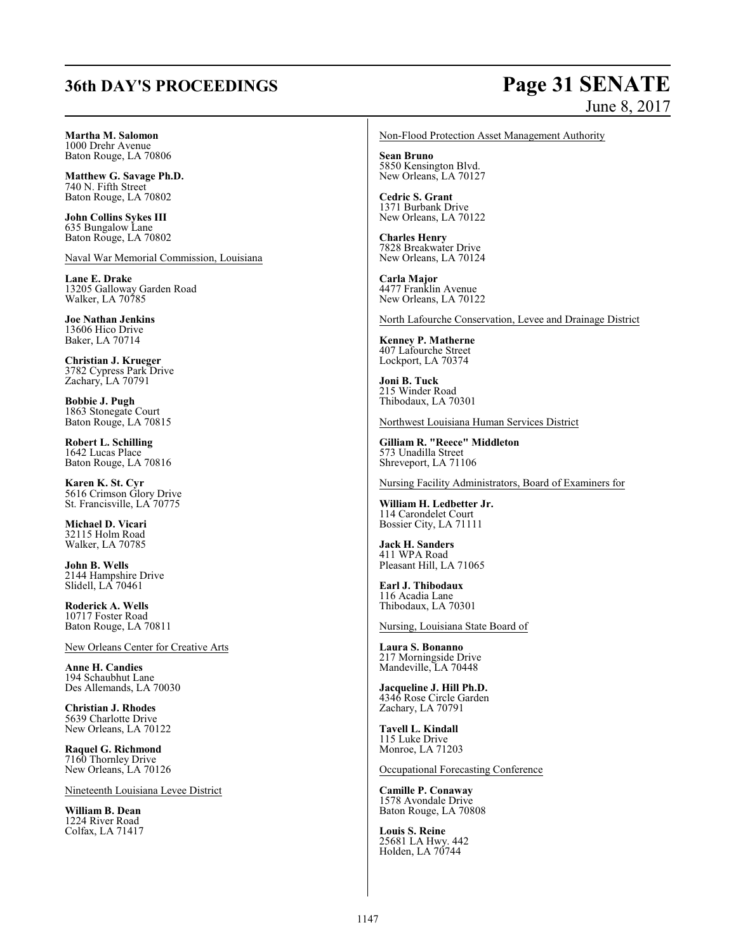## **36th DAY'S PROCEEDINGS Page 31 SENATE**

# June 8, 2017

**Martha M. Salomon**

1000 Drehr Avenue Baton Rouge, LA 70806

**Matthew G. Savage Ph.D.** 740 N. Fifth Street Baton Rouge, LA 70802

**John Collins Sykes III** 635 Bungalow Lane Baton Rouge, LA 70802

Naval War Memorial Commission, Louisiana

**Lane E. Drake** 13205 Galloway Garden Road Walker, LA 70785

**Joe Nathan Jenkins** 13606 Hico Drive Baker, LA 70714

**Christian J. Krueger** 3782 Cypress Park Drive Zachary, LA 70791

**Bobbie J. Pugh** 1863 Stonegate Court Baton Rouge, LA 70815

**Robert L. Schilling** 1642 Lucas Place Baton Rouge, LA 70816

**Karen K. St. Cyr** 5616 Crimson Glory Drive St. Francisville, LA 70775

**Michael D. Vicari** 32115 Holm Road Walker, LA 70785

**John B. Wells** 2144 Hampshire Drive Slidell, LA 70461

**Roderick A. Wells** 10717 Foster Road Baton Rouge, LA 70811

New Orleans Center for Creative Arts

**Anne H. Candies** 194 Schaubhut Lane Des Allemands, LA 70030

**Christian J. Rhodes** 5639 Charlotte Drive New Orleans, LA 70122

**Raquel G. Richmond** 7160 Thornley Drive New Orleans, LA 70126

Nineteenth Louisiana Levee District

**William B. Dean** 1224 River Road Colfax, LA 71417 Non-Flood Protection Asset Management Authority

**Sean Bruno** 5850 Kensington Blvd. New Orleans, LA 70127

**Cedric S. Grant** 1371 Burbank Drive New Orleans, LA 70122

**Charles Henry** 7828 Breakwater Drive New Orleans, LA 70124

**Carla Major** 4477 Franklin Avenue New Orleans, LA 70122

North Lafourche Conservation, Levee and Drainage District

**Kenney P. Matherne** 407 Lafourche Street Lockport, LA 70374

**Joni B. Tuck** 215 Winder Road Thibodaux, LA 70301

Northwest Louisiana Human Services District

**Gilliam R. "Reece" Middleton** 573 Unadilla Street Shreveport, LA 71106

Nursing Facility Administrators, Board of Examiners for

**William H. Ledbetter Jr.** 114 Carondelet Court Bossier City, LA 71111

**Jack H. Sanders** 411 WPA Road Pleasant Hill, LA 71065

**Earl J. Thibodaux** 116 Acadia Lane Thibodaux, LA 70301

Nursing, Louisiana State Board of

**Laura S. Bonanno** 217 Morningside Drive Mandeville, LA 70448

**Jacqueline J. Hill Ph.D.** 4346 Rose Circle Garden Zachary, LA 70791

**Tavell L. Kindall** 115 Luke Drive Monroe, LA 71203

Occupational Forecasting Conference

**Camille P. Conaway** 1578 Avondale Drive Baton Rouge, LA 70808

**Louis S. Reine** 25681 LA Hwy. 442 Holden, LA 70744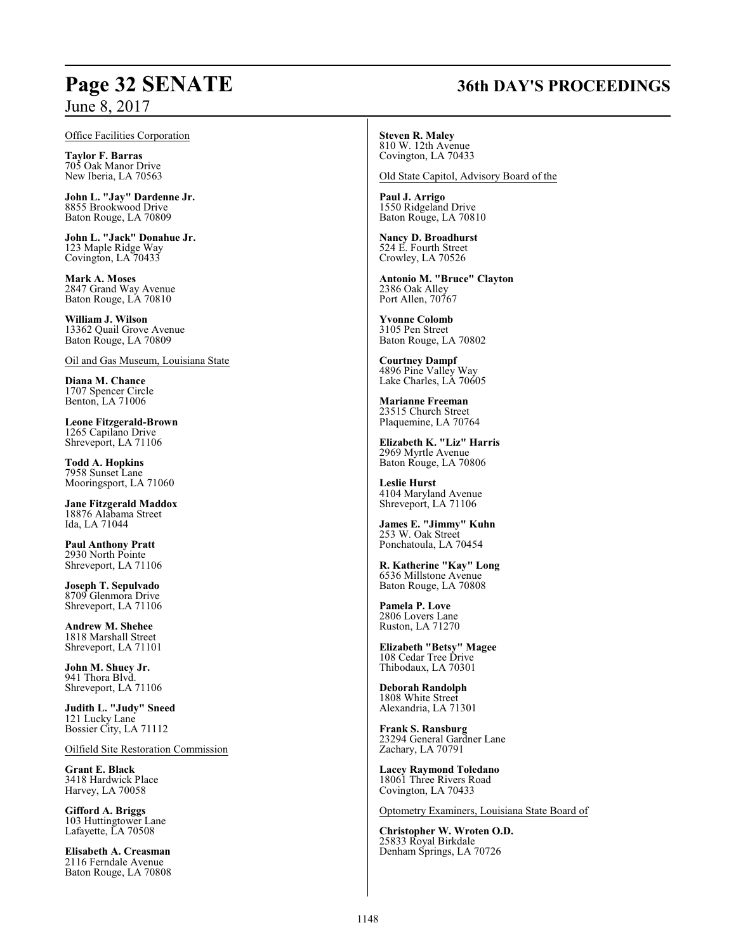### Office Facilities Corporation

**Taylor F. Barras** 705 Oak Manor Drive New Iberia, LA 70563

**John L. "Jay" Dardenne Jr.** 8855 Brookwood Drive Baton Rouge, LA 70809

**John L. "Jack" Donahue Jr.** 123 Maple Ridge Way Covington, LA 70433

**Mark A. Moses** 2847 Grand Way Avenue Baton Rouge, LA 70810

**William J. Wilson** 13362 Quail Grove Avenue Baton Rouge, LA 70809

Oil and Gas Museum, Louisiana State

**Diana M. Chance** 1707 Spencer Circle Benton, LA 71006

**Leone Fitzgerald-Brown** 1265 Capilano Drive Shreveport, LA 71106

**Todd A. Hopkins** 7958 Sunset Lane Mooringsport, LA 71060

**Jane Fitzgerald Maddox** 18876 Alabama Street Ida, LA 71044

**Paul Anthony Pratt** 2930 North Pointe Shreveport, LA 71106

**Joseph T. Sepulvado** 8709 Glenmora Drive Shreveport, LA 71106

**Andrew M. Shehee** 1818 Marshall Street Shreveport, LA 71101

**John M. Shuey Jr.** 941 Thora Blvd. Shreveport, LA 71106

**Judith L. "Judy" Sneed** 121 Lucky Lane Bossier City, LA 71112

Oilfield Site Restoration Commission

**Grant E. Black** 3418 Hardwick Place Harvey, LA 70058

**Gifford A. Briggs** 103 Huttingtower Lane Lafayette, LA 70508

**Elisabeth A. Creasman** 2116 Ferndale Avenue Baton Rouge, LA 70808

### **Steven R. Maley** 810 W. 12th Avenue

Covington, LA 70433

Old State Capitol, Advisory Board of the

**Paul J. Arrigo** 1550 Ridgeland Drive Baton Rouge, LA 70810

**Nancy D. Broadhurst** 524 E. Fourth Street Crowley, LA 70526

**Antonio M. "Bruce" Clayton** 2386 Oak Alley Port Allen, 70767

**Yvonne Colomb** 3105 Pen Street Baton Rouge, LA 70802

**Courtney Dampf** 4896 Pine Valley Way Lake Charles, LA 70605

**Marianne Freeman** 23515 Church Street Plaquemine, LA 70764

**Elizabeth K. "Liz" Harris** 2969 Myrtle Avenue Baton Rouge, LA 70806

**Leslie Hurst** 4104 Maryland Avenue Shreveport, LA 71106

**James E. "Jimmy" Kuhn** 253 W. Oak Street Ponchatoula, LA 70454

**R. Katherine "Kay" Long** 6536 Millstone Avenue Baton Rouge, LA 70808

**Pamela P. Love** 2806 Lovers Lane Ruston, LA 71270

**Elizabeth "Betsy" Magee** 108 Cedar Tree Drive Thibodaux, LA 70301

**Deborah Randolph** 1808 White Street Alexandria, LA 71301

**Frank S. Ransburg** 23294 General Gardner Lane Zachary, LA 70791

**Lacey Raymond Toledano** 18061 Three Rivers Road Covington, LA 70433

Optometry Examiners, Louisiana State Board of

**Christopher W. Wroten O.D.** 25833 Royal Birkdale Denham Springs, LA 70726

## **Page 32 SENATE 36th DAY'S PROCEEDINGS**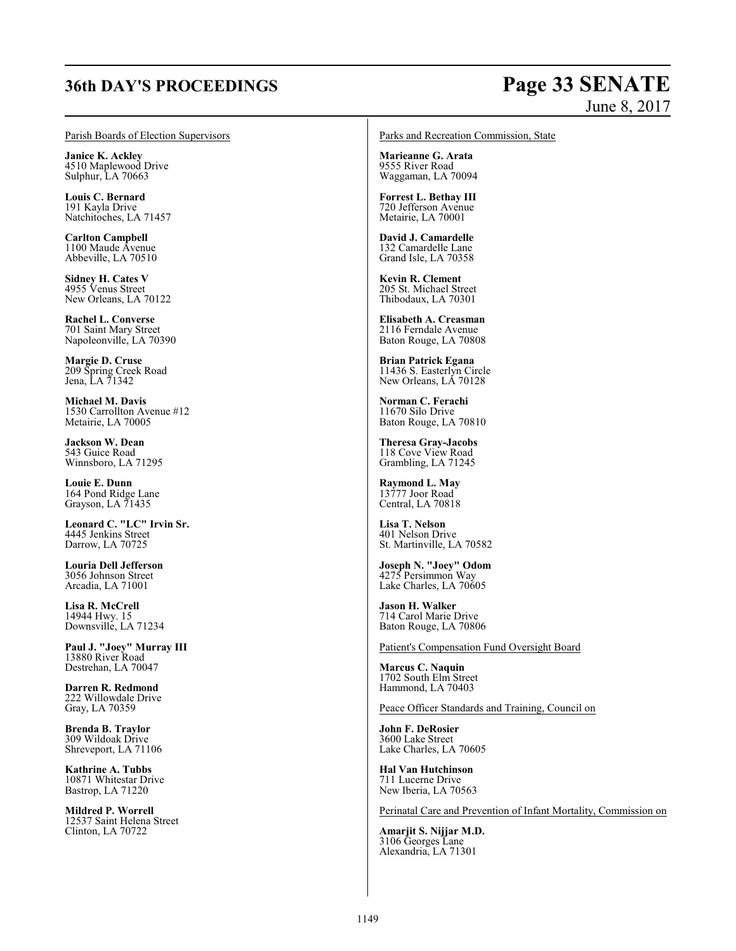## **36th DAY'S PROCEEDINGS Page 33 SENATE**

# June 8, 2017

### Parish Boards of Election Supervisors

**Janice K. Ackley** 4510 Maplewood Drive Sulphur, LA 70663

**Louis C. Bernard** 191 Kayla Drive Natchitoches, LA 71457

**Carlton Campbell** 1100 Maude Avenue Abbeville, LA 70510

**Sidney H. Cates V** 4955 Venus Street New Orleans, LA 70122

**Rachel L. Converse** 701 Saint Mary Street Napoleonville, LA 70390

**Margie D. Cruse** 209 Spring Creek Road Jena, LA 71342

**Michael M. Davis** 1530 Carrollton Avenue #12 Metairie, LA 70005

**Jackson W. Dean** 543 Guice Road Winnsboro, LA 71295

**Louie E. Dunn** 164 Pond Ridge Lane Grayson, LA 71435

**Leonard C. "LC" Irvin Sr.** 4445 Jenkins Street Darrow, LA 70725

**Louria Dell Jefferson** 3056 Johnson Street Arcadia, LA 71001

**Lisa R. McCrell** 14944 Hwy. 15 Downsville, LA 71234

**Paul J. "Joey" Murray III** 13880 River Road Destrehan, LA 70047

**Darren R. Redmond** 222 Willowdale Drive Gray, LA 70359

**Brenda B. Traylor** 309 Wildoak Drive Shreveport, LA 71106

**Kathrine A. Tubbs** 10871 Whitestar Drive Bastrop, LA 71220

**Mildred P. Worrell** 12537 Saint Helena Street Clinton, LA 70722

Parks and Recreation Commission, State

**Marieanne G. Arata** 9555 River Road Waggaman, LA 70094

**Forrest L. Bethay III** 720 Jefferson Avenue Metairie, LA 70001

**David J. Camardelle** 132 Camardelle Lane Grand Isle, LA 70358

**Kevin R. Clement** 205 St. Michael Street Thibodaux, LA 70301

**Elisabeth A. Creasman** 2116 Ferndale Avenue Baton Rouge, LA 70808

**Brian Patrick Egana** 11436 S. Easterlyn Circle New Orleans, LA 70128

**Norman C. Ferachi** 11670 Silo Drive Baton Rouge, LA 70810

**Theresa Gray-Jacobs** 118 Cove View Road Grambling, LA 71245

**Raymond L. May** 13777 Joor Road Central, LA 70818

**Lisa T. Nelson** 401 Nelson Drive St. Martinville, LA 70582

**Joseph N. "Joey" Odom** 4275 Persimmon Way Lake Charles, LA 70605

**Jason H. Walker** 714 Carol Marie Drive Baton Rouge, LA 70806

Patient's Compensation Fund Oversight Board

**Marcus C. Naquin** 1702 South Elm Street Hammond, LA 70403

Peace Officer Standards and Training, Council on

**John F. DeRosier** 3600 Lake Street Lake Charles, LA 70605

**Hal Van Hutchinson** 711 Lucerne Drive New Iberia, LA 70563

Perinatal Care and Prevention of Infant Mortality, Commission on

**Amarjit S. Nijjar M.D.** 3106 Georges Lane Alexandria, LA 71301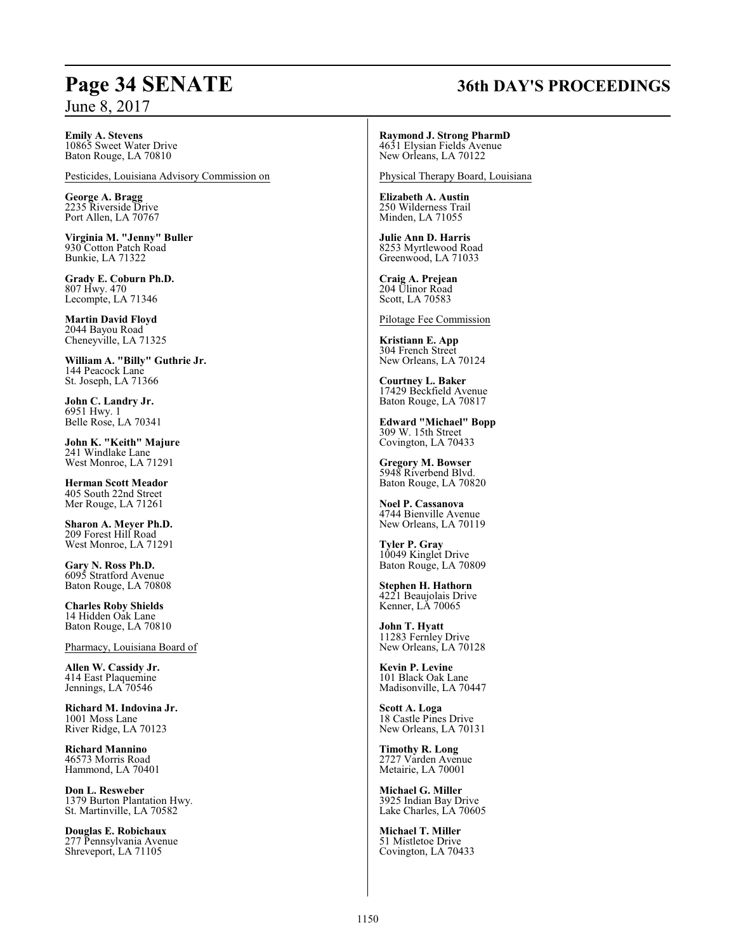## **Page 34 SENATE 36th DAY'S PROCEEDINGS**

**Emily A. Stevens** 10865 Sweet Water Drive Baton Rouge, LA 70810

Pesticides, Louisiana Advisory Commission on

**George A. Bragg** 2235 Riverside Drive Port Allen, LA 70767

**Virginia M. "Jenny" Buller** 930 Cotton Patch Road Bunkie, LA 71322

**Grady E. Coburn Ph.D.** 807 Hwy. 470 Lecompte, LA 71346

**Martin David Floyd** 2044 Bayou Road Cheneyville, LA 71325

**William A. "Billy" Guthrie Jr.** 144 Peacock Lane St. Joseph, LA 71366

**John C. Landry Jr.** 6951 Hwy. 1 Belle Rose, LA 70341

**John K. "Keith" Majure** 241 Windlake Lane West Monroe, LA 71291

**Herman Scott Meador** 405 South 22nd Street Mer Rouge, LA 71261

**Sharon A. Meyer Ph.D.** 209 Forest Hill Road West Monroe, LA 71291

**Gary N. Ross Ph.D.** 6095 Stratford Avenue Baton Rouge, LA 70808

**Charles Roby Shields** 14 Hidden Oak Lane Baton Rouge, LA 70810

Pharmacy, Louisiana Board of

**Allen W. Cassidy Jr.** 414 East Plaquemine Jennings, LA 70546

**Richard M. Indovina Jr.** 1001 Moss Lane River Ridge, LA 70123

**Richard Mannino** 46573 Morris Road Hammond, LA 70401

**Don L. Resweber** 1379 Burton Plantation Hwy. St. Martinville, LA 70582

**Douglas E. Robichaux** 277 Pennsylvania Avenue Shreveport, LA 71105

**Raymond J. Strong PharmD** 4631 Elysian Fields Avenue New Orleans, LA 70122

Physical Therapy Board, Louisiana

**Elizabeth A. Austin** 250 Wilderness Trail Minden, LA 71055

**Julie Ann D. Harris** 8253 Myrtlewood Road Greenwood, LA 71033

**Craig A. Prejean** 204 Ulinor Road Scott, LA 70583

Pilotage Fee Commission

**Kristiann E. App** 304 French Street New Orleans, LA 70124

**Courtney L. Baker** 17429 Beckfield Avenue Baton Rouge, LA 70817

**Edward "Michael" Bopp** 309 W. 15th Street Covington, LA 70433

**Gregory M. Bowser** 5948 Riverbend Blvd. Baton Rouge, LA 70820

**Noel P. Cassanova** 4744 Bienville Avenue New Orleans, LA 70119

**Tyler P. Gray** 10049 Kinglet Drive Baton Rouge, LA 70809

**Stephen H. Hathorn** 4221 Beaujolais Drive Kenner, LA 70065

**John T. Hyatt** 11283 Fernley Drive New Orleans, LA 70128

**Kevin P. Levine** 101 Black Oak Lane Madisonville, LA 70447

**Scott A. Loga** 18 Castle Pines Drive New Orleans, LA 70131

**Timothy R. Long** 2727 Varden Avenue Metairie, LA 70001

**Michael G. Miller** 3925 Indian Bay Drive Lake Charles, LA 70605

**Michael T. Miller** 51 Mistletoe Drive Covington, LA 70433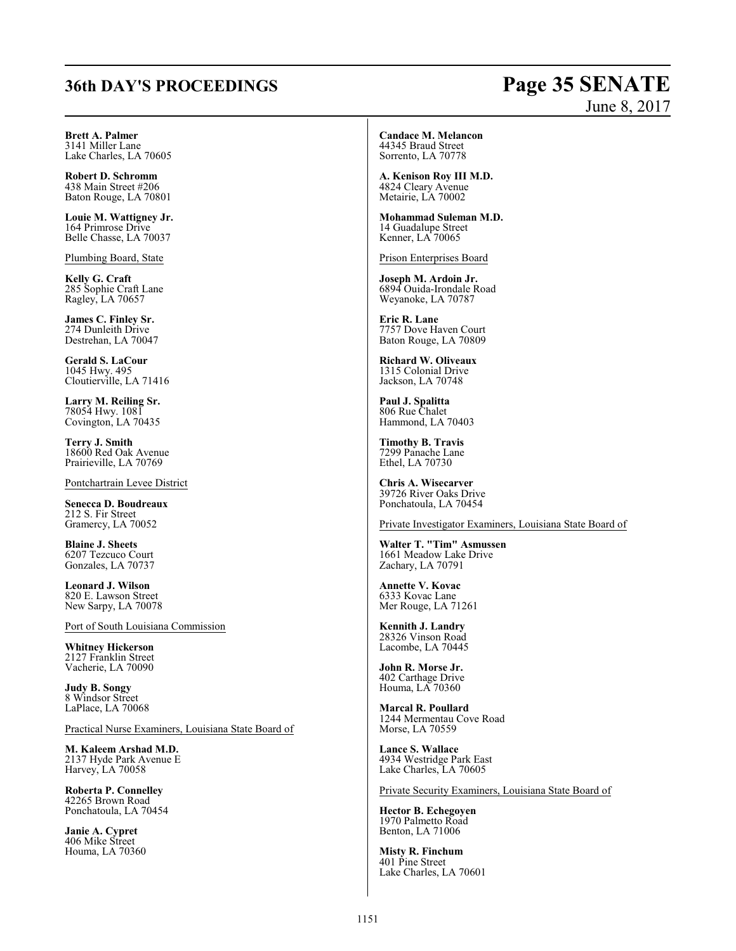## **36th DAY'S PROCEEDINGS Page 35 SENATE**

# June 8, 2017

**Brett A. Palmer** 3141 Miller Lane Lake Charles, LA 70605

**Robert D. Schromm** 438 Main Street #206 Baton Rouge, LA 70801

**Louie M. Wattigney Jr.** 164 Primrose Drive Belle Chasse, LA 70037

Plumbing Board, State

**Kelly G. Craft** 285 Sophie Craft Lane Ragley, LA 70657

**James C. Finley Sr.** 274 Dunleith Drive Destrehan, LA 70047

**Gerald S. LaCour** 1045 Hwy. 495 Cloutierville, LA 71416

**Larry M. Reiling Sr.** 78054 Hwy. 1081 Covington, LA 70435

**Terry J. Smith** 18600 Red Oak Avenue Prairieville, LA 70769

Pontchartrain Levee District

**Senecca D. Boudreaux** 212 S. Fir Street Gramercy, LA 70052

**Blaine J. Sheets** 6207 Tezcuco Court Gonzales, LA 70737

**Leonard J. Wilson** 820 E. Lawson Street New Sarpy, LA 70078

Port of South Louisiana Commission

**Whitney Hickerson** 2127 Franklin Street Vacherie, LA 70090

**Judy B. Songy** 8 Windsor Street LaPlace, LA 70068

Practical Nurse Examiners, Louisiana State Board of

**M. Kaleem Arshad M.D.** 2137 Hyde Park Avenue E Harvey, LA 70058

**Roberta P. Connelley** 42265 Brown Road Ponchatoula, LA 70454

**Janie A. Cypret** 406 Mike Street Houma, LA 70360

### **Candace M. Melancon** 44345 Braud Street

Sorrento, LA 70778

**A. Kenison Roy III M.D.** 4824 Cleary Avenue Metairie, LA 70002

**Mohammad Suleman M.D.** 14 Guadalupe Street Kenner, LA 70065

Prison Enterprises Board

**Joseph M. Ardoin Jr.** 6894 Ouida-Irondale Road Weyanoke, LA 70787

**Eric R. Lane** 7757 Dove Haven Court Baton Rouge, LA 70809

**Richard W. Oliveaux** 1315 Colonial Drive Jackson, LA 70748

**Paul J. Spalitta** 806 Rue Chalet Hammond, LA 70403

**Timothy B. Travis** 7299 Panache Lane Ethel, LA 70730

**Chris A. Wisecarver** 39726 River Oaks Drive Ponchatoula, LA 70454

Private Investigator Examiners, Louisiana State Board of

**Walter T. "Tim" Asmussen** 1661 Meadow Lake Drive Zachary, LA 70791

**Annette V. Kovac** 6333 Kovac Lane Mer Rouge, LA 71261

**Kennith J. Landry** 28326 Vinson Road Lacombe, LA 70445

**John R. Morse Jr.** 402 Carthage Drive Houma, LA 70360

**Marcal R. Poullard** 1244 Mermentau Cove Road Morse, LA 70559

**Lance S. Wallace** 4934 Westridge Park East Lake Charles, LA 70605

Private Security Examiners, Louisiana State Board of

**Hector B. Echegoyen** 1970 Palmetto Road Benton, LA 71006

**Misty R. Finchum** 401 Pine Street Lake Charles, LA 70601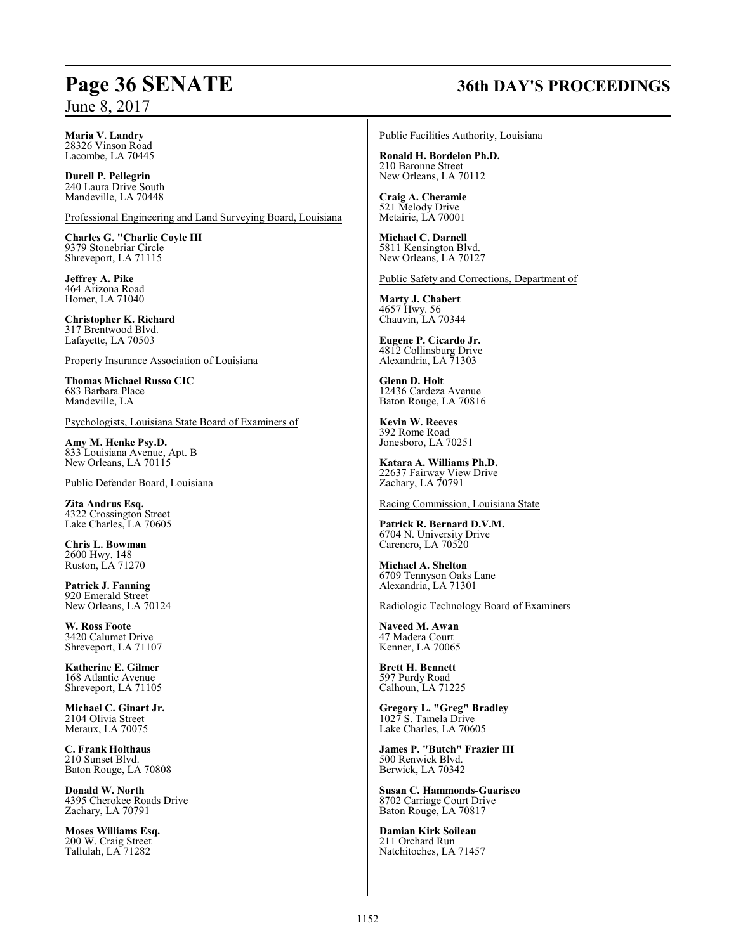## **Page 36 SENATE 36th DAY'S PROCEEDINGS**

## **Maria V. Landry**

28326 Vinson Road Lacombe, LA 70445

**Durell P. Pellegrin** 240 Laura Drive South Mandeville, LA 70448

Professional Engineering and Land Surveying Board, Louisiana

**Charles G. "Charlie Coyle III** 9379 Stonebriar Circle Shreveport, LA 71115

**Jeffrey A. Pike** 464 Arizona Road Homer, LA 71040

**Christopher K. Richard** 317 Brentwood Blvd. Lafayette, LA 70503

Property Insurance Association of Louisiana

**Thomas Michael Russo CIC** 683 Barbara Place Mandeville, LA

Psychologists, Louisiana State Board of Examiners of

**Amy M. Henke Psy.D.** 833 Louisiana Avenue, Apt. B New Orleans, LA 70115

Public Defender Board, Louisiana

**Zita Andrus Esq.** 4322 Crossington Street Lake Charles, LA 70605

**Chris L. Bowman** 2600 Hwy. 148 Ruston, LA 71270

**Patrick J. Fanning** 920 Emerald Street New Orleans, LA 70124

**W. Ross Foote** 3420 Calumet Drive Shreveport, LA 71107

**Katherine E. Gilmer** 168 Atlantic Avenue Shreveport, LA 71105

**Michael C. Ginart Jr.** 2104 Olivia Street Meraux, LA 70075

**C. Frank Holthaus** 210 Sunset Blvd. Baton Rouge, LA 70808

**Donald W. North** 4395 Cherokee Roads Drive Zachary, LA 70791

**Moses Williams Esq.** 200 W. Craig Street Tallulah, LA 71282

Public Facilities Authority, Louisiana

**Ronald H. Bordelon Ph.D.** 210 Baronne Street New Orleans, LA 70112

**Craig A. Cheramie** 521 Melody Drive Metairie, LA 70001

**Michael C. Darnell** 5811 Kensington Blvd. New Orleans, LA 70127

Public Safety and Corrections, Department of

**Marty J. Chabert** 4657 Hwy. 56 Chauvin, LA 70344

**Eugene P. Cicardo Jr.** 4812 Collinsburg Drive Alexandria, LA 71303

**Glenn D. Holt** 12436 Cardeza Avenue Baton Rouge, LA 70816

**Kevin W. Reeves** 392 Rome Road Jonesboro, LA 70251

**Katara A. Williams Ph.D.** 22637 Fairway View Drive Zachary, LA 70791

Racing Commission, Louisiana State

**Patrick R. Bernard D.V.M.** 6704 N. University Drive Carencro, LA 70520

**Michael A. Shelton** 6709 Tennyson Oaks Lane Alexandria, LA 71301

Radiologic Technology Board of Examiners

**Naveed M. Awan** 47 Madera Court Kenner, LA 70065

**Brett H. Bennett** 597 Purdy Road Calhoun, LA 71225

**Gregory L. "Greg" Bradley** 1027 S. Tamela Drive Lake Charles, LA 70605

**James P. "Butch" Frazier III** 500 Renwick Blvd. Berwick, LA 70342

**Susan C. Hammonds-Guarisco** 8702 Carriage Court Drive Baton Rouge, LA 70817

**Damian Kirk Soileau** 211 Orchard Run Natchitoches, LA 71457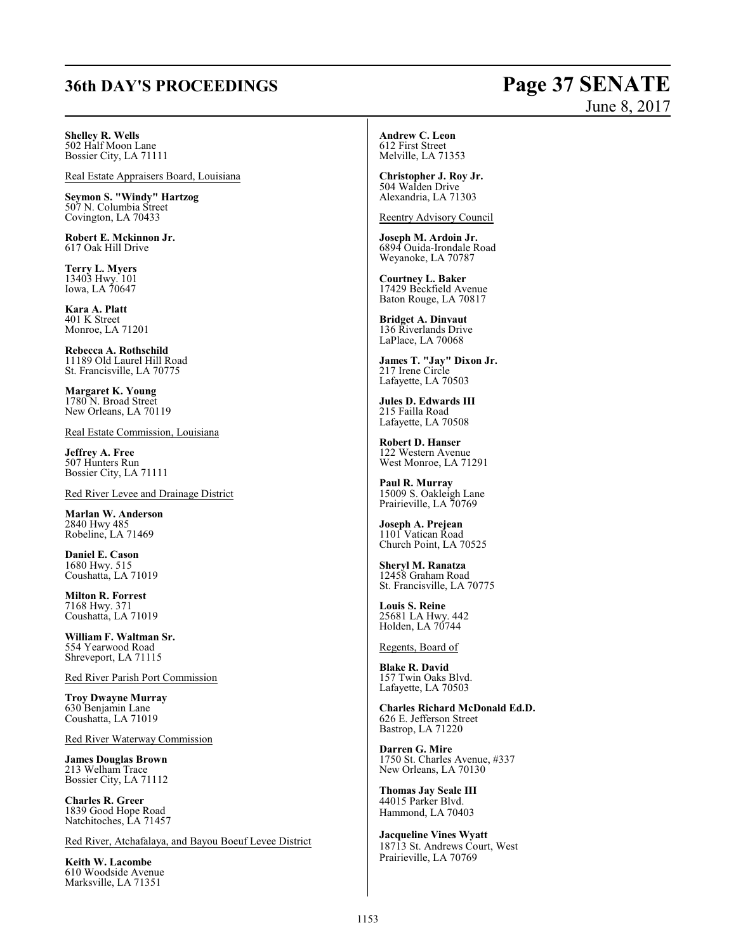# **36th DAY'S PROCEEDINGS Page 37 SENATE**

# June 8, 2017

**Shelley R. Wells**

502 Half Moon Lane Bossier City, LA 71111

Real Estate Appraisers Board, Louisiana

**Seymon S. "Windy" Hartzog** 507 N. Columbia Street Covington, LA 70433

**Robert E. Mckinnon Jr.** 617 Oak Hill Drive

**Terry L. Myers** 13403 Hwy. 101 Iowa, LA 70647

**Kara A. Platt** 401 K Street Monroe, LA 71201

**Rebecca A. Rothschild** 11189 Old Laurel Hill Road St. Francisville, LA 70775

**Margaret K. Young** 1780 N. Broad Street New Orleans, LA 70119

Real Estate Commission, Louisiana

**Jeffrey A. Free** 507 Hunters Run Bossier City, LA 71111

Red River Levee and Drainage District

**Marlan W. Anderson** 2840 Hwy 485 Robeline, LA 71469

**Daniel E. Cason** 1680 Hwy. 515 Coushatta, LA 71019

**Milton R. Forrest** 7168 Hwy. 371 Coushatta, LA 71019

**William F. Waltman Sr.** 554 Yearwood Road Shreveport, LA 71115

Red River Parish Port Commission

**Troy Dwayne Murray** 630 Benjamin Lane Coushatta, LA 71019

Red River Waterway Commission

**James Douglas Brown** 213 Welham Trace Bossier City, LA 71112

**Charles R. Greer** 1839 Good Hope Road Natchitoches, LA 71457

Red River, Atchafalaya, and Bayou Boeuf Levee District

**Keith W. Lacombe** 610 Woodside Avenue Marksville, LA 71351

**Andrew C. Leon** 612 First Street Melville, LA 71353

**Christopher J. Roy Jr.** 504 Walden Drive Alexandria, LA 71303

Reentry Advisory Council

**Joseph M. Ardoin Jr.** 6894 Ouida-Irondale Road Weyanoke, LA 70787

**Courtney L. Baker** 17429 Beckfield Avenue Baton Rouge, LA 70817

**Bridget A. Dinvaut** 136 Riverlands Drive LaPlace, LA 70068

**James T. "Jay" Dixon Jr.** 217 Irene Circle Lafayette, LA 70503

**Jules D. Edwards III** 215 Failla Road Lafayette, LA 70508

**Robert D. Hanser** 122 Western Avenue West Monroe, LA 71291

**Paul R. Murray** 15009 S. Oakleigh Lane Prairieville, LA 70769

**Joseph A. Prejean** 1101 Vatican Road Church Point, LA 70525

**Sheryl M. Ranatza** 12458 Graham Road St. Francisville, LA 70775

**Louis S. Reine** 25681 LA Hwy. 442 Holden, LA 70744

Regents, Board of

**Blake R. David** 157 Twin Oaks Blvd. Lafayette, LA 70503

**Charles Richard McDonald Ed.D.** 626 E. Jefferson Street Bastrop, LA 71220

**Darren G. Mire** 1750 St. Charles Avenue, #337 New Orleans, LA 70130

**Thomas Jay Seale III** 44015 Parker Blvd. Hammond, LA 70403

**Jacqueline Vines Wyatt** 18713 St. Andrews Court, West Prairieville, LA 70769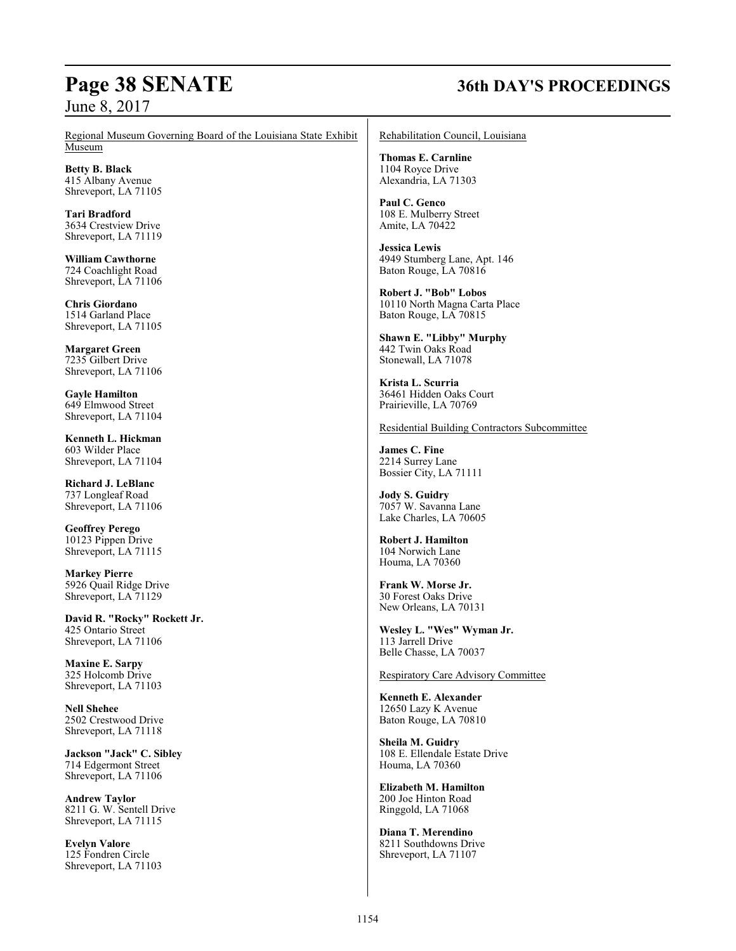## **Page 38 SENATE 36th DAY'S PROCEEDINGS**

Regional Museum Governing Board of the Louisiana State Exhibit Museum

**Betty B. Black** 415 Albany Avenue Shreveport, LA 71105

**Tari Bradford** 3634 Crestview Drive Shreveport, LA 71119

**William Cawthorne** 724 Coachlight Road Shreveport, LA 71106

**Chris Giordano** 1514 Garland Place Shreveport, LA 71105

**Margaret Green** 7235 Gilbert Drive Shreveport, LA 71106

**Gayle Hamilton** 649 Elmwood Street Shreveport, LA 71104

**Kenneth L. Hickman** 603 Wilder Place Shreveport, LA 71104

**Richard J. LeBlanc** 737 Longleaf Road Shreveport, LA 71106

**Geoffrey Perego** 10123 Pippen Drive Shreveport, LA 71115

**Markey Pierre** 5926 Quail Ridge Drive Shreveport, LA 71129

**David R. "Rocky" Rockett Jr.** 425 Ontario Street Shreveport, LA 71106

**Maxine E. Sarpy** 325 Holcomb Drive Shreveport, LA 71103

**Nell Shehee** 2502 Crestwood Drive Shreveport, LA 71118

**Jackson "Jack" C. Sibley** 714 Edgermont Street Shreveport, LA 71106

**Andrew Taylor** 8211 G. W. Sentell Drive Shreveport, LA 71115

**Evelyn Valore** 125 Fondren Circle Shreveport, LA 71103 Rehabilitation Council, Louisiana

**Thomas E. Carnline** 1104 Royce Drive Alexandria, LA 71303

**Paul C. Genco** 108 E. Mulberry Street Amite, LA 70422

**Jessica Lewis** 4949 Stumberg Lane, Apt. 146 Baton Rouge, LA 70816

**Robert J. "Bob" Lobos** 10110 North Magna Carta Place Baton Rouge, LA 70815

**Shawn E. "Libby" Murphy** 442 Twin Oaks Road Stonewall, LA 71078

**Krista L. Scurria** 36461 Hidden Oaks Court Prairieville, LA 70769

Residential Building Contractors Subcommittee

**James C. Fine** 2214 Surrey Lane Bossier City, LA 71111

**Jody S. Guidry** 7057 W. Savanna Lane Lake Charles, LA 70605

**Robert J. Hamilton** 104 Norwich Lane Houma, LA 70360

**Frank W. Morse Jr.** 30 Forest Oaks Drive New Orleans, LA 70131

**Wesley L. "Wes" Wyman Jr.** 113 Jarrell Drive Belle Chasse, LA 70037

Respiratory Care Advisory Committee

**Kenneth E. Alexander** 12650 Lazy K Avenue Baton Rouge, LA 70810

**Sheila M. Guidry** 108 E. Ellendale Estate Drive Houma, LA 70360

**Elizabeth M. Hamilton** 200 Joe Hinton Road Ringgold, LA 71068

**Diana T. Merendino** 8211 Southdowns Drive Shreveport, LA 71107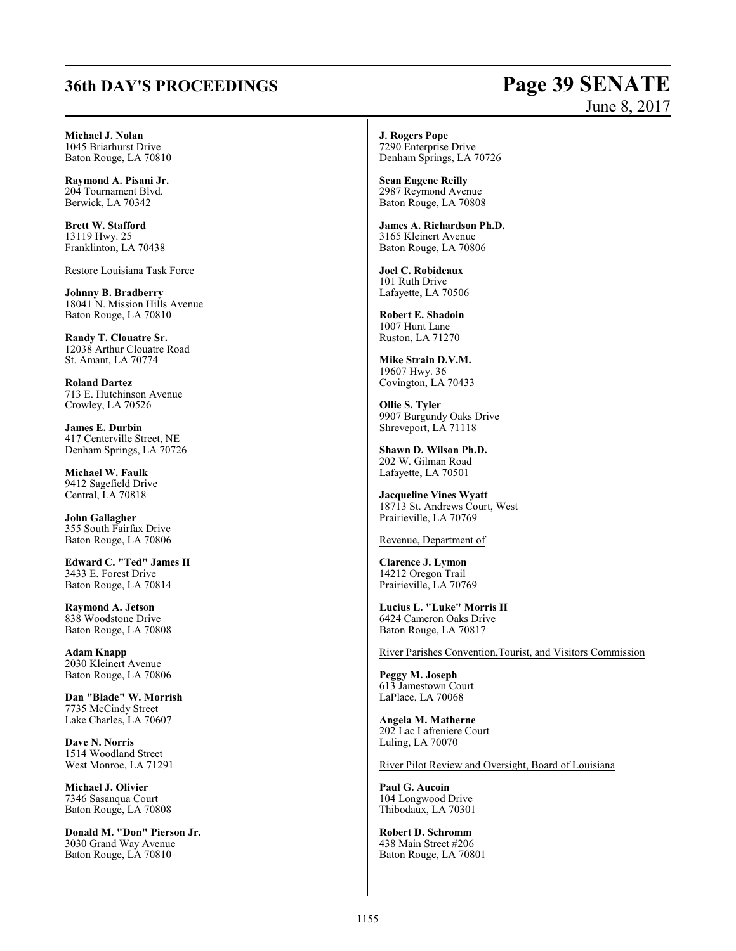## **36th DAY'S PROCEEDINGS Page 39 SENATE**

# June 8, 2017

**Michael J. Nolan** 1045 Briarhurst Drive Baton Rouge, LA 70810

**Raymond A. Pisani Jr.** 204 Tournament Blvd. Berwick, LA 70342

**Brett W. Stafford** 13119 Hwy. 25 Franklinton, LA 70438

Restore Louisiana Task Force

**Johnny B. Bradberry** 18041 N. Mission Hills Avenue Baton Rouge, LA 70810

**Randy T. Clouatre Sr.** 12038 Arthur Clouatre Road St. Amant, LA 70774

**Roland Dartez** 713 E. Hutchinson Avenue Crowley, LA 70526

**James E. Durbin** 417 Centerville Street, NE Denham Springs, LA 70726

**Michael W. Faulk** 9412 Sagefield Drive Central, LA 70818

**John Gallagher** 355 South Fairfax Drive Baton Rouge, LA 70806

**Edward C. "Ted" James II** 3433 E. Forest Drive Baton Rouge, LA 70814

**Raymond A. Jetson** 838 Woodstone Drive Baton Rouge, LA 70808

**Adam Knapp** 2030 Kleinert Avenue Baton Rouge, LA 70806

**Dan "Blade" W. Morrish** 7735 McCindy Street Lake Charles, LA 70607

**Dave N. Norris** 1514 Woodland Street West Monroe, LA 71291

**Michael J. Olivier** 7346 Sasanqua Court Baton Rouge, LA 70808

**Donald M. "Don" Pierson Jr.** 3030 Grand Way Avenue Baton Rouge, LA 70810

**J. Rogers Pope** 7290 Enterprise Drive Denham Springs, LA 70726

**Sean Eugene Reilly** 2987 Reymond Avenue Baton Rouge, LA 70808

**James A. Richardson Ph.D.** 3165 Kleinert Avenue Baton Rouge, LA 70806

**Joel C. Robideaux** 101 Ruth Drive Lafayette, LA 70506

**Robert E. Shadoin** 1007 Hunt Lane Ruston, LA 71270

**Mike Strain D.V.M.** 19607 Hwy. 36 Covington, LA 70433

**Ollie S. Tyler** 9907 Burgundy Oaks Drive Shreveport, LA 71118

**Shawn D. Wilson Ph.D.** 202 W. Gilman Road Lafayette, LA 70501

**Jacqueline Vines Wyatt** 18713 St. Andrews Court, West Prairieville, LA 70769

Revenue, Department of

**Clarence J. Lymon** 14212 Oregon Trail Prairieville, LA 70769

**Lucius L. "Luke" Morris II** 6424 Cameron Oaks Drive Baton Rouge, LA 70817

River Parishes Convention,Tourist, and Visitors Commission

**Peggy M. Joseph** 613 Jamestown Court LaPlace, LA 70068

**Angela M. Matherne** 202 Lac Lafreniere Court Luling, LA 70070

River Pilot Review and Oversight, Board of Louisiana

**Paul G. Aucoin** 104 Longwood Drive Thibodaux, LA 70301

**Robert D. Schromm** 438 Main Street #206 Baton Rouge, LA 70801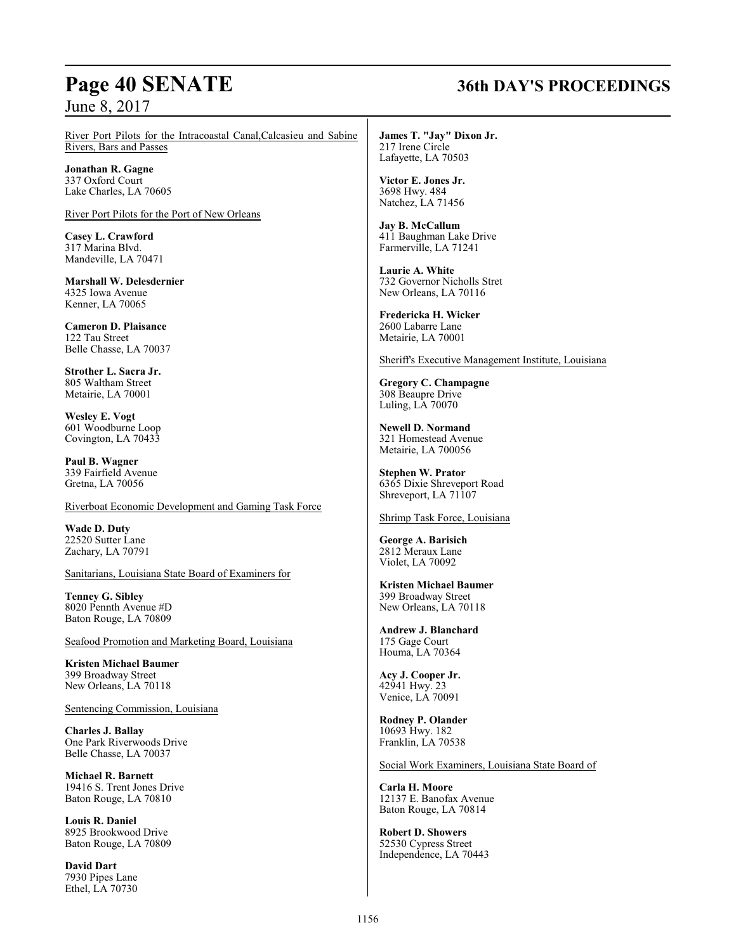## **Page 40 SENATE 36th DAY'S PROCEEDINGS**

River Port Pilots for the Intracoastal Canal,Calcasieu and Sabine Rivers, Bars and Passes

**Jonathan R. Gagne** 337 Oxford Court Lake Charles, LA 70605

River Port Pilots for the Port of New Orleans

**Casey L. Crawford** 317 Marina Blvd. Mandeville, LA 70471

**Marshall W. Delesdernier** 4325 Iowa Avenue Kenner, LA 70065

**Cameron D. Plaisance** 122 Tau Street Belle Chasse, LA 70037

**Strother L. Sacra Jr.** 805 Waltham Street Metairie, LA 70001

**Wesley E. Vogt** 601 Woodburne Loop Covington, LA 70433

**Paul B. Wagner** 339 Fairfield Avenue Gretna, LA 70056

Riverboat Economic Development and Gaming Task Force

**Wade D. Duty** 22520 Sutter Lane Zachary, LA 70791

Sanitarians, Louisiana State Board of Examiners for

**Tenney G. Sibley** 8020 Pennth Avenue #D Baton Rouge, LA 70809

Seafood Promotion and Marketing Board, Louisiana

**Kristen Michael Baumer** 399 Broadway Street New Orleans, LA 70118

Sentencing Commission, Louisiana

**Charles J. Ballay** One Park Riverwoods Drive Belle Chasse, LA 70037

**Michael R. Barnett** 19416 S. Trent Jones Drive Baton Rouge, LA 70810

**Louis R. Daniel** 8925 Brookwood Drive Baton Rouge, LA 70809

**David Dart** 7930 Pipes Lane Ethel, LA 70730

**James T. "Jay" Dixon Jr.** 217 Irene Circle Lafayette, LA 70503

**Victor E. Jones Jr.** 3698 Hwy. 484 Natchez, LA 71456

**Jay B. McCallum** 411 Baughman Lake Drive Farmerville, LA 71241

**Laurie A. White** 732 Governor Nicholls Stret New Orleans, LA 70116

**Fredericka H. Wicker** 2600 Labarre Lane Metairie, LA 70001

Sheriff's Executive Management Institute, Louisiana

**Gregory C. Champagne** 308 Beaupre Drive Luling, LA 70070

**Newell D. Normand** 321 Homestead Avenue Metairie, LA 700056

**Stephen W. Prator** 6365 Dixie Shreveport Road Shreveport, LA 71107

Shrimp Task Force, Louisiana

**George A. Barisich** 2812 Meraux Lane Violet, LA 70092

**Kristen Michael Baumer** 399 Broadway Street New Orleans, LA 70118

**Andrew J. Blanchard** 175 Gage Court Houma, LA 70364

**Acy J. Cooper Jr.** 42941 Hwy. 23 Venice, LA 70091

**Rodney P. Olander** 10693 Hwy. 182 Franklin, LA 70538

Social Work Examiners, Louisiana State Board of

**Carla H. Moore** 12137 E. Banofax Avenue Baton Rouge, LA 70814

**Robert D. Showers** 52530 Cypress Street Independence, LA 70443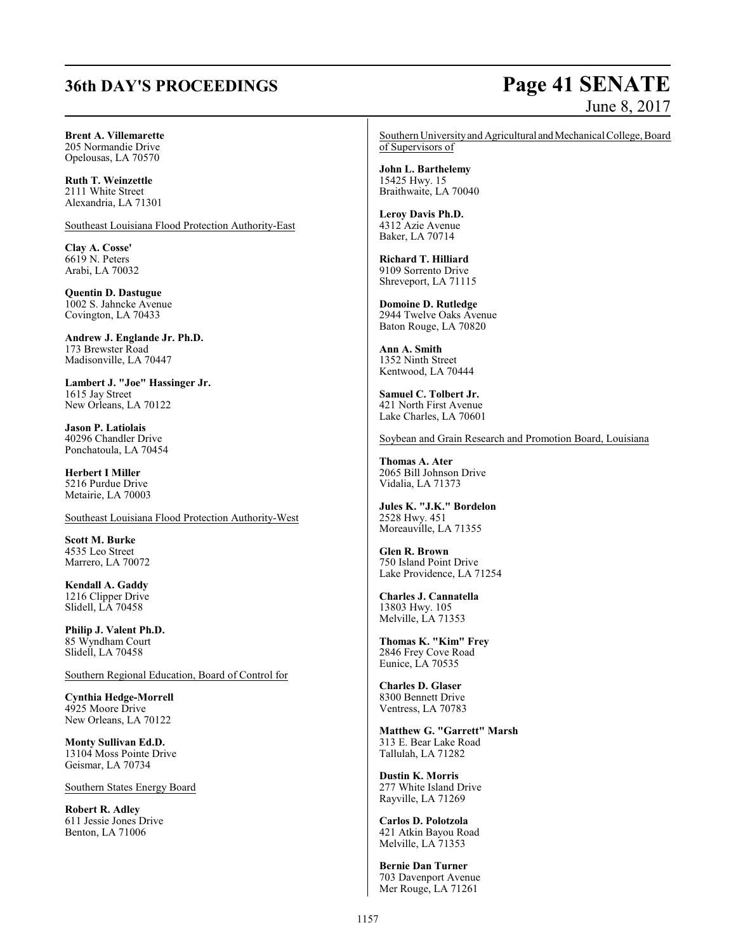# **36th DAY'S PROCEEDINGS Page 41 SENATE**

# June 8, 2017

#### **Brent A. Villemarette** 205 Normandie Drive

Opelousas, LA 70570

**Ruth T. Weinzettle** 2111 White Street Alexandria, LA 71301

Southeast Louisiana Flood Protection Authority-East

**Clay A. Cosse'** 6619 N. Peters Arabi, LA 70032

**Quentin D. Dastugue** 1002 S. Jahncke Avenue Covington, LA 70433

**Andrew J. Englande Jr. Ph.D.** 173 Brewster Road Madisonville, LA 70447

**Lambert J. "Joe" Hassinger Jr.** 1615 Jay Street New Orleans, LA 70122

**Jason P. Latiolais** 40296 Chandler Drive Ponchatoula, LA 70454

**Herbert I Miller** 5216 Purdue Drive Metairie, LA 70003

Southeast Louisiana Flood Protection Authority-West

**Scott M. Burke** 4535 Leo Street Marrero, LA 70072

**Kendall A. Gaddy** 1216 Clipper Drive Slidell, LA 70458

**Philip J. Valent Ph.D.** 85 Wyndham Court Slidell, LA 70458

Southern Regional Education, Board of Control for

**Cynthia Hedge-Morrell** 4925 Moore Drive New Orleans, LA 70122

**Monty Sullivan Ed.D.** 13104 Moss Pointe Drive Geismar, LA 70734

Southern States Energy Board

**Robert R. Adley** 611 Jessie Jones Drive Benton, LA 71006

Southern University and Agricultural and Mechanical College, Board of Supervisors of

**John L. Barthelemy** 15425 Hwy. 15 Braithwaite, LA 70040

**Leroy Davis Ph.D.** 4312 Azie Avenue Baker, LA 70714

**Richard T. Hilliard** 9109 Sorrento Drive Shreveport, LA 71115

**Domoine D. Rutledge** 2944 Twelve Oaks Avenue Baton Rouge, LA 70820

**Ann A. Smith** 1352 Ninth Street Kentwood, LA 70444

**Samuel C. Tolbert Jr.** 421 North First Avenue Lake Charles, LA 70601

Soybean and Grain Research and Promotion Board, Louisiana

**Thomas A. Ater** 2065 Bill Johnson Drive Vidalia, LA 71373

**Jules K. "J.K." Bordelon** 2528 Hwy. 451 Moreauville, LA 71355

**Glen R. Brown** 750 Island Point Drive Lake Providence, LA 71254

**Charles J. Cannatella** 13803 Hwy. 105 Melville, LA 71353

**Thomas K. "Kim" Frey** 2846 Frey Cove Road Eunice, LA 70535

**Charles D. Glaser** 8300 Bennett Drive Ventress, LA 70783

**Matthew G. "Garrett" Marsh** 313 E. Bear Lake Road Tallulah, LA 71282

**Dustin K. Morris** 277 White Island Drive Rayville, LA 71269

**Carlos D. Polotzola** 421 Atkin Bayou Road Melville, LA 71353

**Bernie Dan Turner** 703 Davenport Avenue Mer Rouge, LA 71261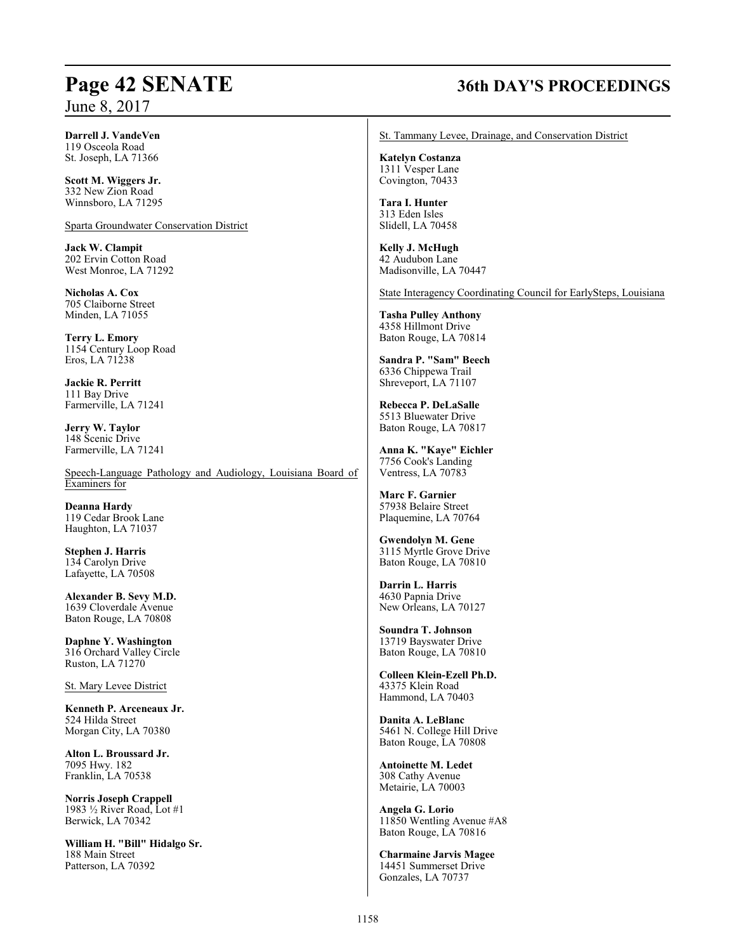## **Page 42 SENATE 36th DAY'S PROCEEDINGS**

**Darrell J. VandeVen** 119 Osceola Road St. Joseph, LA 71366

**Scott M. Wiggers Jr.** 332 New Zion Road Winnsboro, LA 71295

Sparta Groundwater Conservation District

**Jack W. Clampit** 202 Ervin Cotton Road West Monroe, LA 71292

**Nicholas A. Cox** 705 Claiborne Street Minden, LA 71055

**Terry L. Emory** 1154 Century Loop Road Eros, LA 71238

**Jackie R. Perritt** 111 Bay Drive Farmerville, LA 71241

**Jerry W. Taylor** 148 Scenic Drive Farmerville, LA 71241

Speech-Language Pathology and Audiology, Louisiana Board of Examiners for

**Deanna Hardy** 119 Cedar Brook Lane Haughton, LA 71037

**Stephen J. Harris** 134 Carolyn Drive Lafayette, LA 70508

**Alexander B. Sevy M.D.** 1639 Cloverdale Avenue Baton Rouge, LA 70808

**Daphne Y. Washington** 316 Orchard Valley Circle Ruston, LA 71270

St. Mary Levee District

**Kenneth P. Arceneaux Jr.** 524 Hilda Street Morgan City, LA 70380

**Alton L. Broussard Jr.** 7095 Hwy. 182 Franklin, LA 70538

**Norris Joseph Crappell** 1983 ½ River Road, Lot #1 Berwick, LA 70342

**William H. "Bill" Hidalgo Sr.** 188 Main Street Patterson, LA 70392

St. Tammany Levee, Drainage, and Conservation District

**Katelyn Costanza** 1311 Vesper Lane Covington, 70433

**Tara I. Hunter** 313 Eden Isles Slidell, LA 70458

**Kelly J. McHugh** 42 Audubon Lane Madisonville, LA 70447

State Interagency Coordinating Council for EarlySteps, Louisiana

**Tasha Pulley Anthony** 4358 Hillmont Drive Baton Rouge, LA 70814

**Sandra P. "Sam" Beech** 6336 Chippewa Trail Shreveport, LA 71107

**Rebecca P. DeLaSalle** 5513 Bluewater Drive Baton Rouge, LA 70817

**Anna K. "Kaye" Eichler** 7756 Cook's Landing Ventress, LA 70783

**Marc F. Garnier** 57938 Belaire Street Plaquemine, LA 70764

**Gwendolyn M. Gene** 3115 Myrtle Grove Drive Baton Rouge, LA 70810

**Darrin L. Harris** 4630 Papnia Drive New Orleans, LA 70127

**Soundra T. Johnson** 13719 Bayswater Drive Baton Rouge, LA 70810

**Colleen Klein-Ezell Ph.D.** 43375 Klein Road Hammond, LA 70403

**Danita A. LeBlanc** 5461 N. College Hill Drive Baton Rouge, LA 70808

**Antoinette M. Ledet** 308 Cathy Avenue Metairie, LA 70003

**Angela G. Lorio** 11850 Wentling Avenue #A8 Baton Rouge, LA 70816

**Charmaine Jarvis Magee** 14451 Summerset Drive Gonzales, LA 70737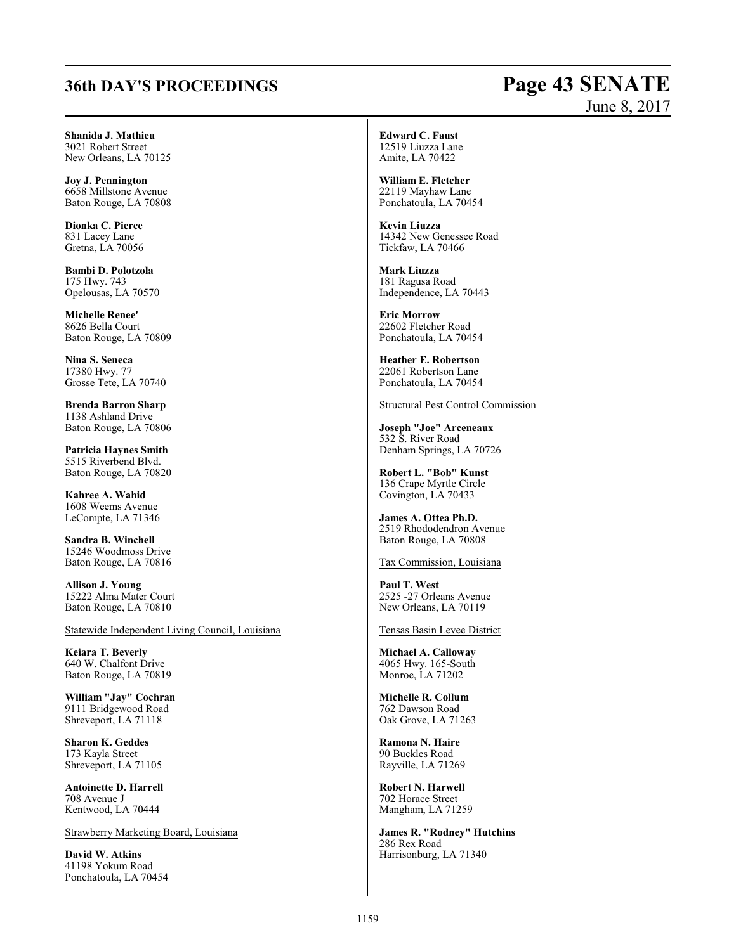# **36th DAY'S PROCEEDINGS Page 43 SENATE**

# June 8, 2017

**Shanida J. Mathieu** 3021 Robert Street New Orleans, LA 70125

**Joy J. Pennington** 6658 Millstone Avenue Baton Rouge, LA 70808

**Dionka C. Pierce** 831 Lacey Lane Gretna, LA 70056

**Bambi D. Polotzola** 175 Hwy. 743 Opelousas, LA 70570

**Michelle Renee'** 8626 Bella Court Baton Rouge, LA 70809

**Nina S. Seneca** 17380 Hwy. 77 Grosse Tete, LA 70740

**Brenda Barron Sharp** 1138 Ashland Drive Baton Rouge, LA 70806

**Patricia Haynes Smith** 5515 Riverbend Blvd. Baton Rouge, LA 70820

**Kahree A. Wahid** 1608 Weems Avenue LeCompte, LA 71346

**Sandra B. Winchell** 15246 Woodmoss Drive Baton Rouge, LA 70816

**Allison J. Young** 15222 Alma Mater Court Baton Rouge, LA 70810

Statewide Independent Living Council, Louisiana

**Keiara T. Beverly** 640 W. Chalfont Drive Baton Rouge, LA 70819

**William "Jay" Cochran** 9111 Bridgewood Road Shreveport, LA 71118

**Sharon K. Geddes** 173 Kayla Street Shreveport, LA 71105

**Antoinette D. Harrell** 708 Avenue J Kentwood, LA 70444

Strawberry Marketing Board, Louisiana

**David W. Atkins** 41198 Yokum Road Ponchatoula, LA 70454 **Edward C. Faust** 12519 Liuzza Lane Amite, LA 70422

**William E. Fletcher** 22119 Mayhaw Lane Ponchatoula, LA 70454

**Kevin Liuzza** 14342 New Genessee Road Tickfaw, LA 70466

**Mark Liuzza** 181 Ragusa Road Independence, LA 70443

**Eric Morrow** 22602 Fletcher Road Ponchatoula, LA 70454

**Heather E. Robertson** 22061 Robertson Lane Ponchatoula, LA 70454

Structural Pest Control Commission

**Joseph "Joe" Arceneaux** 532 S. River Road Denham Springs, LA 70726

**Robert L. "Bob" Kunst** 136 Crape Myrtle Circle Covington, LA 70433

**James A. Ottea Ph.D.** 2519 Rhododendron Avenue Baton Rouge, LA 70808

Tax Commission, Louisiana

**Paul T. West** 2525 -27 Orleans Avenue New Orleans, LA 70119

Tensas Basin Levee District

**Michael A. Calloway** 4065 Hwy. 165-South Monroe, LA 71202

**Michelle R. Collum** 762 Dawson Road Oak Grove, LA 71263

**Ramona N. Haire** 90 Buckles Road Rayville, LA 71269

**Robert N. Harwell** 702 Horace Street Mangham, LA 71259

**James R. "Rodney" Hutchins** 286 Rex Road Harrisonburg, LA 71340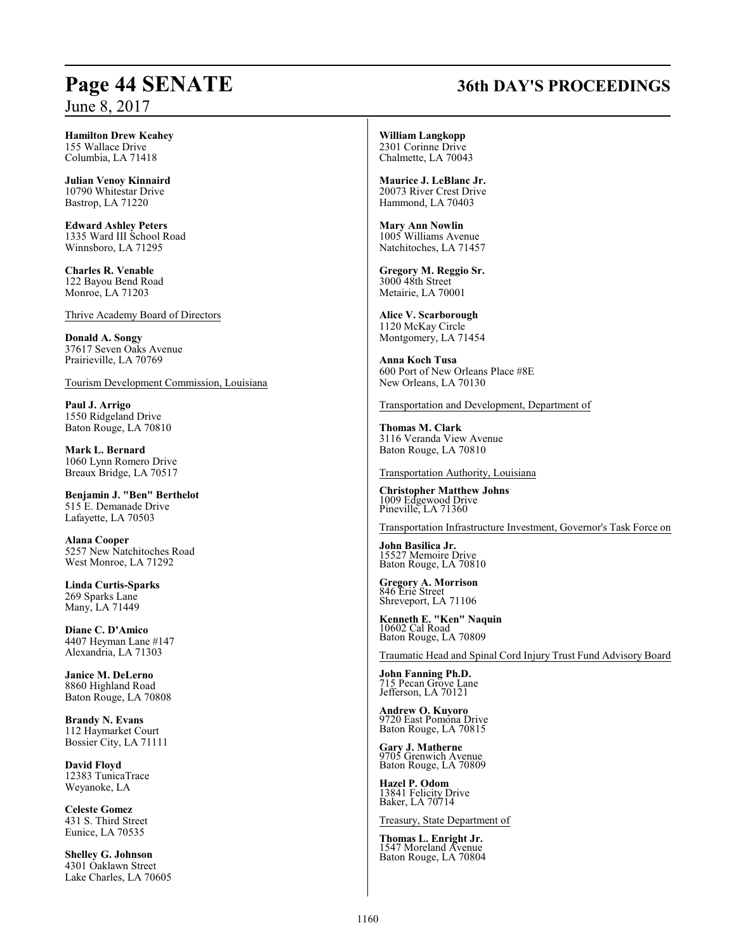## **Page 44 SENATE 36th DAY'S PROCEEDINGS**

**Hamilton Drew Keahey** 155 Wallace Drive Columbia, LA 71418

**Julian Venoy Kinnaird** 10790 Whitestar Drive Bastrop, LA 71220

**Edward Ashley Peters** 1335 Ward III School Road Winnsboro, LA 71295

**Charles R. Venable** 122 Bayou Bend Road Monroe, LA 71203

Thrive Academy Board of Directors

**Donald A. Songy** 37617 Seven Oaks Avenue Prairieville, LA 70769

Tourism Development Commission, Louisiana

**Paul J. Arrigo** 1550 Ridgeland Drive Baton Rouge, LA 70810

**Mark L. Bernard** 1060 Lynn Romero Drive Breaux Bridge, LA 70517

**Benjamin J. "Ben" Berthelot** 515 E. Demanade Drive Lafayette, LA 70503

**Alana Cooper** 5257 New Natchitoches Road West Monroe, LA 71292

**Linda Curtis-Sparks** 269 Sparks Lane Many, LA 71449

**Diane C. D'Amico** 4407 Heyman Lane #147 Alexandria, LA 71303

**Janice M. DeLerno** 8860 Highland Road Baton Rouge, LA 70808

**Brandy N. Evans** 112 Haymarket Court Bossier City, LA 71111

**David Floyd** 12383 TunicaTrace Weyanoke, LA

**Celeste Gomez** 431 S. Third Street Eunice, LA 70535

**Shelley G. Johnson** 4301 Oaklawn Street Lake Charles, LA 70605

**William Langkopp** 2301 Corinne Drive Chalmette, LA 70043

**Maurice J. LeBlanc Jr.** 20073 River Crest Drive Hammond, LA 70403

**Mary Ann Nowlin** 1005 Williams Avenue Natchitoches, LA 71457

**Gregory M. Reggio Sr.** 3000 48th Street Metairie, LA 70001

**Alice V. Scarborough** 1120 McKay Circle Montgomery, LA 71454

**Anna Koch Tusa** 600 Port of New Orleans Place #8E New Orleans, LA 70130

Transportation and Development, Department of

**Thomas M. Clark** 3116 Veranda View Avenue Baton Rouge, LA 70810

Transportation Authority, Louisiana

**Christopher Matthew Johns** 1009 Edgewood Drive Pineville, LA 71360

Transportation Infrastructure Investment, Governor's Task Force on

**John Basilica Jr.** 111 Businea e TV<br>527 Memoire Drive Baton Rouge, LA 70810

**Gregory A. Morrison** 846 Erie Street Shreveport, LA 71106

**Kenneth E. "Ken" Naquin** 10602 Cal Road Baton Rouge, LA 70809

Traumatic Head and Spinal Cord Injury Trust Fund Advisory Board

**John Fanning Ph.D.** 715 Pecan Grove Lane Jefferson, LA 70121

**Andrew O. Kuyoro** 9720 East Pomona Drive Baton Rouge, LA 70815

**Gary J. Matherne** 9705 Grenwich Avenue Baton Rouge, LA 70809

**Hazel P. Odom** 13841 Felicity Drive Baker, LA 70714

Treasury, State Department of

**Thomas L. Enright Jr.** 1547 Moreland Avenue Baton Rouge, LA 70804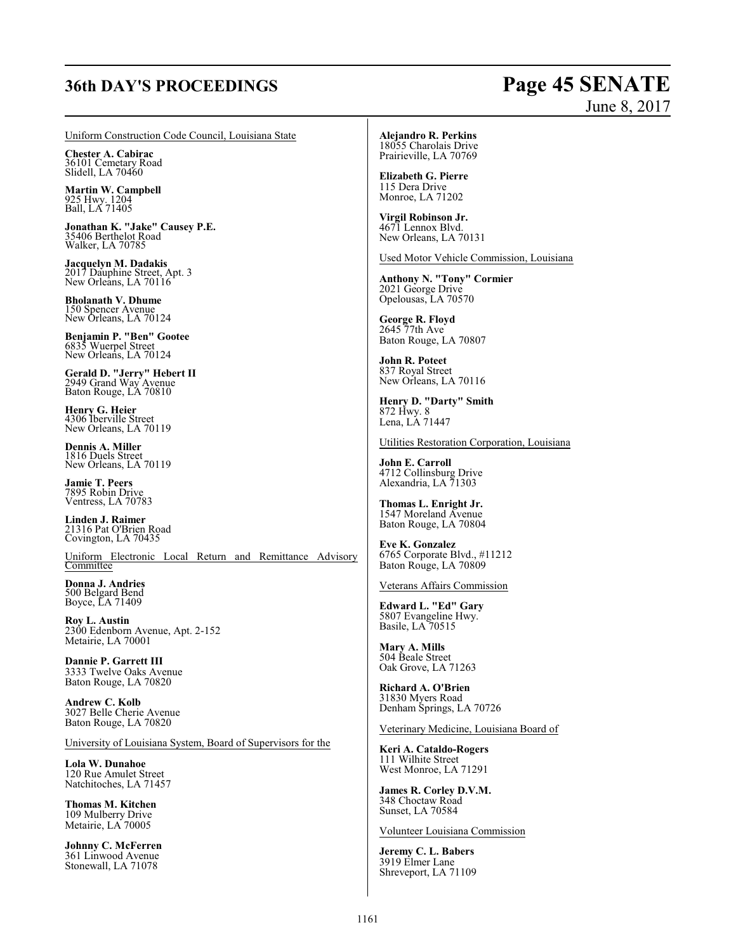## **36th DAY'S PROCEEDINGS Page 45 SENATE**

# June 8, 2017

Uniform Construction Code Council, Louisiana State

**Chester A. Cabirac** 36101 Cemetary Road Slidell, LA 70460

**Martin W. Campbell** 925 Hwy. 1204 Ball, LA 71405

**Jonathan K. "Jake" Causey P.E.**<br>35406 Berthelot Road<br>Walker, LA 70785

**Jacquelyn M. Dadakis** 2017 Dauphine Street, Apt. 3 New Orleans, LA 70116

**Bholanath V. Dhume** 150 Spencer Avenue New Orleans, LA 70124

**Benjamin P. "Ben" Gootee** 6835 Wuerpel Street New Orleans, LA 70124

**Gerald D. "Jerry" Hebert II** 2949 Grand Way Avenue Baton Rouge, LA 70810

**Henry G. Heier** 4306 Iberville Street New Orleans, LA 70119

**Dennis A. Miller** 1816 Duels Street New Orleans, LA 70119

**Jamie T. Peers** 7895 Robin Drive Ventress, LA 70783

**Linden J. Raimer** 21316 Pat O'Brien Road Covington, LA 70435

Uniform Electronic Local Return and Remittance Advisory **Committee** 

**Donna J. Andries** 500 Belgard Bend Boyce, LA 71409

**Roy L. Austin** 2300 Edenborn Avenue, Apt. 2-152 Metairie, LA 70001

**Dannie P. Garrett III** 3333 Twelve Oaks Avenue Baton Rouge, LA 70820

**Andrew C. Kolb** 3027 Belle Cherie Avenue Baton Rouge, LA 70820

University of Louisiana System, Board of Supervisors for the

**Lola W. Dunahoe** 120 Rue Amulet Street Natchitoches, LA 71457

**Thomas M. Kitchen** 109 Mulberry Drive Metairie, LA 70005

**Johnny C. McFerren** 361 Linwood Avenue Stonewall, LA 71078

### **Alejandro R. Perkins**

18055 Charolais Drive Prairieville, LA 70769

**Elizabeth G. Pierre** 115 Dera Drive Monroe, LA 71202

**Virgil Robinson Jr.** 4671 Lennox Blvd. New Orleans, LA 70131

Used Motor Vehicle Commission, Louisiana

**Anthony N. "Tony" Cormier** 2021 George Drive Opelousas, LA 70570

**George R. Floyd** 2645 77th Ave Baton Rouge, LA 70807

**John R. Poteet** 837 Royal Street New Orleans, LA 70116

**Henry D. "Darty" Smith** 872 Hwy. 8 Lena, LA 71447

Utilities Restoration Corporation, Louisiana

**John E. Carroll** 4712 Collinsburg Drive Alexandria, LA 71303

**Thomas L. Enright Jr.** 1547 Moreland Avenue Baton Rouge, LA 70804

**Eve K. Gonzalez** 6765 Corporate Blvd., #11212 Baton Rouge, LA 70809

Veterans Affairs Commission

**Edward L. "Ed" Gary** 5807 Evangeline Hwy. Basile, LA 70515

**Mary A. Mills** 504 Beale Street Oak Grove, LA 71263

**Richard A. O'Brien** 31830 Myers Road Denham Springs, LA 70726

Veterinary Medicine, Louisiana Board of

**Keri A. Cataldo-Rogers** 111 Wilhite Street West Monroe, LA 71291

**James R. Corley D.V.M.** 348 Choctaw Road Sunset, LA 70584

Volunteer Louisiana Commission

**Jeremy C. L. Babers** 3919 Elmer Lane Shreveport, LA 71109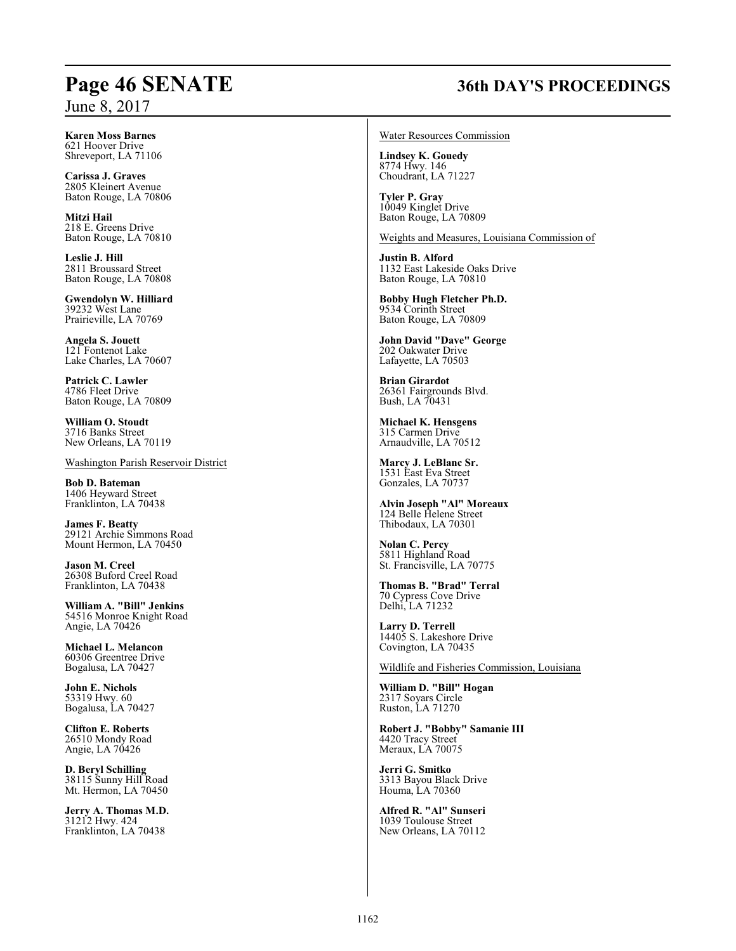## **Page 46 SENATE 36th DAY'S PROCEEDINGS**

**Karen Moss Barnes** 621 Hoover Drive Shreveport, LA 71106

**Carissa J. Graves** 2805 Kleinert Avenue Baton Rouge, LA 70806

**Mitzi Hail** 218 E. Greens Drive Baton Rouge, LA 70810

**Leslie J. Hill** 2811 Broussard Street Baton Rouge, LA 70808

**Gwendolyn W. Hilliard** 39232 West Lane Prairieville, LA 70769

**Angela S. Jouett** 121 Fontenot Lake Lake Charles, LA 70607

**Patrick C. Lawler** 4786 Fleet Drive Baton Rouge, LA 70809

**William O. Stoudt** 3716 Banks Street New Orleans, LA 70119

Washington Parish Reservoir District

**Bob D. Bateman** 1406 Heyward Street Franklinton, LA 70438

**James F. Beatty** 29121 Archie Simmons Road Mount Hermon, LA 70450

**Jason M. Creel** 26308 Buford Creel Road Franklinton, LA 70438

**William A. "Bill" Jenkins** 54516 Monroe Knight Road Angie, LA 70426

**Michael L. Melancon** 60306 Greentree Drive Bogalusa, LA 70427

**John E. Nichols** 53319 Hwy. 60 Bogalusa, LA 70427

**Clifton E. Roberts** 26510 Mondy Road Angie, LA 70426

**D. Beryl Schilling** 38115 Sunny Hill Road Mt. Hermon, LA 70450

**Jerry A. Thomas M.D.** 31212 Hwy. 424 Franklinton, LA 70438

Water Resources Commission

**Lindsey K. Gouedy** 8774 Hwy. 146 Choudrant, LA 71227

**Tyler P. Gray** 10049 Kinglet Drive Baton Rouge, LA 70809

Weights and Measures, Louisiana Commission of

**Justin B. Alford** 1132 East Lakeside Oaks Drive Baton Rouge, LA 70810

**Bobby Hugh Fletcher Ph.D.** 9534 Corinth Street Baton Rouge, LA 70809

**John David "Dave" George** 202 Oakwater Drive Lafayette, LA 70503

**Brian Girardot** 26361 Fairgrounds Blvd. Bush, LA 70431

**Michael K. Hensgens** 315 Carmen Drive Arnaudville, LA 70512

**Marcy J. LeBlanc Sr.** 1531 East Eva Street Gonzales, LA 70737

**Alvin Joseph "Al" Moreaux** 124 Belle Helene Street Thibodaux, LA 70301

**Nolan C. Percy** 5811 Highland Road St. Francisville, LA 70775

**Thomas B. "Brad" Terral** 70 Cypress Cove Drive Delhi, LA 71232

**Larry D. Terrell** 14405 S. Lakeshore Drive Covington, LA 70435

Wildlife and Fisheries Commission, Louisiana

**William D. "Bill" Hogan** 2317 Soyars Circle Ruston, LA 71270

**Robert J. "Bobby" Samanie III** 4420 Tracy Street Meraux, LA 70075

**Jerri G. Smitko** 3313 Bayou Black Drive Houma, LA 70360

**Alfred R. "Al" Sunseri** 1039 Toulouse Street New Orleans, LA 70112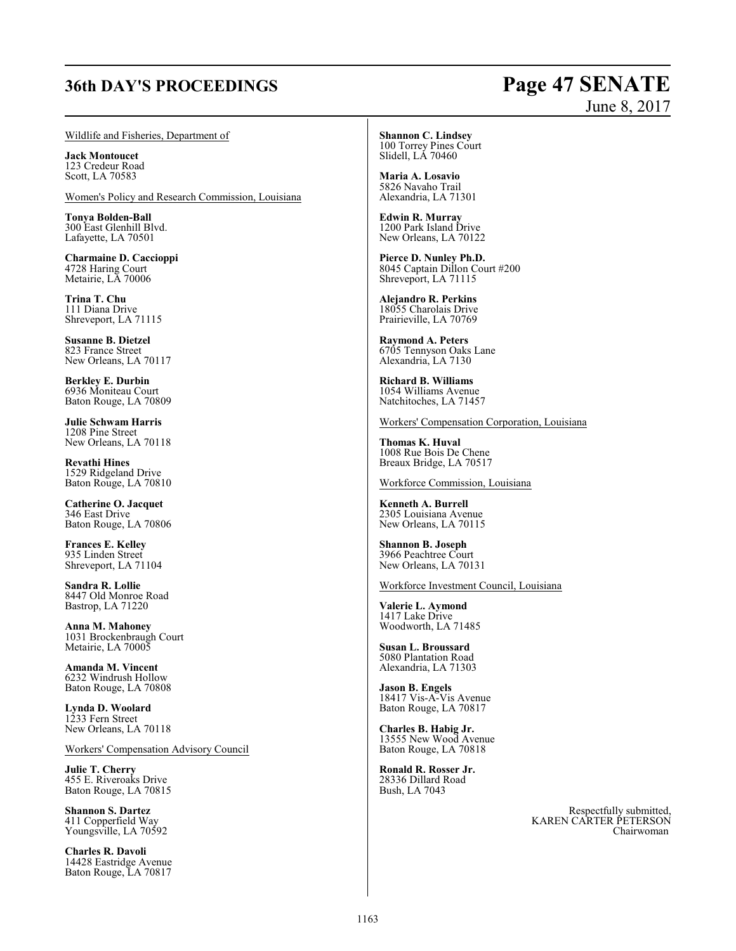# **36th DAY'S PROCEEDINGS Page 47 SENATE**

# June 8, 2017

#### Wildlife and Fisheries, Department of

**Jack Montoucet** 123 Credeur Road Scott, LA 70583

Women's Policy and Research Commission, Louisiana

**Tonya Bolden-Ball** 300 East Glenhill Blvd. Lafayette, LA 70501

**Charmaine D. Caccioppi** 4728 Haring Court Metairie, LA 70006

**Trina T. Chu** 111 Diana Drive Shreveport, LA 71115

**Susanne B. Dietzel** 823 France Street New Orleans, LA 70117

**Berkley E. Durbin** 6936 Moniteau Court Baton Rouge, LA 70809

**Julie Schwam Harris** 1208 Pine Street New Orleans, LA 70118

**Revathi Hines** 1529 Ridgeland Drive Baton Rouge, LA 70810

**Catherine O. Jacquet** 346 East Drive Baton Rouge, LA 70806

**Frances E. Kelley** 935 Linden Street Shreveport, LA 71104

**Sandra R. Lollie** 8447 Old Monroe Road Bastrop, LA 71220

**Anna M. Mahoney** 1031 Brockenbraugh Court Metairie, LA 70005

**Amanda M. Vincent** 6232 Windrush Hollow Baton Rouge, LA 70808

**Lynda D. Woolard** 1233 Fern Street New Orleans, LA 70118

Workers' Compensation Advisory Council

**Julie T. Cherry** 455 E. Riveroaks Drive Baton Rouge, LA 70815

**Shannon S. Dartez** 411 Copperfield Way Youngsville, LA 70592

**Charles R. Davoli** 14428 Eastridge Avenue Baton Rouge, LA 70817

**Shannon C. Lindsey** 100 Torrey Pines Court Slidell, LA 70460

**Maria A. Losavio** 5826 Navaho Trail Alexandria, LA 71301

**Edwin R. Murray** 1200 Park Island Drive New Orleans, LA 70122

**Pierce D. Nunley Ph.D.** 8045 Captain Dillon Court #200 Shreveport, LA 71115

**Alejandro R. Perkins** 18055 Charolais Drive Prairieville, LA 70769

**Raymond A. Peters** 6705 Tennyson Oaks Lane Alexandria, LA 7130

**Richard B. Williams** 1054 Williams Avenue Natchitoches, LA 71457

Workers' Compensation Corporation, Louisiana

**Thomas K. Huval** 1008 Rue Bois De Chene Breaux Bridge, LA 70517

Workforce Commission, Louisiana

**Kenneth A. Burrell** 2305 Louisiana Avenue New Orleans, LA 70115

**Shannon B. Joseph** 3966 Peachtree Court New Orleans, LA 70131

Workforce Investment Council, Louisiana

**Valerie L. Aymond** 1417 Lake Drive Woodworth, LA 71485

**Susan L. Broussard** 5080 Plantation Road Alexandria, LA 71303

**Jason B. Engels** 18417 Vis-A-Vis Avenue Baton Rouge, LA 70817

**Charles B. Habig Jr.** 13555 New Wood Avenue Baton Rouge, LA 70818

**Ronald R. Rosser Jr.** 28336 Dillard Road Bush, LA 7043

> Respectfully submitted, KAREN CARTER PETERSON Chairwoman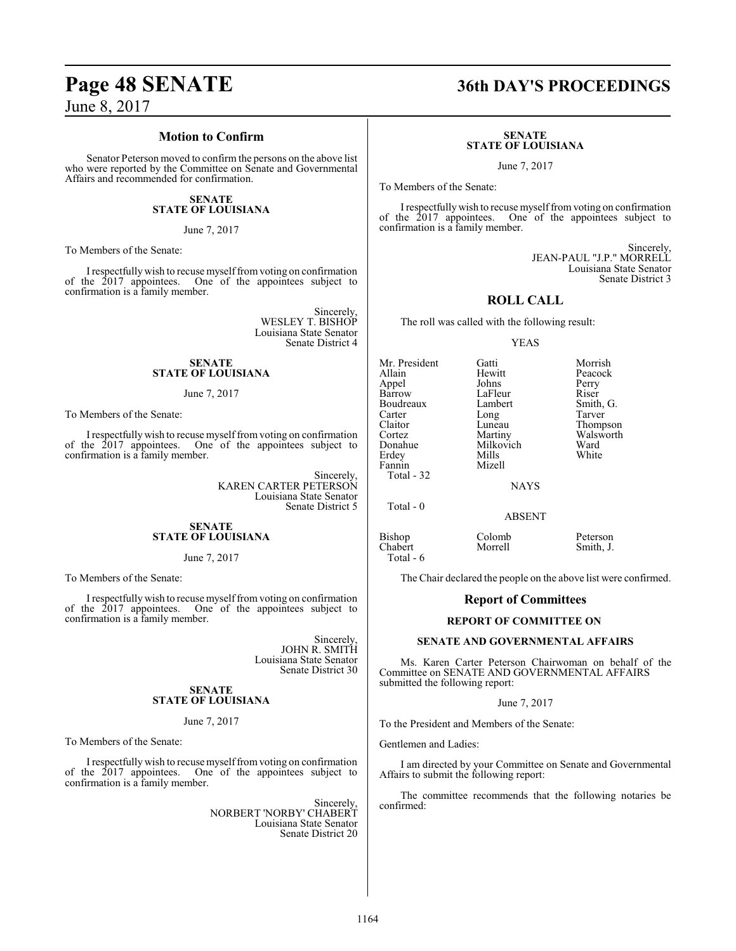# **Page 48 SENATE 36th DAY'S PROCEEDINGS**

June 8, 2017

#### **Motion to Confirm**

Senator Peterson moved to confirm the persons on the above list who were reported by the Committee on Senate and Governmental Affairs and recommended for confirmation.

#### **SENATE STATE OF LOUISIANA**

June 7, 2017

To Members of the Senate:

I respectfully wish to recuse myselffromvoting on confirmation of the 2017 appointees. One of the appointees subject to confirmation is a family member.

> Sincerely, WESLEY T. BISHOP Louisiana State Senator Senate District 4

#### **SENATE STATE OF LOUISIANA**

#### June 7, 2017

To Members of the Senate:

I respectfullywish to recuse myselffromvoting on confirmation of the 2017 appointees. One of the appointees subject to confirmation is a family member.

> Sincerely, KAREN CARTER PETERSON Louisiana State Senator Senate District 5

#### **SENATE STATE OF LOUISIANA**

#### June 7, 2017

To Members of the Senate:

I respectfully wish to recuse myselffromvoting on confirmation of the 2017 appointees. One of the appointees subject to confirmation is a family member.

> Sincerely, JOHN R. SMITH Louisiana State Senator Senate District 30

#### **SENATE STATE OF LOUISIANA**

#### June 7, 2017

To Members of the Senate:

I respectfully wish to recuse myselffromvoting on confirmation of the 2017 appointees. One of the appointees subject to confirmation is a family member.

> Sincerely, NORBERT 'NORBY' CHABERT Louisiana State Senator Senate District 20

#### **SENATE STATE OF LOUISIANA**

June 7, 2017

To Members of the Senate:

I respectfully wish to recuse myself from voting on confirmation of the 2017 appointees. One of the appointees subject to confirmation is a family member.

> Sincerely, JEAN-PAUL "J.P." MORRELL Louisiana State Senator Senate District 3

#### **ROLL CALL**

The roll was called with the following result:

#### YEAS

Mr. President Gatti Morrish<br>Allain Hewitt Peacock Allain Hewitt Peacock Appel Johns Perry Boudreaux Lamb<br>Carter Long Carter Long Tarver<br>Claitor Luneau Thomp Claitor Luneau Thompson<br>
Cortez Martiny Walsworth Cortez Martiny Walsworth Erdey Mills<br>Fannin Mizell Fannin Total - 32

Total - 0

Total - 6

LaFleur Riser<br>Lambert Smith, G. Milkovich Ward<br>
Mills White

**NAYS** 

ABSENT

Bishop Colomb Peterson<br>Chabert Morrell Smith, J.

Smith, J.

The Chair declared the people on the above list were confirmed.

#### **Report of Committees**

#### **REPORT OF COMMITTEE ON**

#### **SENATE AND GOVERNMENTAL AFFAIRS**

Ms. Karen Carter Peterson Chairwoman on behalf of the Committee on SENATE AND GOVERNMENTAL AFFAIRS submitted the following report:

#### June 7, 2017

To the President and Members of the Senate:

Gentlemen and Ladies:

I am directed by your Committee on Senate and Governmental Affairs to submit the following report:

The committee recommends that the following notaries be confirmed: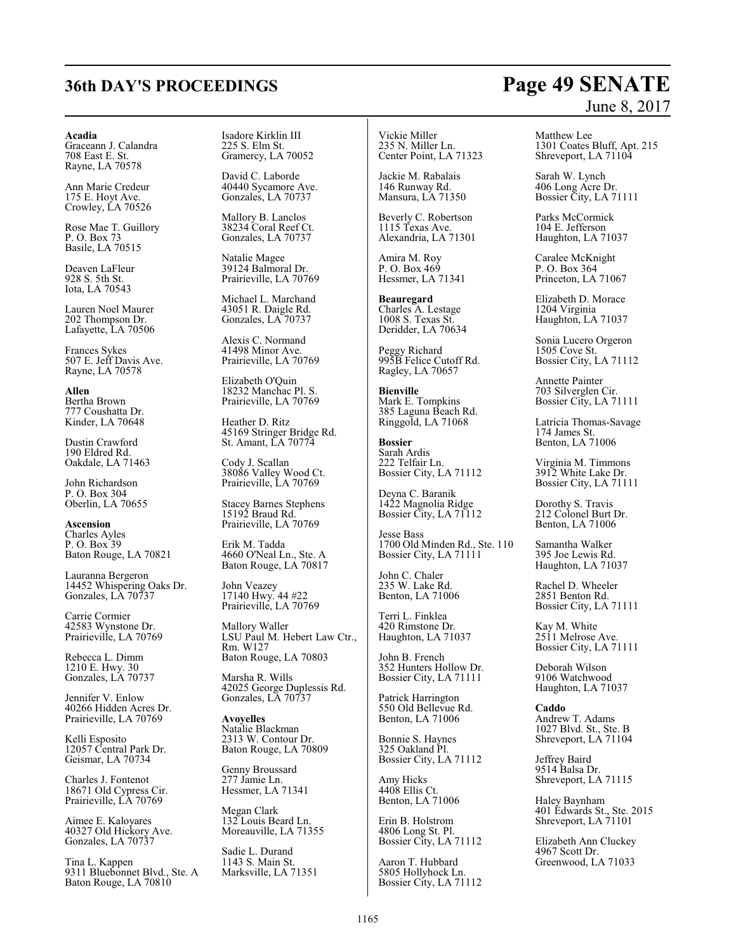# **36th DAY'S PROCEEDINGS Page 49 SENATE**

#### **Acadia**

Graceann J. Calandra 708 East E. St. Rayne, LA 70578

Ann Marie Credeur 175 E. Hoyt Ave. Crowley, LA 70526

Rose Mae T. Guillory P. O. Box 73 Basile, LA 70515

Deaven LaFleur 928 S. 5th St. Iota, LA 70543

Lauren Noel Maurer 202 Thompson Dr. Lafayette, LA 70506

Frances Sykes 507 E. Jeff Davis Ave. Rayne, LA 70578

**Allen** Bertha Brown 777 Coushatta Dr. Kinder, LA 70648

Dustin Crawford 190 Eldred Rd. Oakdale, LA 71463

John Richardson P. O. Box 304 Oberlin, LA 70655

**Ascension** Charles Ayles P. O. Box 39 Baton Rouge, LA 70821

Lauranna Bergeron 14452 Whispering Oaks Dr. Gonzales, LA 70737

Carrie Cormier 42583 Wynstone Dr. Prairieville, LA 70769

Rebecca L. Dimm 1210 E. Hwy. 30 Gonzales, LA 70737

Jennifer V. Enlow 40266 Hidden Acres Dr. Prairieville, LA 70769

Kelli Esposito 12057 Central Park Dr. Geismar, LA 70734

Charles J. Fontenot 18671 Old Cypress Cir. Prairieville, LA 70769

Aimee E. Kaloyares 40327 Old Hickory Ave. Gonzales, LA 70737

Tina L. Kappen 9311 Bluebonnet Blvd., Ste. A Baton Rouge, LA 70810

Isadore Kirklin III 225 S. Elm St. Gramercy, LA 70052

David C. Laborde 40440 Sycamore Ave. Gonzales, LA 70737

Mallory B. Lanclos 38234 Coral Reef Ct. Gonzales, LA 70737

Natalie Magee 39124 Balmoral Dr. Prairieville, LA 70769

Michael L. Marchand 43051 R. Daigle Rd. Gonzales, LA 70737

Alexis C. Normand 41498 Minor Ave. Prairieville, LA 70769

Elizabeth O'Quin 18232 Manchac Pl. S. Prairieville, LA 70769

Heather D. Ritz 45169 Stringer Bridge Rd. St. Amant, LA 70774

Cody J. Scallan 38086 Valley Wood Ct. Prairieville, LA 70769

Stacey Barnes Stephens 15192 Braud Rd. Prairieville, LA 70769

Erik M. Tadda 4660 O'Neal Ln., Ste. A Baton Rouge, LA 70817

John Veazey 17140 Hwy. 44 #22 Prairieville, LA 70769

Mallory Waller LSU Paul M. Hebert Law Ctr., Rm. W127 Baton Rouge, LA 70803

Marsha R. Wills 42025 George Duplessis Rd. Gonzales, LA 70737

**Avoyelles** Natalie Blackman 2313 W. Contour Dr. Baton Rouge, LA 70809

Genny Broussard 277 Jamie Ln. Hessmer, LA 71341

Megan Clark 132 Louis Beard Ln. Moreauville, LA 71355

Sadie L. Durand 1143 S. Main St. Marksville, LA 71351

Vickie Miller 235 N. Miller Ln. Center Point, LA 71323

Jackie M. Rabalais 146 Runway Rd. Mansura, LA 71350

Beverly C. Robertson 1115 Texas Ave. Alexandria, LA 71301

Amira M. Roy P. O. Box 469 Hessmer, LA 71341

**Beauregard** Charles A. Lestage 1008 S. Texas St. Deridder, LA 70634

Peggy Richard 995B Felice Cutoff Rd. Ragley, LA 70657

**Bienville** Mark E. Tompkins 385 Laguna Beach Rd. Ringgold, LA 71068

**Bossier** Sarah Ardis 222 Telfair Ln. Bossier City, LA 71112

Deyna C. Baranik 1422 Magnolia Ridge Bossier City, LA 71112

Jesse Bass 1700 Old Minden Rd., Ste. 110 Bossier City, LA 71111

John C. Chaler 235 W. Lake Rd. Benton, LA 71006

Terri L. Finklea 420 Rimstone Dr. Haughton, LA 71037

John B. French 352 Hunters Hollow Dr. Bossier City, LA 71111

Patrick Harrington 550 Old Bellevue Rd. Benton, LA 71006

Bonnie S. Haynes 325 Oakland Pl. Bossier City, LA 71112

Amy Hicks 4408 Ellis Ct. Benton, LA 71006

Erin B. Holstrom 4806 Long St. Pl. Bossier City, LA 71112

Aaron T. Hubbard 5805 Hollyhock Ln. Bossier City, LA 71112

# June 8, 2017

Matthew Lee 1301 Coates Bluff, Apt. 215 Shreveport, LA 71104

Sarah W. Lynch 406 Long Acre Dr. Bossier City, LA 71111

Parks McCormick 104 E. Jefferson Haughton, LA 71037

Caralee McKnight P. O. Box 364 Princeton, LA 71067

Elizabeth D. Morace 1204 Virginia Haughton, LA 71037

Sonia Lucero Orgeron 1505 Cove St. Bossier City, LA 71112

Annette Painter 703 Silverglen Cir. Bossier City, LA 71111

Latricia Thomas-Savage 174 James St. Benton, LA 71006

Virginia M. Timmons 3912 White Lake Dr. Bossier City, LA 71111

Dorothy S. Travis 212 Colonel Burt Dr. Benton, LA 71006

Samantha Walker 395 Joe Lewis Rd. Haughton, LA 71037

Rachel D. Wheeler 2851 Benton Rd. Bossier City, LA 71111

Kay M. White 2511 Melrose Ave. Bossier City, LA 71111

Deborah Wilson 9106 Watchwood Haughton, LA 71037

**Caddo** Andrew T. Adams 1027 Blvd. St., Ste. B Shreveport, LA 71104

Jeffrey Baird 9514 Balsa Dr. Shreveport, LA 71115

Haley Baynham 401 Edwards St., Ste. 2015 Shreveport, LA 71101

Elizabeth Ann Cluckey 4967 Scott Dr. Greenwood, LA 71033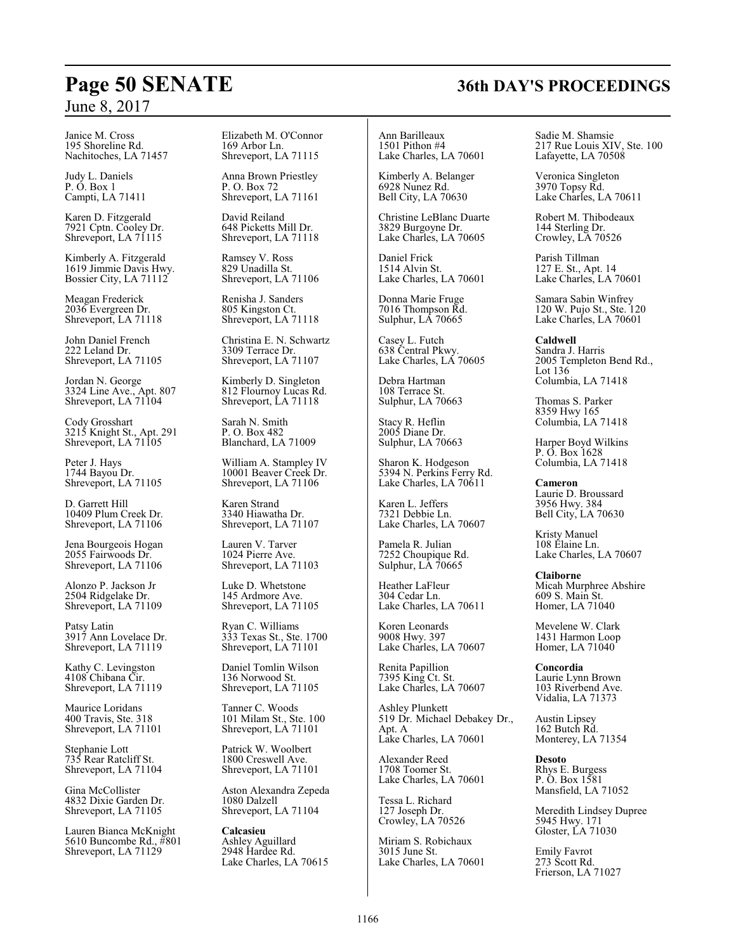Janice M. Cross 195 Shoreline Rd. Nachitoches, LA 71457

Judy L. Daniels P. O. Box 1 Campti, LA 71411

Karen D. Fitzgerald 7921 Cptn. Cooley Dr. Shreveport, LA 71115

Kimberly A. Fitzgerald 1619 Jimmie Davis Hwy. Bossier City, LA 71112

Meagan Frederick 2036 Evergreen Dr. Shreveport, LA 71118

John Daniel French 222 Leland Dr. Shreveport, LA 71105

Jordan N. George 3324 Line Ave., Apt. 807 Shreveport, LA 71104

Cody Grosshart 3215 Knight St., Apt. 291 Shreveport, LA 71105

Peter J. Hays 1744 Bayou Dr. Shreveport, LA 71105

D. Garrett Hill 10409 Plum Creek Dr. Shreveport, LA 71106

Jena Bourgeois Hogan 2055 Fairwoods Dr. Shreveport, LA 71106

Alonzo P. Jackson Jr 2504 Ridgelake Dr. Shreveport, LA 71109

Patsy Latin 3917 Ann Lovelace Dr. Shreveport, LA 71119

Kathy C. Levingston 4108 Chibana Cir. Shreveport, LA 71119

Maurice Loridans 400 Travis, Ste. 318 Shreveport, LA 71101

Stephanie Lott 735 Rear Ratcliff St. Shreveport, LA 71104

Gina McCollister 4832 Dixie Garden Dr. Shreveport, LA 71105

Lauren Bianca McKnight 5610 Buncombe Rd., #801 Shreveport, LA 71129

Elizabeth M. O'Connor 169 Arbor Ln. Shreveport, LA 71115

Anna Brown Priestley P. O. Box 72 Shreveport, LA 71161

David Reiland 648 Picketts Mill Dr. Shreveport, LA 71118

Ramsey V. Ross 829 Unadilla St. Shreveport, LA 71106

Renisha J. Sanders 805 Kingston Ct. Shreveport, LA 71118

Christina E. N. Schwartz 3309 Terrace Dr. Shreveport, LA 71107

Kimberly D. Singleton 812 Flournoy Lucas Rd. Shreveport, LA 71118

Sarah N. Smith P. O. Box 482 Blanchard, LA 71009

William A. Stampley IV 10001 Beaver Creek Dr. Shreveport, LA 71106

Karen Strand 3340 Hiawatha Dr. Shreveport, LA 71107

Lauren V. Tarver 1024 Pierre Ave. Shreveport, LA 71103

Luke D. Whetstone 145 Ardmore Ave. Shreveport, LA 71105

Ryan C. Williams 333 Texas St., Ste. 1700 Shreveport, LA 71101

Daniel Tomlin Wilson 136 Norwood St. Shreveport, LA 71105

Tanner C. Woods 101 Milam St., Ste. 100 Shreveport, LA 71101

Patrick W. Woolbert 1800 Creswell Ave. Shreveport, LA 71101

Aston Alexandra Zepeda 1080 Dalzell Shreveport, LA 71104

**Calcasieu** Ashley Aguillard 2948 Hardee Rd. Lake Charles, LA 70615

Ann Barilleaux 1501 Pithon #4 Lake Charles, LA 70601

Kimberly A. Belanger 6928 Nunez Rd. Bell City, LA 70630

Christine LeBlanc Duarte 3829 Burgoyne Dr. Lake Charles, LA 70605

Daniel Frick 1514 Alvin St. Lake Charles, LA 70601

Donna Marie Fruge 7016 Thompson Rd. Sulphur, LA 70665

Casey L. Futch 638 Central Pkwy. Lake Charles, LÁ 70605

Debra Hartman 108 Terrace St. Sulphur, LA 70663

Stacy R. Heflin 2005 Diane Dr. Sulphur, LA 70663

Sharon K. Hodgeson 5394 N. Perkins Ferry Rd. Lake Charles, LA 70611

Karen L. Jeffers 7321 Debbie Ln. Lake Charles, LA 70607

Pamela R. Julian 7252 Choupique Rd. Sulphur, LA 70665

Heather LaFleur 304 Cedar Ln. Lake Charles, LA 70611

Koren Leonards 9008 Hwy. 397 Lake Charles, LA 70607

Renita Papillion 7395 King Ct. St. Lake Charles, LA 70607

Ashley Plunkett 519 Dr. Michael Debakey Dr., Apt. A Lake Charles, LA 70601

Alexander Reed 1708 Toomer St. Lake Charles, LA 70601

Tessa L. Richard 127 Joseph Dr. Crowley, LA 70526

Miriam S. Robichaux 3015 June St. Lake Charles, LA 70601 Sadie M. Shamsie 217 Rue Louis XIV, Ste. 100 Lafayette, LA 70508

Veronica Singleton 3970 Topsy Rd. Lake Charles, LA 70611

Robert M. Thibodeaux 144 Sterling Dr. Crowley, LA 70526

Parish Tillman 127 E. St., Apt. 14 Lake Charles, LA 70601

Samara Sabin Winfrey 120 W. Pujo St., Ste. 120 Lake Charles, LA 70601

**Caldwell** Sandra J. Harris 2005 Templeton Bend Rd., Lot 136 Columbia, LA 71418

Thomas S. Parker 8359 Hwy 165 Columbia, LA 71418

Harper Boyd Wilkins P. O. Box 1628 Columbia, LA 71418

**Cameron** Laurie D. Broussard 3956 Hwy. 384 Bell City, LA 70630

Kristy Manuel 108 Elaine Ln. Lake Charles, LA 70607

**Claiborne** Micah Murphree Abshire 609 S. Main St. Homer, LA 71040

Mevelene W. Clark 1431 Harmon Loop Homer, LA 71040

**Concordia** Laurie Lynn Brown 103 Riverbend Ave. Vidalia, LA 71373

Austin Lipsey 162 Butch Rd. Monterey, LA 71354

**Desoto** Rhys E. Burgess P. O. Box 1581 Mansfield, LA 71052

Meredith Lindsey Dupree 5945 Hwy. 171 Gloster, LA 71030

Emily Favrot 273 Scott Rd. Frierson, LA 71027

## **Page 50 SENATE 36th DAY'S PROCEEDINGS**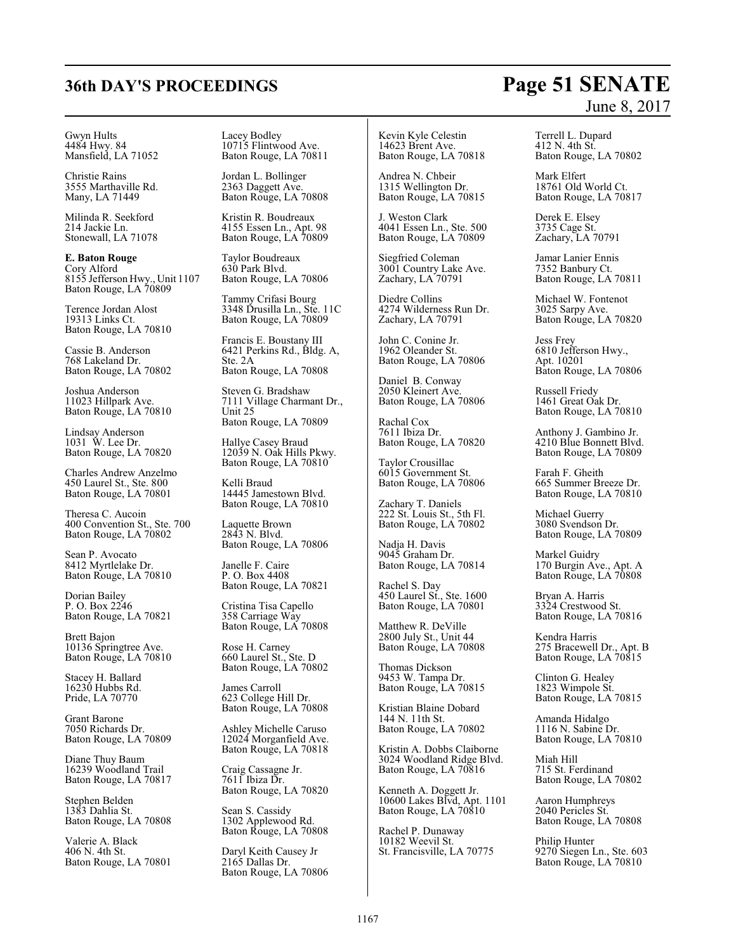#### Gwyn Hults 4484 Hwy. 84 Mansfield, LA 71052

Christie Rains 3555 Marthaville Rd. Many, LA 71449

Milinda R. Seekford 214 Jackie Ln. Stonewall, LA 71078

**E. Baton Rouge** Cory Alford 8155 Jefferson Hwy., Unit 1107 Baton Rouge, LA 70809

Terence Jordan Alost 19313 Links Ct. Baton Rouge, LA 70810

Cassie B. Anderson 768 Lakeland Dr. Baton Rouge, LA 70802

Joshua Anderson 11023 Hillpark Ave. Baton Rouge, LA 70810

Lindsay Anderson 1031 W. Lee Dr. Baton Rouge, LA 70820

Charles Andrew Anzelmo 450 Laurel St., Ste. 800 Baton Rouge, LA 70801

Theresa C. Aucoin 400 Convention St., Ste. 700 Baton Rouge, LA 70802

Sean P. Avocato 8412 Myrtlelake Dr. Baton Rouge, LA 70810

Dorian Bailey P. O. Box 2246 Baton Rouge, LA 70821

Brett Bajon 10136 Springtree Ave. Baton Rouge, LA 70810

Stacey H. Ballard 16230 Hubbs Rd. Pride, LA 70770

Grant Barone 7050 Richards Dr. Baton Rouge, LA 70809

Diane Thuy Baum 16239 Woodland Trail Baton Rouge, LA 70817

Stephen Belden 1383 Dahlia St. Baton Rouge, LA 70808

Valerie A. Black 406 N. 4th St. Baton Rouge, LA 70801 Lacey Bodley 10715 Flintwood Ave. Baton Rouge, LA 70811

Jordan L. Bollinger 2363 Daggett Ave. Baton Rouge, LA 70808

Kristin R. Boudreaux 4155 Essen Ln., Apt. 98 Baton Rouge, LA 70809

Taylor Boudreaux 630 Park Blvd. Baton Rouge, LA 70806

Tammy Crifasi Bourg 3348 Drusilla Ln., Ste. 11C Baton Rouge, LA 70809

Francis E. Boustany III 6421 Perkins Rd., Bldg. A, Ste. 2A Baton Rouge, LA 70808

Steven G. Bradshaw 7111 Village Charmant Dr., Unit 25 Baton Rouge, LA 70809

Hallye Casey Braud 12039 N. Oak Hills Pkwy. Baton Rouge, LA 70810

Kelli Braud 14445 Jamestown Blvd. Baton Rouge, LA 70810

Laquette Brown 2843 N. Blvd. Baton Rouge, LA 70806

Janelle F. Caire P. O. Box 4408 Baton Rouge, LA 70821

Cristina Tisa Capello 358 Carriage Way Baton Rouge, LA 70808

Rose H. Carney 660 Laurel St., Ste. D Baton Rouge, LA 70802

James Carroll 623 College Hill Dr. Baton Rouge, LA 70808

Ashley Michelle Caruso 12024 Morganfield Ave. Baton Rouge, LA 70818

Craig Cassagne Jr. 7611 Ibiza Dr. Baton Rouge, LA 70820

Sean S. Cassidy 1302 Applewood Rd. Baton Rouge, LA 70808

Daryl Keith Causey Jr 2165 Dallas Dr. Baton Rouge, LA 70806 Kevin Kyle Celestin 14623 Brent Ave. Baton Rouge, LA 70818

Andrea N. Chbeir 1315 Wellington Dr. Baton Rouge, LA 70815

J. Weston Clark 4041 Essen Ln., Ste. 500 Baton Rouge, LA 70809

Siegfried Coleman 3001 Country Lake Ave. Zachary, LA 70791

Diedre Collins 4274 Wilderness Run Dr. Zachary, LA 70791

John C. Conine Jr. 1962 Oleander St. Baton Rouge, LA 70806

Daniel B. Conway 2050 Kleinert Ave. Baton Rouge, LA 70806

Rachal Cox 7611 Ibiza Dr. Baton Rouge, LA 70820

Taylor Crousillac 6015 Government St. Baton Rouge, LA 70806

Zachary T. Daniels 222 St. Louis St., 5th Fl. Baton Rouge, LA 70802

Nadja H. Davis 9045 Graham Dr. Baton Rouge, LA 70814

Rachel S. Day 450 Laurel St., Ste. 1600 Baton Rouge, LA 70801

Matthew R. DeVille 2800 July St., Unit 44 Baton Rouge, LA 70808

Thomas Dickson 9453 W. Tampa Dr. Baton Rouge, LA 70815

Kristian Blaine Dobard 144 N. 11th St. Baton Rouge, LA 70802

Kristin A. Dobbs Claiborne 3024 Woodland Ridge Blvd. Baton Rouge, LA 70816

Kenneth A. Doggett Jr. 10600 Lakes Blvd, Apt. 1101 Baton Rouge, LA 70810

Rachel P. Dunaway 10182 Weevil St. St. Francisville, LA 70775

## **36th DAY'S PROCEEDINGS Page 51 SENATE** June 8, 2017

Terrell L. Dupard 412 N. 4th St. Baton Rouge, LA 70802

Mark Elfert 18761 Old World Ct. Baton Rouge, LA 70817

Derek E. Elsey 3735 Cage St. Zachary, LA 70791

Jamar Lanier Ennis 7352 Banbury Ct. Baton Rouge, LA 70811

Michael W. Fontenot 3025 Sarpy Ave. Baton Rouge, LA 70820

Jess Frey 6810 Jefferson Hwy., Apt. 10201 Baton Rouge, LA 70806

Russell Friedy 1461 Great Oak Dr. Baton Rouge, LA 70810

Anthony J. Gambino Jr. 4210 Blue Bonnett Blvd. Baton Rouge, LA 70809

Farah F. Gheith 665 Summer Breeze Dr. Baton Rouge, LA 70810

Michael Guerry 3080 Svendson Dr. Baton Rouge, LA 70809

Markel Guidry 170 Burgin Ave., Apt. A Baton Rouge, LA 70808

Bryan A. Harris 3324 Crestwood St. Baton Rouge, LA 70816

Kendra Harris 275 Bracewell Dr., Apt. B Baton Rouge, LA 70815

Clinton G. Healey 1823 Wimpole St. Baton Rouge, LA 70815

Amanda Hidalgo 1116 N. Sabine Dr. Baton Rouge, LA 70810

Miah Hill 715 St. Ferdinand Baton Rouge, LA 70802

Aaron Humphreys 2040 Pericles St. Baton Rouge, LA 70808

Philip Hunter 9270 Siegen Ln., Ste. 603 Baton Rouge, LA 70810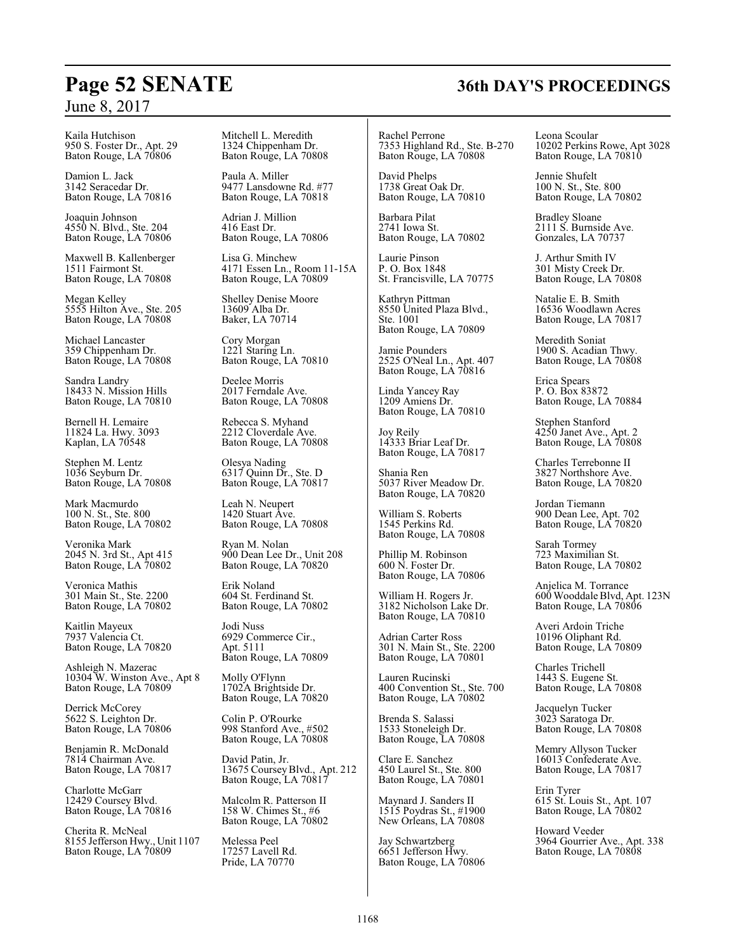Kaila Hutchison 950 S. Foster Dr., Apt. 29 Baton Rouge, LA 70806

Damion L. Jack 3142 Seracedar Dr. Baton Rouge, LA 70816

Joaquin Johnson 4550 N. Blvd., Ste. 204 Baton Rouge, LA 70806

Maxwell B. Kallenberger 1511 Fairmont St. Baton Rouge, LA 70808

Megan Kelley 5555 Hilton Ave., Ste. 205 Baton Rouge, LA 70808

Michael Lancaster 359 Chippenham Dr. Baton Rouge, LA 70808

Sandra Landry 18433 N. Mission Hills Baton Rouge, LA 70810

Bernell H. Lemaire 11824 La. Hwy. 3093 Kaplan, LA 70548

Stephen M. Lentz 1036 Seyburn Dr. Baton Rouge, LA 70808

Mark Macmurdo 100 N. St., Ste. 800 Baton Rouge, LA 70802

Veronika Mark 2045 N. 3rd St., Apt 415 Baton Rouge, LA 70802

Veronica Mathis 301 Main St., Ste. 2200 Baton Rouge, LA 70802

Kaitlin Mayeux 7937 Valencia Ct. Baton Rouge, LA 70820

Ashleigh N. Mazerac 10304 W. Winston Ave., Apt 8 Baton Rouge, LA 70809

Derrick McCorey 5622 S. Leighton Dr. Baton Rouge, LA 70806

Benjamin R. McDonald 7814 Chairman Ave. Baton Rouge, LA 70817

Charlotte McGarr 12429 Coursey Blvd. Baton Rouge, LA 70816

Cherita R. McNeal 8155 Jefferson Hwy., Unit 1107 Baton Rouge, LA 70809

Mitchell L. Meredith 1324 Chippenham Dr. Baton Rouge, LA 70808

Paula A. Miller 9477 Lansdowne Rd. #77 Baton Rouge, LA 70818

Adrian J. Million 416 East Dr. Baton Rouge, LA 70806

Lisa G. Minchew 4171 Essen Ln., Room 11-15A Baton Rouge, LA 70809

Shelley Denise Moore 13609 Alba Dr. Baker, LA 70714

Cory Morgan 1221 Staring Ln. Baton Rouge, LA 70810

Deelee Morris 2017 Ferndale Ave. Baton Rouge, LA 70808

Rebecca S. Myhand 2212 Cloverdale Ave. Baton Rouge, LA 70808

Olesya Nading 6317 Quinn Dr., Ste. D Baton Rouge, LA 70817

Leah N. Neupert 1420 Stuart Ave. Baton Rouge, LA 70808

Ryan M. Nolan 900 Dean Lee Dr., Unit 208 Baton Rouge, LA 70820

Erik Noland 604 St. Ferdinand St. Baton Rouge, LA 70802

Jodi Nuss 6929 Commerce Cir., Apt. 5111 Baton Rouge, LA 70809

Molly O'Flynn 1702A Brightside Dr. Baton Rouge, LA 70820

Colin P. O'Rourke 998 Stanford Ave., #502 Baton Rouge, LA 70808

David Patin, Jr. 13675 CourseyBlvd., Apt. 212 Baton Rouge, LA 70817

Malcolm R. Patterson II 158 W. Chimes St., #6 Baton Rouge, LA 70802

Melessa Peel 17257 Lavell Rd. Pride, LA 70770

Rachel Perrone 7353 Highland Rd., Ste. B-270 Baton Rouge, LA 70808

David Phelps 1738 Great Oak Dr. Baton Rouge, LA 70810

Barbara Pilat 2741 Iowa St. Baton Rouge, LA 70802

Laurie Pinson P. O. Box 1848 St. Francisville, LA 70775

Kathryn Pittman 8550 United Plaza Blvd., Ste. 1001 Baton Rouge, LA 70809

Jamie Pounders 2525 O'Neal Ln., Apt. 407 Baton Rouge, LA 70816

Linda Yancey Ray 1209 Amiens Dr. Baton Rouge, LA 70810

Joy Reily 14333 Briar Leaf Dr. Baton Rouge, LA 70817

Shania Ren 5037 River Meadow Dr. Baton Rouge, LA 70820

William S. Roberts 1545 Perkins Rd. Baton Rouge, LA 70808

Phillip M. Robinson 600 N. Foster Dr. Baton Rouge, LA 70806

William H. Rogers Jr. 3182 Nicholson Lake Dr. Baton Rouge, LA 70810

Adrian Carter Ross 301 N. Main St., Ste. 2200 Baton Rouge, LA 70801

Lauren Rucinski 400 Convention St., Ste. 700 Baton Rouge, LA 70802

Brenda S. Salassi 1533 Stoneleigh Dr. Baton Rouge, LA 70808

Clare E. Sanchez 450 Laurel St., Ste. 800 Baton Rouge, LA 70801

Maynard J. Sanders II 1515 Poydras St., #1900 New Orleans, LA 70808

Jay Schwartzberg 6651 Jefferson Hwy. Baton Rouge, LA 70806 Leona Scoular 10202 Perkins Rowe, Apt 3028 Baton Rouge, LA 70810

Jennie Shufelt 100 N. St., Ste. 800 Baton Rouge, LA 70802

Bradley Sloane 2111 S. Burnside Ave. Gonzales, LA 70737

J. Arthur Smith IV 301 Misty Creek Dr. Baton Rouge, LA 70808

Natalie E. B. Smith 16536 Woodlawn Acres Baton Rouge, LA 70817

Meredith Soniat 1900 S. Acadian Thwy. Baton Rouge, LA 70808

Erica Spears P. O. Box 83872 Baton Rouge, LA 70884

Stephen Stanford 4250 Janet Ave., Apt. 2 Baton Rouge, LA 70808

Charles Terrebonne II 3827 Northshore Ave. Baton Rouge, LA 70820

Jordan Tiemann 900 Dean Lee, Apt. 702 Baton Rouge, LA 70820

Sarah Tormey 723 Maximilian St. Baton Rouge, LA 70802

Anjelica M. Torrance 600 Wooddale Blvd, Apt. 123N Baton Rouge, LA 70806

Averi Ardoin Triche 10196 Oliphant Rd. Baton Rouge, LA 70809

Charles Trichell 1443 S. Eugene St. Baton Rouge, LA 70808

Jacquelyn Tucker 3023 Saratoga Dr. Baton Rouge, LA 70808

Memry Allyson Tucker 16013 Confederate Ave. Baton Rouge, LA 70817

Erin Tyrer 615 St. Louis St., Apt. 107 Baton Rouge, LA 70802

Howard Veeder 3964 Gourrier Ave., Apt. 338 Baton Rouge, LA 70808

## **Page 52 SENATE 36th DAY'S PROCEEDINGS**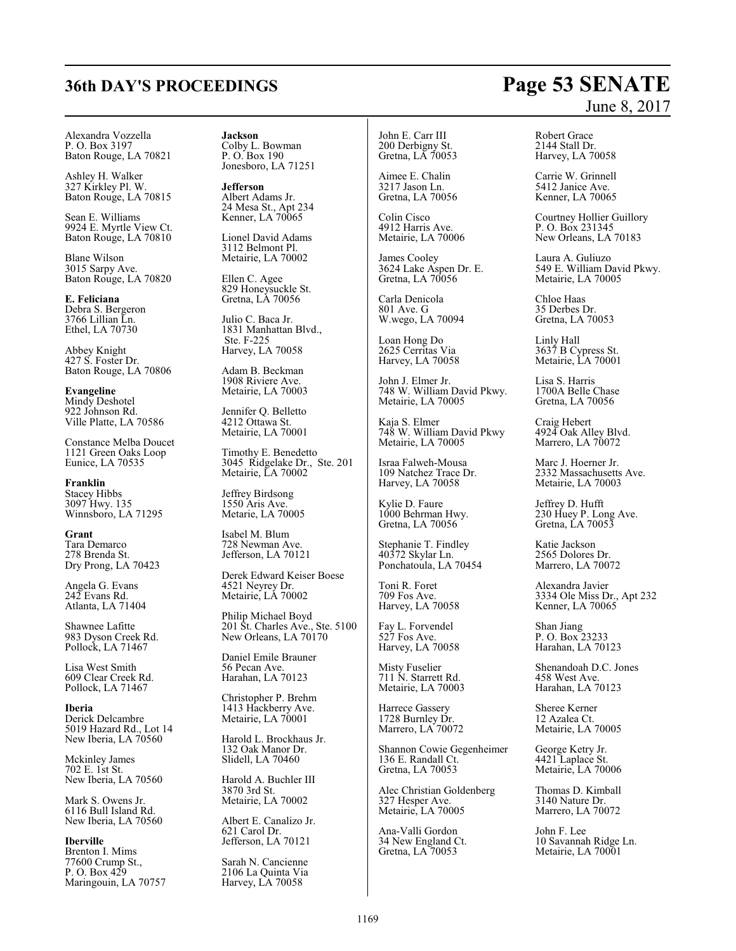# **36th DAY'S PROCEEDINGS Page 53 SENATE**

Alexandra Vozzella P. O. Box 3197 Baton Rouge, LA 70821

Ashley H. Walker 327 Kirkley Pl. W. Baton Rouge, LA 70815

Sean E. Williams 9924 E. Myrtle View Ct. Baton Rouge, LA 70810

Blane Wilson 3015 Sarpy Ave. Baton Rouge, LA 70820

**E. Feliciana** Debra S. Bergeron 3766 Lillian Ln. Ethel, LA 70730

Abbey Knight 427 S. Foster Dr. Baton Rouge, LA 70806

**Evangeline** Mindy Deshotel 922 Johnson Rd. Ville Platte, LA 70586

Constance Melba Doucet 1121 Green Oaks Loop Eunice, LA 70535

**Franklin** Stacey Hibbs 3097 Hwy. 135 Winnsboro, LA 71295

**Grant** Tara Demarco 278 Brenda St. Dry Prong, LA 70423

Angela G. Evans 242 Evans Rd. Atlanta, LA 71404

Shawnee Lafitte 983 Dyson Creek Rd. Pollock, LA 71467

Lisa West Smith 609 Clear Creek Rd. Pollock, LA 71467

**Iberia** Derick Delcambre 5019 Hazard Rd., Lot 14 New Iberia, LA 70560

Mckinley James 702 E. 1st St. New Iberia, LA 70560

Mark S. Owens Jr. 6116 Bull Island Rd. New Iberia, LA 70560

**Iberville** Brenton I. Mims 77600 Crump St., P. O. Box 429 Maringouin, LA 70757 **Jackson** Colby L. Bowman P. O. Box 190 Jonesboro, LA 71251

**Jefferson** Albert Adams Jr. 24 Mesa St., Apt 234 Kenner, LA 70065

Lionel David Adams 3112 Belmont Pl. Metairie, LA 70002

Ellen C. Agee 829 Honeysuckle St. Gretna, LA 70056

Julio C. Baca Jr. 1831 Manhattan Blvd., Ste. F-225 Harvey, LA 70058

Adam B. Beckman 1908 Riviere Ave. Metairie, LA 70003

Jennifer Q. Belletto 4212 Ottawa St. Metairie, LA 70001

Timothy E. Benedetto 3045 Ridgelake Dr., Ste. 201 Metairie, LA 70002

Jeffrey Birdsong 1550 Aris Ave. Metarie, LA 70005

Isabel M. Blum 728 Newman Ave. Jefferson, LA 70121

Derek Edward Keiser Boese 4521 Neyrey Dr. Metairie, LA 70002

Philip Michael Boyd 201 St. Charles Ave., Ste. 5100 New Orleans, LA 70170

Daniel Emile Brauner 56 Pecan Ave. Harahan, LA 70123

Christopher P. Brehm 1413 Hackberry Ave. Metairie, LA 70001

Harold L. Brockhaus Jr. 132 Oak Manor Dr. Slidell, LA 70460

Harold A. Buchler III 3870 3rd St. Metairie, LA 70002

Albert E. Canalizo Jr. 621 Carol Dr. Jefferson, LA 70121

Sarah N. Cancienne 2106 La Quinta Via Harvey, LA 70058

John E. Carr III 200 Derbigny St. Gretna, LA 70053

Aimee E. Chalin 3217 Jason Ln. Gretna, LA 70056

Colin Cisco 4912 Harris Ave. Metairie, LA 70006

James Cooley 3624 Lake Aspen Dr. E. Gretna, LA 70056

Carla Denicola 801 Ave. G W.wego, LA 70094

Loan Hong Do 2625 Cerritas Via Harvey, LA 70058

John J. Elmer Jr. 748 W. William David Pkwy. Metairie, LA 70005

Kaja S. Elmer 748 W. William David Pkwy Metairie, LA 70005

Israa Falweh-Mousa 109 Natchez Trace Dr. Harvey, LA 70058

Kylie D. Faure 1000 Behrman Hwy. Gretna, LA 70056

Stephanie T. Findley 40372 Skylar Ln. Ponchatoula, LA 70454

Toni R. Foret 709 Fos Ave. Harvey, LA 70058

Fay L. Forvendel 527 Fos Ave. Harvey, LA 70058

Misty Fuselier 711 N. Starrett Rd. Metairie, LA 70003

Harrece Gassery 1728 Burnley Dr. Marrero, LA 70072

Shannon Cowie Gegenheimer 136 E. Randall Ct. Gretna, LA 70053

Alec Christian Goldenberg 327 Hesper Ave. Metairie, LA 70005

Ana-Valli Gordon 34 New England Ct. Gretna, LA 70053

# June 8, 2017

Robert Grace 2144 Stall Dr. Harvey, LA 70058

Carrie W. Grinnell 5412 Janice Ave. Kenner, LA 70065

Courtney Hollier Guillory P. O. Box 231345 New Orleans, LA 70183

Laura A. Guliuzo 549 E. William David Pkwy. Metairie, LA 70005

Chloe Haas 35 Derbes Dr. Gretna, LA 70053

Linly Hall 3637 B Cypress St. Metairie, LA 70001

Lisa S. Harris 1700A Belle Chase Gretna, LA 70056

Craig Hebert 4924 Oak Alley Blvd. Marrero, LA 70072

Marc J. Hoerner Jr. 2332 Massachusetts Ave. Metairie, LA 70003

Jeffrey D. Hufft 230 Huey P. Long Ave. Gretna, LA 70053

Katie Jackson 2565 Dolores Dr. Marrero, LA 70072

Alexandra Javier 3334 Ole Miss Dr., Apt 232 Kenner, LA 70065

Shan Jiang P. O. Box 23233 Harahan, LA 70123

Shenandoah D.C. Jones 458 West Ave. Harahan, LA 70123

Sheree Kerner 12 Azalea Ct. Metairie, LA 70005

George Ketry Jr. 4421 Laplace St. Metairie, LA 70006

Thomas D. Kimball 3140 Nature Dr. Marrero, LA 70072

John F. Lee 10 Savannah Ridge Ln. Metairie, LA 70001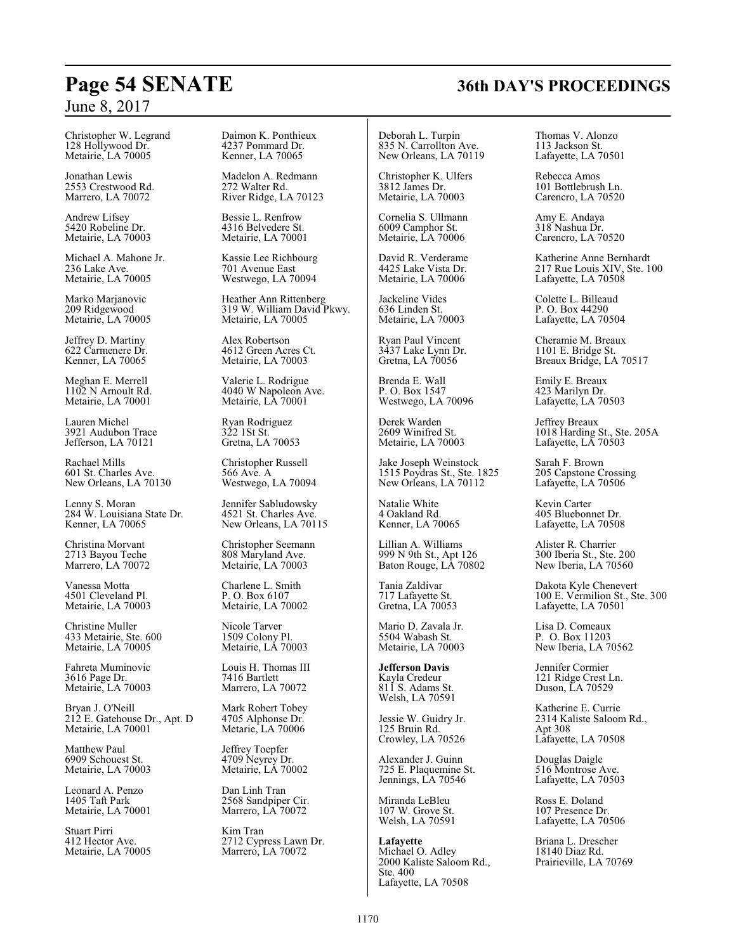Christopher W. Legrand 128 Hollywood Dr. Metairie, LA 70005

Jonathan Lewis 2553 Crestwood Rd. Marrero, LA 70072

Andrew Lifsey 5420 Robeline Dr. Metairie, LA 70003

Michael A. Mahone Jr. 236 Lake Ave. Metairie, LA 70005

Marko Marjanovic 209 Ridgewood Metairie, LA 70005

Jeffrey D. Martiny 622 Carmenere Dr. Kenner, LA 70065

Meghan E. Merrell 1102 N Arnoult Rd. Metairie, LA 70001

Lauren Michel 3921 Audubon Trace Jefferson, LA 70121

Rachael Mills 601 St. Charles Ave. New Orleans, LA 70130

Lenny S. Moran 284 W. Louisiana State Dr. Kenner, LA 70065

Christina Morvant 2713 Bayou Teche Marrero, LA 70072

Vanessa Motta 4501 Cleveland Pl. Metairie, LA 70003

Christine Muller 433 Metairie, Ste. 600 Metairie, LA 70005

Fahreta Muminovic 3616 Page Dr. Metairie, LA 70003

Bryan J. O'Neill 212 E. Gatehouse Dr., Apt. D Metairie, LA 70001

Matthew Paul 6909 Schouest St. Metairie, LA 70003

Leonard A. Penzo 1405 Taft Park Metairie, LA 70001

Stuart Pirri 412 Hector Ave. Metairie, LA 70005 Daimon K. Ponthieux 4237 Pommard Dr. Kenner, LA 70065

Madelon A. Redmann 272 Walter Rd. River Ridge, LA 70123

Bessie L. Renfrow 4316 Belvedere St. Metairie, LA 70001

Kassie Lee Richbourg 701 Avenue East Westwego, LA 70094

Heather Ann Rittenberg 319 W. William David Pkwy. Metairie, LA 70005

Alex Robertson 4612 Green Acres Ct. Metairie, LA 70003

Valerie L. Rodrigue 4040 W Napoleon Ave. Metairie, LA 70001

Ryan Rodriguez 322 1St St. Gretna, LA 70053

Christopher Russell 566 Ave. A Westwego, LA 70094

Jennifer Sabludowsky 4521 St. Charles Ave. New Orleans, LA 70115

Christopher Seemann 808 Maryland Ave. Metairie, LA 70003

Charlene L. Smith P. O. Box 6107 Metairie, LA 70002

Nicole Tarver 1509 Colony Pl. Metairie, LA 70003

Louis H. Thomas III 7416 Bartlett Marrero, LA 70072

Mark Robert Tobey 4705 Alphonse Dr. Metarie, LA 70006

Jeffrey Toepfer 4709 Neyrey Dr. Metairie, LA 70002

Dan Linh Tran 2568 Sandpiper Cir. Marrero, LA 70072

Kim Tran 2712 Cypress Lawn Dr. Marrero, LA 70072

Deborah L. Turpin 835 N. Carrollton Ave. New Orleans, LA 70119

Christopher K. Ulfers 3812 James Dr. Metairie, LA 70003

Cornelia S. Ullmann 6009 Camphor St. Metairie, LA 70006

David R. Verderame 4425 Lake Vista Dr. Metairie, LA 70006

Jackeline Vides 636 Linden St. Metairie, LA 70003

Ryan Paul Vincent 3437 Lake Lynn Dr. Gretna, LA 70056

Brenda E. Wall P. O. Box 1547 Westwego, LA 70096

Derek Warden 2609 Winifred St. Metairie, LA 70003

Jake Joseph Weinstock 1515 Poydras St., Ste. 1825 New Orleans, LA 70112

Natalie White 4 Oakland Rd. Kenner, LA 70065

Lillian A. Williams 999 N 9th St., Apt 126 Baton Rouge, LA 70802

Tania Zaldivar 717 Lafayette St. Gretna, LA 70053

Mario D. Zavala Jr. 5504 Wabash St. Metairie, LA 70003

**Jefferson Davis** Kayla Credeur 811 S. Adams St. Welsh, LA 70591

Jessie W. Guidry Jr. 125 Bruin Rd. Crowley, LA 70526

Alexander J. Guinn 725 E. Plaquemine St. Jennings, LA 70546

Miranda LeBleu 107 W. Grove St. Welsh, LA 70591

**Lafayette** Michael O. Adley 2000 Kaliste Saloom Rd., Ste. 400 Lafayette, LA 70508

Thomas V. Alonzo 113 Jackson St. Lafayette, LA 70501

Rebecca Amos 101 Bottlebrush Ln. Carencro, LA 70520

Amy E. Andaya 318 Nashua Dr. Carencro, LA 70520

Katherine Anne Bernhardt 217 Rue Louis XIV, Ste. 100 Lafayette, LA 70508

Colette L. Billeaud P. O. Box 44290 Lafayette, LA 70504

Cheramie M. Breaux 1101 E. Bridge St. Breaux Bridge, LA 70517

Emily E. Breaux 423 Marilyn Dr. Lafayette, LA 70503

Jeffrey Breaux 1018 Harding St., Ste. 205A Lafayette, LA 70503

Sarah F. Brown 205 Capstone Crossing Lafayette, LA 70506

Kevin Carter 405 Bluebonnet Dr. Lafayette, LA 70508

Alister R. Charrier 300 Iberia St., Ste. 200 New Iberia, LA 70560

Dakota Kyle Chenevert 100 E. Vermilion St., Ste. 300 Lafayette, LA 70501

Lisa D. Comeaux P. O. Box 11203 New Iberia, LA 70562

Jennifer Cormier 121 Ridge Crest Ln. Duson, LA 70529

Katherine E. Currie 2314 Kaliste Saloom Rd., Apt 308 Lafayette, LA 70508

Douglas Daigle 516 Montrose Ave. Lafayette, LA 70503

Ross E. Doland 107 Presence Dr. Lafayette, LA 70506

Briana L. Drescher 18140 Diaz Rd. Prairieville, LA 70769

# **Page 54 SENATE 36th DAY'S PROCEEDINGS**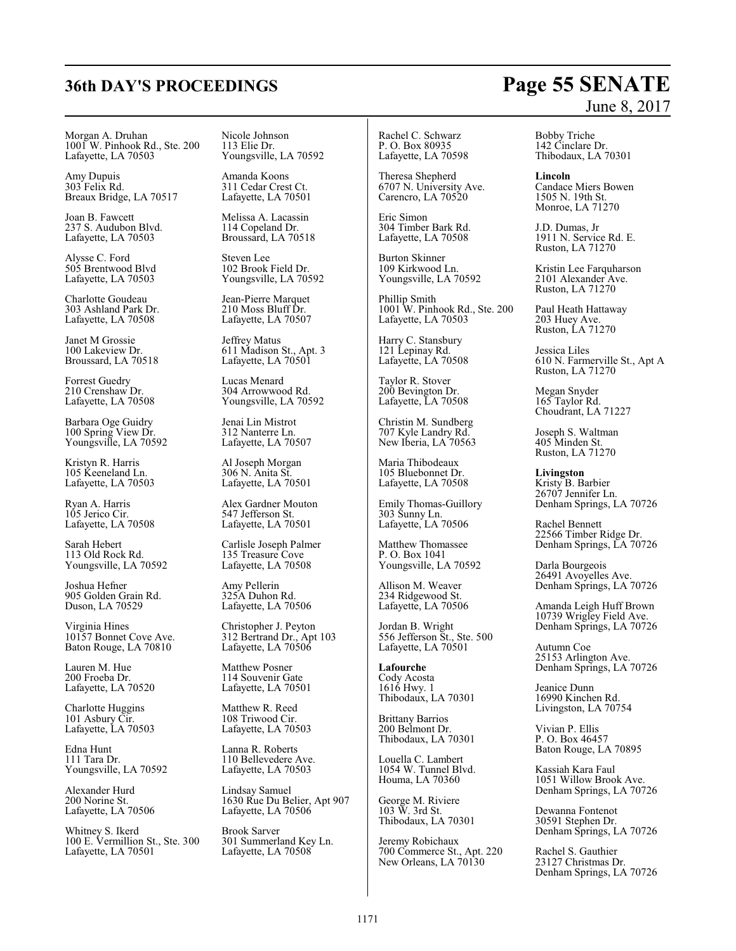## **36th DAY'S PROCEEDINGS Page 55 SENATE**

Morgan A. Druhan 1001 W. Pinhook Rd., Ste. 200 Lafayette, LA 70503

Amy Dupuis 303 Felix Rd. Breaux Bridge, LA 70517

Joan B. Fawcett 237 S. Audubon Blvd. Lafayette, LA 70503

Alysse C. Ford 505 Brentwood Blvd Lafayette, LA 70503

Charlotte Goudeau 303 Ashland Park Dr. Lafayette, LA 70508

Janet M Grossie 100 Lakeview Dr. Broussard, LA 70518

Forrest Guedry 210 Crenshaw Dr. Lafayette, LA 70508

Barbara Oge Guidry 100 Spring View Dr. Youngsville, LA 70592

Kristyn R. Harris 105 Keeneland Ln. Lafayette, LA 70503

Ryan A. Harris 105 Jerico Cir. Lafayette, LA 70508

Sarah Hebert 113 Old Rock Rd. Youngsville, LA 70592

Joshua Hefner 905 Golden Grain Rd. Duson, LA 70529

Virginia Hines 10157 Bonnet Cove Ave. Baton Rouge, LA 70810

Lauren M. Hue 200 Froeba Dr. Lafayette, LA 70520

Charlotte Huggins 101 Asbury Cir. Lafayette, LA 70503

Edna Hunt 111 Tara Dr. Youngsville, LA 70592

Alexander Hurd 200 Norine St. Lafayette, LA 70506

Whitney S. Ikerd 100 E. Vermillion St., Ste. 300 Lafayette, LA 70501

Nicole Johnson 113 Elie Dr. Youngsville, LA 70592

Amanda Koons 311 Cedar Crest Ct. Lafayette, LA 70501

Melissa A. Lacassin 114 Copeland Dr. Broussard, LA 70518

Steven Lee 102 Brook Field Dr. Youngsville, LA 70592

Jean-Pierre Marquet 210 Moss Bluff Dr. Lafayette, LA 70507

Jeffrey Matus 611 Madison St., Apt. 3 Lafayette, LA 70501

Lucas Menard 304 Arrowwood Rd. Youngsville, LA 70592

Jenai Lin Mistrot 312 Nanterre Ln. Lafayette, LA 70507

Al Joseph Morgan 306 N. Anita St. Lafayette, LA 70501

Alex Gardner Mouton 547 Jefferson St. Lafayette, LA 70501

Carlisle Joseph Palmer 135 Treasure Cove Lafayette, LA 70508

Amy Pellerin 325A Duhon Rd. Lafayette, LA 70506

Christopher J. Peyton 312 Bertrand Dr., Apt 103 Lafayette, LA 70506

Matthew Posner 114 Souvenir Gate Lafayette, LA 70501

Matthew R. Reed 108 Triwood Cir. Lafayette, LA 70503

Lanna R. Roberts 110 Bellevedere Ave. Lafayette, LA 70503

Lindsay Samuel 1630 Rue Du Belier, Apt 907 Lafayette, LA 70506

Brook Sarver 301 Summerland Key Ln. Lafayette, LA 70508

Rachel C. Schwarz P. O. Box 80935 Lafayette, LA 70598

Theresa Shepherd 6707 N. University Ave. Carencro, LA 70520

Eric Simon 304 Timber Bark Rd. Lafayette, LA 70508

Burton Skinner 109 Kirkwood Ln. Youngsville, LA 70592

Phillip Smith 1001 W. Pinhook Rd., Ste. 200 Lafayette, LA 70503

Harry C. Stansbury 121 Lepinay Rd. Lafayette, LA 70508

Taylor R. Stover 200 Bevington Dr. Lafayette, LA 70508

Christin M. Sundberg 707 Kyle Landry Rd. New Iberia, LA 70563

Maria Thibodeaux 105 Bluebonnet Dr. Lafayette, LA 70508

Emily Thomas-Guillory 303 Sunny Ln. Lafayette, LA 70506

Matthew Thomassee P. O. Box 1041 Youngsville, LA 70592

Allison M. Weaver 234 Ridgewood St. Lafayette, LA 70506

Jordan B. Wright 556 Jefferson St., Ste. 500 Lafayette, LA 70501

**Lafourche** Cody Acosta 1616 Hwy. 1 Thibodaux, LA 70301

Brittany Barrios 200 Belmont Dr. Thibodaux, LA 70301

Louella C. Lambert 1054 W. Tunnel Blvd. Houma, LA 70360

George M. Riviere 103 W. 3rd St. Thibodaux, LA 70301

Jeremy Robichaux 700 Commerce St., Apt. 220 New Orleans, LA 70130

# June 8, 2017

Bobby Triche 142 Cinclare Dr. Thibodaux, LA 70301

**Lincoln** Candace Miers Bowen 1505 N. 19th St. Monroe, LA 71270

J.D. Dumas, Jr 1911 N. Service Rd. E. Ruston, LA 71270

Kristin Lee Farquharson 2101 Alexander Ave. Ruston, LA 71270

Paul Heath Hattaway 203 Huey Ave. Ruston, LA 71270

Jessica Liles 610 N. Farmerville St., Apt A Ruston, LA 71270

Megan Snyder 165 Taylor Rd. Choudrant, LA 71227

Joseph S. Waltman 405 Minden St. Ruston, LA 71270

**Livingston** Kristy B. Barbier 26707 Jennifer Ln. Denham Springs, LA 70726

Rachel Bennett 22566 Timber Ridge Dr. Denham Springs, LA 70726

Darla Bourgeois 26491 Avoyelles Ave. Denham Springs, LA 70726

Amanda Leigh Huff Brown 10739 Wrigley Field Ave. Denham Springs, LA 70726

Autumn Coe 25153 Arlington Ave. Denham Springs, LA 70726

Jeanice Dunn 16990 Kinchen Rd. Livingston, LA 70754

Vivian P. Ellis P. O. Box 46457 Baton Rouge, LA 70895

Kassiah Kara Faul 1051 Willow Brook Ave. Denham Springs, LA 70726

Dewanna Fontenot 30591 Stephen Dr. Denham Springs, LA 70726

Rachel S. Gauthier 23127 Christmas Dr. Denham Springs, LA 70726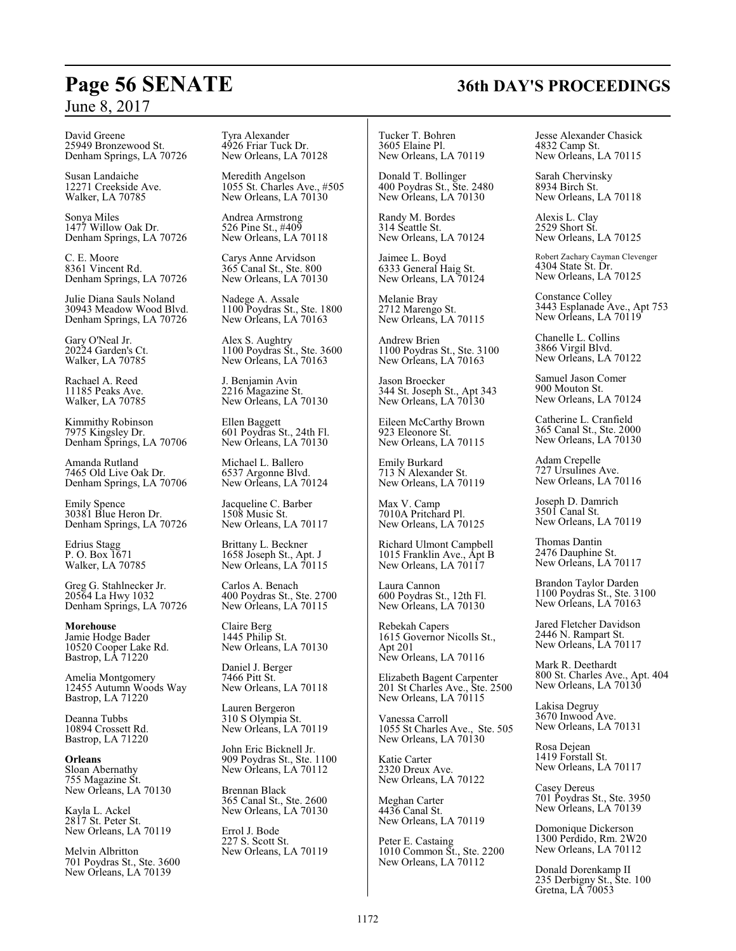David Greene 25949 Bronzewood St. Denham Springs, LA 70726

Susan Landaiche 12271 Creekside Ave. Walker, LA 70785

Sonya Miles 1477 Willow Oak Dr. Denham Springs, LA 70726

C. E. Moore 8361 Vincent Rd. Denham Springs, LA 70726

Julie Diana Sauls Noland 30943 Meadow Wood Blvd. Denham Springs, LA 70726

Gary O'Neal Jr. 20224 Garden's Ct. Walker, LA 70785

Rachael A. Reed 11185 Peaks Ave. Walker, LA 70785

Kimmithy Robinson 7975 Kingsley Dr. Denham Springs, LA 70706

Amanda Rutland 7465 Old Live Oak Dr. Denham Springs, LA 70706

Emily Spence 30381 Blue Heron Dr. Denham Springs, LA 70726

Edrius Stagg P. O. Box 1671 Walker, LA 70785

Greg G. Stahlnecker Jr. 20564 La Hwy 1032 Denham Springs, LA 70726

**Morehouse** Jamie Hodge Bader 10520 Cooper Lake Rd. Bastrop, LA 71220

Amelia Montgomery 12455 Autumn Woods Way Bastrop, LA 71220

Deanna Tubbs 10894 Crossett Rd. Bastrop, LA 71220

**Orleans** Sloan Abernathy 755 Magazine St. New Orleans, LA 70130

Kayla L. Ackel 2817 St. Peter St. New Orleans, LA 70119

Melvin Albritton 701 Poydras St., Ste. 3600 New Orleans, LA 70139

Tyra Alexander 4926 Friar Tuck Dr. New Orleans, LA 70128

Meredith Angelson 1055 St. Charles Ave., #505 New Orleans, LA 70130

Andrea Armstrong 526 Pine St., #409 New Orleans, LA 70118

Carys Anne Arvidson 365 Canal St., Ste. 800 New Orleans, LA 70130

Nadege A. Assale 1100 Poydras St., Ste. 1800 New Orleans, LA 70163

Alex S. Aughtry 1100 Poydras St., Ste. 3600 New Orleans, LA 70163

J. Benjamin Avin 2216 Magazine St. New Orleans, LA 70130

Ellen Baggett 601 Poydras St., 24th Fl. New Orleans, LA 70130

Michael L. Ballero 6537 Argonne Blvd. New Orleans, LA 70124

Jacqueline C. Barber 1508 Music St. New Orleans, LA 70117

Brittany L. Beckner 1658 Joseph St., Apt. J New Orleans, LA 70115

Carlos A. Benach 400 Poydras St., Ste. 2700 New Orleans, LA 70115

Claire Berg 1445 Philip St. New Orleans, LA 70130

Daniel J. Berger 7466 Pitt St. New Orleans, LA 70118

Lauren Bergeron 310 S Olympia St. New Orleans, LA 70119

John Eric Bicknell Jr. 909 Poydras St., Ste. 1100 New Orleans, LA 70112

Brennan Black 365 Canal St., Ste. 2600 New Orleans, LA 70130

Errol J. Bode 227 S. Scott St. New Orleans, LA 70119

Tucker T. Bohren 3605 Elaine Pl. New Orleans, LA 70119

Donald T. Bollinger 400 Poydras St., Ste. 2480 New Orleans, LA 70130

Randy M. Bordes 314 Seattle St. New Orleans, LA 70124

Jaimee L. Boyd 6333 General Haig St. New Orleans, LA 70124

Melanie Bray 2712 Marengo St. New Orleans, LA 70115

Andrew Brien 1100 Poydras St., Ste. 3100 New Orleans, LA 70163

Jason Broecker 344 St. Joseph St., Apt 343 New Orleans, LA 70130

Eileen McCarthy Brown 923 Eleonore St. New Orleans, LA 70115

Emily Burkard 713 N Alexander St. New Orleans, LA 70119

Max V. Camp 7010A Pritchard Pl. New Orleans, LA 70125

Richard Ulmont Campbell 1015 Franklin Ave., Apt B New Orleans, LA 70117

Laura Cannon 600 Poydras St., 12th Fl. New Orleans, LA 70130

Rebekah Capers 1615 Governor Nicolls St., Apt 201 New Orleans, LA 70116

Elizabeth Bagent Carpenter 201 St Charles Ave., Ste. 2500 New Orleans, LA 70115

Vanessa Carroll 1055 St Charles Ave., Ste. 505 New Orleans, LA 70130

Katie Carter 2320 Dreux Ave. New Orleans, LA 70122

Meghan Carter 4436 Canal St. New Orleans, LA 70119

Peter E. Castaing 1010 Common St., Ste. 2200 New Orleans, LA 70112

Jesse Alexander Chasick 4832 Camp St. New Orleans, LA 70115

Sarah Chervinsky 8934 Birch St. New Orleans, LA 70118

Alexis L. Clay 2529 Short St. New Orleans, LA 70125

Robert Zachary Cayman Clevenger 4304 State St. Dr. New Orleans, LA 70125

Constance Colley 3443 Esplanade Ave., Apt 753 New Orleans, LA 70119

Chanelle L. Collins 3866 Virgil Blvd. New Orleans, LA 70122

Samuel Jason Comer 900 Mouton St. New Orleans, LA 70124

Catherine L. Cranfield 365 Canal St., Ste. 2000 New Orleans, LA 70130

Adam Crepelle 727 Ursulines Ave. New Orleans, LA 70116

Joseph D. Damrich 3501 Canal St. New Orleans, LA 70119

Thomas Dantin 2476 Dauphine St. New Orleans, LA 70117

Brandon Taylor Darden 1100 Poydras St., Ste. 3100 New Orleans, LA 70163

Jared Fletcher Davidson 2446 N. Rampart St. New Orleans, LA 70117

Mark R. Deethardt 800 St. Charles Ave., Apt. 404 New Orleans, LA 70130

Lakisa Degruy 3670 Inwood Ave. New Orleans, LA 70131

Rosa Dejean 1419 Forstall St. New Orleans, LA 70117

Casey Dereus 701 Poydras St., Ste. 3950 New Orleans, LA 70139

Domonique Dickerson 1300 Perdido, Rm. 2W20 New Orleans, LA 70112

Donald Dorenkamp II 235 Derbigny St., Ste. 100 Gretna, LA 70053

## **Page 56 SENATE 36th DAY'S PROCEEDINGS**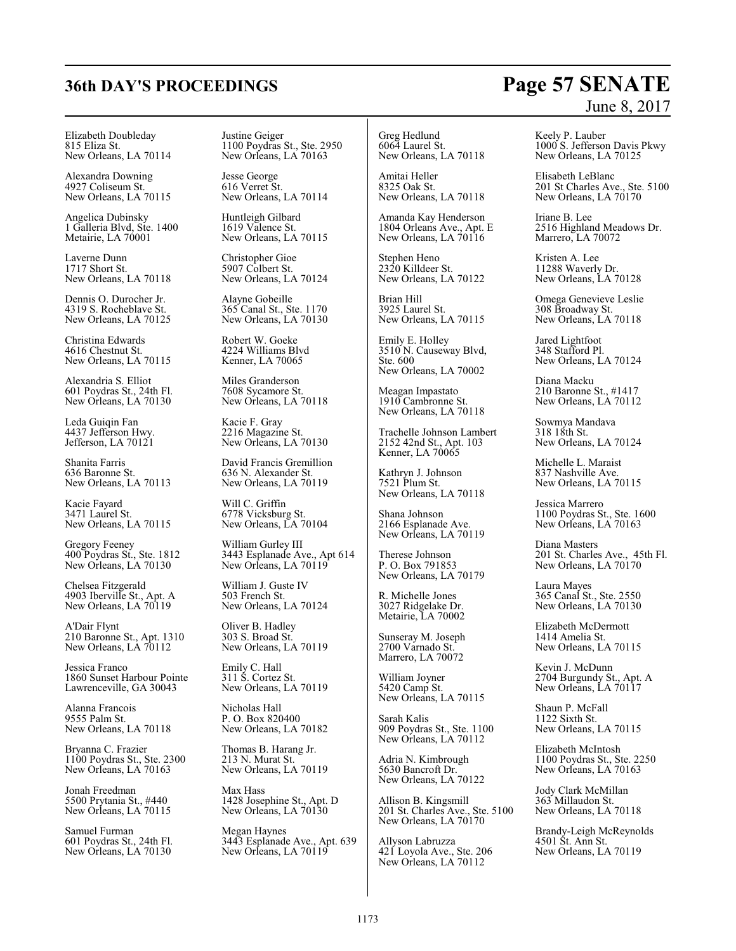# **36th DAY'S PROCEEDINGS Page 57 SENATE**

Elizabeth Doubleday 815 Eliza St. New Orleans, LA 70114

Alexandra Downing 4927 Coliseum St. New Orleans, LA 70115

Angelica Dubinsky 1 Galleria Blvd, Ste. 1400 Metairie, LA 70001

Laverne Dunn 1717 Short St. New Orleans, LA 70118

Dennis O. Durocher Jr. 4319 S. Rocheblave St. New Orleans, LA 70125

Christina Edwards 4616 Chestnut St. New Orleans, LA 70115

Alexandria S. Elliot 601 Poydras St., 24th Fl. New Orleans, LA 70130

Leda Guiqin Fan 4437 Jefferson Hwy. Jefferson, LA 70121

Shanita Farris 636 Baronne St. New Orleans, LA 70113

Kacie Fayard 3471 Laurel St. New Orleans, LA 70115

Gregory Feeney 400 Poydras St., Ste. 1812 New Orleans, LA 70130

Chelsea Fitzgerald 4903 Iberville St., Apt. A New Orleans, LA 70119

A'Dair Flynt 210 Baronne St., Apt. 1310 New Orleans, LA 70112

Jessica Franco 1860 Sunset Harbour Pointe Lawrenceville, GA 30043

Alanna Francois 9555 Palm St. New Orleans, LA 70118

Bryanna C. Frazier 1100 Poydras St., Ste. 2300 New Orleans, LA 70163

Jonah Freedman 5500 Prytania St., #440 New Orleans, LA 70115

Samuel Furman 601 Poydras St., 24th Fl. New Orleans, LA 70130

Justine Geiger 1100 Poydras St., Ste. 2950 New Orleans, LA 70163

Jesse George 616 Verret St. New Orleans, LA 70114

Huntleigh Gilbard 1619 Valence St. New Orleans, LA 70115

Christopher Gioe 5907 Colbert St. New Orleans, LA 70124

Alayne Gobeille 365 Canal St., Ste. 1170 New Orleans, LA 70130

Robert W. Goeke 4224 Williams Blvd Kenner, LA 70065

Miles Granderson 7608 Sycamore St. New Orleans, LA 70118

Kacie F. Gray 2216 Magazine St. New Orleans, LA 70130

David Francis Gremillion 636 N. Alexander St. New Orleans, LA 70119

Will C. Griffin 6778 Vicksburg St. New Orleans, LA 70104

William Gurley III 3443 Esplanade Ave., Apt 614 New Orleans, LA 70119

William J. Guste IV 503 French St. New Orleans, LA 70124

Oliver B. Hadley 303 S. Broad St. New Orleans, LA 70119

Emily C. Hall 311 S. Cortez St. New Orleans, LA 70119

Nicholas Hall P. O. Box 820400 New Orleans, LA 70182

Thomas B. Harang Jr. 213 N. Murat St. New Orleans, LA 70119

Max Hass 1428 Josephine St., Apt. D New Orleans, LA 70130

Megan Haynes 3443 Esplanade Ave., Apt. 639 New Orleans, LA 70119

Greg Hedlund 6064 Laurel St. New Orleans, LA 70118

Amitai Heller 8325 Oak St. New Orleans, LA 70118

Amanda Kay Henderson 1804 Orleans Ave., Apt. E New Orleans, LA  $70116$ 

Stephen Heno 2320 Killdeer St. New Orleans, LA 70122

Brian Hill 3925 Laurel St. New Orleans, LA 70115

Emily E. Holley 3510 N. Causeway Blvd, Ste. 600 New Orleans, LA 70002

Meagan Impastato 1910 Cambronne St. New Orleans, LA 70118

Trachelle Johnson Lambert 2152 42nd St., Apt. 103 Kenner, LA 70065

Kathryn J. Johnson 7521 Plum St. New Orleans, LA 70118

Shana Johnson 2166 Esplanade Ave. New Orleans, LA 70119

Therese Johnson P. O. Box 791853 New Orleans, LA 70179

R. Michelle Jones 3027 Ridgelake Dr. Metairie, LA 70002

Sunseray M. Joseph 2700 Varnado St. Marrero, LA 70072

William Joyner 5420 Camp St. New Orleans, LA 70115

Sarah Kalis 909 Poydras St., Ste. 1100 New Orleans, LA 70112

Adria N. Kimbrough 5630 Bancroft Dr. New Orleans, LA 70122

Allison B. Kingsmill 201 St. Charles Ave., Ste. 5100 New Orleans, LA 70170

Allyson Labruzza 421 Loyola Ave., Ste. 206 New Orleans, LA 70112

# June 8, 2017

Keely P. Lauber 1000 S. Jefferson Davis Pkwy New Orleans, LA 70125

Elisabeth LeBlanc 201 St Charles Ave., Ste. 5100 New Orleans, LA 70170

Iriane B. Lee 2516 Highland Meadows Dr. Marrero, LA 70072

Kristen A. Lee 11288 Waverly Dr. New Orleans, LA 70128

Omega Genevieve Leslie 308 Broadway St. New Orleans, LA 70118

Jared Lightfoot 348 Stafford Pl. New Orleans, LA 70124

Diana Macku 210 Baronne St., #1417 New Orleans, LA 70112

Sowmya Mandava 318 18th St. New Orleans, LA 70124

Michelle L. Maraist 837 Nashville Ave. New Orleans, LA 70115

Jessica Marrero 1100 Poydras St., Ste. 1600 New Orleans, LA 70163

Diana Masters 201 St. Charles Ave., 45th Fl. New Orleans, LA 70170

Laura Mayes 365 Canal St., Ste. 2550 New Orleans, LA 70130

Elizabeth McDermott 1414 Amelia St. New Orleans, LA 70115

Kevin J. McDunn 2704 Burgundy St., Apt. A New Orleans, LA 70117

Shaun P. McFall 1122 Sixth St. New Orleans, LA 70115

Elizabeth McIntosh 1100 Poydras St., Ste. 2250 New Orleans, LA 70163

Jody Clark McMillan 363 Millaudon St. New Orleans, LA 70118

Brandy-Leigh McReynolds 4501 St. Ann St. New Orleans, LA 70119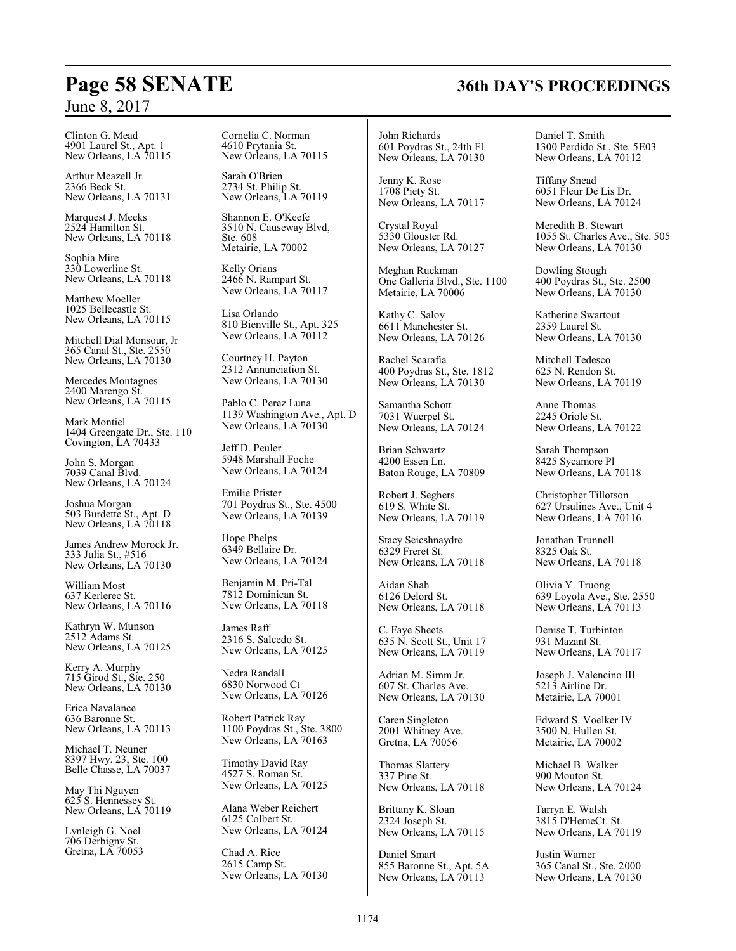Clinton G. Mead 4901 Laurel St., Apt. 1 New Orleans, LA 70115

Arthur Meazell Jr. 2366 Beck St. New Orleans, LA 70131

Marquest J. Meeks 2524 Hamilton St. New Orleans, LA 70118

Sophia Mire 330 Lowerline St. New Orleans, LA 70118

Matthew Moeller 1025 Bellecastle St. New Orleans, LA 70115

Mitchell Dial Monsour, Jr 365 Canal St., Ste. 2550 New Orleans, LA 70130

Mercedes Montagnes 2400 Marengo St. New Orleans, LA 70115

Mark Montiel 1404 Greengate Dr., Ste. 110 Covington, LA 70433

John S. Morgan 7039 Canal Blvd. New Orleans, LA 70124

Joshua Morgan 503 Burdette St., Apt. D New Orleans, LA 70118

James Andrew Morock Jr. 333 Julia St., #516 New Orleans, LA 70130

William Most 637 Kerlerec St. New Orleans, LA 70116

Kathryn W. Munson 2512 Adams St. New Orleans, LA 70125

Kerry A. Murphy 715 Girod St., Ste. 250 New Orleans, LA 70130

Erica Navalance 636 Baronne St. New Orleans, LA 70113

Michael T. Neuner 8397 Hwy. 23, Ste. 100 Belle Chasse, LA 70037

May Thi Nguyen 625 S. Hennessey St. New Orleans, LA 70119

Lynleigh G. Noel 706 Derbigny St. Gretna, LA 70053 Cornelia C. Norman 4610 Prytania St. New Orleans, LA 70115

Sarah O'Brien 2734 St. Philip St. New Orleans, LA 70119

Shannon E. O'Keefe 3510 N. Causeway Blvd, Ste. 608 Metairie, LA 70002

Kelly Orians 2466 N. Rampart St. New Orleans, LA 70117

Lisa Orlando 810 Bienville St., Apt. 325 New Orleans, LA  $70112$ 

Courtney H. Payton 2312 Annunciation St. New Orleans, LA 70130

Pablo C. Perez Luna 1139 Washington Ave., Apt. D New Orleans, LA 70130

Jeff D. Peuler 5948 Marshall Foche New Orleans, LA 70124

Emilie Pfister 701 Poydras St., Ste. 4500 New Orleans, LA 70139

Hope Phelps 6349 Bellaire Dr. New Orleans, LA 70124

Benjamin M. Pri-Tal 7812 Dominican St. New Orleans, LA 70118

James Raff 2316 S. Salcedo St. New Orleans, LA 70125

Nedra Randall 6830 Norwood Ct New Orleans, LA 70126

Robert Patrick Ray 1100 Poydras St., Ste. 3800 New Orleans, LA 70163

Timothy David Ray 4527 S. Roman St. New Orleans, LA 70125

Alana Weber Reichert 6125 Colbert St. New Orleans, LA 70124

Chad A. Rice 2615 Camp St. New Orleans, LA 70130 John Richards 601 Poydras St., 24th Fl. New Orleans, LA 70130

Jenny K. Rose 1708 Piety St. New Orleans, LA 70117

Crystal Royal 5330 Glouster Rd. New Orleans, LA 70127

Meghan Ruckman One Galleria Blvd., Ste. 1100 Metairie, LA 70006

Kathy C. Saloy 6611 Manchester St. New Orleans, LA 70126

Rachel Scarafia 400 Poydras St., Ste. 1812 New Orleans, LA 70130

Samantha Schott 7031 Wuerpel St. New Orleans, LA 70124

Brian Schwartz 4200 Essen Ln. Baton Rouge, LA 70809

Robert J. Seghers 619 S. White St. New Orleans, LA 70119

Stacy Seicshnaydre 6329 Freret St. New Orleans, LA 70118

Aidan Shah 6126 Delord St. New Orleans, LA 70118

C. Faye Sheets 635 N. Scott St., Unit 17 New Orleans, LA 70119

Adrian M. Simm Jr. 607 St. Charles Ave. New Orleans, LA 70130

Caren Singleton 2001 Whitney Ave. Gretna, LA 70056

Thomas Slattery 337 Pine St. New Orleans, LA 70118

Brittany K. Sloan 2324 Joseph St. New Orleans, LA 70115

Daniel Smart 855 Baronne St., Apt. 5A New Orleans, LA 70113

Daniel T. Smith 1300 Perdido St., Ste. 5E03 New Orleans, LA 70112

Tiffany Snead 6051 Fleur De Lis Dr. New Orleans, LA 70124

Meredith B. Stewart 1055 St. Charles Ave., Ste. 505 New Orleans, LA 70130

Dowling Stough 400 Poydras St., Ste. 2500 New Orleans, LA 70130

Katherine Swartout 2359 Laurel St. New Orleans, LA 70130

Mitchell Tedesco 625 N. Rendon St. New Orleans, LA 70119

Anne Thomas 2245 Oriole St. New Orleans, LA 70122

Sarah Thompson 8425 Sycamore Pl New Orleans, LA 70118

Christopher Tillotson 627 Ursulines Ave., Unit 4 New Orleans, LA 70116

Jonathan Trunnell 8325 Oak St. New Orleans, LA 70118

Olivia Y. Truong 639 Loyola Ave., Ste. 2550 New Orleans, LA 70113

Denise T. Turbinton 931 Mazant St. New Orleans, LA 70117

Joseph J. Valencino III 5213 Airline Dr. Metairie, LA 70001

Edward S. Voelker IV 3500 N. Hullen St. Metairie, LA 70002

Michael B. Walker 900 Mouton St. New Orleans, LA 70124

Tarryn E. Walsh 3815 D'HemeCt. St. New Orleans, LA 70119

Justin Warner 365 Canal St., Ste. 2000 New Orleans, LA 70130

## **Page 58 SENATE 36th DAY'S PROCEEDINGS**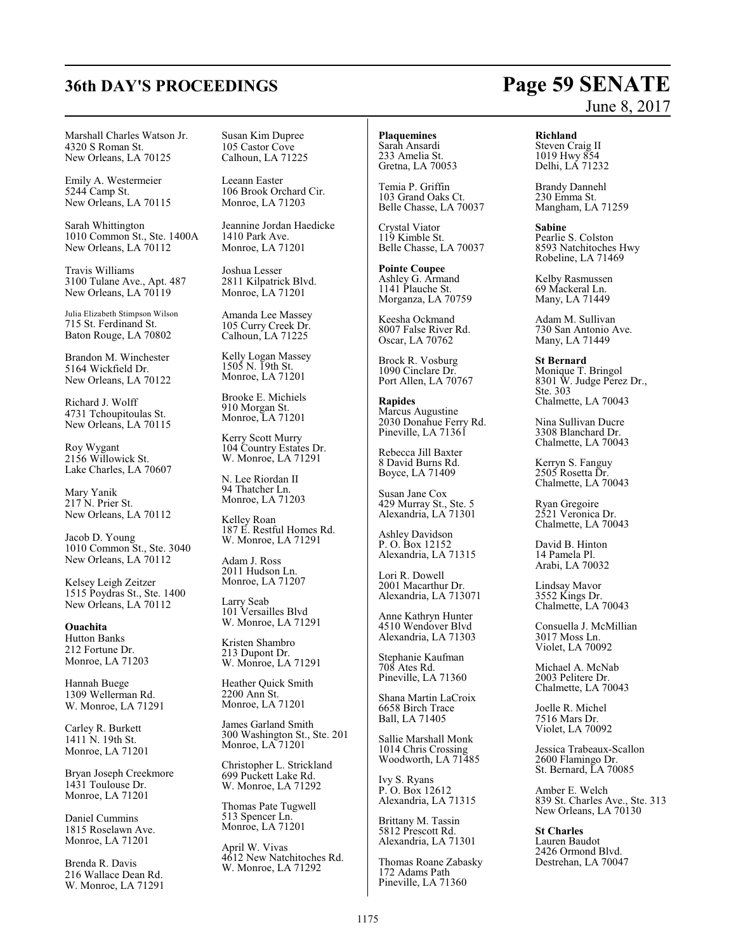Marshall Charles Watson Jr. 4320 S Roman St. New Orleans, LA 70125

Emily A. Westermeier 5244 Camp St. New Orleans, LA 70115

Sarah Whittington 1010 Common St., Ste. 1400A New Orleans, LA 70112

Travis Williams 3100 Tulane Ave., Apt. 487 New Orleans, LA  $70119$ 

Julia Elizabeth Stimpson Wilson 715 St. Ferdinand St. Baton Rouge, LA 70802

Brandon M. Winchester 5164 Wickfield Dr. New Orleans, LA 70122

Richard J. Wolff 4731 Tchoupitoulas St. New Orleans, LA 70115

Roy Wygant 2156 Willowick St. Lake Charles, LA 70607

Mary Yanik 217 N. Prier St. New Orleans, LA 70112

Jacob D. Young 1010 Common St., Ste. 3040 New Orleans, LA 70112

Kelsey Leigh Zeitzer 1515 Poydras St., Ste. 1400 New Orleans, LA 70112

**Ouachita** Hutton Banks 212 Fortune Dr. Monroe, LA 71203

Hannah Buege 1309 Wellerman Rd. W. Monroe, LA 71291

Carley R. Burkett 1411 N. 19th St. Monroe, LA 71201

Bryan Joseph Creekmore 1431 Toulouse Dr. Monroe, LA 71201

Daniel Cummins 1815 Roselawn Ave. Monroe, LA 71201

Brenda R. Davis 216 Wallace Dean Rd. W. Monroe, LA 71291 Susan Kim Dupree 105 Castor Cove Calhoun, LA 71225

Leeann Easter 106 Brook Orchard Cir. Monroe, LA 71203

Jeannine Jordan Haedicke 1410 Park Ave. Monroe, LA 71201

Joshua Lesser 2811 Kilpatrick Blvd. Monroe, LA 71201

Amanda Lee Massey 105 Curry Creek Dr. Calhoun, LA 71225

Kelly Logan Massey 1505 N. 19th St. Monroe, LA 71201

Brooke E. Michiels 910 Morgan St. Monroe, LA 71201

Kerry Scott Murry 104 Country Estates Dr. W. Monroe, LA 71291

N. Lee Riordan II 94 Thatcher Ln. Monroe, LA 71203

Kelley Roan 187 E. Restful Homes Rd. W. Monroe, LA 71291

Adam J. Ross 2011 Hudson Ln. Monroe, LA 71207

Larry Seab 101 Versailles Blvd W. Monroe, LA 71291

Kristen Shambro 213 Dupont Dr. W. Monroe, LA 71291

Heather Quick Smith 2200 Ann St. Monroe, LA 71201

James Garland Smith 300 Washington St., Ste. 201 Monroe, LA 71201

Christopher L. Strickland 699 Puckett Lake Rd. W. Monroe, LA 71292

Thomas Pate Tugwell 513 Spencer Ln. Monroe, LA 71201

April W. Vivas 4612 New Natchitoches Rd. W. Monroe, LA 71292

**Plaquemines** Sarah Ansardi 233 Amelia St. Gretna, LA 70053

Temia P. Griffin 103 Grand Oaks Ct. Belle Chasse, LA 70037

Crystal Viator 119 Kimble St. Belle Chasse, LA 70037

**Pointe Coupee** Ashley G. Armand 1141 Plauche St. Morganza, LA 70759

Keesha Ockmand 8007 False River Rd. Oscar, LA 70762

Brock R. Vosburg 1090 Cinclare Dr. Port Allen, LA 70767

**Rapides** Marcus Augustine 2030 Donahue Ferry Rd. Pineville, LA 71361

Rebecca Jill Baxter 8 David Burns Rd. Boyce, LA 71409

Susan Jane Cox 429 Murray St., Ste. 5 Alexandria, LA 71301

Ashley Davidson P. O. Box 12152 Alexandria, LA 71315

Lori R. Dowell 2001 Macarthur Dr. Alexandria, LA 713071

Anne Kathryn Hunter 4510 Wendover Blvd Alexandria, LA 71303

Stephanie Kaufman 708 Ates Rd. Pineville, LA 71360

Shana Martin LaCroix 6658 Birch Trace Ball, LA 71405

Sallie Marshall Monk 1014 Chris Crossing Woodworth, LA 71485

Ivy S. Ryans P. O. Box 12612 Alexandria, LA 71315

Brittany M. Tassin 5812 Prescott Rd. Alexandria, LA 71301

Thomas Roane Zabasky 172 Adams Path Pineville, LA 71360

#### **Richland**

Steven Craig II 1019 Hwy 854 Delhi, LA 71232

Brandy Dannehl 230 Emma St. Mangham, LA 71259

**Sabine** Pearlie S. Colston 8593 Natchitoches Hwy Robeline, LA 71469

Kelby Rasmussen 69 Mackeral Ln. Many, LA 71449

Adam M. Sullivan 730 San Antonio Ave. Many, LA 71449

**St Bernard** Monique T. Bringol 8301 W. Judge Perez Dr., Ste. 303 Chalmette, LA 70043

Nina Sullivan Ducre 3308 Blanchard Dr. Chalmette, LA 70043

Kerryn S. Fanguy 2505 Rosetta Dr. Chalmette, LA 70043

Ryan Gregoire 2521 Veronica Dr. Chalmette, LA 70043

David B. Hinton 14 Pamela Pl. Arabi, LA 70032

Lindsay Mavor 3552 Kings Dr. Chalmette, LA 70043

Consuella J. McMillian 3017 Moss Ln. Violet, LA 70092

Michael A. McNab 2003 Pelitere Dr. Chalmette, LA 70043

Joelle R. Michel 7516 Mars Dr. Violet, LA 70092

Jessica Trabeaux-Scallon 2600 Flamingo Dr. St. Bernard, LA 70085

Amber E. Welch 839 St. Charles Ave., Ste. 313 New Orleans, LA 70130

**St Charles** Lauren Baudot 2426 Ormond Blvd. Destrehan, LA 70047

## **36th DAY'S PROCEEDINGS Page 59 SENATE** June 8, 2017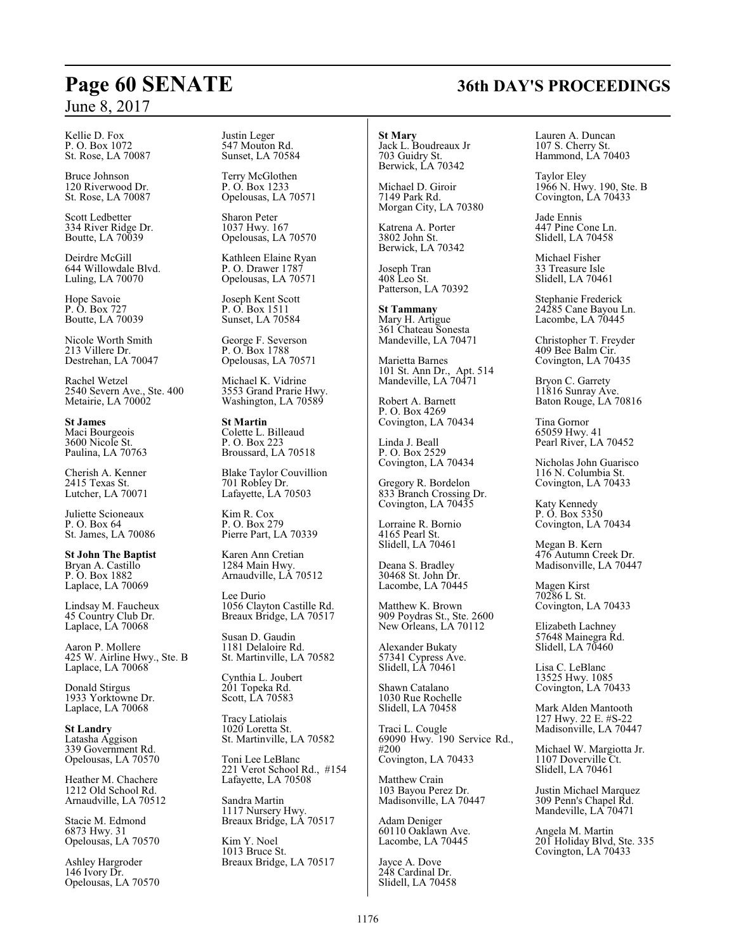Kellie D. Fox P. O. Box 1072 St. Rose, LA 70087

Bruce Johnson 120 Riverwood Dr. St. Rose, LA 70087

Scott Ledbetter 334 River Ridge Dr. Boutte, LA 70039

Deirdre McGill 644 Willowdale Blvd. Luling, LA 70070

Hope Savoie P. O. Box 727 Boutte, LA 70039

Nicole Worth Smith 213 Villere Dr. Destrehan, LA 70047

Rachel Wetzel 2540 Severn Ave., Ste. 400 Metairie, LA 70002

**St James** Maci Bourgeois 3600 Nicole St. Paulina, LA 70763

Cherish A. Kenner 2415 Texas St. Lutcher, LA 70071

Juliette Scioneaux P. O. Box 64 St. James, LA 70086

**St John The Baptist** Bryan A. Castillo P. O. Box 1882 Laplace, LA 70069

Lindsay M. Faucheux 45 Country Club Dr. Laplace, LA 70068

Aaron P. Mollere 425 W. Airline Hwy., Ste. B Laplace, LA 70068

Donald Stirgus 1933 Yorktowne Dr. Laplace, LA 70068

**St Landry** Latasha Aggison 339 Government Rd. Opelousas, LA 70570

Heather M. Chachere 1212 Old School Rd. Arnaudville, LA 70512

Stacie M. Edmond 6873 Hwy. 31 Opelousas, LA 70570

Ashley Hargroder 146 Ivory Dr. Opelousas, LA 70570 Justin Leger 547 Mouton Rd. Sunset, LA 70584

Terry McGlothen P. O. Box 1233 Opelousas, LA 70571

Sharon Peter 1037 Hwy. 167 Opelousas, LA 70570

Kathleen Elaine Ryan P. O. Drawer 1787 Opelousas, LA 70571

Joseph Kent Scott P. O. Box 1511 Sunset, LA 70584

George F. Severson P. O. Box 1788 Opelousas, LA 70571

Michael K. Vidrine 3553 Grand Prarie Hwy. Washington, LA 70589

**St Martin** Colette L. Billeaud P. O. Box 223 Broussard, LA 70518

Blake Taylor Couvillion 701 Robley Dr. Lafayette, LA 70503

Kim R. Cox P. O. Box 279 Pierre Part, LA 70339

Karen Ann Cretian 1284 Main Hwy. Arnaudville, LA 70512

Lee Durio 1056 Clayton Castille Rd. Breaux Bridge, LA 70517

Susan D. Gaudin 1181 Delaloire Rd. St. Martinville, LA 70582

Cynthia L. Joubert 201 Topeka Rd. Scott, LA 70583

Tracy Latiolais 1020 Loretta St. St. Martinville, LA 70582

Toni Lee LeBlanc 221 Verot School Rd., #154 Lafayette, LA 70508

Sandra Martin 1117 Nursery Hwy. Breaux Bridge, LA 70517

Kim Y. Noel 1013 Bruce St. Breaux Bridge, LA 70517

## **St Mary**

Jack L. Boudreaux Jr 703 Guidry St. Berwick, LA 70342

Michael D. Giroir 7149 Park Rd. Morgan City, LA 70380

Katrena A. Porter 3802 John St. Berwick, LA 70342

Joseph Tran 408 Leo St. Patterson, LA 70392

**St Tammany** Mary H. Artigue 361 Chateau Sonesta Mandeville, LA 70471

Marietta Barnes 101 St. Ann Dr., Apt. 514 Mandeville, LA 70471

Robert A. Barnett P. O. Box 4269 Covington, LA 70434

Linda J. Beall P. O. Box 2529 Covington, LA 70434

Gregory R. Bordelon 833 Branch Crossing Dr. Covington, LA 70435

Lorraine R. Bornio 4165 Pearl St. Slidell, LA 70461

Deana S. Bradley 30468 St. John Dr. Lacombe, LA 70445

Matthew K. Brown 909 Poydras St., Ste. 2600 New Orleans, LA 70112

Alexander Bukaty 57341 Cypress Ave. Slidell, LA 70461

Shawn Catalano 1030 Rue Rochelle Slidell, LA 70458

Traci L. Cougle 69090 Hwy. 190 Service Rd., #200 Covington, LA 70433

Matthew Crain 103 Bayou Perez Dr. Madisonville, LA 70447

Adam Deniger 60110 Oaklawn Ave. Lacombe, LA 70445

Jayce A. Dove 248 Cardinal Dr. Slidell, LA 70458 Lauren A. Duncan 107 S. Cherry St. Hammond, LA 70403

Taylor Eley 1966 N. Hwy. 190, Ste. B Covington, LA 70433

Jade Ennis 447 Pine Cone Ln. Slidell, LA 70458

Michael Fisher 33 Treasure Isle Slidell, LA 70461

Stephanie Frederick 24285 Cane Bayou Ln. Lacombe, LA 70445

Christopher T. Freyder 409 Bee Balm Cir. Covington, LA 70435

Bryon C. Garrety 11816 Sunray Ave. Baton Rouge, LA 70816

Tina Gornor 65059 Hwy. 41 Pearl River, LA 70452

Nicholas John Guarisco 116 N. Columbia St. Covington, LA 70433

Katy Kennedy P. O. Box 5350 Covington, LA 70434

Megan B. Kern 476 Autumn Creek Dr. Madisonville, LA 70447

Magen Kirst 70286 L St. Covington, LA 70433

Elizabeth Lachney 57648 Mainegra Rd. Slidell, LA 70460

Lisa C. LeBlanc 13525 Hwy. 1085 Covington, LA 70433

Mark Alden Mantooth 127 Hwy. 22 E. #S-22 Madisonville, LA 70447

Michael W. Margiotta Jr. 1107 Doverville Ct. Slidell, LA 70461

Justin Michael Marquez 309 Penn's Chapel Rd. Mandeville, LA 70471

Angela M. Martin 201 Holiday Blvd, Ste. 335 Covington, LA 70433

## **Page 60 SENATE 36th DAY'S PROCEEDINGS**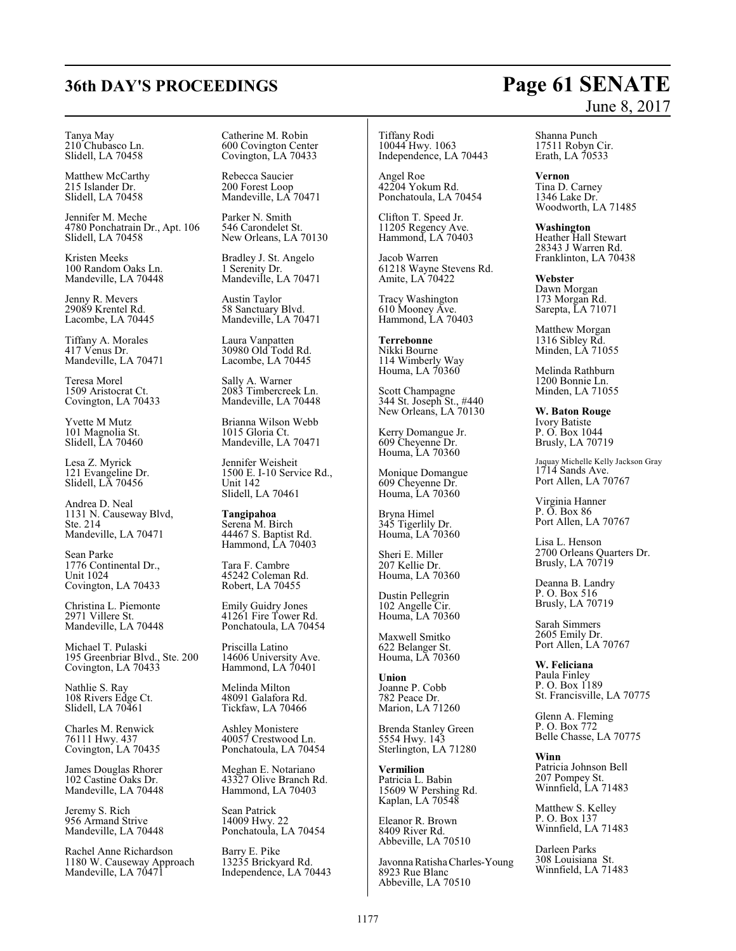#### Tanya May 210 Chubasco Ln. Slidell, LA 70458

Matthew McCarthy 215 Islander Dr. Slidell, LA 70458

Jennifer M. Meche 4780 Ponchatrain Dr., Apt. 106 Slidell, LA 70458

Kristen Meeks 100 Random Oaks Ln. Mandeville, LA 70448

Jenny R. Mevers 29089 Krentel Rd. Lacombe, LA 70445

Tiffany A. Morales 417 Venus Dr. Mandeville, LA 70471

Teresa Morel 1509 Aristocrat Ct. Covington, LA 70433

Yvette M Mutz 101 Magnolia St. Slidell, LA 70460

Lesa Z. Myrick 121 Evangeline Dr. Slidell, LA 70456

Andrea D. Neal 1131 N. Causeway Blvd, Ste. 214 Mandeville, LA 70471

Sean Parke 1776 Continental Dr., Unit 1024 Covington, LA 70433

Christina L. Piemonte 2971 Villere St. Mandeville, LA 70448

Michael T. Pulaski 195 Greenbriar Blvd., Ste. 200 Covington, LA 70433

Nathlie S. Ray 108 Rivers Edge Ct. Slidell, LA 70461

Charles M. Renwick 76111 Hwy. 437 Covington, LA 70435

James Douglas Rhorer 102 Castine Oaks Dr. Mandeville, LA 70448

Jeremy S. Rich 956 Armand Strive Mandeville, LA 70448

Rachel Anne Richardson 1180 W. Causeway Approach Mandeville, LA 70471

Catherine M. Robin 600 Covington Center Covington, LA 70433

Rebecca Saucier 200 Forest Loop Mandeville, LA 70471

Parker N. Smith 546 Carondelet St. New Orleans, LA 70130

Bradley J. St. Angelo 1 Serenity Dr. Mandeville, LA 70471

Austin Taylor 58 Sanctuary Blvd. Mandeville, LA 70471

Laura Vanpatten 30980 Old Todd Rd. Lacombe, LA 70445

Sally A. Warner 2083 Timbercreek Ln. Mandeville, LA 70448

Brianna Wilson Webb 1015 Gloria Ct. Mandeville, LA 70471

Jennifer Weisheit 1500 E. I-10 Service Rd., Unit 142 Slidell, LA 70461

**Tangipahoa** Serena M. Birch 44467 S. Baptist Rd. Hammond, LA 70403

Tara F. Cambre 45242 Coleman Rd. Robert, LA 70455

Emily Guidry Jones 41261 Fire Tower Rd. Ponchatoula, LA 70454

Priscilla Latino 14606 University Ave. Hammond, LA 70401

Melinda Milton 48091 Galafora Rd. Tickfaw, LA 70466

Ashley Monistere 40057 Crestwood Ln. Ponchatoula, LA 70454

Meghan E. Notariano 43327 Olive Branch Rd. Hammond, LA 70403

Sean Patrick 14009 Hwy. 22 Ponchatoula, LA 70454

Barry E. Pike 13235 Brickyard Rd. Independence, LA 70443

Tiffany Rodi 10044 Hwy. 1063 Independence, LA 70443

Angel Roe 42204 Yokum Rd. Ponchatoula, LA 70454

Clifton T. Speed Jr. 11205 Regency Ave. Hammond, LA 70403

Jacob Warren 61218 Wayne Stevens Rd. Amite, LA 70422

Tracy Washington 610 Mooney Ave. Hammond, LA 70403

**Terrebonne** Nikki Bourne 114 Wimberly Way Houma, LA 70360

Scott Champagne 344 St. Joseph St., #440 New Orleans, LA 70130

Kerry Domangue Jr. 609 Cheyenne Dr. Houma, LA 70360

Monique Domangue 609 Cheyenne Dr. Houma, LA 70360

Bryna Himel 345 Tigerlily Dr. Houma, LA 70360

Sheri E. Miller 207 Kellie Dr. Houma, LA 70360

Dustin Pellegrin 102 Angelle Cir. Houma, LA 70360

Maxwell Smitko 622 Belanger St. Houma, LA 70360

**Union** Joanne P. Cobb 782 Peace Dr. Marion, LA 71260

Brenda Stanley Green 5554 Hwy. 143 Sterlington, LA 71280

**Vermilion** Patricia L. Babin 15609 W Pershing Rd. Kaplan, LA 70548

Eleanor R. Brown 8409 River Rd. Abbeville, LA 70510

Javonna Ratisha Charles-Young 8923 Rue Blanc Abbeville, LA 70510

#### Shanna Punch 17511 Robyn Cir. Erath, LA 70533

**Vernon** Tina D. Carney 1346 Lake Dr. Woodworth, LA 71485

**Washington** Heather Hall Stewart 28343 J Warren Rd. Franklinton, LA 70438

**Webster** Dawn Morgan 173 Morgan Rd. Sarepta, LA 71071

Matthew Morgan 1316 Sibley Rd. Minden, LA 71055

Melinda Rathburn 1200 Bonnie Ln. Minden, LA 71055

**W. Baton Rouge** Ivory Batiste P. O. Box 1044 Brusly, LA 70719

Jaquay Michelle Kelly Jackson Gray 1714 Sands Ave. Port Allen, LA 70767

Virginia Hanner P. O. Box 86 Port Allen, LA 70767

Lisa L. Henson 2700 Orleans Quarters Dr. Brusly, LA 70719

Deanna B. Landry P. O. Box 516 Brusly, LA 70719

Sarah Simmers 2605 Emily Dr. Port Allen, LA 70767

**W. Feliciana** Paula Finley P. O. Box 1189 St. Francisville, LA 70775

Glenn A. Fleming P. O. Box 772 Belle Chasse, LA 70775

**Winn** Patricia Johnson Bell 207 Pompey St. Winnfield, LA 71483

Matthew S. Kelley P. O. Box 137 Winnfield, LA 71483

Darleen Parks 308 Louisiana St. Winnfield, LA 71483

## **36th DAY'S PROCEEDINGS Page 61 SENATE** June 8, 2017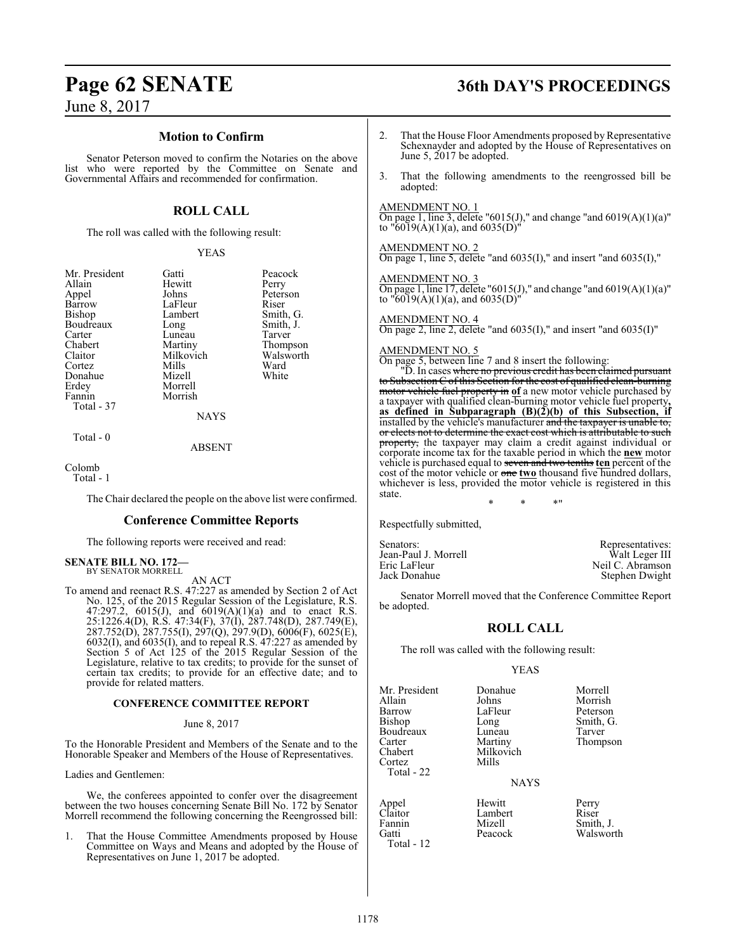#### **Motion to Confirm**

Senator Peterson moved to confirm the Notaries on the above list who were reported by the Committee on Senate and Governmental Affairs and recommended for confirmation.

### **ROLL CALL**

The roll was called with the following result:

#### YEAS

Smith, G.

Thompson<br>Walsworth

| Mr. President | Gatti     | Peacock       |
|---------------|-----------|---------------|
| Allain        | Hewitt    | Perry         |
| Appel         | Johns     | Peterson      |
| Barrow        | LaFleur   | Riser         |
| Bishop        | Lambert   | Smith, C      |
| Boudreaux     | Long      | Smith, J      |
| Carter        | Luneau    | Tarver        |
| Chabert       | Martiny   | <b>Thomps</b> |
| Claitor       | Milkovich | Walswo:       |
| Cortez        | Mills     | Ward          |
| Donahue       | Mizell    | White         |
| Erdey         | Morrell   |               |
| Fannin        | Morrish   |               |
| Total - 37    |           |               |
|               | NAVC      |               |

NAYS

Total - 0

#### ABSENT

Colomb

Total - 1

The Chair declared the people on the above list were confirmed.

#### **Conference Committee Reports**

The following reports were received and read:

#### **SENATE BILL NO. 172—** BY SENATOR MORRELL

AN ACT

To amend and reenact R.S. 47:227 as amended by Section 2 of Act No. 125, of the 2015 Regular Session of the Legislature, R.S. 47:297.2, 6015(J), and 6019(A)(1)(a) and to enact R.S. 25:1226.4(D), R.S. 47:34(F), 37(I), 287.748(D), 287.749(E), 287.752(D), 287.755(I), 297(Q), 297.9(D), 6006(F), 6025(E), 6032(I), and 6035(I), and to repeal R.S. 47:227 as amended by Section 5 of Act 125 of the 2015 Regular Session of the Legislature, relative to tax credits; to provide for the sunset of certain tax credits; to provide for an effective date; and to provide for related matters.

#### **CONFERENCE COMMITTEE REPORT**

#### June 8, 2017

To the Honorable President and Members of the Senate and to the Honorable Speaker and Members of the House of Representatives.

Ladies and Gentlemen:

We, the conferees appointed to confer over the disagreement between the two houses concerning Senate Bill No. 172 by Senator Morrell recommend the following concerning the Reengrossed bill:

1. That the House Committee Amendments proposed by House Committee on Ways and Means and adopted by the House of Representatives on June 1, 2017 be adopted.

## **Page 62 SENATE 36th DAY'S PROCEEDINGS**

- 2. That the House Floor Amendments proposed by Representative Schexnayder and adopted by the House of Representatives on June 5, 2017 be adopted.
- 3. That the following amendments to the reengrossed bill be adopted:

#### AMENDMENT NO. 1

On page 1, line 3, delete "6015(J)," and change "and 6019(A)(1)(a)" to "6019(A)(1)(a), and 6035(D)"

#### AMENDMENT NO. 2

On page 1, line 5, delete "and 6035(I)," and insert "and 6035(I),"

#### AMENDMENT NO. 3

On page 1, line 17, delete "6015(J)," and change "and 6019(A)(1)(a)" to  $\sqrt[16]{6019(A)(1)(a)}$ , and 6035(D)'

### AMENDMENT NO. 4

On page 2, line 2, delete "and 6035(I)," and insert "and 6035(I)"

#### AMENDMENT NO. 5

On page 5, between line 7 and 8 insert the following:

"D. In cases <del>where no previous credit has been claimed pursuant</del> to Subsection C of this Section for the cost of qualified clear motor vehicle fuel property in **of** a new motor vehicle purchased by a taxpayer with qualified clean-burning motor vehicle fuel property**, as defined in Subparagraph (B)(2)(b) of this Subsection, if** installed by the vehicle's manufacturer and the taxpayer is unable to, or elects not to determine the exact cost which is attributable to such property, the taxpayer may claim a credit against individual or corporate income tax for the taxable period in which the **new** motor vehicle is purchased equal to seven and two tenths **ten** percent of the cost of the motor vehicle or one **two** thousand five hundred dollars, whichever is less, provided the motor vehicle is registered in this state.

\* \* \*"

Respectfully submitted,

| Senators:            | Representatives: |
|----------------------|------------------|
| Jean-Paul J. Morrell | Walt Leger III   |
| Eric LaFleur         | Neil C. Abramson |
| Jack Donahue         | Stephen Dwight   |

Senator Morrell moved that the Conference Committee Report be adopted.

## **ROLL CALL**

The roll was called with the following result:

#### YEAS

| Mr. President | Donahue   | Morrell         |
|---------------|-----------|-----------------|
| Allain        | Johns     | Morrish         |
| Barrow        | LaFleur   | Peterson        |
| <b>Bishop</b> | Long      | Smith, G.       |
| Boudreaux     | Luneau    | Tarver          |
| Carter        | Martiny   | <b>Thompson</b> |
| Chabert       | Milkovich |                 |
| Cortez        | Mills     |                 |
| Total - 22    |           |                 |

**NAYS** 

Appel Hewitt Perry<br>Claitor Lambert Riser Claitor Lambert<br>Fannin Mizell Fannin Mizell Smith, J. Total - 12

Walsworth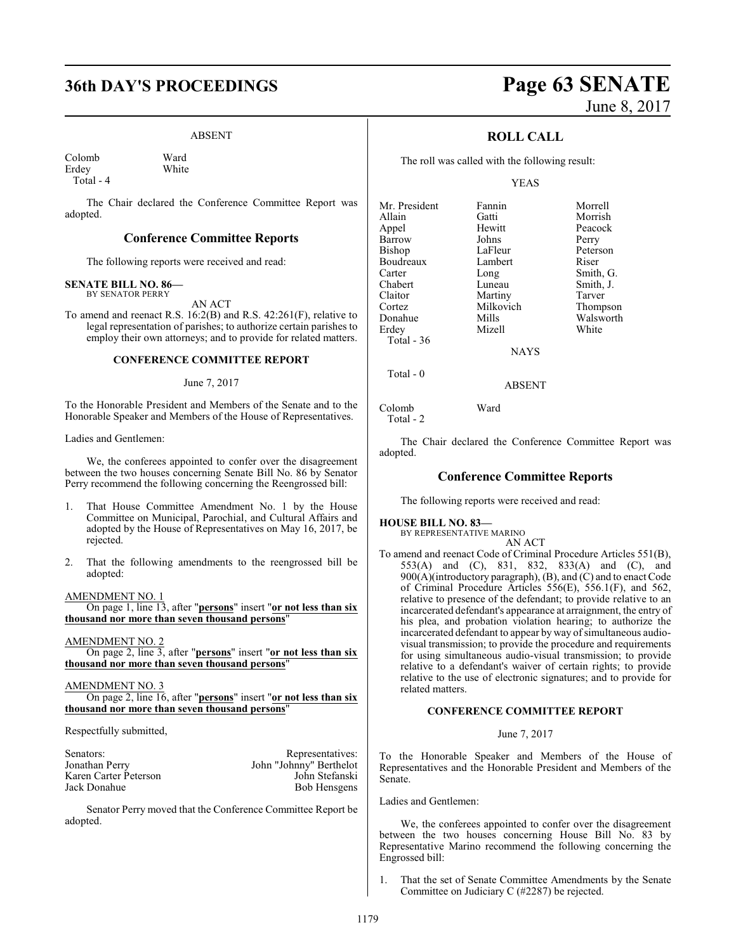## **36th DAY'S PROCEEDINGS Page 63 SENATE**

#### ABSENT

Colomb Ward<br>
Frdev White Erdey Total - 4

The Chair declared the Conference Committee Report was adopted.

#### **Conference Committee Reports**

The following reports were received and read:

#### **SENATE BILL NO. 86—** BY SENATOR PERRY

AN ACT

To amend and reenact R.S. 16:2(B) and R.S. 42:261(F), relative to legal representation of parishes; to authorize certain parishes to employ their own attorneys; and to provide for related matters.

#### **CONFERENCE COMMITTEE REPORT**

#### June 7, 2017

To the Honorable President and Members of the Senate and to the Honorable Speaker and Members of the House of Representatives.

Ladies and Gentlemen:

We, the conferees appointed to confer over the disagreement between the two houses concerning Senate Bill No. 86 by Senator Perry recommend the following concerning the Reengrossed bill:

- 1. That House Committee Amendment No. 1 by the House Committee on Municipal, Parochial, and Cultural Affairs and adopted by the House of Representatives on May 16, 2017, be rejected.
- 2. That the following amendments to the reengrossed bill be adopted:

AMENDMENT NO. 1

On page 1, line 13, after "**persons**" insert "**or not less than six thousand nor more than seven thousand persons**"

AMENDMENT NO. 2

On page 2, line 3, after "**persons**" insert "**or not less than six thousand nor more than seven thousand persons**"

#### AMENDMENT NO. 3

On page 2, line 16, after "**persons**" insert "**or not less than six thousand nor more than seven thousand persons**"

Respectfully submitted,

| Senators:             | Representatives:        |
|-----------------------|-------------------------|
| Jonathan Perry        | John "Johnny" Berthelot |
| Karen Carter Peterson | John Stefanski          |
| Jack Donahue          | Bob Hensgens            |

Senator Perry moved that the Conference Committee Report be adopted.

# June 8, 2017

### **ROLL CALL**

The roll was called with the following result:

#### YEAS

| Mr. President | Fannin    | Morrell   |
|---------------|-----------|-----------|
| Allain        | Gatti     | Morrish   |
| Appel         | Hewitt    | Peacock   |
| Barrow        | Johns     | Perry     |
| <b>Bishop</b> | LaFleur   | Peterson  |
| Boudreaux     | Lambert   | Riser     |
| Carter        | Long      | Smith, G. |
| Chabert       | Luneau    | Smith, J. |
| Claitor       | Martiny   | Tarver    |
| Cortez        | Milkovich | Thompson  |
| Donahue       | Mills     | Walsworth |
| Erdey         | Mizell    | White     |
| Total - 36    |           |           |
|               | NAYS      |           |

ABSENT

Colomb Ward Total - 2

Total - 0

The Chair declared the Conference Committee Report was adopted.

#### **Conference Committee Reports**

The following reports were received and read:

### **HOUSE BILL NO. 83—**

BY REPRESENTATIVE MARINO AN ACT

To amend and reenact Code of Criminal Procedure Articles 551(B), 553(A) and (C), 831, 832, 833(A) and (C), and 900(A)(introductory paragraph), (B), and (C) and to enact Code of Criminal Procedure Articles 556(E), 556.1(F), and 562, relative to presence of the defendant; to provide relative to an incarcerated defendant's appearance at arraignment, the entry of his plea, and probation violation hearing; to authorize the incarcerated defendant to appear by way of simultaneous audiovisual transmission; to provide the procedure and requirements for using simultaneous audio-visual transmission; to provide relative to a defendant's waiver of certain rights; to provide relative to the use of electronic signatures; and to provide for related matters.

#### **CONFERENCE COMMITTEE REPORT**

June 7, 2017

To the Honorable Speaker and Members of the House of Representatives and the Honorable President and Members of the Senate.

Ladies and Gentlemen:

We, the conferees appointed to confer over the disagreement between the two houses concerning House Bill No. 83 by Representative Marino recommend the following concerning the Engrossed bill:

That the set of Senate Committee Amendments by the Senate Committee on Judiciary C (#2287) be rejected.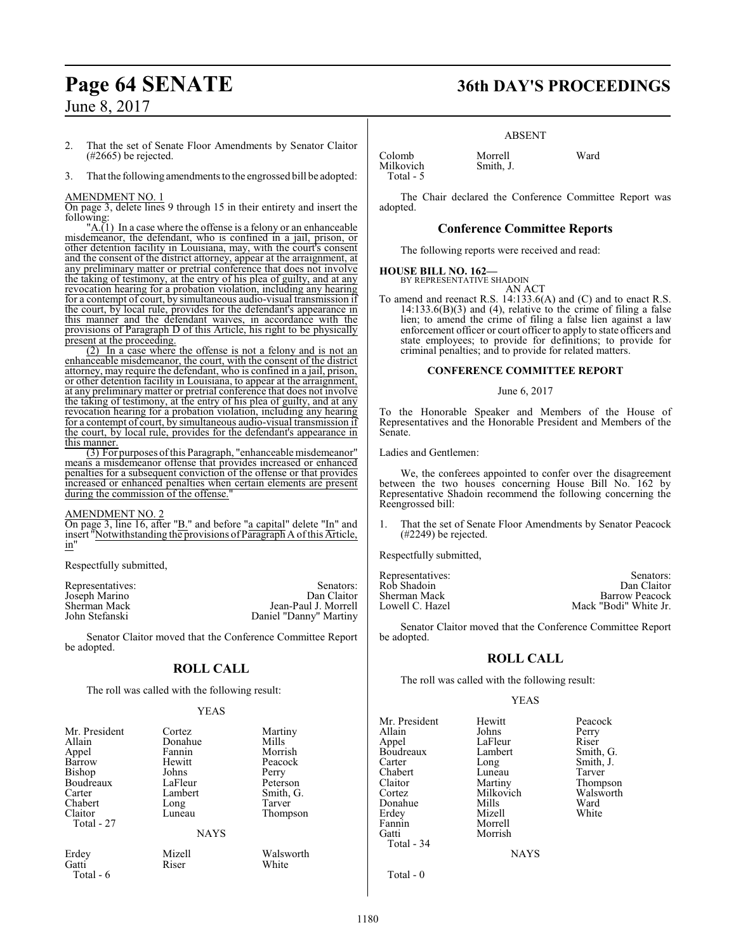- 2. That the set of Senate Floor Amendments by Senator Claitor (#2665) be rejected.
- 3. That the following amendments to the engrossed bill be adopted:

#### AMENDMENT NO. 1

On page 3, delete lines 9 through 15 in their entirety and insert the following:

"A.(1) In a case where the offense is a felony or an enhanceable misdemeanor, the defendant, who is confined in a jail, prison, or other detention facility in Louisiana, may, with the court's consent and the consent of the district attorney, appear at the arraignment, at any preliminary matter or pretrial conference that does not involve the taking of testimony, at the entry of his plea of guilty, and at any revocation hearing for a probation violation, including any hearing for a contempt of court, by simultaneous audio-visual transmission if the court, by local rule, provides for the defendant's appearance in this manner and the defendant waives, in accordance with the provisions of Paragraph D of this Article, his right to be physically present at the proceeding.

(2) In a case where the offense is not a felony and is not an enhanceable misdemeanor, the court, with the consent of the district attorney, may require the defendant, who is confined in a jail, prison, or other detention facility in Louisiana, to appear at the arraignment, at any preliminary matter or pretrial conference that does not involve the taking of testimony, at the entry of his plea of guilty, and at any revocation hearing for a probation violation, including any hearing for a contempt of court, by simultaneous audio-visual transmission if the court, by local rule, provides for the defendant's appearance in this manner.

(3) For purposes ofthis Paragraph, "enhanceable misdemeanor" means a misdemeanor offense that provides increased or enhanced penalties for a subsequent conviction of the offense or that provides increased or enhanced penalties when certain elements are present during the commission of the offense."

#### AMENDMENT NO. 2

On page 3, line 16, after "B." and before "a capital" delete "In" and insert "Notwithstanding the provisions of Paragraph A of this Article, in"

Respectfully submitted,

| Representatives: | Senators:              |
|------------------|------------------------|
| Joseph Marino    | Dan Claitor            |
| Sherman Mack     | Jean-Paul J. Morrell   |
| John Stefanski   | Daniel "Danny" Martiny |

Senator Claitor moved that the Conference Committee Report be adopted.

### **ROLL CALL**

The roll was called with the following result:

#### YEAS

| Mr. President | Cortez      | Martiny   |
|---------------|-------------|-----------|
| Allain        | Donahue     | Mills     |
| Appel         | Fannin      | Morrish   |
| Barrow        | Hewitt      | Peacock   |
| Bishop        | Johns       | Perry     |
| Boudreaux     | LaFleur     | Peterson  |
| Carter        | Lambert     | Smith, G. |
| Chabert       | Long        | Tarver    |
| Claitor       | Luneau      | Thompson  |
| Total - 27    |             |           |
|               | <b>NAYS</b> |           |
| Erdey         | Mizell      | Walsworth |
| Gatti         | Riser       | White     |
| Total - 6     |             |           |

## **Page 64 SENATE 36th DAY'S PROCEEDINGS**

#### ABSENT

Colomb Morrell Ward Total - 5

The Chair declared the Conference Committee Report was adopted.

#### **Conference Committee Reports**

The following reports were received and read:

Smith, J.

#### **HOUSE BILL NO. 162—**

BY REPRESENTATIVE SHADOIN AN ACT

To amend and reenact R.S. 14:133.6(A) and (C) and to enact R.S.  $14:133.6(B)(3)$  and (4), relative to the crime of filing a false lien; to amend the crime of filing a false lien against a law enforcement officer or court officer to apply to state officers and state employees; to provide for definitions; to provide for criminal penalties; and to provide for related matters.

#### **CONFERENCE COMMITTEE REPORT**

#### June 6, 2017

To the Honorable Speaker and Members of the House of Representatives and the Honorable President and Members of the Senate.

Ladies and Gentlemen:

We, the conferees appointed to confer over the disagreement between the two houses concerning House Bill No. 162 by Representative Shadoin recommend the following concerning the Reengrossed bill:

1. That the set of Senate Floor Amendments by Senator Peacock (#2249) be rejected.

Respectfully submitted,

| Representatives: | Senators:             |
|------------------|-----------------------|
| Rob Shadoin      | Dan Claitor           |
| Sherman Mack     | <b>Barrow Peacock</b> |
| Lowell C. Hazel  | Mack "Bodi" White Jr. |
|                  |                       |

Senator Claitor moved that the Conference Committee Report be adopted.

### **ROLL CALL**

The roll was called with the following result:

Morrish

#### YEAS

Mr. President Hewitt Peacock<br>Allain Johns Perry Allain Johns Perry Boudreaux Carter Long Smith, J.<br>Chabert Luneau Tarver Chabert Luneau<br>Claitor Martiny Claitor Martiny Thompson<br>Cortez Milkovich Walsworth Donahue Mills Ward<br>Erdev Mizell White Erdey<br>Fannin Fannin Morrell<br>Gatti Morrish Total - 34

LaFleur Riser<br>
Lambert Smith, G. Milkovich Walsworth<br>
Ward Ward

**NAYS** 

Total - 0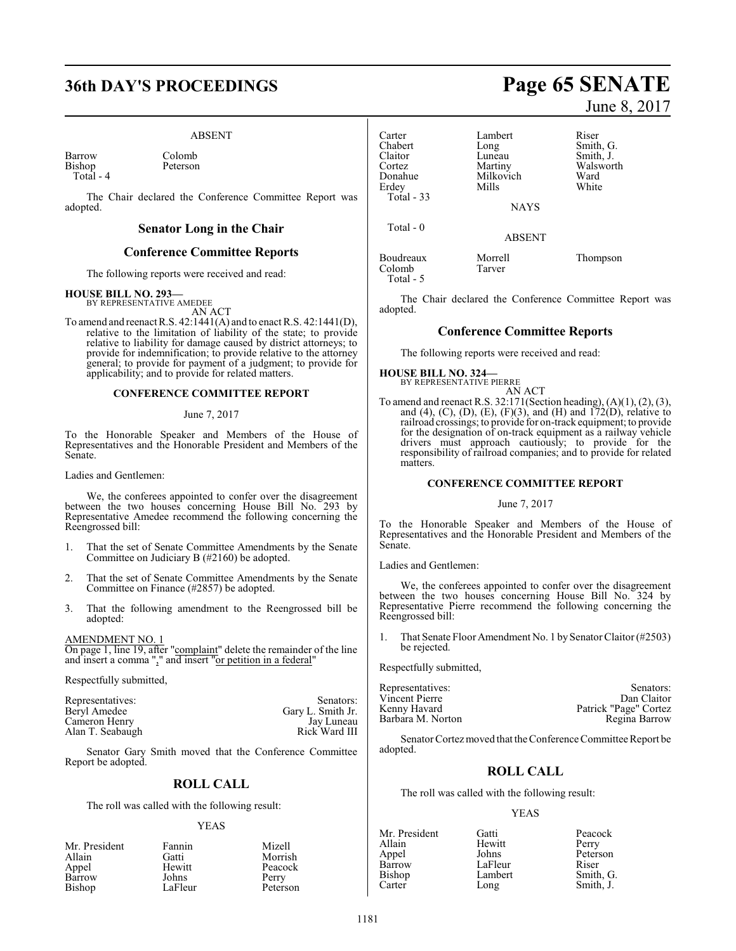## **36th DAY'S PROCEEDINGS Page 65 SENATE**

#### ABSENT

Barrow Colomb<br>Bishop Peterson Bishop Total - 4

The Chair declared the Conference Committee Report was adopted.

#### **Senator Long in the Chair**

#### **Conference Committee Reports**

The following reports were received and read:

#### **HOUSE BILL NO. 293—**

BY REPRESENTATIVE AMEDEE AN ACT

To amend and reenact R.S. 42:1441(A) and to enact R.S. 42:1441(D), relative to the limitation of liability of the state; to provide relative to liability for damage caused by district attorneys; to provide for indemnification; to provide relative to the attorney general; to provide for payment of a judgment; to provide for applicability; and to provide for related matters.

#### **CONFERENCE COMMITTEE REPORT**

#### June 7, 2017

To the Honorable Speaker and Members of the House of Representatives and the Honorable President and Members of the Senate.

Ladies and Gentlemen:

We, the conferees appointed to confer over the disagreement between the two houses concerning House Bill No. 293 by Representative Amedee recommend the following concerning the Reengrossed bill:

- 1. That the set of Senate Committee Amendments by the Senate Committee on Judiciary B (#2160) be adopted.
- 2. That the set of Senate Committee Amendments by the Senate Committee on Finance (#2857) be adopted.
- 3. That the following amendment to the Reengrossed bill be adopted:

AMENDMENT NO. 1 On page 1, line 19, after "complaint" delete the remainder of the line and insert a comma "," and insert "or petition in a federal"

Respectfully submitted,

| Representatives: | Senators:         |
|------------------|-------------------|
| Beryl Amedee     | Gary L. Smith Jr. |
| Cameron Henry    | Jay Luneau        |
| Alan T. Seabaugh | Rick Ward III     |

Senator Gary Smith moved that the Conference Committee Report be adopted.

### **ROLL CALL**

The roll was called with the following result:

#### YEAS

| Mr. President | Fannin  | Mizell   |
|---------------|---------|----------|
| Allain        | Gatti   | Morrish  |
| Appel         | Hewitt  | Peacock  |
| Barrow        | Johns   | Perry    |
| Bishop        | LaFleur | Peterson |

June 8, 2017

| Lambert       | Riser     |
|---------------|-----------|
| Long          | Smith, G. |
| Luneau        | Smith, J. |
| Martiny       | Walsworth |
| Milkovich     | Ward      |
| Mills         | White     |
| <b>NAYS</b>   |           |
| <b>ABSENT</b> |           |
|               |           |

Boudreaux Morrell Thompson<br>Colomb Tarver Colomb Total - 5

The Chair declared the Conference Committee Report was adopted.

#### **Conference Committee Reports**

The following reports were received and read:

**HOUSE BILL NO. 324—** BY REPRESENTATIVE PIERRE

AN ACT To amend and reenact R.S. 32:171(Section heading), (A)(1), (2), (3), and (4), (C), (D), (E), (F)(3), and (H) and  $172(D)$ , relative to railroad crossings; to provide for on-track equipment; to provide for the designation of on-track equipment as a railway vehicle drivers must approach cautiously; to provide for the responsibility of railroad companies; and to provide for related matters.

#### **CONFERENCE COMMITTEE REPORT**

#### June 7, 2017

To the Honorable Speaker and Members of the House of Representatives and the Honorable President and Members of the Senate.

Ladies and Gentlemen:

We, the conferees appointed to confer over the disagreement between the two houses concerning House Bill No. 324 by Representative Pierre recommend the following concerning the Reengrossed bill:

1. That Senate Floor Amendment No. 1 by Senator Claitor (#2503) be rejected.

Respectfully submitted,

| Representatives:  | Senators:             |
|-------------------|-----------------------|
| Vincent Pierre    | Dan Claitor           |
| Kenny Havard      | Patrick "Page" Cortez |
| Barbara M. Norton | Regina Barrow         |

Senator Cortez moved that the Conference Committee Report be adopted.

### **ROLL CALL**

The roll was called with the following result:

#### YEAS

| Mr. President | Gatti   | Peacock   |
|---------------|---------|-----------|
| Allain        | Hewitt  | Perry     |
| Appel         | Johns   | Peterson  |
| Barrow        | LaFleur | Riser     |
| Bishop        | Lambert | Smith, G. |
| Carter        | Long    | Smith, J. |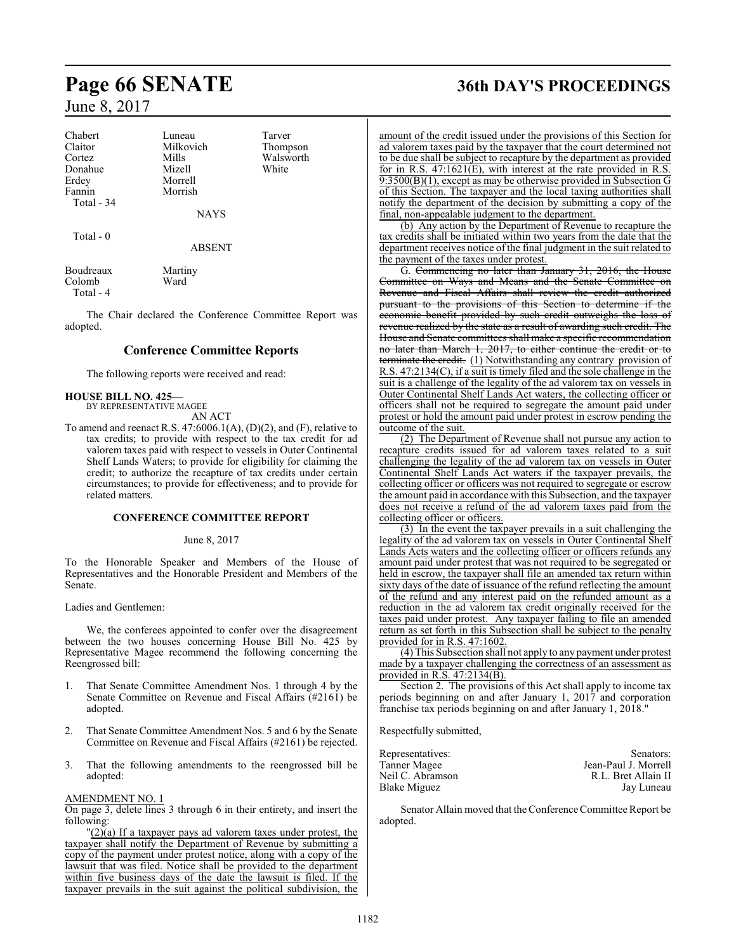| Chabert    | Luneau      | Tarver    |
|------------|-------------|-----------|
| Claitor    | Milkovich   | Thompson  |
| Cortez     | Mills       | Walsworth |
| Donahue    | Mizell      | White     |
| Erdey      | Morrell     |           |
| Fannin     | Morrish     |           |
| Total - 34 |             |           |
|            | <b>NAYS</b> |           |

Total - 0

ABSENT

| Boudreaux | Martiny |
|-----------|---------|
| Colomb    | Ward    |
| Total - 4 |         |

The Chair declared the Conference Committee Report was adopted.

#### **Conference Committee Reports**

The following reports were received and read:

#### **HOUSE BILL NO. 425—**

BY REPRESENTATIVE MAGEE AN ACT

To amend and reenact R.S.  $47:6006.1(A), (D)(2)$ , and  $(F)$ , relative to tax credits; to provide with respect to the tax credit for ad valorem taxes paid with respect to vessels in Outer Continental Shelf Lands Waters; to provide for eligibility for claiming the credit; to authorize the recapture of tax credits under certain circumstances; to provide for effectiveness; and to provide for related matters.

#### **CONFERENCE COMMITTEE REPORT**

#### June 8, 2017

To the Honorable Speaker and Members of the House of Representatives and the Honorable President and Members of the Senate.

Ladies and Gentlemen:

We, the conferees appointed to confer over the disagreement between the two houses concerning House Bill No. 425 by Representative Magee recommend the following concerning the Reengrossed bill:

- 1. That Senate Committee Amendment Nos. 1 through 4 by the Senate Committee on Revenue and Fiscal Affairs (#2161) be adopted.
- 2. That Senate Committee Amendment Nos. 5 and 6 by the Senate Committee on Revenue and Fiscal Affairs (#2161) be rejected.
- 3. That the following amendments to the reengrossed bill be adopted:

#### AMENDMENT NO. 1

On page 3, delete lines 3 through 6 in their entirety, and insert the following:

 $\frac{1}{2}(2)(a)$  If a taxpayer pays ad valorem taxes under protest, the taxpayer shall notify the Department of Revenue by submitting a copy of the payment under protest notice, along with a copy of the lawsuit that was filed. Notice shall be provided to the department within five business days of the date the lawsuit is filed. If the taxpayer prevails in the suit against the political subdivision, the

## **Page 66 SENATE 36th DAY'S PROCEEDINGS**

amount of the credit issued under the provisions of this Section for ad valorem taxes paid by the taxpayer that the court determined not to be due shall be subject to recapture by the department as provided for in R.S. 47:1621(E), with interest at the rate provided in R.S. 9:3500(B)(1), except as may be otherwise provided in Subsection G of this Section. The taxpayer and the local taxing authorities shall notify the department of the decision by submitting a copy of the final, non-appealable judgment to the department.

(b) Any action by the Department of Revenue to recapture the tax credits shall be initiated within two years from the date that the department receives notice of the final judgment in the suit related to the payment of the taxes under protest.

G. Commencing no later than January 31, 2016, the House Committee on Ways and Means and the Senate Committee on Revenue and Fiscal Affairs shall review the credit authorized pursuant to the provisions of this Section to determine if the economic benefit provided by such credit outweighs the loss of revenue realized by the state as a result of awarding such credit. The House and Senate committees shall make a specific recommendation no later than March 1, 2017, to either continue the credit or to terminate the credit. (1) Notwithstanding any contrary provision of R.S. 47:2134(C), if a suit is timely filed and the sole challenge in the suit is a challenge of the legality of the ad valorem tax on vessels in Outer Continental Shelf Lands Act waters, the collecting officer or officers shall not be required to segregate the amount paid under protest or hold the amount paid under protest in escrow pending the outcome of the suit.

(2) The Department of Revenue shall not pursue any action to recapture credits issued for ad valorem taxes related to a suit challenging the legality of the ad valorem tax on vessels in Outer Continental Shelf Lands Act waters if the taxpayer prevails, the collecting officer or officers was not required to segregate or escrow the amount paid in accordance with this Subsection, and the taxpayer does not receive a refund of the ad valorem taxes paid from the collecting officer or officers.

(3) In the event the taxpayer prevails in a suit challenging the legality of the ad valorem tax on vessels in Outer Continental Shelf Lands Acts waters and the collecting officer or officers refunds any amount paid under protest that was not required to be segregated or held in escrow, the taxpayer shall file an amended tax return within sixty days of the date of issuance of the refund reflecting the amount of the refund and any interest paid on the refunded amount as a reduction in the ad valorem tax credit originally received for the taxes paid under protest. Any taxpayer failing to file an amended return as set forth in this Subsection shall be subject to the penalty provided for in R.S. 47:1602.

(4) This Subsection shall not apply to any payment under protest made by a taxpayer challenging the correctness of an assessment as provided in R.S. 47:2134(B).

Section 2. The provisions of this Act shall apply to income tax periods beginning on and after January 1, 2017 and corporation franchise tax periods beginning on and after January 1, 2018."

Respectfully submitted,

| Representatives: | Senators:            |
|------------------|----------------------|
| Tanner Magee     | Jean-Paul J. Morrell |
| Neil C. Abramson | R.L. Bret Allain II  |
| Blake Miguez     | Jay Luneau           |

Senator Allain moved that the Conference Committee Report be adopted.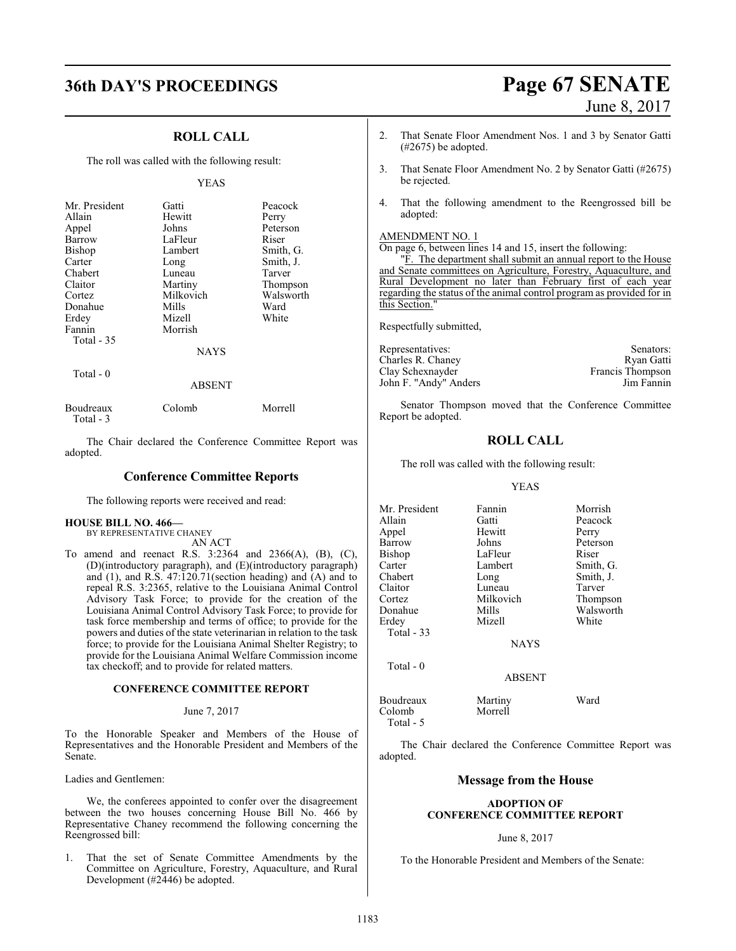## **36th DAY'S PROCEEDINGS Page 67 SENATE**

# June 8, 2017

### **ROLL CALL**

The roll was called with the following result:

#### YEAS

| Mr. President     | Gatti       | Peacock   |
|-------------------|-------------|-----------|
| Allain            | Hewitt      | Perry     |
| Appel             | Johns       | Peterson  |
| Barrow            | LaFleur     | Riser     |
| <b>Bishop</b>     | Lambert     | Smith, G. |
| Carter            | Long        | Smith, J. |
| Chabert           | Luneau      | Tarver    |
| Claitor           | Martiny     | Thompson  |
| Cortez            | Milkovich   | Walsworth |
| Donahue           | Mills       | Ward      |
| Erdey             | Mizell      | White     |
| Fannin            | Morrish     |           |
| <b>Total - 35</b> |             |           |
|                   | <b>NAYS</b> |           |
| Total - 0         |             |           |

ABSENT

| Boudreaux | Colomb | Morrell |
|-----------|--------|---------|
| Total - 3 |        |         |

The Chair declared the Conference Committee Report was adopted.

#### **Conference Committee Reports**

The following reports were received and read:

#### **HOUSE BILL NO. 466—**

BY REPRESENTATIVE CHANEY AN ACT

To amend and reenact R.S. 3:2364 and 2366(A), (B), (C), (D)(introductory paragraph), and (E)(introductory paragraph) and (1), and R.S. 47:120.71(section heading) and (A) and to repeal R.S. 3:2365, relative to the Louisiana Animal Control Advisory Task Force; to provide for the creation of the Louisiana Animal Control Advisory Task Force; to provide for task force membership and terms of office; to provide for the powers and duties of the state veterinarian in relation to the task force; to provide for the Louisiana Animal Shelter Registry; to provide for the Louisiana Animal Welfare Commission income tax checkoff; and to provide for related matters.

#### **CONFERENCE COMMITTEE REPORT**

#### June 7, 2017

To the Honorable Speaker and Members of the House of Representatives and the Honorable President and Members of the Senate.

Ladies and Gentlemen:

We, the conferees appointed to confer over the disagreement between the two houses concerning House Bill No. 466 by Representative Chaney recommend the following concerning the Reengrossed bill:

1. That the set of Senate Committee Amendments by the Committee on Agriculture, Forestry, Aquaculture, and Rural Development (#2446) be adopted.

- 2. That Senate Floor Amendment Nos. 1 and 3 by Senator Gatti (#2675) be adopted.
- 3. That Senate Floor Amendment No. 2 by Senator Gatti (#2675) be rejected.
- 4. That the following amendment to the Reengrossed bill be adopted:

#### AMENDMENT NO. 1

On page 6, between lines 14 and 15, insert the following:

"F. The department shall submit an annual report to the House and Senate committees on Agriculture, Forestry, Aquaculture, and Rural Development no later than February first of each year regarding the status of the animal control program as provided for in this Section.

Respectfully submitted,

| Representatives:      | Senators:        |
|-----------------------|------------------|
| Charles R. Chaney     | Ryan Gatti       |
| Clay Schexnayder      | Francis Thompson |
| John F. "Andy" Anders | Jim Fannin       |

Senator Thompson moved that the Conference Committee Report be adopted.

#### **ROLL CALL**

The roll was called with the following result:

#### YEAS

| Mr. President | Fannin      | Morrish   |
|---------------|-------------|-----------|
| Allain        | Gatti       | Peacock   |
| Appel         | Hewitt      | Perry     |
| Barrow        | Johns       | Peterson  |
| Bishop        | LaFleur     | Riser     |
| Carter        | Lambert     | Smith, G. |
| Chabert       | Long        | Smith, J. |
| Claitor       | Luneau      | Tarver    |
| Cortez        | Milkovich   | Thompson  |
| Donahue       | Mills       | Walsworth |
| Erdev         | Mizell      | White     |
| Total $-33$   |             |           |
|               | <b>NAYS</b> |           |
| Total - 0     |             |           |
|               | ABSENT      |           |
|               |             |           |

| Boudreaux | Martiny | Ward |
|-----------|---------|------|
| Colomb    | Morrell |      |
| Total - 5 |         |      |

The Chair declared the Conference Committee Report was adopted.

### **Message from the House**

#### **ADOPTION OF CONFERENCE COMMITTEE REPORT**

#### June 8, 2017

To the Honorable President and Members of the Senate: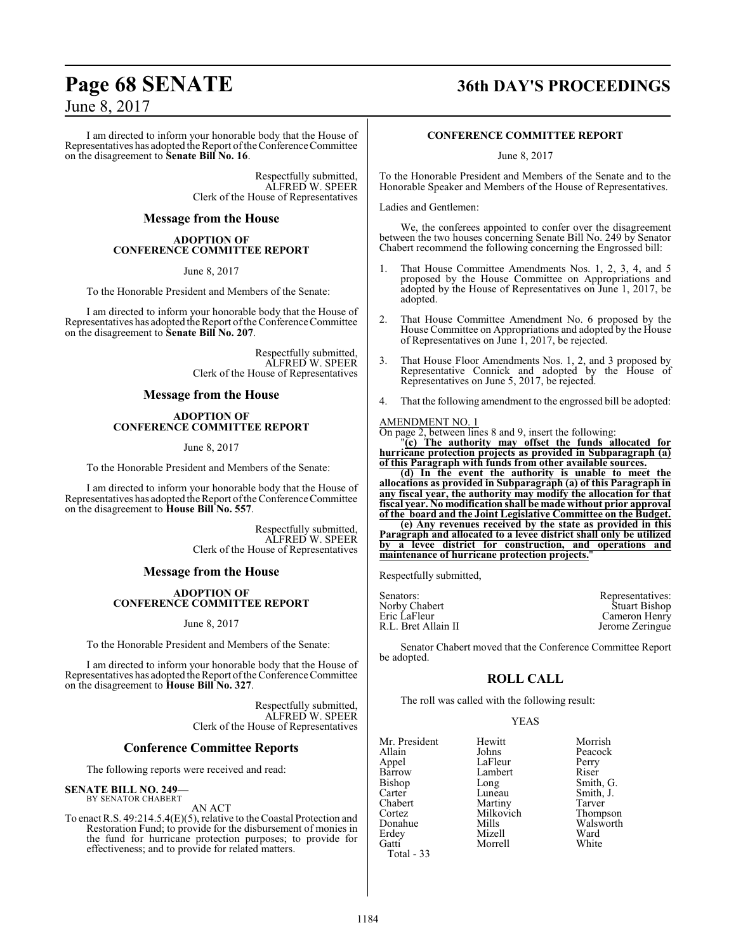I am directed to inform your honorable body that the House of Representatives has adopted the Report of the Conference Committee on the disagreement to **Senate Bill No. 16**.

> Respectfully submitted, ALFRED W. SPEER Clerk of the House of Representatives

#### **Message from the House**

#### **ADOPTION OF CONFERENCE COMMITTEE REPORT**

June 8, 2017

To the Honorable President and Members of the Senate:

I am directed to inform your honorable body that the House of Representatives has adopted the Report ofthe Conference Committee on the disagreement to **Senate Bill No. 207**.

> Respectfully submitted, ALFRED W. SPEER Clerk of the House of Representatives

#### **Message from the House**

#### **ADOPTION OF CONFERENCE COMMITTEE REPORT**

June 8, 2017

To the Honorable President and Members of the Senate:

I am directed to inform your honorable body that the House of Representatives has adopted the Report ofthe Conference Committee on the disagreement to **House Bill No. 557**.

> Respectfully submitted, ALFRED W. SPEER Clerk of the House of Representatives

#### **Message from the House**

#### **ADOPTION OF CONFERENCE COMMITTEE REPORT**

#### June 8, 2017

To the Honorable President and Members of the Senate:

I am directed to inform your honorable body that the House of Representatives has adopted the Report of the Conference Committee on the disagreement to **House Bill No. 327**.

> Respectfully submitted, ALFRED W. SPEER Clerk of the House of Representatives

### **Conference Committee Reports**

The following reports were received and read:

#### **SENATE BILL NO. 249—** BY SENATOR CHABERT

AN ACT

To enact R.S. 49:214.5.4(E)(5), relative to the Coastal Protection and Restoration Fund; to provide for the disbursement of monies in the fund for hurricane protection purposes; to provide for effectiveness; and to provide for related matters.

## **Page 68 SENATE 36th DAY'S PROCEEDINGS**

#### **CONFERENCE COMMITTEE REPORT**

June 8, 2017

To the Honorable President and Members of the Senate and to the Honorable Speaker and Members of the House of Representatives.

Ladies and Gentlemen:

We, the conferees appointed to confer over the disagreement between the two houses concerning Senate Bill No. 249 by Senator Chabert recommend the following concerning the Engrossed bill:

- 1. That House Committee Amendments Nos. 1, 2, 3, 4, and 5 proposed by the House Committee on Appropriations and adopted by the House of Representatives on June 1, 2017, be adopted.
- 2. That House Committee Amendment No. 6 proposed by the House Committee on Appropriations and adopted by the House of Representatives on June 1, 2017, be rejected.
- 3. That House Floor Amendments Nos. 1, 2, and 3 proposed by Representative Connick and adopted by the House of Representatives on June 5, 2017, be rejected.
- 4. That the following amendment to the engrossed bill be adopted:

#### AMENDMENT NO. 1

On page 2, between lines 8 and 9, insert the following:

"**(c) The authority may offset the funds allocated for hurricane protection projects as provided in Subparagraph (a) of this Paragraph with funds from other available sources.**

**(d) In the event the authority is unable to meet the allocations as provided in Subparagraph (a) of this Paragraph in any fiscal year, the authority may modify the allocation for that fiscal year. No modification shall be made without prior approval of the board and the Joint Legislative Committee on the Budget.**

**(e) Any revenues received by the state as provided in this Paragraph and allocated to a levee district shall only be utilized by a levee district for construction, and operations and maintenance of hurricane protection projects.**"

Respectfully submitted,

| Senators:           | Representatives:     |
|---------------------|----------------------|
| Norby Chabert       | <b>Stuart Bishop</b> |
| Eric LaFleur        | Cameron Henry        |
| R.L. Bret Allain II | Jerome Zeringue      |
|                     |                      |

Senator Chabert moved that the Conference Committee Report be adopted.

### **ROLL CALL**

The roll was called with the following result:

Morrell

#### YEAS

Mr. President Hewitt Morrish<br>Allain Johns Peacock Appel LaFleur Perry Barrow Lambert<br>Bishop Long Bishop Long Smith, G.<br>Carter Luneau Smith, J. Carter Luneau Smith, J.<br>
Chabert Martiny Tarver Chabert Martiny Tarver<br>
Cortez Milkovich Thompson Cortez Milkovich<br>Donahue Mills Donahue Mills Walsworth<br>
Erdey Mizell Ward Erdey Mizell Ward Total - 33

Peacock<br>Perry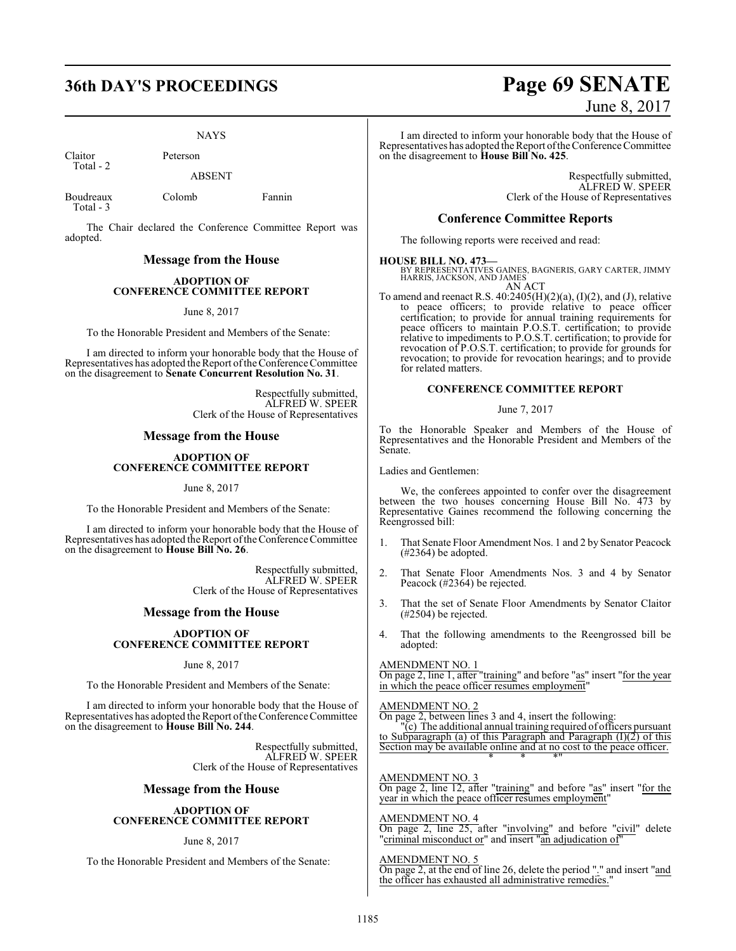#### NAYS

Claitor Peterson Total - 2

ABSENT

Boudreaux Colomb Fannin Total - 3

The Chair declared the Conference Committee Report was adopted.

#### **Message from the House**

#### **ADOPTION OF CONFERENCE COMMITTEE REPORT**

June 8, 2017

To the Honorable President and Members of the Senate:

I am directed to inform your honorable body that the House of Representatives has adopted the Report of the Conference Committee on the disagreement to **Senate Concurrent Resolution No. 31**.

> Respectfully submitted, ALFRED W. SPEER Clerk of the House of Representatives

#### **Message from the House**

#### **ADOPTION OF CONFERENCE COMMITTEE REPORT**

June 8, 2017

To the Honorable President and Members of the Senate:

I am directed to inform your honorable body that the House of Representatives has adopted the Report of the Conference Committee on the disagreement to **House Bill No. 26**.

> Respectfully submitted, ALFRED W. SPEER Clerk of the House of Representatives

#### **Message from the House**

#### **ADOPTION OF CONFERENCE COMMITTEE REPORT**

#### June 8, 2017

To the Honorable President and Members of the Senate:

I am directed to inform your honorable body that the House of Representatives has adopted the Report of the Conference Committee on the disagreement to **House Bill No. 244**.

> Respectfully submitted, ALFRED W. SPEER Clerk of the House of Representatives

### **Message from the House**

#### **ADOPTION OF CONFERENCE COMMITTEE REPORT**

#### June 8, 2017

To the Honorable President and Members of the Senate:

## **36th DAY'S PROCEEDINGS Page 69 SENATE** June 8, 2017

I am directed to inform your honorable body that the House of Representatives has adopted the Report ofthe Conference Committee on the disagreement to **House Bill No. 425**.

> Respectfully submitted, ALFRED W. SPEER Clerk of the House of Representatives

#### **Conference Committee Reports**

The following reports were received and read:

#### **HOUSE BILL NO. 473—**

BY REPRESENTATIVES GAINES, BAGNERIS, GARY CARTER, JIMMY HARRIS, JACKSON, AND JAMES AN ACT

To amend and reenact R.S.  $40:2405(H)(2)(a)$ ,  $(I)(2)$ , and  $(J)$ , relative to peace officers; to provide relative to peace officer certification; to provide for annual training requirements for peace officers to maintain P.O.S.T. certification; to provide relative to impediments to P.O.S.T. certification; to provide for revocation of P.O.S.T. certification; to provide for grounds for revocation; to provide for revocation hearings; and to provide for related matters.

#### **CONFERENCE COMMITTEE REPORT**

#### June 7, 2017

To the Honorable Speaker and Members of the House of Representatives and the Honorable President and Members of the Senate.

Ladies and Gentlemen:

We, the conferees appointed to confer over the disagreement between the two houses concerning House Bill No. 473 by Representative Gaines recommend the following concerning the Reengrossed bill:

- 1. That Senate Floor Amendment Nos. 1 and 2 by Senator Peacock (#2364) be adopted.
- 2. That Senate Floor Amendments Nos. 3 and 4 by Senator Peacock (#2364) be rejected.
- 3. That the set of Senate Floor Amendments by Senator Claitor (#2504) be rejected.
- 4. That the following amendments to the Reengrossed bill be adopted:

#### AMENDMENT NO. 1

On page 2, line 1, after "training" and before "as" insert "for the year in which the peace officer resumes employment"

#### AMENDMENT NO. 2

On page 2, between lines 3 and 4, insert the following:

"(c) The additional annual training required of officers pursuant to Subparagraph (a) of this Paragraph and Paragraph (I)(2) of this Section may be available online and at no cost to the peace officer. \* \* \*"

#### AMENDMENT NO. 3

On page 2, line 12, after "training" and before "as" insert "for the year in which the peace officer resumes employment

#### AMENDMENT NO. 4

On page 2, line 25, after "involving" and before "civil" delete "criminal misconduct or" and insert "an adjudication of"

#### AMENDMENT NO. 5

On page 2, at the end of line 26, delete the period "." and insert "and the officer has exhausted all administrative remedies."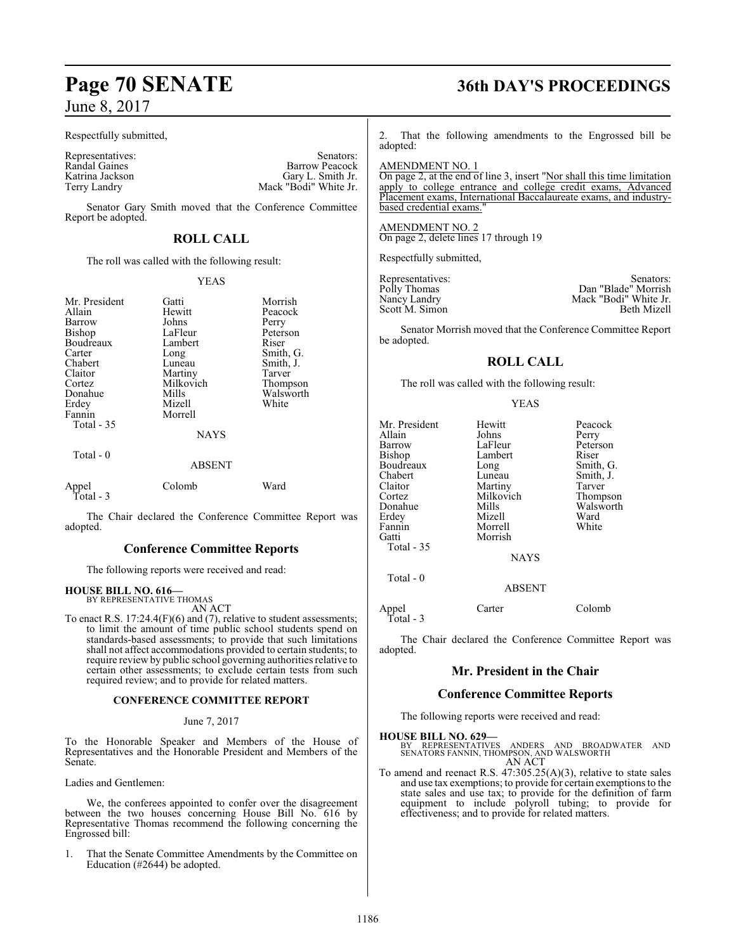#### Respectfully submitted,

Randal Gaines<br>Katrina Jackson

Representatives: Senators: Senators: Senators: Senators: Senators: Senators: Senators: Senators: Senators: Senators: Senators: Senators: Senators: Senators: Senators: Senators: Senators: Senators: Senators: Senators: Senat Katrina Jackson Gary L. Smith Jr. Terry Landry Mack "Bodi" White Jr.

Senator Gary Smith moved that the Conference Committee Report be adopted.

## **ROLL CALL**

The roll was called with the following result:

#### YEAS

| Mr. President<br>Allain<br>Barrow<br>Bishop<br>Boudreaux<br>Carter<br>Chabert<br>Claitor<br>Cortez<br>Donahue<br>Erdey<br>Fannin<br>Total $-35$<br>Total $-0$ | Gatti<br>Hewitt<br>Johns<br>LaFleur<br>Lambert<br>Long<br>Luneau<br>Martiny<br>Milkovich<br>Mills<br>Mizell<br>Morrell<br><b>NAYS</b><br><b>ABSENT</b> | Morrish<br>Peacock<br>Perry<br>Peterson<br>Riser<br>Smith, G.<br>Smith, J.<br>Tarver<br>Thompson<br>Walsworth<br>White |
|---------------------------------------------------------------------------------------------------------------------------------------------------------------|--------------------------------------------------------------------------------------------------------------------------------------------------------|------------------------------------------------------------------------------------------------------------------------|
| Appel<br>Total - 3                                                                                                                                            | Colomb                                                                                                                                                 | Ward                                                                                                                   |
|                                                                                                                                                               |                                                                                                                                                        |                                                                                                                        |

The Chair declared the Conference Committee Report was adopted.

### **Conference Committee Reports**

The following reports were received and read:

## **HOUSE BILL NO. 616—** BY REPRESENTATIVE THOMAS

AN ACT

To enact R.S. 17:24.4(F)(6) and (7), relative to student assessments; to limit the amount of time public school students spend on standards-based assessments; to provide that such limitations shall not affect accommodations provided to certain students; to require review by public school governing authorities relative to certain other assessments; to exclude certain tests from such required review; and to provide for related matters.

#### **CONFERENCE COMMITTEE REPORT**

#### June 7, 2017

To the Honorable Speaker and Members of the House of Representatives and the Honorable President and Members of the Senate.

Ladies and Gentlemen:

We, the conferees appointed to confer over the disagreement between the two houses concerning House Bill No. 616 by Representative Thomas recommend the following concerning the Engrossed bill:

1. That the Senate Committee Amendments by the Committee on Education (#2644) be adopted.

## **Page 70 SENATE 36th DAY'S PROCEEDINGS**

2. That the following amendments to the Engrossed bill be adopted:

#### AMENDMENT NO. 1

On page 2, at the end of line 3, insert "Nor shall this time limitation apply to college entrance and college credit exams, Advanced Placement exams, International Baccalaureate exams, and industrybased credential exams."

#### AMENDMENT NO. 2

On page 2, delete lines 17 through 19

Respectfully submitted,

be adopted.

Representatives: Senators: Senators: Senators: Senators: Senators: Senators: Senators: Senators: Senators: Senators: Senators: Senators: Senators: Senators: Senators: Senators: Senators: Senators: Senators: Senators: Senat Nancy Landry Mack "Bodi" White Jr.<br>Scott M. Simon Beth Mizell Scott M. Simon

Senator Morrish moved that the Conference Committee Report

Dan "Blade" Morrish

#### **ROLL CALL**

The roll was called with the following result:

#### YEAS

| Mr. President<br>Allain<br>Barrow<br>Bishop<br>Boudreaux<br>Chabert<br>Claitor<br>Cortez<br>Donahue<br>Erdey<br>Fannin | Hewitt<br>Johns<br>LaFleur<br>Lambert<br>Long<br>Luneau<br>Martiny<br>Milkovich<br>Mills<br>Mizell<br>Morrell | Peacock<br>Perry<br>Peterson<br>Riser<br>Smith, G.<br>Smith, J.<br>Tarver<br>Thompson<br>Walsworth<br>Ward<br>White |
|------------------------------------------------------------------------------------------------------------------------|---------------------------------------------------------------------------------------------------------------|---------------------------------------------------------------------------------------------------------------------|
| Gatti<br>Total - 35                                                                                                    | Morrish                                                                                                       |                                                                                                                     |
|                                                                                                                        | <b>NAYS</b>                                                                                                   |                                                                                                                     |
| Total $-0$                                                                                                             | <b>ABSENT</b>                                                                                                 |                                                                                                                     |
| $\lambda$ $\lambda$                                                                                                    | $\sim$ $\sim$                                                                                                 | $\sim$ 1 1                                                                                                          |

Appel Carter Colomb Total - 3

The Chair declared the Conference Committee Report was adopted.

#### **Mr. President in the Chair**

#### **Conference Committee Reports**

The following reports were received and read:

## **HOUSE BILL NO. 629—**

- BY REPRESENTATIVES ANDERS AND BROADWATER AND SENATORS FANNIN, THOMPSON, AND WALSWORTH AN ACT
- To amend and reenact R.S. 47:305.25(A)(3), relative to state sales and use tax exemptions; to provide for certain exemptions to the state sales and use tax; to provide for the definition of farm equipment to include polyroll tubing; to provide for effectiveness; and to provide for related matters.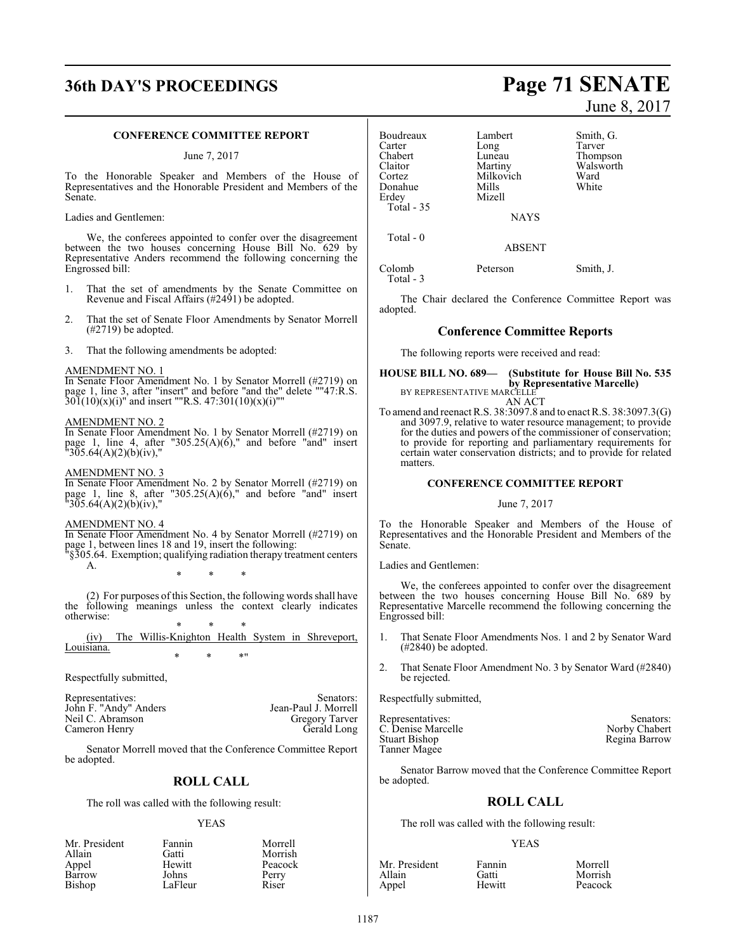## **36th DAY'S PROCEEDINGS Page 71 SENATE**

#### **CONFERENCE COMMITTEE REPORT**

June 7, 2017

To the Honorable Speaker and Members of the House of Representatives and the Honorable President and Members of the Senate.

Ladies and Gentlemen:

We, the conferees appointed to confer over the disagreement between the two houses concerning House Bill No. 629 by Representative Anders recommend the following concerning the Engrossed bill:

- 1. That the set of amendments by the Senate Committee on Revenue and Fiscal Affairs (#2491) be adopted.
- That the set of Senate Floor Amendments by Senator Morrell (#2719) be adopted.
- 3. That the following amendments be adopted:

#### AMENDMENT NO. 1

In Senate Floor Amendment No. 1 by Senator Morrell (#2719) on page 1, line 3, after "insert" and before "and the" delete ""47:R.S.  $30\overline{1}(10)(x)(i)$ " and insert ""R.S. 47:301(10)(x)(i)""

#### AMENDMENT NO. 2

In Senate Floor Amendment No. 1 by Senator Morrell (#2719) on page 1, line 4, after "305.25(A)(6)," and before "and" insert  $\frac{1}{30}$ 5.64(A)(2)(b)(iv),"

#### AMENDMENT NO. 3

In Senate Floor Amendment No. 2 by Senator Morrell (#2719) on page 1, line 8, after "305.25(A)(6)," and before "and" insert  $"305.64(A)(2)(b)(iv),"$ 

#### AMENDMENT NO. 4

In Senate Floor Amendment No. 4 by Senator Morrell (#2719) on page 1, between lines 18 and 19, insert the following:

"§305.64. Exemption; qualifying radiation therapy treatment centers A.

\* \* \*

(2) For purposes of this Section, the following words shall have the following meanings unless the context clearly indicates otherwise:

\* \* \* (iv) The Willis-Knighton Health System in Shreveport, Louisiana. \* \* \*"

Respectfully submitted,

| Representatives:      | Senators:             |
|-----------------------|-----------------------|
| John F. "Andy" Anders | Jean-Paul J. Morrell  |
| Neil C. Abramson      | <b>Gregory Tarver</b> |
| Cameron Henry         | Gerald Long           |

Senator Morrell moved that the Conference Committee Report be adopted.

#### **ROLL CALL**

The roll was called with the following result:

#### YEAS

| Fannin  | Morrell |
|---------|---------|
| Gatti   | Morrish |
| Hewitt  | Peacock |
| Johns   | Perry   |
| LaFleur | Riser   |
|         |         |

June 8, 2017

| Boudreaux            | Lambert       | Smith, G. |
|----------------------|---------------|-----------|
| Carter               | Long          | Tarver    |
| Chabert              | Luneau        | Thompson  |
| Claitor              | Martiny       | Walsworth |
| Cortez               | Milkovich     | Ward      |
| Donahue              | Mills         | White     |
| Erdey                | Mizell        |           |
| Total - 35           |               |           |
|                      | <b>NAYS</b>   |           |
| Total - 0            |               |           |
|                      | <b>ABSENT</b> |           |
| Colomb<br>Total $-3$ | Peterson      | Smith, J. |
|                      |               |           |

The Chair declared the Conference Committee Report was adopted.

#### **Conference Committee Reports**

The following reports were received and read:

**HOUSE BILL NO. 689— (Substitute for House Bill No. 535 by Representative Marcelle)** BY REPRESENTATIVE MARCELLE

AN ACT To amend and reenact R.S. 38:3097.8 and to enact R.S. 38:3097.3(G) and 3097.9, relative to water resource management; to provide for the duties and powers of the commissioner of conservation; to provide for reporting and parliamentary requirements for certain water conservation districts; and to provide for related matters.

#### **CONFERENCE COMMITTEE REPORT**

#### June 7, 2017

To the Honorable Speaker and Members of the House of Representatives and the Honorable President and Members of the Senate.

Ladies and Gentlemen:

We, the conferees appointed to confer over the disagreement between the two houses concerning House Bill No. 689 by Representative Marcelle recommend the following concerning the Engrossed bill:

- That Senate Floor Amendments Nos. 1 and 2 by Senator Ward (#2840) be adopted.
- 2. That Senate Floor Amendment No. 3 by Senator Ward (#2840) be rejected.

Respectfully submitted,

| Representatives:   | Senators:     |
|--------------------|---------------|
| C. Denise Marcelle | Norby Chabert |
| Stuart Bishop      | Regina Barrow |
| Tanner Magee       |               |

Senator Barrow moved that the Conference Committee Report be adopted.

#### **ROLL CALL**

The roll was called with the following result:

#### YEAS

| Mr. President | Fannin | Morrell |
|---------------|--------|---------|
| Allain        | Gatti  | Morrish |
| Appel         | Hewitt | Peacock |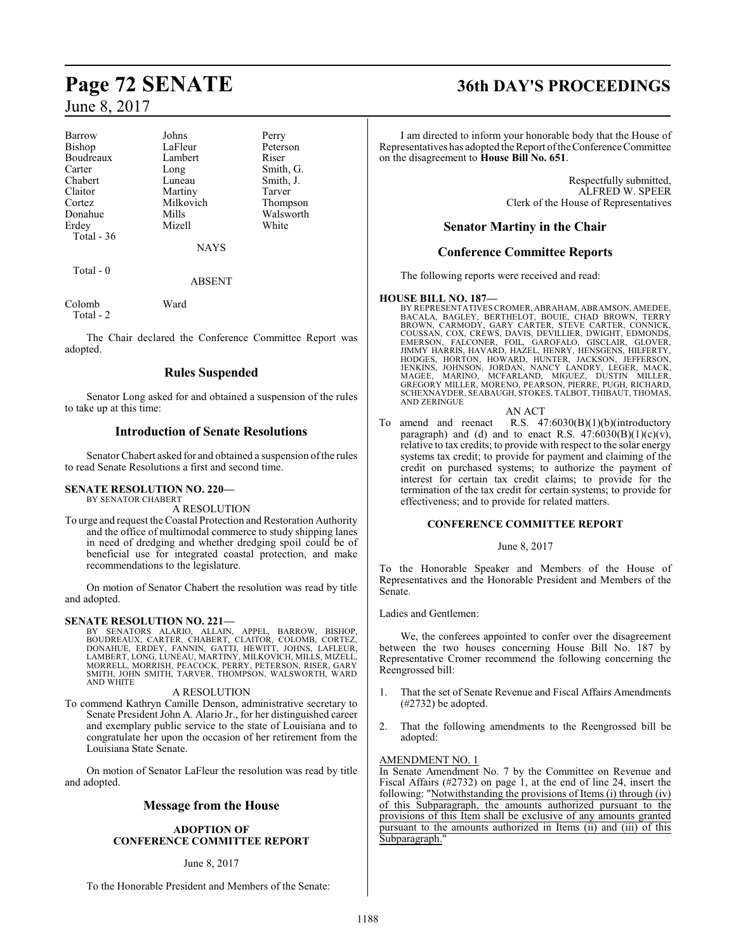| <b>Barrow</b> | Johns       | Perry     |
|---------------|-------------|-----------|
| Bishop        | LaFleur     | Peterson  |
| Boudreaux     | Lambert     | Riser     |
| Carter        | Long        | Smith, G. |
| Chabert       | Luneau      | Smith, J. |
| Claitor       | Martiny     | Tarver    |
| Cortez        | Milkovich   | Thompson  |
| Donahue       | Mills       | Walsworth |
| Erdey         | Mizell      | White     |
| Total $-36$   |             |           |
|               | <b>NAYS</b> |           |
| Total - 0     |             |           |
|               | ABSENT      |           |

Colomb Ward

Total - 2

The Chair declared the Conference Committee Report was adopted.

### **Rules Suspended**

Senator Long asked for and obtained a suspension of the rules to take up at this time:

### **Introduction of Senate Resolutions**

Senator Chabert asked for and obtained a suspension of the rules to read Senate Resolutions a first and second time.

### **SENATE RESOLUTION NO. 220—**

BY SENATOR CHABERT A RESOLUTION

To urge and request the Coastal Protection and Restoration Authority and the office of multimodal commerce to study shipping lanes in need of dredging and whether dredging spoil could be of beneficial use for integrated coastal protection, and make recommendations to the legislature.

On motion of Senator Chabert the resolution was read by title and adopted.

### **SENATE RESOLUTION NO. 221—**

BY SENATORS ALARIO, ALLAIN, APPEL, BARROW, BISHOP,<br>BOUDREAUX, CARTER, CHABERT, CLAITOR, COLOMB, CORTEZ,<br>DONAHUE, ERDEY, FANNIN, GATTI, HEWITT, JOHNS, LAFLEUR,<br>LAMBERT,LONG,LUNEAU,MARTINY,MILKOVICH,MILLS,MIZELL, MORRELL, MORRISH, PEACOCK, PERRY, PETERSON, RISER, GARY SMITH, JOHN SMITH, TARVER, THOMPSON, WALSWORTH, WARD AND WHITE

#### A RESOLUTION

To commend Kathryn Camille Denson, administrative secretary to Senate President John A. Alario Jr., for her distinguished career and exemplary public service to the state of Louisiana and to congratulate her upon the occasion of her retirement from the Louisiana State Senate.

On motion of Senator LaFleur the resolution was read by title and adopted.

## **Message from the House**

#### **ADOPTION OF CONFERENCE COMMITTEE REPORT**

#### June 8, 2017

To the Honorable President and Members of the Senate:

## **Page 72 SENATE 36th DAY'S PROCEEDINGS**

I am directed to inform your honorable body that the House of Representatives has adopted the Report of the Conference Committee on the disagreement to **House Bill No. 651**.

> Respectfully submitted, ALFRED W. SPEER Clerk of the House of Representatives

### **Senator Martiny in the Chair**

## **Conference Committee Reports**

The following reports were received and read:

**HOUSE BILL NO. 187—** BY REPRESENTATIVES CROMER, ABRAHAM, ABRAMSON, AMEDEE, BACALA, BAGIEY, BERTHELOT, BOUIE, CHAD BROWN, TERRY<br>BROWN, CARMODY, GARY CARTER, STEVE CARTER, CONNICK,<br>COUSSAN, COX, CREWS, DAVIS, DEVILLIER, DWIGHT, EDMONDS,<br>EMERSON, SCHEXNAYDER, SEABAUGH, STOKES, TALBOT, THIBAUT, THOMAS, AND ZERINGUE

AN ACT

To amend and reenact R.S. 47:6030(B)(1)(b)(introductory paragraph) and (d) and to enact R.S.  $47:6030(B)(1)(c)(v)$ , relative to tax credits; to provide with respect to the solar energy systems tax credit; to provide for payment and claiming of the credit on purchased systems; to authorize the payment of interest for certain tax credit claims; to provide for the termination of the tax credit for certain systems; to provide for effectiveness; and to provide for related matters.

#### **CONFERENCE COMMITTEE REPORT**

#### June 8, 2017

To the Honorable Speaker and Members of the House of Representatives and the Honorable President and Members of the Senate.

#### Ladies and Gentlemen:

We, the conferees appointed to confer over the disagreement between the two houses concerning House Bill No. 187 by Representative Cromer recommend the following concerning the Reengrossed bill:

- 1. That the set of Senate Revenue and Fiscal Affairs Amendments (#2732) be adopted.
- 2. That the following amendments to the Reengrossed bill be adopted:

#### AMENDMENT NO. 1

In Senate Amendment No. 7 by the Committee on Revenue and Fiscal Affairs (#2732) on page 1, at the end of line 24, insert the following: "Notwithstanding the provisions of Items (i) through (iv) of this Subparagraph, the amounts authorized pursuant to the provisions of this Item shall be exclusive of any amounts granted pursuant to the amounts authorized in Items (ii) and (iii) of this Subparagraph."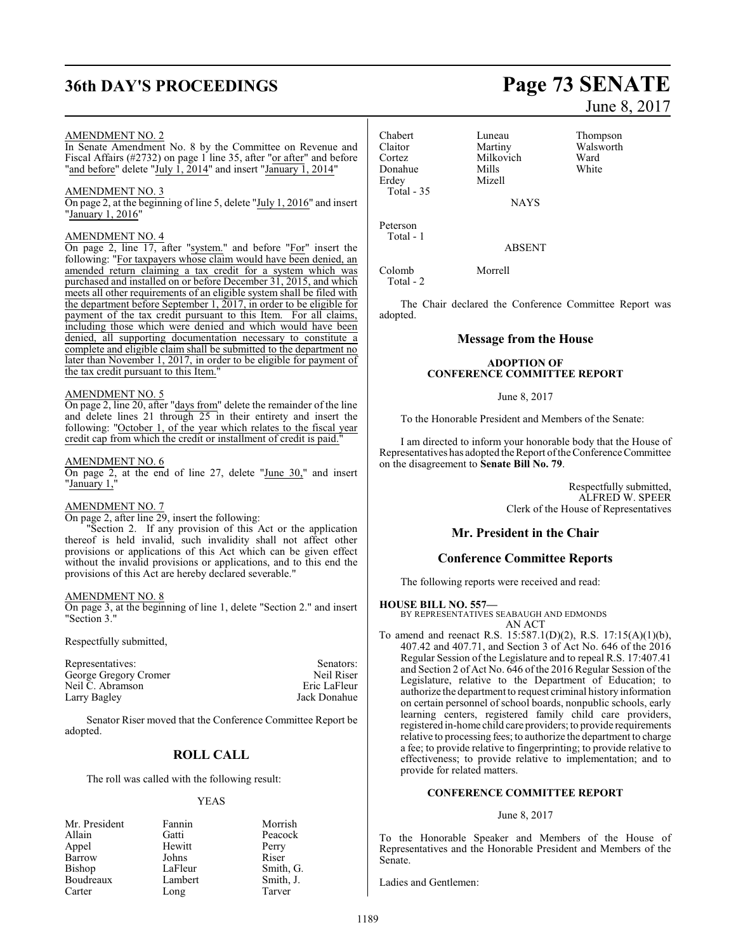## **36th DAY'S PROCEEDINGS Page 73 SENATE**

#### AMENDMENT NO. 2

In Senate Amendment No. 8 by the Committee on Revenue and Fiscal Affairs (#2732) on page 1 line 35, after "or after" and before "and before" delete "July  $\hat{1}$ , 2014" and insert "January 1, 2014"

#### AMENDMENT NO. 3

On page 2, at the beginning of line 5, delete "July 1, 2016" and insert "January 1, 2016"

#### AMENDMENT NO. 4

On page 2, line 17, after "system." and before "For" insert the following: "For taxpayers whose claim would have been denied, an amended return claiming a tax credit for a system which was purchased and installed on or before December 31, 2015, and which meets all other requirements of an eligible system shall be filed with the department before September 1, 2017, in order to be eligible for payment of the tax credit pursuant to this Item. For all claims, including those which were denied and which would have been denied, all supporting documentation necessary to constitute a complete and eligible claim shall be submitted to the department no later than November 1, 2017, in order to be eligible for payment of the tax credit pursuant to this Item."

#### AMENDMENT NO. 5

On page 2, line 20, after "days from" delete the remainder of the line and delete lines 21 through 25 in their entirety and insert the following: "October 1, of the year which relates to the fiscal year credit cap from which the credit or installment of credit is paid."

#### AMENDMENT NO. 6

On page 2, at the end of line 27, delete "June 30," and insert "January 1,

#### AMENDMENT NO. 7

On page 2, after line 29, insert the following:

"Section 2. If any provision of this Act or the application thereof is held invalid, such invalidity shall not affect other provisions or applications of this Act which can be given effect without the invalid provisions or applications, and to this end the provisions of this Act are hereby declared severable."

#### AMENDMENT NO. 8

On page 3, at the beginning of line 1, delete "Section 2." and insert "Section 3."

Respectfully submitted,

Representatives: Senators: Senators: Senators: Senators: Senators: Senators: Senators: Senators: Senators: Senators: Senators: Senators: Senators: Senators: Senators: Senators: Senators: Senators: Senators: Senators: Senat George Gregory Cromer<br>
Neil C. Abramson<br>
Neil C. Abramson<br>
Neil C. Abramson Neil C. Abramson Eric LaFleur Larry Bagley

Senator Riser moved that the Conference Committee Report be adopted.

### **ROLL CALL**

The roll was called with the following result:

#### YEAS

| Mr. President | Fannin  | Morrish   |
|---------------|---------|-----------|
| Allain        | Gatti   | Peacock   |
| Appel         | Hewitt  | Perry     |
| Barrow        | Johns   | Riser     |
| Bishop        | LaFleur | Smith, G. |
| Boudreaux     | Lambert | Smith, J. |
| Carter        | Long    | Tarver    |

Chabert Luneau Thompson Claitor Martiny Walsworth<br>
Cortez Milkovich Ward Donahue<br>Erdev Total - 35

Milkovich Ward<br>
Mills White Mizell

**NAYS** 

Peterson Total - 1

ABSENT

Colomb Morrell

Total - 2

The Chair declared the Conference Committee Report was adopted.

#### **Message from the House**

#### **ADOPTION OF CONFERENCE COMMITTEE REPORT**

June 8, 2017

To the Honorable President and Members of the Senate:

I am directed to inform your honorable body that the House of Representatives has adopted the Report of the Conference Committee on the disagreement to **Senate Bill No. 79**.

> Respectfully submitted, ALFRED W. SPEER Clerk of the House of Representatives

### **Mr. President in the Chair**

### **Conference Committee Reports**

The following reports were received and read:

#### **HOUSE BILL NO. 557—**

BY REPRESENTATIVES SEABAUGH AND EDMONDS AN ACT

To amend and reenact R.S. 15:587.1(D)(2), R.S. 17:15(A)(1)(b), 407.42 and 407.71, and Section 3 of Act No. 646 of the 2016 Regular Session of the Legislature and to repeal R.S. 17:407.41 and Section 2 of Act No. 646 of the 2016 Regular Session of the Legislature, relative to the Department of Education; to authorize the department to request criminal history information on certain personnel of school boards, nonpublic schools, early learning centers, registered family child care providers, registered in-home child care providers; to provide requirements relative to processing fees; to authorize the department to charge a fee; to provide relative to fingerprinting; to provide relative to effectiveness; to provide relative to implementation; and to provide for related matters.

#### **CONFERENCE COMMITTEE REPORT**

June 8, 2017

To the Honorable Speaker and Members of the House of Representatives and the Honorable President and Members of the Senate.

Ladies and Gentlemen:

# June 8, 2017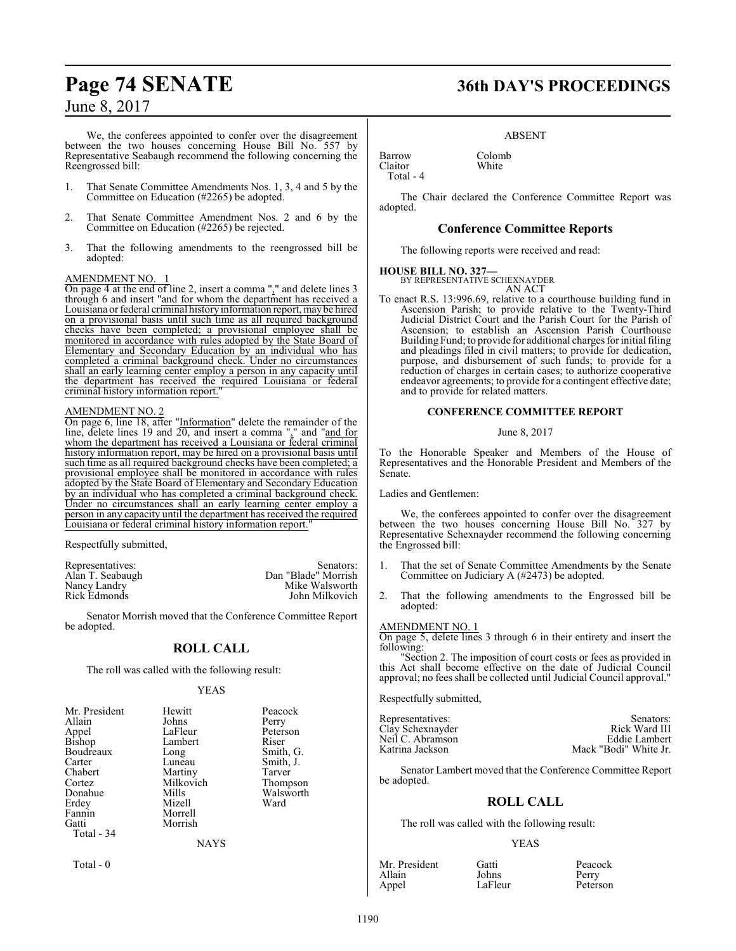We, the conferees appointed to confer over the disagreement between the two houses concerning House Bill No. 557 by Representative Seabaugh recommend the following concerning the Reengrossed bill:

- 1. That Senate Committee Amendments Nos. 1, 3, 4 and 5 by the Committee on Education (#2265) be adopted.
- 2. That Senate Committee Amendment Nos. 2 and 6 by the Committee on Education (#2265) be rejected.
- 3. That the following amendments to the reengrossed bill be adopted:

#### AMENDMENT NO. 1

On page 4 at the end of line 2, insert a comma "," and delete lines 3 through 6 and insert "and for whom the department has received a Louisiana or federal criminal history information report, maybe hired on a provisional basis until such time as all required background checks have been completed; a provisional employee shall be monitored in accordance with rules adopted by the State Board of Elementary and Secondary Education by an individual who has completed a criminal background check. Under no circumstances shall an early learning center employ a person in any capacity until the department has received the required Louisiana or federal criminal history information report."

#### AMENDMENT NO. 2

On page 6, line 18, after "Information" delete the remainder of the line, delete lines 19 and  $20$ , and insert a comma "," and "and for whom the department has received a Louisiana or federal criminal history information report, may be hired on a provisional basis until such time as all required background checks have been completed; a provisional employee shall be monitored in accordance with rules adopted by the State Board of Elementary and Secondary Education by an individual who has completed a criminal background check. Under no circumstances shall an early learning center employ a person in any capacity until the department has received the required Louisiana or federal criminal history information report."

Respectfully submitted,

| Senators:           |
|---------------------|
| Dan "Blade" Morrish |
| Mike Walsworth      |
| John Milkovich      |
|                     |

Senator Morrish moved that the Conference Committee Report be adopted.

### **ROLL CALL**

The roll was called with the following result:

#### YEAS

| Mr. President | Hewitt      | Peacock   |
|---------------|-------------|-----------|
| Allain        | Johns       | Perry     |
| Appel         | LaFleur     | Peterson  |
| Bishop        | Lambert     | Riser     |
| Boudreaux     | Long        | Smith, G. |
| Carter        | Luneau      | Smith, J. |
| Chabert       | Martiny     | Tarver    |
| Cortez        | Milkovich   | Thompson  |
| Donahue       | Mills       | Walsworth |
| Erdey         | Mizell      | Ward      |
| Fannin        | Morrell     |           |
| Gatti         | Morrish     |           |
| Total - 34    |             |           |
|               | <b>NAYS</b> |           |

Total - 0

## **Page 74 SENATE 36th DAY'S PROCEEDINGS**

ABSENT

Barrow Colomb<br>Claitor White Claitor Total - 4

The Chair declared the Conference Committee Report was adopted.

#### **Conference Committee Reports**

The following reports were received and read:

## **HOUSE BILL NO. 327—** BY REPRESENTATIVE SCHEXNAYDER

AN ACT

To enact R.S. 13:996.69, relative to a courthouse building fund in Ascension Parish; to provide relative to the Twenty-Third Judicial District Court and the Parish Court for the Parish of Ascension; to establish an Ascension Parish Courthouse Building Fund; to provide for additional charges for initial filing and pleadings filed in civil matters; to provide for dedication, purpose, and disbursement of such funds; to provide for a reduction of charges in certain cases; to authorize cooperative endeavor agreements; to provide for a contingent effective date; and to provide for related matters.

#### **CONFERENCE COMMITTEE REPORT**

#### June 8, 2017

To the Honorable Speaker and Members of the House of Representatives and the Honorable President and Members of the Senate.

Ladies and Gentlemen:

We, the conferees appointed to confer over the disagreement between the two houses concerning House Bill No. 327 by Representative Schexnayder recommend the following concerning the Engrossed bill:

- 1. That the set of Senate Committee Amendments by the Senate Committee on Judiciary A (#2473) be adopted.
- 2. That the following amendments to the Engrossed bill be adopted:

#### AMENDMENT NO. 1

On page 5, delete lines 3 through 6 in their entirety and insert the following:

"Section 2. The imposition of court costs or fees as provided in this Act shall become effective on the date of Judicial Council approval; no fees shall be collected until Judicial Council approval."

Respectfully submitted,

| Representatives: | Senators:             |
|------------------|-----------------------|
| Clay Schexnayder | Rick Ward III         |
| Neil C. Abramson | Eddie Lambert         |
| Katrina Jackson  | Mack "Bodi" White Jr. |

Senator Lambert moved that the Conference Committee Report be adopted.

### **ROLL CALL**

The roll was called with the following result:

#### YEAS

| Mr. President | Gatti   | Peacock  |
|---------------|---------|----------|
| Allain        | Johns   | Perry    |
| Appel         | LaFleur | Peterson |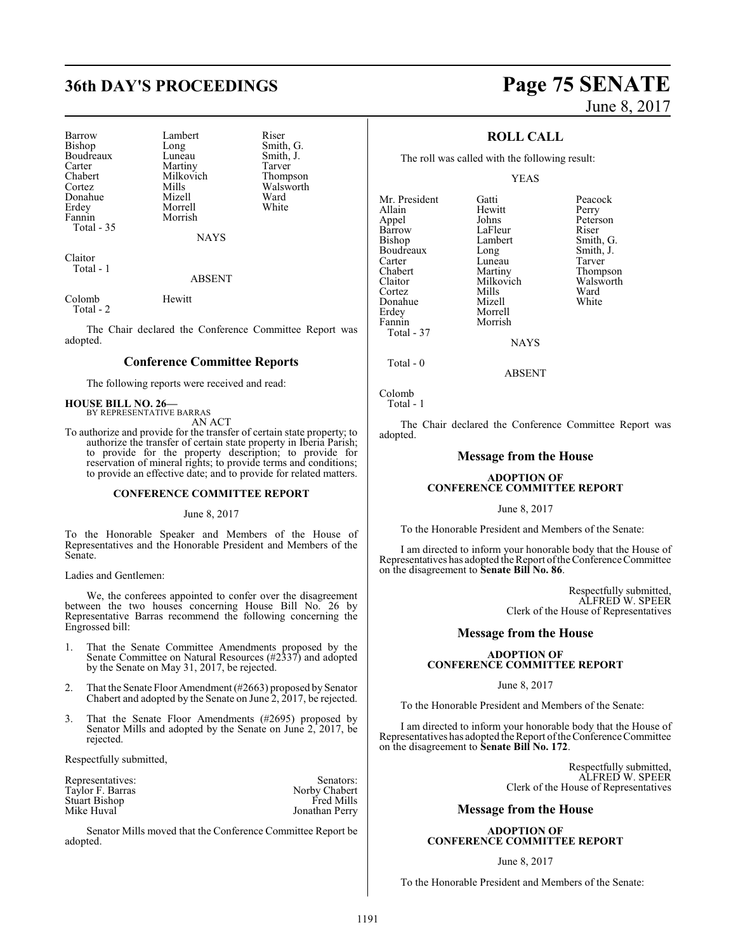## **36th DAY'S PROCEEDINGS Page 75 SENATE**

| Barrow     | Lambert     | Riser                 |
|------------|-------------|-----------------------|
|            |             |                       |
| Bishop     | Long        | Smith, G.             |
| Boudreaux  | Luneau      | Smith, J.             |
| Carter     | Martiny     | Tarver                |
| Chabert    | Milkovich   |                       |
| Cortez     | Mills       | Thompson<br>Walsworth |
| Donahue    | Mizell      | Ward                  |
| Erdey      | Morrell     | White                 |
| Fannin     | Morrish     |                       |
| Total - 35 |             |                       |
|            | <b>NAYS</b> |                       |
| ----       |             |                       |

Claitor Total - 1

ABSENT

Colomb Hewitt Total - 2

The Chair declared the Conference Committee Report was adopted.

#### **Conference Committee Reports**

The following reports were received and read:

#### **HOUSE BILL NO. 26—** BY REPRESENTATIVE BARRAS

AN ACT

To authorize and provide for the transfer of certain state property; to authorize the transfer of certain state property in Iberia Parish; to provide for the property description; to provide for reservation of mineral rights; to provide terms and conditions; to provide an effective date; and to provide for related matters.

#### **CONFERENCE COMMITTEE REPORT**

June 8, 2017

To the Honorable Speaker and Members of the House of Representatives and the Honorable President and Members of the Senate.

Ladies and Gentlemen:

We, the conferees appointed to confer over the disagreement between the two houses concerning House Bill No. 26 by Representative Barras recommend the following concerning the Engrossed bill:

- 1. That the Senate Committee Amendments proposed by the Senate Committee on Natural Resources (#2337) and adopted by the Senate on May 31, 2017, be rejected.
- 2. That the Senate Floor Amendment (#2663) proposed by Senator Chabert and adopted by the Senate on June 2, 2017, be rejected.
- 3. That the Senate Floor Amendments (#2695) proposed by Senator Mills and adopted by the Senate on June 2, 2017, be rejected.

Respectfully submitted,

| Representatives:     | Senators:         |
|----------------------|-------------------|
| Taylor F. Barras     | Norby Chabert     |
| <b>Stuart Bishop</b> | <b>Fred Mills</b> |
| Mike Huval           | Jonathan Perry    |

Senator Mills moved that the Conference Committee Report be adopted.

# June 8, 2017

### **ROLL CALL**

The roll was called with the following result:

Hewitt<br>Johns

#### YEAS

Lambert Smith, G.<br>
Long Smith, J.

Milkovich Walsworth<br>
Mills Ward

Mr. President Gatti Peacock<br>Allain Hewitt Perry Appel Johns Peterson Barrow LaFleur<br>Bishop Lambert Boudreaux Long Smith,<br>Carter Luneau Tarver Carter Luneau<br>Chabert Martiny Chabert Martiny Thompson<br>Claitor Milkovich Walsworth Cortez Mills Ward Donahue Erdey Morrell Total - 37

Morrish

**NAYS** 

ABSENT

```
Colomb
   Total - 1
```
Total - 0

The Chair declared the Conference Committee Report was adopted.

#### **Message from the House**

#### **ADOPTION OF CONFERENCE COMMITTEE REPORT**

#### June 8, 2017

To the Honorable President and Members of the Senate:

I am directed to inform your honorable body that the House of Representatives has adopted the Report ofthe Conference Committee on the disagreement to **Senate Bill No. 86**.

> Respectfully submitted, ALFRED W. SPEER Clerk of the House of Representatives

#### **Message from the House**

#### **ADOPTION OF CONFERENCE COMMITTEE REPORT**

#### June 8, 2017

To the Honorable President and Members of the Senate:

I am directed to inform your honorable body that the House of Representatives has adopted the Report of the Conference Committee on the disagreement to **Senate Bill No. 172**.

> Respectfully submitted, ALFRED W. SPEER Clerk of the House of Representatives

#### **Message from the House**

#### **ADOPTION OF CONFERENCE COMMITTEE REPORT**

#### June 8, 2017

To the Honorable President and Members of the Senate: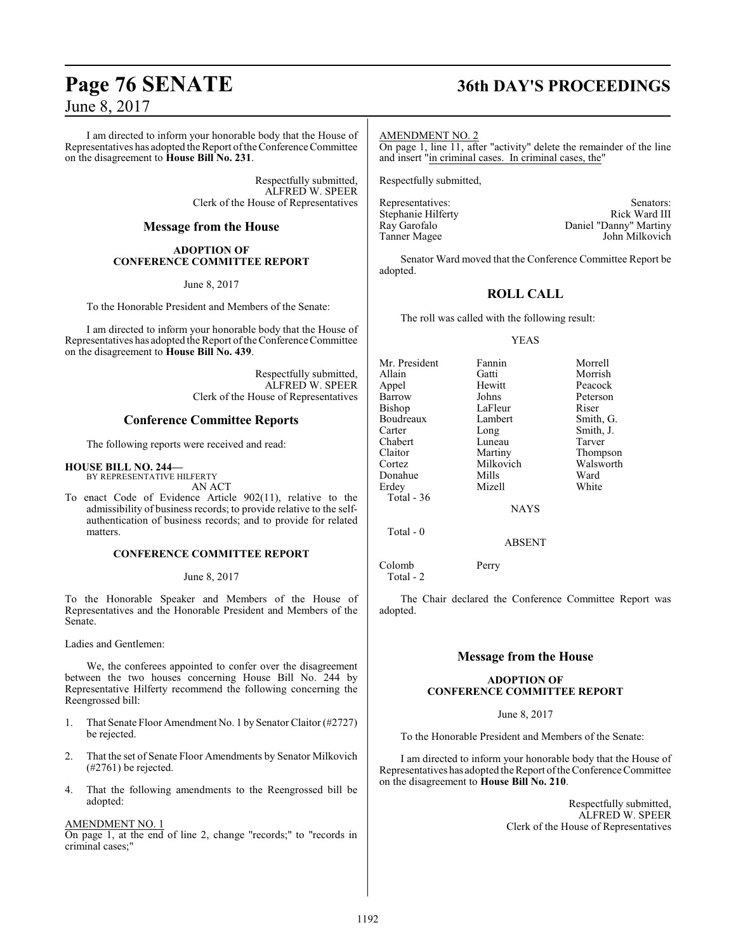I am directed to inform your honorable body that the House of Representatives has adopted the Report ofthe Conference Committee on the disagreement to **House Bill No. 231**.

> Respectfully submitted, ALFRED W. SPEER Clerk of the House of Representatives

### **Message from the House**

#### **ADOPTION OF CONFERENCE COMMITTEE REPORT**

June 8, 2017

To the Honorable President and Members of the Senate:

I am directed to inform your honorable body that the House of Representatives has adopted the Report of the Conference Committee on the disagreement to **House Bill No. 439**.

> Respectfully submitted, ALFRED W. SPEER Clerk of the House of Representatives

#### **Conference Committee Reports**

The following reports were received and read:

#### **HOUSE BILL NO. 244—**

BY REPRESENTATIVE HILFERTY AN ACT

To enact Code of Evidence Article 902(11), relative to the admissibility of business records; to provide relative to the selfauthentication of business records; and to provide for related matters.

#### **CONFERENCE COMMITTEE REPORT**

June 8, 2017

To the Honorable Speaker and Members of the House of Representatives and the Honorable President and Members of the Senate.

Ladies and Gentlemen:

We, the conferees appointed to confer over the disagreement between the two houses concerning House Bill No. 244 by Representative Hilferty recommend the following concerning the Reengrossed bill:

- 1. That Senate Floor Amendment No. 1 by Senator Claitor (#2727) be rejected.
- 2. That the set of Senate Floor Amendments by Senator Milkovich (#2761) be rejected.
- 4. That the following amendments to the Reengrossed bill be adopted:

#### AMENDMENT NO. 1

On page 1, at the end of line 2, change "records;" to "records in criminal cases;"

## **Page 76 SENATE 36th DAY'S PROCEEDINGS**

#### AMENDMENT NO. 2

On page 1, line 11, after "activity" delete the remainder of the line and insert "in criminal cases. In criminal cases, the"

Respectfully submitted,

Representatives: Stenhanie Hilferty Senators: Stenhanie Hilferty Senators: Stenhanie Hilferty Senators: Stenhanie Hilferty Senators: Stenhanie Hilferty Senators: Stenhanie Hilferty Senators: Stenhanie Hilferty Senators: St Stephanie Hilferty<br>Ray Garofalo Ray Garofalo **Daniel "Danny" Martiny**<br>
Tanner Magee **Daniel Marting Daniel Martin** John Milkovich

Senator Ward moved that the Conference Committee Report be adopted.

### **ROLL CALL**

The roll was called with the following result:

#### YEAS

| Mr. President | Fannin        | Morrell   |
|---------------|---------------|-----------|
| Allain        | Gatti         | Morrish   |
| Appel         | Hewitt        | Peacock   |
| Barrow        | Johns         | Peterson  |
| <b>Bishop</b> | LaFleur       | Riser     |
| Boudreaux     | Lambert       | Smith, G. |
| Carter        | Long          | Smith, J. |
| Chabert       | Luneau        | Tarver    |
| Claitor       | Martiny       | Thompson  |
| Cortez        | Milkovich     | Walsworth |
| Donahue       | Mills         | Ward      |
| Erdey         | Mizell        | White     |
| Total - $36$  |               |           |
|               | <b>BEATTO</b> |           |

NAYS

ABSENT

Colomb Perry Total - 2

Total - 0

The Chair declared the Conference Committee Report was adopted.

### **Message from the House**

#### **ADOPTION OF CONFERENCE COMMITTEE REPORT**

June 8, 2017

To the Honorable President and Members of the Senate:

I am directed to inform your honorable body that the House of Representatives has adopted the Report ofthe Conference Committee on the disagreement to **House Bill No. 210**.

> Respectfully submitted, ALFRED W. SPEER Clerk of the House of Representatives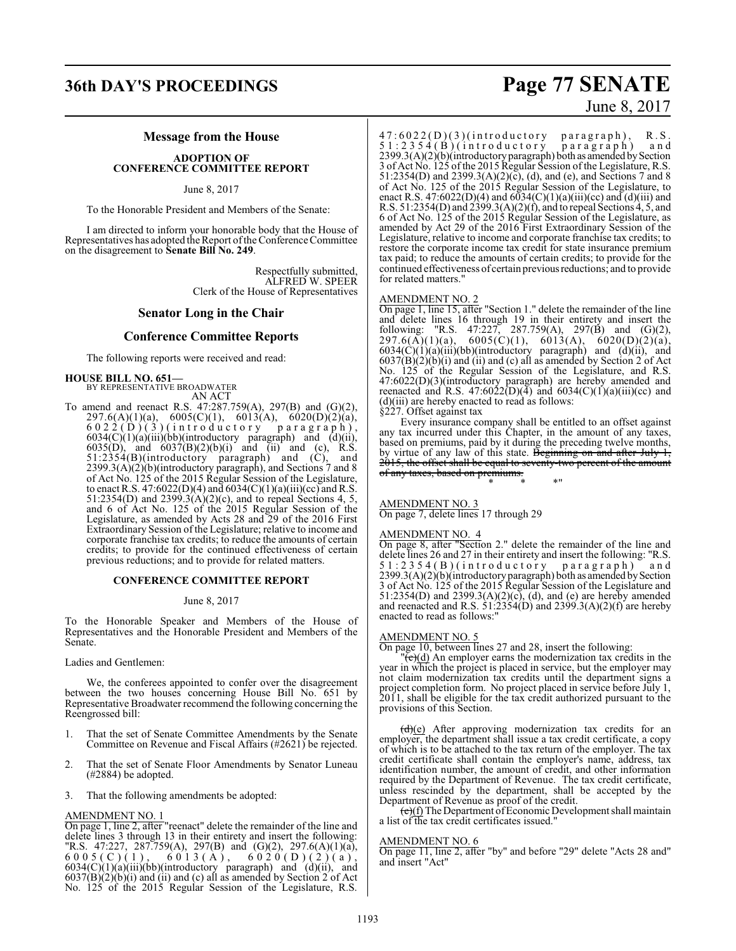## **36th DAY'S PROCEEDINGS Page 77 SENATE**

# June 8, 2017

#### **Message from the House**

#### **ADOPTION OF CONFERENCE COMMITTEE REPORT**

#### June 8, 2017

To the Honorable President and Members of the Senate:

I am directed to inform your honorable body that the House of Representatives has adopted the Report ofthe Conference Committee on the disagreement to **Senate Bill No. 249**.

> Respectfully submitted, ALFRED W. SPEER Clerk of the House of Representatives

#### **Senator Long in the Chair**

#### **Conference Committee Reports**

The following reports were received and read:

#### **HOUSE BILL NO. 651—**

BY REPRESENTATIVE BROADWATER AN ACT

To amend and reenact R.S. 47:287.759(A), 297(B) and (G)(2), 297.6(A)(1)(a), 6005(C)(1), 6013(A), 6020(D)(2)(a),  $6022$  (D ) (3 ) (introductory paragraph),  $6034(C)(1)(a)(iii)(bb)(introductory paragraph)$  and  $(d)(ii)$ , 6035(D), and  $6037(B)(2)(b)(i)$  and (ii) and (c), R.S. 51:2354(B)(introductory paragraph) and (C), and 2399.3(A)(2)(b)(introductory paragraph), and Sections 7 and 8 of Act No. 125 of the 2015 Regular Session of the Legislature, to enact R.S. 47:6022(D)(4) and 6034(C)(1)(a)(iii)(cc) and R.S. 51:2354(D) and 2399.3(A)(2)(c), and to repeal Sections 4, 5, and 6 of Act No. 125 of the 2015 Regular Session of the Legislature, as amended by Acts 28 and 29 of the 2016 First Extraordinary Session of the Legislature; relative to income and corporate franchise tax credits; to reduce the amounts of certain credits; to provide for the continued effectiveness of certain previous reductions; and to provide for related matters.

#### **CONFERENCE COMMITTEE REPORT**

#### June 8, 2017

To the Honorable Speaker and Members of the House of Representatives and the Honorable President and Members of the Senate.

#### Ladies and Gentlemen:

We, the conferees appointed to confer over the disagreement between the two houses concerning House Bill No. 651 by Representative Broadwater recommend the following concerning the Reengrossed bill:

- 1. That the set of Senate Committee Amendments by the Senate Committee on Revenue and Fiscal Affairs (#2621) be rejected.
- 2. That the set of Senate Floor Amendments by Senator Luneau (#2884) be adopted.
- 3. That the following amendments be adopted:

#### AMENDMENT NO. 1

On page 1, line 2, after "reenact" delete the remainder of the line and delete lines 3 through 13 in their entirety and insert the following: "R.S. 47:227, 287.759(A), 297(B) and (G)(2), 297.6(A)(1)(a),  $6005(C)(1)$ ,  $6013(A)$ ,  $6020(D)(2)(a)$ ,  $6034(C)(1)(a)(iii)(bb)(introducing a paragraph)$  and  $(d)(ii)$ , and  $6037(B)(2)(b)(i)$  and (ii) and (c) all as amended by Section 2 of Act No. 125 of the 2015 Regular Session of the Legislature, R.S.

 $47:6022(D)(3)(introducing top)$  paragraph), R.S 5 1 : 2 3 5 4 ( B ) ( i n t r o d u c t o r y p a r a g r a p h ) a n d  $2399.3(A)(2)(b)$ (introductory paragraph) both as amended by Section 3 of Act No. 125 of the 2015 Regular Session of the Legislature, R.S. 51:2354(D) and 2399.3(A)(2)( $\bar{c}$ ), (d), and (e), and Sections 7 and 8 of Act No. 125 of the 2015 Regular Session of the Legislature, to enact R.S. 47:6022(D)(4) and  $6\bar{0}34(C)(1)(a)(iii)(cc)$  and  $(d)(iii)$  and R.S. 51:2354(D) and 2399.3(A)(2)(f), and to repeal Sections 4, 5, and 6 of Act No. 125 of the 2015 Regular Session of the Legislature, as amended by Act 29 of the 2016 First Extraordinary Session of the Legislature, relative to income and corporate franchise tax credits; to restore the corporate income tax credit for state insurance premium tax paid; to reduce the amounts of certain credits; to provide for the continued effectiveness of certain previousreductions; and to provide for related matters."

#### AMENDMENT NO. 2

On page 1, line 15, after "Section 1." delete the remainder of the line and delete lines 16 through 19 in their entirety and insert the following: "R.S. 47:227, 287.759(A), 297(B) and (G)(2), 297.6(A)(1)(a), 6005(C)(1), 6013(A), 6020(D)(2)(a),  $6034(\dot{C})(1)(a)(iii)(bb)(introductory paragraph) and (d)(ii), and$  $6037(B)(2)(b)(i)$  and (ii) and (c) all as amended by Section 2 of Act No. 125 of the Regular Session of the Legislature, and R.S. 47:6022(D)(3)(introductory paragraph) are hereby amended and reenacted and R.S. 47:6022(D)(4) and 6034(C)(1)(a)(iii)(cc) and (d)(iii) are hereby enacted to read as follows:

§227. Offset against tax

Every insurance company shall be entitled to an offset against any tax incurred under this Chapter, in the amount of any taxes, based on premiums, paid by it during the preceding twelve months, by virtue of any law of this state. Beginning on and after July 1, 2015, the offset shall be equal to seventy-two percent of the amount of any taxes, based on premiums.

\* \* \*"

### AMENDMENT NO. 3

On page 7, delete lines 17 through 29

#### AMENDMENT NO. 4

On page 8, after "Section 2." delete the remainder of the line and delete lines 26 and 27 in their entirety and insert the following: "R.S. 51:2354(B)(introductory paragraph) and  $2399.3(A)(2)(b)$ (introductory paragraph) both as amended by Section 3 of Act No. 125 of the 2015 Regular Session of the Legislature and 51:2354(D) and 2399.3(A)(2)(c), (d), and (e) are hereby amended and reenacted and R.S.  $51:2354(D)$  and  $2399.3(A)(2)(f)$  are hereby enacted to read as follows:"

#### AMENDMENT NO. 5

On page 10, between lines 27 and 28, insert the following:

 $\overline{(\mathbf{c})}$ (d) An employer earns the modernization tax credits in the year in which the project is placed in service, but the employer may not claim modernization tax credits until the department signs a project completion form. No project placed in service before July 1, 2011, shall be eligible for the tax credit authorized pursuant to the provisions of this Section.

 $(d)(e)$  After approving modernization tax credits for an employer, the department shall issue a tax credit certificate, a copy of which is to be attached to the tax return of the employer. The tax credit certificate shall contain the employer's name, address, tax identification number, the amount of credit, and other information required by the Department of Revenue. The tax credit certificate, unless rescinded by the department, shall be accepted by the Department of Revenue as proof of the credit.

 $(e)(f)$  The Department of Economic Development shall maintain a list of the tax credit certificates issued."

#### AMENDMENT NO. 6

On page 11, line 2, after "by" and before "29" delete "Acts 28 and" and insert "Act"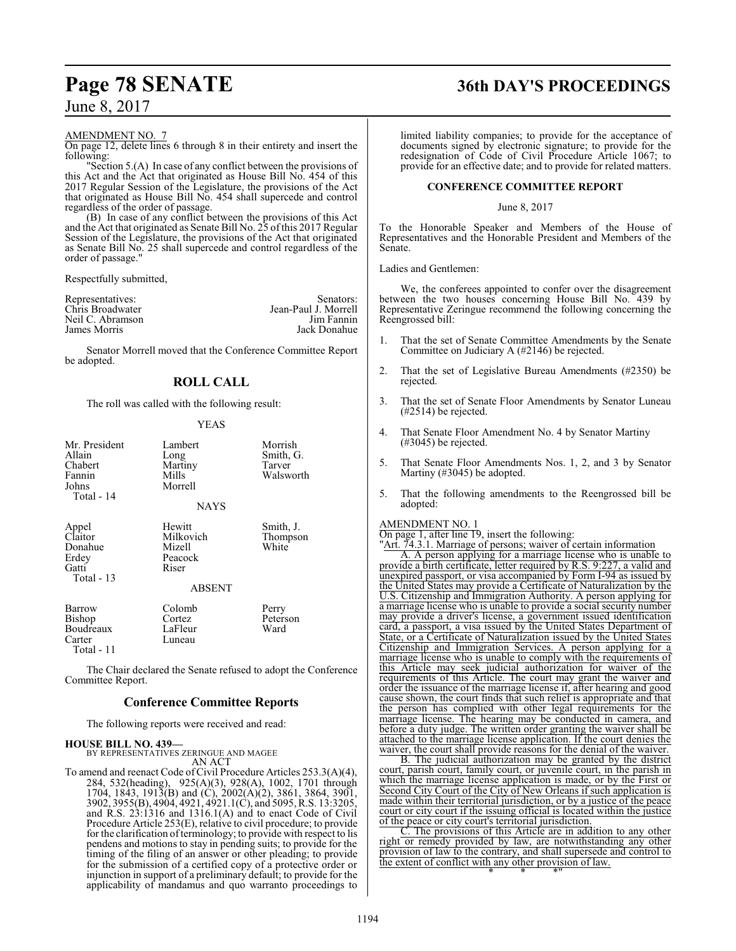## **Page 78 SENATE 36th DAY'S PROCEEDINGS**

AMENDMENT NO. 7

On page 12, delete lines 6 through 8 in their entirety and insert the following:

"Section 5.(A) In case of any conflict between the provisions of this Act and the Act that originated as House Bill No. 454 of this 2017 Regular Session of the Legislature, the provisions of the Act that originated as House Bill No. 454 shall supercede and control regardless of the order of passage.

(B) In case of any conflict between the provisions of this Act and the Act that originated as Senate Bill No. 25 of this 2017 Regular Session of the Legislature, the provisions of the Act that originated as Senate Bill No. 25 shall supercede and control regardless of the order of passage."

Respectfully submitted,

| Representatives: | Senators:            |
|------------------|----------------------|
| Chris Broadwater | Jean-Paul J. Morrell |
| Neil C. Abramson | Jim Fannin           |
| James Morris     | Jack Donahue         |

Senator Morrell moved that the Conference Committee Report be adopted.

### **ROLL CALL**

The roll was called with the following result:

#### YEAS

| Mr. President<br>Allain<br>Chabert<br>Fannin<br>Johns<br>Total - 14 | Lambert<br>Long<br>Martiny<br>Mills<br>Morrell<br><b>NAYS</b>      | Morrish<br>Smith, G.<br>Tarver<br>Walsworth |
|---------------------------------------------------------------------|--------------------------------------------------------------------|---------------------------------------------|
| Appel<br>Claitor<br>Donahue<br>Erdey<br>Gatti<br>Total $-13$        | Hewitt<br>Milkovich<br>Mizell<br>Peacock<br>Riser<br><b>ABSENT</b> | Smith, J.<br>Thompson<br>White              |
| <b>Barrow</b><br>Bishop<br>Boudreaux<br>Carter<br>Total - 11        | Colomb<br>Cortez<br>LaFleur<br>Luneau                              | Perry<br>Peterson<br>Ward                   |

The Chair declared the Senate refused to adopt the Conference Committee Report.

#### **Conference Committee Reports**

The following reports were received and read:

#### **HOUSE BILL NO. 439—**

BY REPRESENTATIVES ZERINGUE AND MAGEE AN ACT

To amend and reenact Code of Civil Procedure Articles 253.3(A)(4), 284, 532(heading), 925(A)(3), 928(A), 1002, 1701 through 1704, 1843, 1913(B) and (C), 2002(A)(2), 3861, 3864, 3901, 3902, 3955(B), 4904, 4921, 4921.1(C), and 5095, R.S. 13:3205, and R.S. 23:1316 and 1316.1(A) and to enact Code of Civil Procedure Article 253(E), relative to civil procedure; to provide for the clarification of terminology; to provide with respect to lis pendens and motions to stay in pending suits; to provide for the timing of the filing of an answer or other pleading; to provide for the submission of a certified copy of a protective order or injunction in support of a preliminary default; to provide for the applicability of mandamus and quo warranto proceedings to

limited liability companies; to provide for the acceptance of documents signed by electronic signature; to provide for the redesignation of Code of Civil Procedure Article 1067; to provide for an effective date; and to provide for related matters.

#### **CONFERENCE COMMITTEE REPORT**

#### June 8, 2017

To the Honorable Speaker and Members of the House of Representatives and the Honorable President and Members of the Senate.

Ladies and Gentlemen:

We, the conferees appointed to confer over the disagreement between the two houses concerning House Bill No. 439 by Representative Zeringue recommend the following concerning the Reengrossed bill:

- 1. That the set of Senate Committee Amendments by the Senate Committee on Judiciary A (#2146) be rejected.
- 2. That the set of Legislative Bureau Amendments (#2350) be rejected.
- 3. That the set of Senate Floor Amendments by Senator Luneau (#2514) be rejected.
- 4. That Senate Floor Amendment No. 4 by Senator Martiny (#3045) be rejected.
- 5. That Senate Floor Amendments Nos. 1, 2, and 3 by Senator Martiny (#3045) be adopted.
- 5. That the following amendments to the Reengrossed bill be adopted:

#### AMENDMENT NO. 1

On page 1, after line 19, insert the following: "Art. 74.3.1. Marriage of persons; waiver of certain information A. A person applying for a marriage license who is unable to provide a birth certificate, letter required by R.S. 9:227, a valid and unexpired passport, or visa accompanied by Form I-94 as issued by the United States may provide a Certificate of Naturalization by the U.S. Citizenship and Immigration Authority. A person applying for a marriage license who is unable to provide a social security number may provide a driver's license, a government issued identification card, a passport, a visa issued by the United States Department of State, or a Certificate of Naturalization issued by the United States Citizenship and Immigration Services. A person applying for a marriage license who is unable to comply with the requirements of this Article may seek judicial authorization for waiver of the requirements of this Article. The court may grant the waiver and order the issuance of the marriage license if, after hearing and good cause shown, the court finds that such relief is appropriate and that the person has complied with other legal requirements for the marriage license. The hearing may be conducted in camera, and before a duty judge. The written order granting the waiver shall be attached to the marriage license application. If the court denies the

waiver, the court shall provide reasons for the denial of the waiver. B. The judicial authorization may be granted by the district court, parish court, family court, or juvenile court, in the parish in which the marriage license application is made, or by the First or Second City Court of the City of New Orleans if such application is made within their territorial jurisdiction, or by a justice of the peace court or city court if the issuing official is located within the justice of the peace or city court's territorial jurisdiction.

C. The provisions of this Article are in addition to any other right or remedy provided by law, are notwithstanding any other provision of law to the contrary, and shall supersede and control to the extent of conflict with any other provision of law. \* \* \*"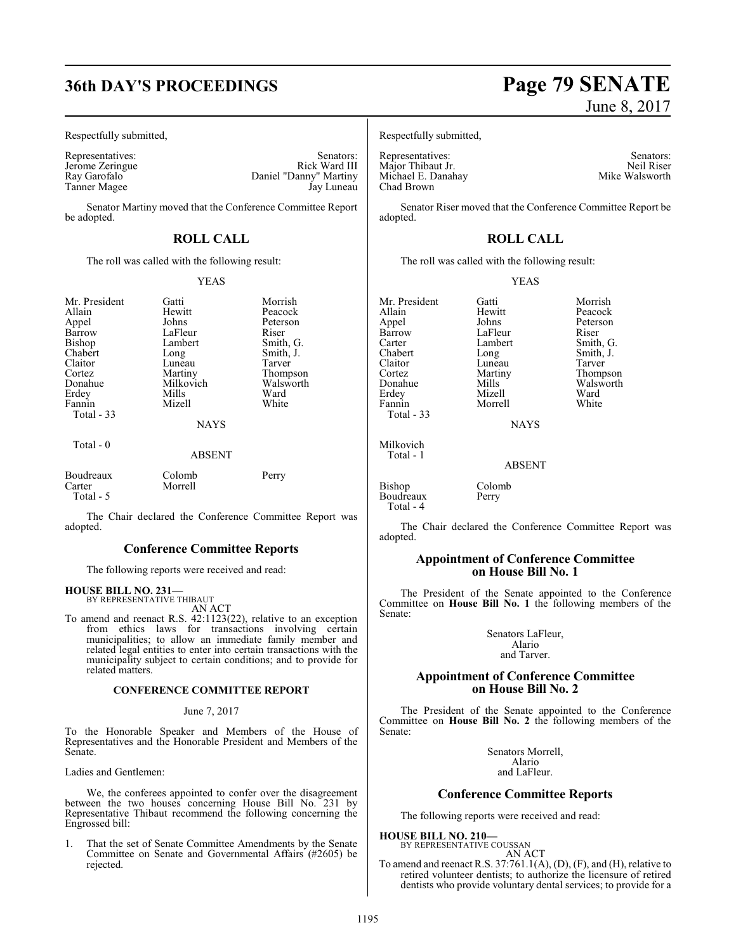## **36th DAY'S PROCEEDINGS Page 79 SENATE**

Respectfully submitted,

Jerome Zeringue<br>Ray Garofalo Tanner Magee

Representatives: Senators: Senators: Senators: Senators: Senators: Senators: Senators: Senators: Senators: Senators: Senators: Senators: Senators: Senators: Senators: Senators: Senators: Senators: Senators: Senators: Senat Daniel "Danny" Martiny<br>Jay Luneau

Senator Martiny moved that the Conference Committee Report be adopted.

### **ROLL CALL**

The roll was called with the following result:

#### YEAS

| Mr. President<br>Allain<br>Appel<br>Barrow<br><b>Bishop</b><br>Chabert<br>Claitor<br>Cortez<br>Donahue<br>Erdey<br>Fannin<br>Total $-33$ | Gatti<br>Hewitt<br>Johns<br>LaFleur<br>Lambert<br>Long<br>Luneau<br>Martiny<br>Milkovich<br>Mills<br>Mizell<br><b>NAYS</b> | Morrish<br>Peacock<br>Peterson<br>Riser<br>Smith, G.<br>Smith, J.<br>Tarver<br>Thompson<br>Walsworth<br>Ward<br>White |
|------------------------------------------------------------------------------------------------------------------------------------------|----------------------------------------------------------------------------------------------------------------------------|-----------------------------------------------------------------------------------------------------------------------|
| Total $-0$                                                                                                                               | <b>ABSENT</b>                                                                                                              |                                                                                                                       |
| Boudreaux<br>Carter<br>Total - 5                                                                                                         | Colomb<br>Morrell                                                                                                          | Perry                                                                                                                 |

The Chair declared the Conference Committee Report was adopted.

#### **Conference Committee Reports**

The following reports were received and read:

#### **HOUSE BILL NO. 231—**

BY REPRESENTATIVE THIBAUT AN ACT

To amend and reenact R.S. 42:1123(22), relative to an exception from ethics laws for transactions involving certain municipalities; to allow an immediate family member and related legal entities to enter into certain transactions with the municipality subject to certain conditions; and to provide for related matters.

#### **CONFERENCE COMMITTEE REPORT**

#### June 7, 2017

To the Honorable Speaker and Members of the House of Representatives and the Honorable President and Members of the Senate.

Ladies and Gentlemen:

We, the conferees appointed to confer over the disagreement between the two houses concerning House Bill No. 231 by Representative Thibaut recommend the following concerning the Engrossed bill:

1. That the set of Senate Committee Amendments by the Senate Committee on Senate and Governmental Affairs (#2605) be rejected.

# June 8, 2017

Respectfully submitted,

Representatives: Senators: Senators: Senators: Senators: Senators: Senators: Senators: Senators: Senators: Senators: Senators: Senators: Senators: Senators: Senators: Senators: Senators: Senators: Senators: Senators: Senat Major Thibaut Jr. Neil Riser<br>
Michael E. Danahay Mike Walsworth Michael E. Danahay Chad Brown

Senator Riser moved that the Conference Committee Report be adopted.

### **ROLL CALL**

The roll was called with the following result:

#### YEAS

Mr. President Gatti Morrish<br>Allain Hewitt Peacock Allain Hewitt Peacock Appel Johns Peterson Barrow LaFleur<br>Carter Lambert Carter Lambert Smith, G. Chabert Long Smith, J. Claitor Luneau<br>Cortez Martiny Fannin Total - 33

Mizell Ward<br>
Morrell White

Cortez Martiny Thompson Donahue Mills Walsworth<br>
Erdev Mizell Ward

**NAYS** 

ABSENT

Bishop Colomb<br>Boudreaux Perry Boudreaux Total - 4

Milkovich Total - 1

The Chair declared the Conference Committee Report was adopted.

#### **Appointment of Conference Committee on House Bill No. 1**

The President of the Senate appointed to the Conference Committee on **House Bill No. 1** the following members of the Senate:

> Senators LaFleur, Alario and Tarver.

#### **Appointment of Conference Committee on House Bill No. 2**

The President of the Senate appointed to the Conference Committee on **House Bill No. 2** the following members of the Senate:

> Senators Morrell, Alario and LaFleur.

#### **Conference Committee Reports**

The following reports were received and read:

**HOUSE BILL NO. 210—**

BY REPRESENTATIVE COUSSAN AN ACT

To amend and reenact R.S.  $37:761.1(A), (D), (F),$  and  $(H)$ , relative to retired volunteer dentists; to authorize the licensure of retired dentists who provide voluntary dental services; to provide for a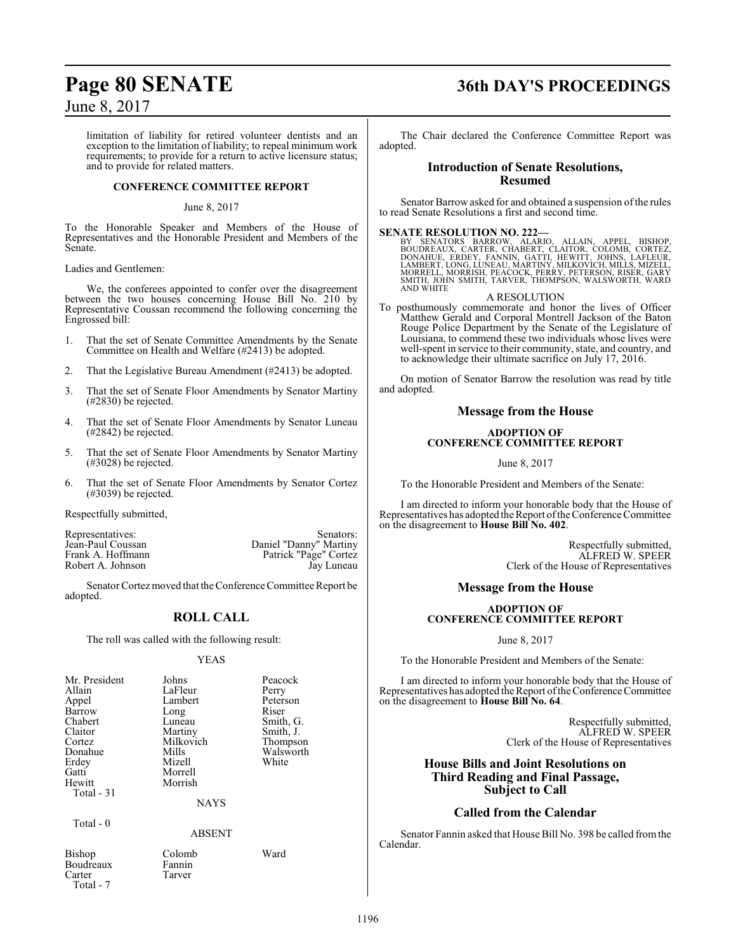limitation of liability for retired volunteer dentists and an exception to the limitation of liability; to repeal minimum work requirements; to provide for a return to active licensure status; and to provide for related matters.

#### **CONFERENCE COMMITTEE REPORT**

#### June 8, 2017

To the Honorable Speaker and Members of the House of Representatives and the Honorable President and Members of the Senate.

Ladies and Gentlemen:

We, the conferees appointed to confer over the disagreement between the two houses concerning House Bill No. 210 by Representative Coussan recommend the following concerning the Engrossed bill:

- 1. That the set of Senate Committee Amendments by the Senate Committee on Health and Welfare (#2413) be adopted.
- 2. That the Legislative Bureau Amendment (#2413) be adopted.
- 3. That the set of Senate Floor Amendments by Senator Martiny (#2830) be rejected.
- 4. That the set of Senate Floor Amendments by Senator Luneau (#2842) be rejected.
- 5. That the set of Senate Floor Amendments by Senator Martiny (#3028) be rejected.
- 6. That the set of Senate Floor Amendments by Senator Cortez (#3039) be rejected.

Respectfully submitted,

Representatives: Senators: Senators: Senators: Jean-Paul Coussan<br>
Daniel "Danny" Martiny Jean-Paul Coussan Daniel "Danny" Martiny Frank A. Hoffmann Patrick "Page" Cortez Robert A. Johnson Jay Luneau

Senator Cortez moved that the Conference Committee Report be adopted.

### **ROLL CALL**

The roll was called with the following result:

#### YEAS

| Mr. President<br>Allain<br>Appel<br>Barrow<br>Chabert<br>Claitor<br>Cortez<br>Donahue<br>Erdey<br>Gatti<br>Hewitt<br>Total - 31 | Johns<br>LaFleur<br>Lambert<br>Long<br>Luneau<br>Martiny<br>Milkovich<br>Mills<br>Mizell<br>Morrell<br>Morrish | Peacock<br>Perry<br>Peterson<br>Riser<br>Smith, G.<br>Smith, J.<br>Thompson<br>Walsworth<br>White |
|---------------------------------------------------------------------------------------------------------------------------------|----------------------------------------------------------------------------------------------------------------|---------------------------------------------------------------------------------------------------|
|                                                                                                                                 | <b>NAYS</b>                                                                                                    |                                                                                                   |
| Total - 0                                                                                                                       | ABSENT                                                                                                         |                                                                                                   |

#### ABSENT

Bishop Colomb Ward Boudreaux<br>Carter Total - 7

Tarver

## **Page 80 SENATE 36th DAY'S PROCEEDINGS**

The Chair declared the Conference Committee Report was adopted.

#### **Introduction of Senate Resolutions, Resumed**

Senator Barrow asked for and obtained a suspension of the rules to read Senate Resolutions a first and second time.

### **SENATE RESOLUTION NO. 222—**

BY SENATORS BARROW, ALARIO, ALLAIN, APPEL, BISHOP,<br>BOUDREAUX, CARTER, CHABERT, CLAITOR, COLOMB, CORTEZ,<br>DONAHUE, ERDEY, FANNIN, GATTI, HEWITT, JOHNS, LAFLEUR,<br>LAMBERT,LONG,LUNEAU,MARTINY,MILKOVICH,MILLS,MIZELL,<br>MORRELL,MOR

#### A RESOLUTION

To posthumously commemorate and honor the lives of Officer Matthew Gerald and Corporal Montrell Jackson of the Baton Rouge Police Department by the Senate of the Legislature of Louisiana, to commend these two individuals whose lives were well-spent in service to their community, state, and country, and to acknowledge their ultimate sacrifice on July 17, 2016.

On motion of Senator Barrow the resolution was read by title and adopted.

#### **Message from the House**

#### **ADOPTION OF CONFERENCE COMMITTEE REPORT**

June 8, 2017

To the Honorable President and Members of the Senate:

I am directed to inform your honorable body that the House of Representatives has adopted the Report ofthe Conference Committee on the disagreement to **House Bill No. 402**.

> Respectfully submitted, ALFRED W. SPEER Clerk of the House of Representatives

### **Message from the House**

#### **ADOPTION OF CONFERENCE COMMITTEE REPORT**

June 8, 2017

To the Honorable President and Members of the Senate:

I am directed to inform your honorable body that the House of Representatives has adopted the Report of the Conference Committee on the disagreement to **House Bill No. 64**.

> Respectfully submitted, ALFRED W. SPEER Clerk of the House of Representatives

### **House Bills and Joint Resolutions on Third Reading and Final Passage, Subject to Call**

### **Called from the Calendar**

Senator Fannin asked that House Bill No. 398 be called fromthe Calendar.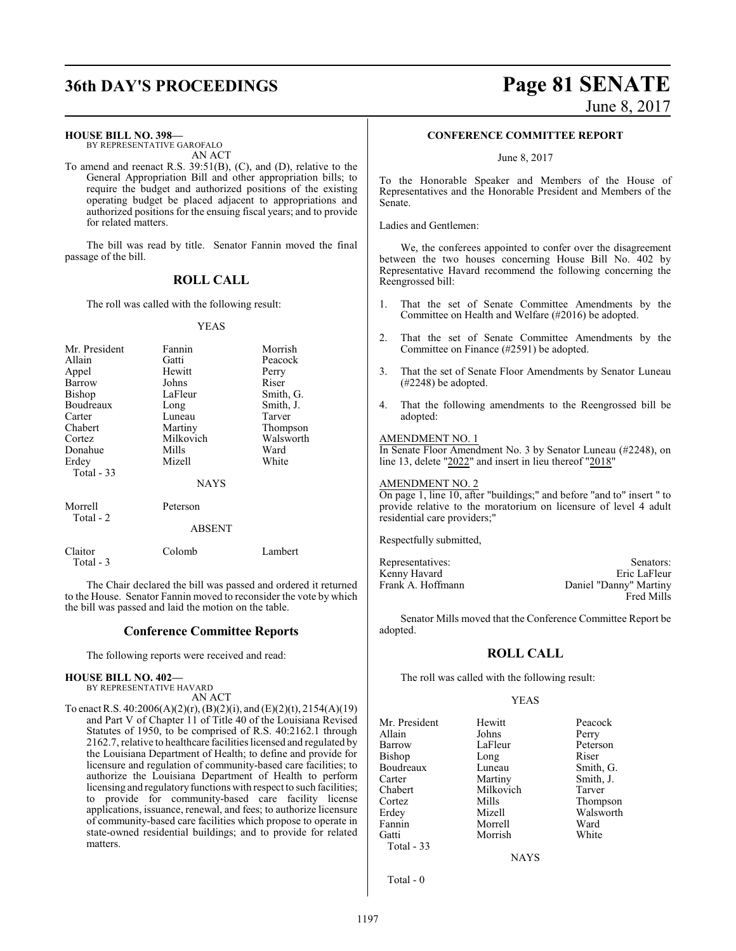# **36th DAY'S PROCEEDINGS Page 81 SENATE**

June 8, 2017

#### **HOUSE BILL NO. 398—**

BY REPRESENTATIVE GAROFALO AN ACT

To amend and reenact R.S. 39:51(B), (C), and (D), relative to the General Appropriation Bill and other appropriation bills; to require the budget and authorized positions of the existing operating budget be placed adjacent to appropriations and authorized positions for the ensuing fiscal years; and to provide for related matters.

The bill was read by title. Senator Fannin moved the final passage of the bill.

### **ROLL CALL**

The roll was called with the following result:

#### YEAS

| Mr. President<br>Allain<br>Appel<br>Barrow<br>Bishop<br>Boudreaux | Fannin<br>Gatti<br>Hewitt<br>Johns<br>LaFleur<br>Long            | Morrish<br>Peacock<br>Perry<br>Riser<br>Smith, G.<br>Smith, J. |
|-------------------------------------------------------------------|------------------------------------------------------------------|----------------------------------------------------------------|
| Carter<br>Chabert<br>Cortez<br>Donahue<br>Erdey<br>Total - 33     | Luneau<br>Martiny<br>Milkovich<br>Mills<br>Mizell<br><b>NAYS</b> | Tarver<br>Thompson<br>Walsworth<br>Ward<br>White               |
| Morrell<br>Total - 2                                              | Peterson<br><b>ABSENT</b>                                        |                                                                |
| Claitor                                                           | Colomb                                                           | Lambert                                                        |

The Chair declared the bill was passed and ordered it returned to the House. Senator Fannin moved to reconsider the vote by which the bill was passed and laid the motion on the table.

#### **Conference Committee Reports**

The following reports were received and read:

#### **HOUSE BILL NO. 402—**

Total - 3

BY REPRESENTATIVE HAVARD AN ACT

To enact R.S. 40:2006(A)(2)(r), (B)(2)(i), and (E)(2)(t), 2154(A)(19) and Part V of Chapter 11 of Title 40 of the Louisiana Revised Statutes of 1950, to be comprised of R.S. 40:2162.1 through 2162.7, relative to healthcare facilities licensed and regulated by the Louisiana Department of Health; to define and provide for licensure and regulation of community-based care facilities; to authorize the Louisiana Department of Health to perform licensing and regulatory functions with respect to such facilities; to provide for community-based care facility license applications, issuance, renewal, and fees; to authorize licensure of community-based care facilities which propose to operate in state-owned residential buildings; and to provide for related matters.

#### **CONFERENCE COMMITTEE REPORT**

June 8, 2017

To the Honorable Speaker and Members of the House of Representatives and the Honorable President and Members of the Senate.

Ladies and Gentlemen:

We, the conferees appointed to confer over the disagreement between the two houses concerning House Bill No. 402 by Representative Havard recommend the following concerning the Reengrossed bill:

- 1. That the set of Senate Committee Amendments by the Committee on Health and Welfare (#2016) be adopted.
- 2. That the set of Senate Committee Amendments by the Committee on Finance (#2591) be adopted.
- 3. That the set of Senate Floor Amendments by Senator Luneau (#2248) be adopted.
- 4. That the following amendments to the Reengrossed bill be adopted:

#### AMENDMENT NO. 1

In Senate Floor Amendment No. 3 by Senator Luneau (#2248), on line 13, delete "2022" and insert in lieu thereof "2018"

#### AMENDMENT NO. 2

On page 1, line 10, after "buildings;" and before "and to" insert " to provide relative to the moratorium on licensure of level 4 adult residential care providers;"

Respectfully submitted,

Kenny Havard

Representatives: Senators: Senators: Senators: Senators: Senators: Senators: Senators: Senators: Senators: Senators: Senators: Senators: Senators: Senators: Senators: Senators: Senators: Senators: Senators: Senators: Senat Frank A. Hoffmann Daniel "Danny" Martiny Fred Mills

Senator Mills moved that the Conference Committee Report be adopted.

### **ROLL CALL**

The roll was called with the following result:

#### YEAS

| Mr. President | Hewitt    | Peacock   |
|---------------|-----------|-----------|
| Allain        | Johns     | Perry     |
| Barrow        | LaFleur   | Peterson  |
| <b>Bishop</b> | Long      | Riser     |
| Boudreaux     | Luneau    | Smith, G. |
| Carter        | Martiny   | Smith, J. |
| Chabert       | Milkovich | Tarver    |
| Cortez        | Mills     | Thompson  |
| Erdey         | Mizell    | Walsworth |
| Fannin        | Morrell   | Ward      |
| Gatti         | Morrish   | White     |
| Total $-33$   |           |           |

**NAYS** 

Total - 0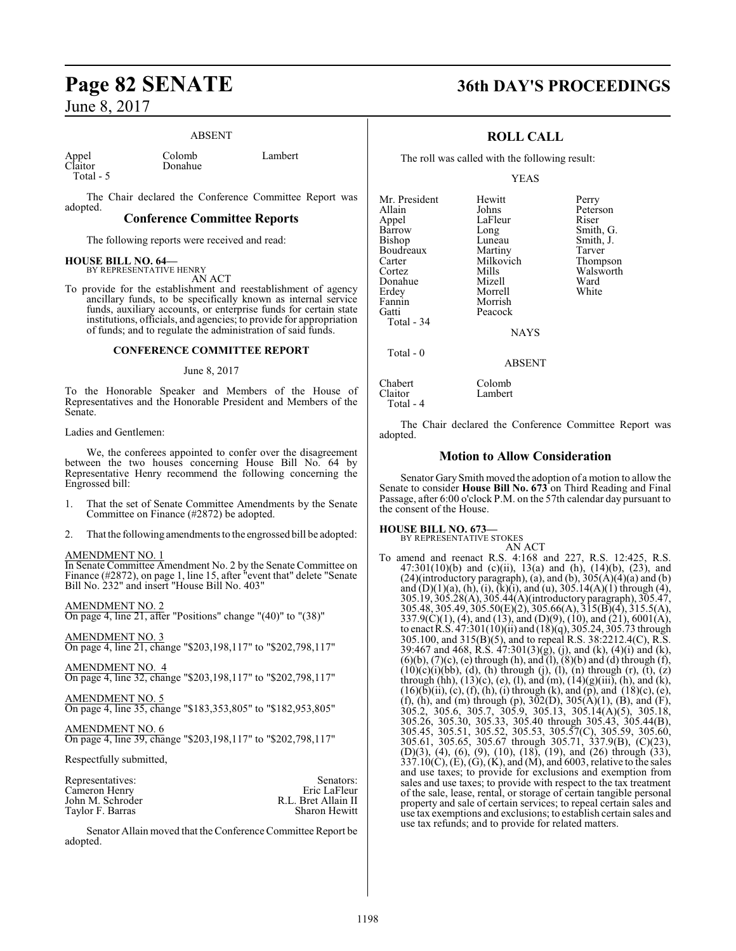#### ABSENT

Appel Colomb Lambert<br>Claitor Donahue Lambert Total - 5

Donahue

The Chair declared the Conference Committee Report was adopted.

#### **Conference Committee Reports**

The following reports were received and read:

## **HOUSE BILL NO. 64—** BY REPRESENTATIVE HENRY

AN ACT

To provide for the establishment and reestablishment of agency ancillary funds, to be specifically known as internal service funds, auxiliary accounts, or enterprise funds for certain state institutions, officials, and agencies; to provide for appropriation of funds; and to regulate the administration of said funds.

#### **CONFERENCE COMMITTEE REPORT**

#### June 8, 2017

To the Honorable Speaker and Members of the House of Representatives and the Honorable President and Members of the Senate.

#### Ladies and Gentlemen:

We, the conferees appointed to confer over the disagreement between the two houses concerning House Bill No. 64 by Representative Henry recommend the following concerning the Engrossed bill:

- 1. That the set of Senate Committee Amendments by the Senate Committee on Finance (#2872) be adopted.
- 2. That the following amendments to the engrossed bill be adopted:

#### AMENDMENT NO. 1

In Senate Committee Amendment No. 2 by the Senate Committee on Finance (#2872), on page 1, line 15, after "event that" delete "Senate Bill No. 232" and insert "House Bill No. 403"

AMENDMENT NO. 2

On page 4, line 21, after "Positions" change "(40)" to "(38)"

AMENDMENT NO. 3 On page 4, line 21, change "\$203,198,117" to "\$202,798,117"

AMENDMENT NO. 4 On page 4, line 32, change "\$203,198,117" to "\$202,798,117"

AMENDMENT NO. 5

On page 4, line 35, change "\$183,353,805" to "\$182,953,805"

AMENDMENT NO. 6 On page 4, line 39, change "\$203,198,117" to "\$202,798,117"

Respectfully submitted,

| Representatives: | Senators:            |
|------------------|----------------------|
| Cameron Henry    | Eric LaFleur         |
| John M. Schroder | R.L. Bret Allain II  |
| Taylor F. Barras | <b>Sharon Hewitt</b> |

Senator Allain moved that the Conference Committee Report be adopted.

## **Page 82 SENATE 36th DAY'S PROCEEDINGS**

### **ROLL CALL**

The roll was called with the following result:

Lambert

YEAS

| Peterson              |
|-----------------------|
| LaFleur<br>Riser      |
| Smith, G.             |
| Smith, J.             |
| Tarver                |
| Milkovich<br>Thompson |
| Walsworth             |
| Ward                  |
| White                 |
| Morrish               |
| Peacock               |
|                       |
| <b>NAYS</b>           |
| Martiny               |

ABSENT

Chabert Colomb<br>Claitor Lambert Total - 4

Total - 0

The Chair declared the Conference Committee Report was adopted.

#### **Motion to Allow Consideration**

Senator GarySmith moved the adoption of a motion to allow the Senate to consider **House Bill No. 673** on Third Reading and Final Passage, after 6:00 o'clock P.M. on the 57th calendar day pursuant to the consent of the House.

#### **HOUSE BILL NO. 673—**

BY REPRESENTATIVE STOKES AN ACT

To amend and reenact R.S. 4:168 and 227, R.S. 12:425, R.S. 47:301(10)(b) and (c)(ii), 13(a) and (h), (14)(b), (23), and  $(24)$ (introductory paragraph), (a), and (b),  $305(A)(4)(a)$  and (b) and (D)(1)(a), (h), (i), (k)(i), and (u), 305.14(A)(1) through (4), 305.19, 305.28(A), 305.44(A)(introductory paragraph), 305.47, 305.48, 305.49, 305.50(E)(2), 305.66(A), 315(B)(4), 315.5(A),  $337.9(C)(1)$ , (4), and (13), and (D)(9), (10), and (21), 6001(A), to enact R.S. 47:301(10)(ii) and (18)(q), 305.24, 305.73 through 305.100, and 315(B)(5), and to repeal R.S. 38:2212.4(C), R.S. 39:467 and 468, R.S. 47:301(3)(g), (j), and (k), (4)(i) and (k),  $(6)(b)$ ,  $(7)(c)$ ,  $(e)$  through  $(h)$ , and  $(1)$ ,  $(8)(b)$  and  $(d)$  through  $(f)$ ,  $(10)(c)(i)(bb), (d), (h)$  through  $(j), (l), (n)$  through  $(r), (t), (z)$ through (hh),  $(13)(c)$ ,  $(e)$ ,  $(l)$ , and  $(m)$ ,  $(14)(g)(iii)$ ,  $(h)$ , and  $(k)$ ,  $(16)(\bar{b})(\bar{ii}), (c), (\bar{f}), (\bar{h}), (\bar{i})$  through  $(k)$ , and  $(\bar{p})$ , and  $(18)(c), (\bar{e}),$ (f), (h), and (m) through (p),  $302(D)$ ,  $305(A)(1)$ , (B), and (F), 305.2, 305.6, 305.7, 305.9, 305.13, 305.14(A)(5), 305.18, 305.26, 305.30, 305.33, 305.40 through 305.43, 305.44(B), 305.45, 305.51, 305.52, 305.53, 305.57(C), 305.59, 305.60, 305.61, 305.65, 305.67 through 305.71, 337.9(B), (C)(23), (D)(3), (4), (6), (9), (10), (18), (19), and (26) through (33),  $337.10(C)$ , (E), (G), (K), and (M), and 6003, relative to the sales and use taxes; to provide for exclusions and exemption from sales and use taxes; to provide with respect to the tax treatment of the sale, lease, rental, or storage of certain tangible personal property and sale of certain services; to repeal certain sales and use tax exemptions and exclusions; to establish certain sales and use tax refunds; and to provide for related matters.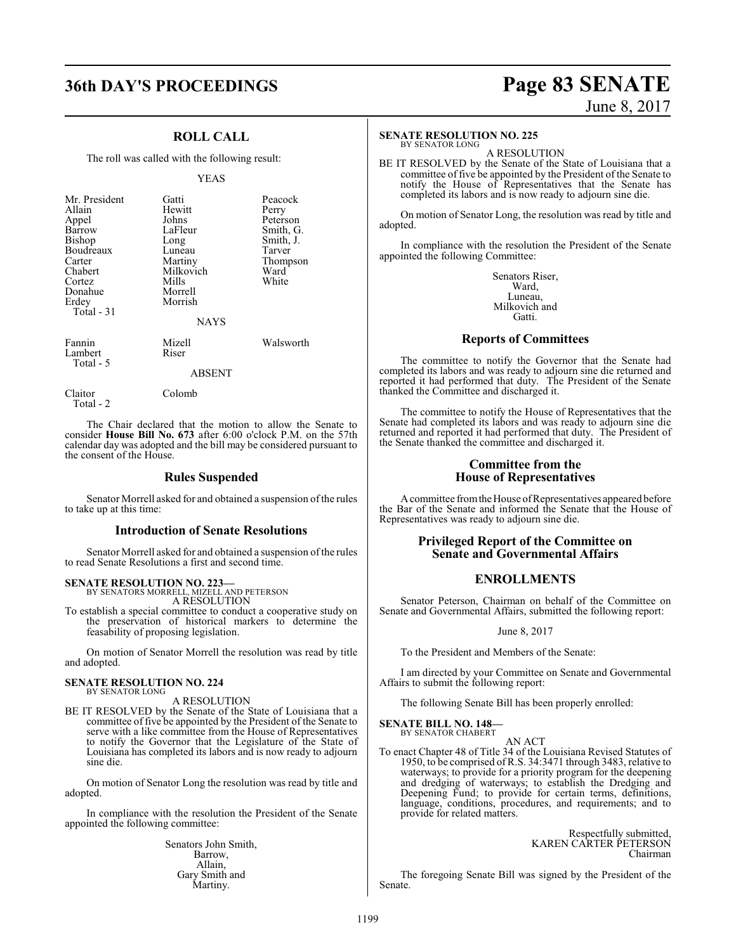## **36th DAY'S PROCEEDINGS Page 83 SENATE**

# June 8, 2017

### **ROLL CALL**

The roll was called with the following result:

#### YEAS

| Mr. President | Gatti       | Peacock   |  |  |
|---------------|-------------|-----------|--|--|
| Allain        | Hewitt      | Perry     |  |  |
| Appel         | Johns       | Peterson  |  |  |
| Barrow        | LaFleur     | Smith, G. |  |  |
| <b>Bishop</b> | Long        | Smith, J. |  |  |
| Boudreaux     | Luneau      | Tarver    |  |  |
|               |             |           |  |  |
| Carter        | Martiny     | Thompson  |  |  |
| Chabert       | Milkovich   | Ward      |  |  |
| Cortez        | Mills       | White     |  |  |
| Donahue       | Morrell     |           |  |  |
| Erdey         | Morrish     |           |  |  |
| Total $-31$   |             |           |  |  |
|               | <b>NAYS</b> |           |  |  |
| Fannin        | Mizell      | Walsworth |  |  |
| Lambert       | Riser       |           |  |  |
| Total - 5     |             |           |  |  |
| <b>ABSENT</b> |             |           |  |  |
| laitor        | Colomb      |           |  |  |

Total - 2

The Chair declared that the motion to allow the Senate to consider **House Bill No. 673** after 6:00 o'clock P.M. on the 57th calendar day was adopted and the bill may be considered pursuant to the consent of the House.

#### **Rules Suspended**

Senator Morrell asked for and obtained a suspension of the rules to take up at this time:

#### **Introduction of Senate Resolutions**

Senator Morrell asked for and obtained a suspension of the rules to read Senate Resolutions a first and second time.

#### **SENATE RESOLUTION NO. 223—**

BY SENATORS MORRELL, MIZELL AND PETERSON A RESOLUTION

To establish a special committee to conduct a cooperative study on the preservation of historical markers to determine the feasability of proposing legislation.

On motion of Senator Morrell the resolution was read by title and adopted.

#### **SENATE RESOLUTION NO. 224** BY SENATOR LONG

A RESOLUTION

BE IT RESOLVED by the Senate of the State of Louisiana that a committee of five be appointed by the President of the Senate to serve with a like committee from the House of Representatives to notify the Governor that the Legislature of the State of Louisiana has completed its labors and is now ready to adjourn sine die.

On motion of Senator Long the resolution was read by title and adopted.

In compliance with the resolution the President of the Senate appointed the following committee:

> Senators John Smith, Barrow, Allain, Gary Smith and Martiny.

#### **SENATE RESOLUTION NO. 225**

BY SENATOR LONG A RESOLUTION

BE IT RESOLVED by the Senate of the State of Louisiana that a committee of five be appointed by the President of the Senate to notify the House of Representatives that the Senate has completed its labors and is now ready to adjourn sine die.

On motion of Senator Long, the resolution was read by title and adopted.

In compliance with the resolution the President of the Senate appointed the following Committee:

> Senators Riser, Ward, Luneau, Milkovich and Gatti.

#### **Reports of Committees**

The committee to notify the Governor that the Senate had completed its labors and was ready to adjourn sine die returned and reported it had performed that duty. The President of the Senate thanked the Committee and discharged it.

The committee to notify the House of Representatives that the Senate had completed its labors and was ready to adjourn sine die returned and reported it had performed that duty. The President of the Senate thanked the committee and discharged it.

#### **Committee from the House of Representatives**

A committee from the House of Representatives appeared before the Bar of the Senate and informed the Senate that the House of Representatives was ready to adjourn sine die.

### **Privileged Report of the Committee on Senate and Governmental Affairs**

### **ENROLLMENTS**

Senator Peterson, Chairman on behalf of the Committee on Senate and Governmental Affairs, submitted the following report:

June 8, 2017

To the President and Members of the Senate:

I am directed by your Committee on Senate and Governmental Affairs to submit the following report:

The following Senate Bill has been properly enrolled:

## **SENATE BILL NO. 148—** BY SENATOR CHABERT

AN ACT

To enact Chapter 48 of Title 34 of the Louisiana Revised Statutes of 1950, to be comprised ofR.S. 34:3471 through 3483, relative to waterways; to provide for a priority program for the deepening and dredging of waterways; to establish the Dredging and Deepening Fund; to provide for certain terms, definitions, language, conditions, procedures, and requirements; and to provide for related matters.

> Respectfully submitted, KAREN CARTER PETERSON Chairman

The foregoing Senate Bill was signed by the President of the Senate.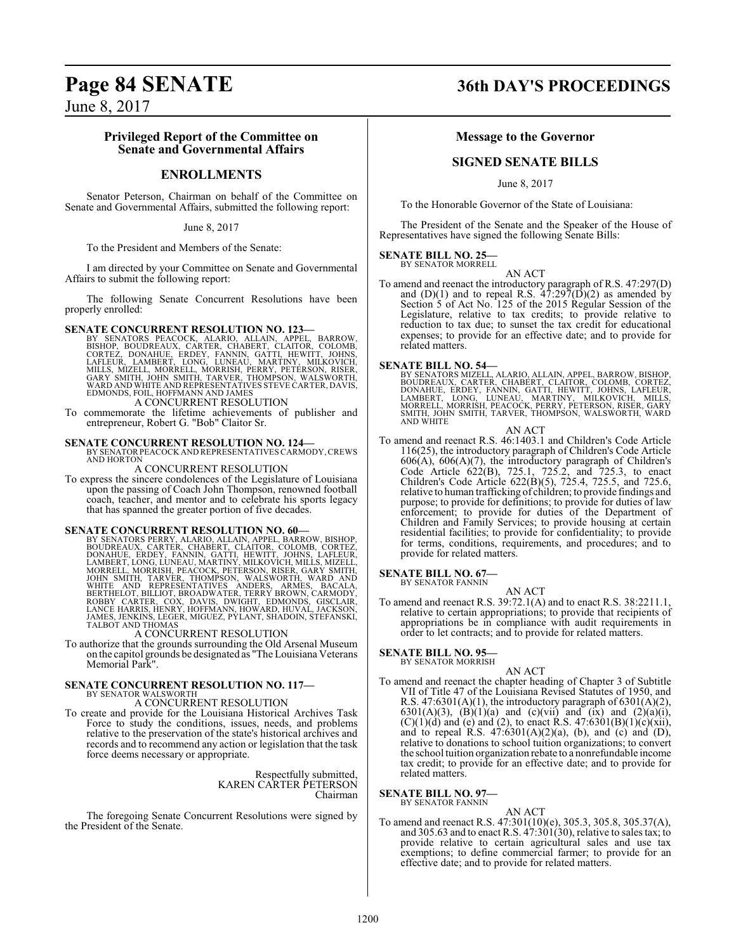#### **Privileged Report of the Committee on Senate and Governmental Affairs**

### **ENROLLMENTS**

Senator Peterson, Chairman on behalf of the Committee on Senate and Governmental Affairs, submitted the following report:

June 8, 2017

To the President and Members of the Senate:

I am directed by your Committee on Senate and Governmental Affairs to submit the following report:

The following Senate Concurrent Resolutions have been properly enrolled:

#### **SENATE CONCURRENT RESOLUTION NO. 123—**

BY SENATORS PEACOCK, ALARIO, ALLAIN, APPEL, BARROW,<br>BISHOP, BOUDREAUX, CARTER, CHABERT, CLAITOR, COLOMB,<br>CORTEŽ, DONAHUE, ERDEY, FANNIN, GATTI, HEWITT, JOHNS,<br>LAFLEUR, LAMBERT, LONG, LUNEAU, MARTINY, MILKOVICH,<br>MILLS, MIZE A CONCURRENT RESOLUTION

To commemorate the lifetime achievements of publisher and entrepreneur, Robert G. "Bob" Claitor Sr.

**SENATE CONCURRENT RESOLUTION NO. 124—** BY SENATOR PEACOCK AND REPRESENTATIVES CARMODY, CREWS<br>AND HORTON

A CONCURRENT RESOLUTION

To express the sincere condolences of the Legislature of Louisiana upon the passing of Coach John Thompson, renowned football coach, teacher, and mentor and to celebrate his sports legacy that has spanned the greater portion of five decades.

**SENATE CONCURRENT RESOLUTION NO. 60**<br>BY SENATORS PERRY, ALARIO, ALLAIN, APPEL, BARROW, BISHOP, BOUDREAUX, CARTER, CHABERT, CLAITOR, COLOMB, CORTEZ,<br>DONAHUE, ERDEY, FANNIN, GATTI, HEWITT, JOHNS, LAFLEUR,<br>LAMBERT, LONG, LUN

#### A CONCURRENT RESOLUTION

To authorize that the grounds surrounding the Old Arsenal Museum on the capitol grounds be designated as "The Louisiana Veterans Memorial Park".

## **SENATE CONCURRENT RESOLUTION NO. 117—** BY SENATOR WALSWORTH

A CONCURRENT RESOLUTION

To create and provide for the Louisiana Historical Archives Task Force to study the conditions, issues, needs, and problems relative to the preservation of the state's historical archives and records and to recommend any action or legislation that the task force deems necessary or appropriate.

> Respectfully submitted, KAREN CARTER PETERSON Chairman

The foregoing Senate Concurrent Resolutions were signed by the President of the Senate.

## **Page 84 SENATE 36th DAY'S PROCEEDINGS**

#### **Message to the Governor**

### **SIGNED SENATE BILLS**

June 8, 2017

To the Honorable Governor of the State of Louisiana:

The President of the Senate and the Speaker of the House of Representatives have signed the following Senate Bills:

#### **SENATE BILL NO. 25—**

BY SENATOR MORRELL AN ACT

To amend and reenact the introductory paragraph of R.S. 47:297(D) and  $(D)(1)$  and to repeal R.S.  $47:297(D)(2)$  as amended by Section 5 of Act No. 125 of the 2015 Regular Session of the Legislature, relative to tax credits; to provide relative to reduction to tax due; to sunset the tax credit for educational expenses; to provide for an effective date; and to provide for related matters.

**SENATE BILL NO. 54—** BY SENATORS MIZELL, ALARIO, ALLAIN, APPEL, BARROW, BISHOP, BOUDREAUX, CARTER, CHABERT, CLAITOR, COLOMB, CORTEZ,<br>DONAHUE, ERDEY, FANNIN, GATTI, HEWITT, JOHNS, LAFLEUR,<br>LAMBERT, LONG, LUNEAU, MARTINY, MILKOVICH, MILLS,<br>MORRELL, MORRISH, PEACOCK, PERRY, PETERSON, RISER, GARY<br>SMI AND WHITE

AN ACT

To amend and reenact R.S. 46:1403.1 and Children's Code Article 116(25), the introductory paragraph of Children's Code Article 606(A), 606(A)(7), the introductory paragraph of Children's Code Article 622(B), 725.1, 725.2, and 725.3, to enact Children's Code Article 622(B)(5), 725.4, 725.5, and 725.6, relative to human trafficking of children; to provide findings and purpose; to provide for definitions; to provide for duties of law enforcement; to provide for duties of the Department of Children and Family Services; to provide housing at certain residential facilities; to provide for confidentiality; to provide for terms, conditions, requirements, and procedures; and to provide for related matters.

#### **SENATE BILL NO. 67—** BY SENATOR FANNIN

AN ACT

To amend and reenact R.S. 39:72.1(A) and to enact R.S. 38:2211.1, relative to certain appropriations; to provide that recipients of appropriations be in compliance with audit requirements in order to let contracts; and to provide for related matters.

#### **SENATE BILL NO. 95—**

BY SENATOR MORRISH

AN ACT To amend and reenact the chapter heading of Chapter 3 of Subtitle VII of Title 47 of the Louisiana Revised Statutes of 1950, and R.S. 47:6301(A)(1), the introductory paragraph of  $6301(A)(2)$ , 6301(A)(3), (B)(1)(a) and (c)(vii) and (ix) and (2)(a)(i),  $(C)(1)(d)$  and (e) and (2), to enact R.S. 47:6301(B)(1)(c)(xii), and to repeal R.S.  $47:6301(A)(2)(a)$ , (b), and (c) and (D), relative to donations to school tuition organizations; to convert the school tuition organization rebate to a nonrefundable income tax credit; to provide for an effective date; and to provide for related matters.

#### **SENATE BILL NO. 97—**

BY SENATOR FANNIN

- AN ACT
- To amend and reenact R.S. 47:301(10)(e), 305.3, 305.8, 305.37(A), and 305.63 and to enact R.S. 47:301(30), relative to sales tax; to provide relative to certain agricultural sales and use tax exemptions; to define commercial farmer; to provide for an effective date; and to provide for related matters.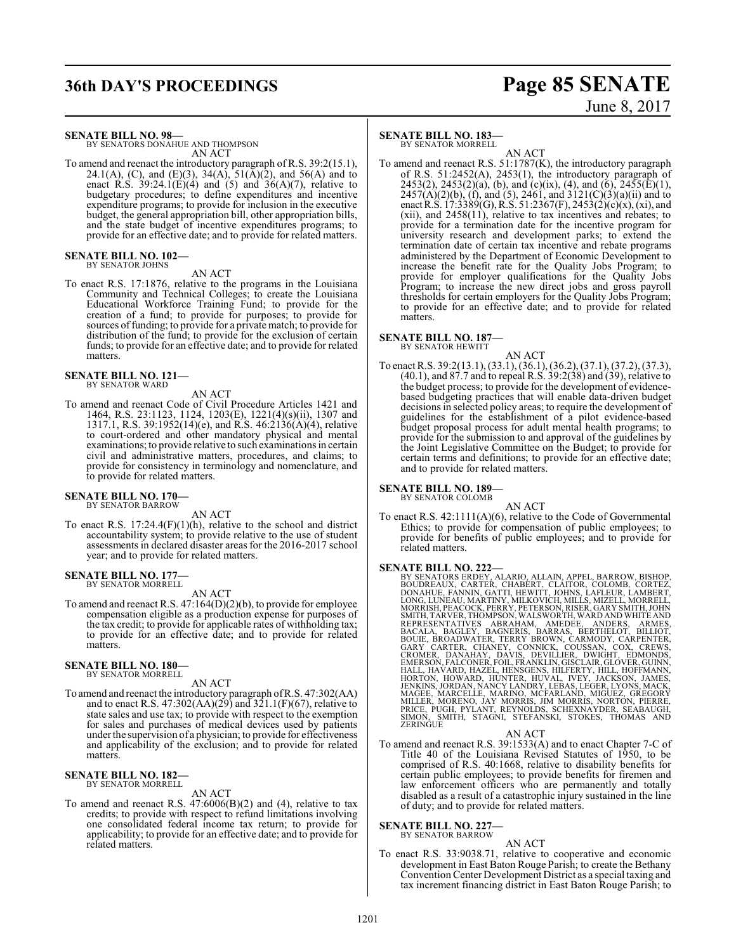## **36th DAY'S PROCEEDINGS Page 85 SENATE**

# June 8, 2017

**SENATE BILL NO. 98—**

BY SENATORS DONAHUE AND THOMPSON AN ACT

To amend and reenact the introductory paragraph of R.S. 39:2(15.1), 24.1(A), (C), and (E)(3), 34(A), 51( $\bar{A}$ )(2), and 56(A) and to enact R.S.  $39:24.1(E)(4)$  and  $(5)$  and  $36(A)(7)$ , relative to budgetary procedures; to define expenditures and incentive expenditure programs; to provide for inclusion in the executive budget, the general appropriation bill, other appropriation bills, and the state budget of incentive expenditures programs; to provide for an effective date; and to provide for related matters.

#### **SENATE BILL NO. 102—** BY SENATOR JOHNS

AN ACT

To enact R.S. 17:1876, relative to the programs in the Louisiana Community and Technical Colleges; to create the Louisiana Educational Workforce Training Fund; to provide for the creation of a fund; to provide for purposes; to provide for sources of funding; to provide for a private match; to provide for distribution of the fund; to provide for the exclusion of certain funds; to provide for an effective date; and to provide for related matters.

**SENATE BILL NO. 121—** BY SENATOR WARD

#### AN ACT

To amend and reenact Code of Civil Procedure Articles 1421 and 1464, R.S. 23:1123, 1124, 1203(E), 1221(4)(s)(ii), 1307 and 1317.1, R.S. 39:1952(14)(e), and R.S. 46:2136(A)(4), relative to court-ordered and other mandatory physical and mental examinations; to provide relative to such examinations in certain civil and administrative matters, procedures, and claims; to provide for consistency in terminology and nomenclature, and to provide for related matters.

### **SENATE BILL NO. 170—** BY SENATOR BARROW

AN ACT

To enact R.S. 17:24.4(F)(1)(h), relative to the school and district accountability system; to provide relative to the use of student assessments in declared disaster areas for the 2016-2017 school year; and to provide for related matters.

## **SENATE BILL NO. 177—** BY SENATOR MORRELL

AN ACT

To amend and reenact R.S. 47:164(D)(2)(b), to provide for employee compensation eligible as a production expense for purposes of the tax credit; to provide for applicable rates of withholding tax; to provide for an effective date; and to provide for related matters.

#### **SENATE BILL NO. 180—** BY SENATOR MORRELL

AN ACT

To amend and reenact the introductory paragraph ofR.S. 47:302(AA) and to enact R.S. 47:302(AA)(29) and 321.1(F)(67), relative to state sales and use tax; to provide with respect to the exemption for sales and purchases of medical devices used by patients under the supervision of a physician; to provide for effectiveness and applicability of the exclusion; and to provide for related matters.

#### **SENATE BILL NO. 182—** BY SENATOR MORRELL

#### AN ACT

To amend and reenact R.S.  $47:6006(B)(2)$  and (4), relative to tax credits; to provide with respect to refund limitations involving one consolidated federal income tax return; to provide for applicability; to provide for an effective date; and to provide for related matters.

#### **SENATE BILL NO. 183—**

BY SENATOR MORRELL

AN ACT To amend and reenact R.S. 51:1787(K), the introductory paragraph of R.S. 51:2452(A), 2453(1), the introductory paragraph of 2453(2), 2453(2)(a), (b), and (c)(ix), (4), and (6), 2455(E)(1),  $2457(A)(2)(b)$ , (f), and (5), 2461, and 3121(C)(3)(a)(ii) and to enact R.S. 17:3389(G), R.S. 51:2367(F), 2453(2)(c)(x), (xi), and (xii), and 2458(11), relative to tax incentives and rebates; to provide for a termination date for the incentive program for university research and development parks; to extend the termination date of certain tax incentive and rebate programs administered by the Department of Economic Development to increase the benefit rate for the Quality Jobs Program; to provide for employer qualifications for the Quality Jobs Program; to increase the new direct jobs and gross payroll thresholds for certain employers for the Quality Jobs Program; to provide for an effective date; and to provide for related matters.

#### **SENATE BILL NO. 187—** BY SENATOR HEWITT

AN ACT

To enact R.S. 39:2(13.1), (33.1), (36.1), (36.2), (37.1), (37.2), (37.3), (40.1), and 87.7 and to repeal R.S. 39:2(38) and (39), relative to the budget process; to provide for the development of evidencebased budgeting practices that will enable data-driven budget decisions in selected policy areas; to require the development of guidelines for the establishment of a pilot evidence-based budget proposal process for adult mental health programs; to provide for the submission to and approval of the guidelines by the Joint Legislative Committee on the Budget; to provide for certain terms and definitions; to provide for an effective date; and to provide for related matters.

### **SENATE BILL NO. 189—** BY SENATOR COLOMB

AN ACT To enact R.S. 42:1111(A)(6), relative to the Code of Governmental Ethics; to provide for compensation of public employees; to provide for benefits of public employees; and to provide for related matters.

- **SENATE BILL NO. 222—**<br>BY SENATORS ERDEY, ALARIO, ALLAIN, APPEL, BARROW, BISHOP, BOUDREAUX, CARTER, CHABERT, CLAITOR, COLOMB, CORTEZ,<br>DONAHUE, FANNIN, GATTI, HEWITT, JOHNS, LAFLEUR, LAMBERT,<br>LONG, LUNEAU, MARTINY, MILKOVIC
	- AN ACT
- To amend and reenact R.S. 39:1533(A) and to enact Chapter 7-C of Title 40 of the Louisiana Revised Statutes of 1950, to be comprised of R.S. 40:1668, relative to disability benefits for certain public employees; to provide benefits for firemen and law enforcement officers who are permanently and totally disabled as a result of a catastrophic injury sustained in the line of duty; and to provide for related matters.

#### **SENATE BILL NO. 227—** BY SENATOR BARROW

AN ACT

To enact R.S. 33:9038.71, relative to cooperative and economic development in East Baton Rouge Parish; to create the Bethany Convention Center Development District as a special taxing and tax increment financing district in East Baton Rouge Parish; to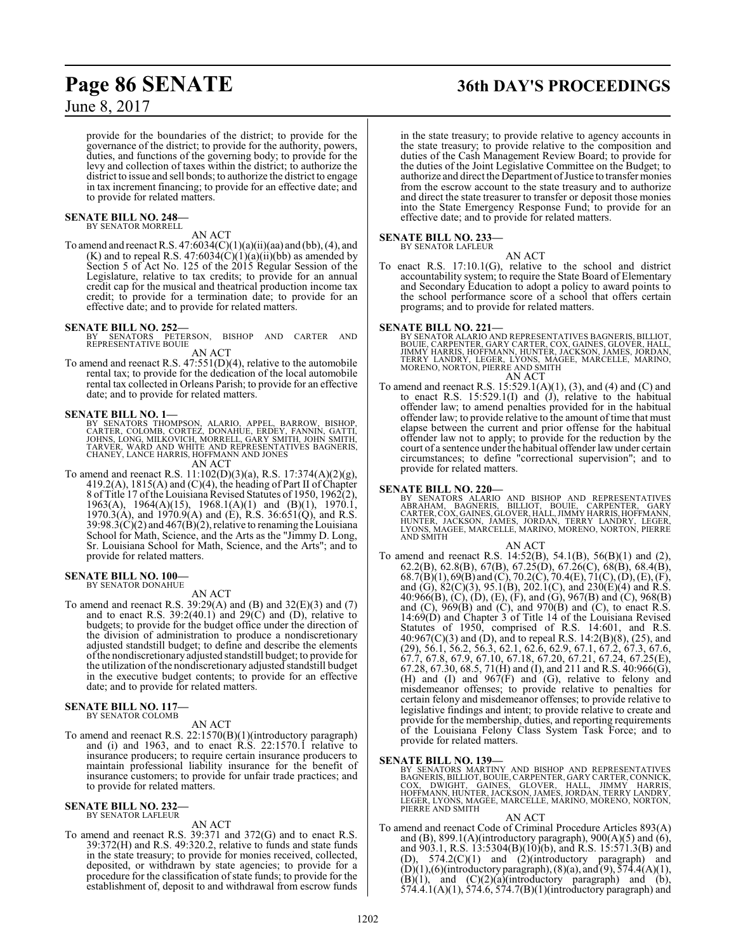## **Page 86 SENATE 36th DAY'S PROCEEDINGS**

June 8, 2017

provide for the boundaries of the district; to provide for the governance of the district; to provide for the authority, powers, duties, and functions of the governing body; to provide for the levy and collection of taxes within the district; to authorize the district to issue and sell bonds; to authorize the district to engage in tax increment financing; to provide for an effective date; and to provide for related matters.

## **SENATE BILL NO. 248—** BY SENATOR MORRELL

#### AN ACT

To amend and reenact R.S.  $47:6034(C)(1)(a)(ii)(aa)$  and (bb), (4), and (K) and to repeal R.S.  $47:6034(C)(1)(a)(ii)(bb)$  as amended by Section 5 of Act No. 125 of the 2015 Regular Session of the Legislature, relative to tax credits; to provide for an annual credit cap for the musical and theatrical production income tax credit; to provide for a termination date; to provide for an effective date; and to provide for related matters.

**SENATE BILL NO. 252—**<br>BY SENATORS PETERSON, BISHOP AND CARTER AND<br>REPRESENTATIVE BOUIE

AN ACT

To amend and reenact R.S. 47:551(D)(4), relative to the automobile rental tax; to provide for the dedication of the local automobile rental tax collected in Orleans Parish; to provide for an effective date; and to provide for related matters.

#### **SENATE BILL NO. 1—**

BY SENATORS THOMPSON, ALARIO, APPEL, BARROW, BISHOP,<br>CARTER, COLOMB, CORTEZ, DONAHUE, ERDEY, FANNIN, GATTI,<br>JOHNS, LONG, MILKOVICH, MORRELL, GARY SMITH, JOHN SMITH,<br>TARVER, WARD AND WHITE AND REPRESENTATIVES BAGNERIS,<br>CHAN AN ACT

To amend and reenact R.S. 11:102(D)(3)(a), R.S. 17:374(A)(2)(g), 419.2(A), 1815(A) and (C)(4), the heading of Part II of Chapter 8 of Title 17 ofthe Louisiana Revised Statutes of 1950, 1962(2), 1963(A), 1964(A)(15), 1968.1(A)(1) and (B)(1), 1970.1, 1970.3(A), and 1970.9(A) and (E), R.S. 36:651(Q), and R.S.  $39:98.3(C)(2)$  and  $467(B)(2)$ , relative to renaming the Louisiana School for Math, Science, and the Arts as the "Jimmy D. Long, Sr. Louisiana School for Math, Science, and the Arts"; and to provide for related matters.

#### **SENATE BILL NO. 100—** BY SENATOR DONAHUE

AN ACT

To amend and reenact R.S. 39:29(A) and (B) and 32(E)(3) and (7) and to enact R.S.  $39:2(40.1)$  and  $29(C)$  and  $(D)$ , relative to budgets; to provide for the budget office under the direction of the division of administration to produce a nondiscretionary adjusted standstill budget; to define and describe the elements ofthe nondiscretionary adjusted standstill budget; to provide for the utilization of the nondiscretionary adjusted standstill budget in the executive budget contents; to provide for an effective date; and to provide for related matters.

#### **SENATE BILL NO. 117—** BY SENATOR COLOMB

AN ACT

To amend and reenact R.S. 22:1570(B)(1)(introductory paragraph) and (i) and 1963, and to enact R.S. 22:1570.1 relative to insurance producers; to require certain insurance producers to maintain professional liability insurance for the benefit of insurance customers; to provide for unfair trade practices; and to provide for related matters.

#### **SENATE BILL NO. 232—** BY SENATOR LAFLEUR

AN ACT

To amend and reenact R.S. 39:371 and 372(G) and to enact R.S. 39:372(H) and R.S. 49:320.2, relative to funds and state funds in the state treasury; to provide for monies received, collected, deposited, or withdrawn by state agencies; to provide for a procedure for the classification of state funds; to provide for the establishment of, deposit to and withdrawal from escrow funds

in the state treasury; to provide relative to agency accounts in the state treasury; to provide relative to the composition and duties of the Cash Management Review Board; to provide for the duties of the Joint Legislative Committee on the Budget; to authorize and direct the Department of Justice to transfer monies from the escrow account to the state treasury and to authorize and direct the state treasurer to transfer or deposit those monies into the State Emergency Response Fund; to provide for an effective date; and to provide for related matters.

#### **SENATE BILL NO. 233**

BY SENATOR LAFLEUR

AN ACT To enact R.S. 17:10.1(G), relative to the school and district accountability system; to require the State Board of Elementary and Secondary Education to adopt a policy to award points to the school performance score of a school that offers certain programs; and to provide for related matters.

#### **SENATE BILL NO. 221—**

BY SENATOR ALARIO AND REPRESENTATIVES BAGNERIS, BILLIOT,<br>BOUIE, CARPENTER, GARY CARTER, COX, GAINES, GLOVER, HALL,<br>JIMMY HARRIS, HOFFMANN, HUNTER, JACKSON, JAMES, JORDAN,<br>TERRY LANDRY, LEGER, LYONS, MAGEE, MARCELLE, MARINO AN ACT

To amend and reenact R.S. 15:529.1(A)(1), (3), and (4) and (C) and to enact R.S. 15:529.1(I) and  $(\overline{J})$ , relative to the habitual offender law; to amend penalties provided for in the habitual offender law; to provide relative to the amount of time that must elapse between the current and prior offense for the habitual offender law not to apply; to provide for the reduction by the court of a sentence under the habitual offender law under certain circumstances; to define "correctional supervision"; and to provide for related matters.

**SENATE BILL NO. 220**<br>BY SENATORS ALARIO AND BISHOP AND REPRESENTATIVES<br>ABRAHAM, BAGNERIS, BILLIOT, BOUIE, CARPENTER, GARY<br>CARTER, COX, GAINES, GLOVER, HALL, JIMMY HARRIS, HOFFMANN,<br>HUNTER, JACKSON, JAMES, JORDAN, TERRY LA LYONS, MAC<br>AND SMITH

#### AN ACT

To amend and reenact R.S. 14:52(B), 54.1(B), 56(B)(1) and (2), 62.2(B), 62.8(B), 67(B), 67.25(D), 67.26(C), 68(B), 68.4(B), 68.7(B)(1), 69(B) and (C), 70.2(C), 70.4(E), 71(C), (D), (E), (F), and (G), 82(C)(3), 95.1(B), 202.1(C), and 230(E)(4) and R.S. 40:966(B), (C), (D), (E), (F), and (G), 967(B) and (C), 968(B) and  $(C)$ ,  $969(B)$  and  $(C)$ , and  $970(B)$  and  $(C)$ , to enact R.S. 14:69(D) and Chapter 3 of Title 14 of the Louisiana Revised Statutes of 1950, comprised of R.S. 14:601, and R.S. 40:967(C)(3) and (D), and to repeal R.S. 14:2(B)(8), (25), and (29), 56.1, 56.2, 56.3, 62.1, 62.6, 62.9, 67.1, 67.2, 67.3, 67.6, 67.7, 67.8, 67.9, 67.10, 67.18, 67.20, 67.21, 67.24, 67.25(E), 67.28, 67.30, 68.5, 71(H) and (I), and 211 and R.S. 40:966(G), (H) and (I) and 967(F) and (G), relative to felony and misdemeanor offenses; to provide relative to penalties for certain felony and misdemeanor offenses; to provide relative to legislative findings and intent; to provide relative to create and provide for the membership, duties, and reporting requirements of the Louisiana Felony Class System Task Force; and to provide for related matters.

#### **SENATE BILL NO. 139—**

BY SENATORS MARTINY AND BISHOP AND REPRESENTATIVES<br>BAGNERIS,BILLIOT,BOUIE,CARPENTER,GARY CARTER,CONNICK,<br>COX, DWIGHT, GAINES, GLOVER, HALL, JIMMY HARRIS,<br>HOFFMANN,HUNTER,JACKSON,JAMES,JORDAN,TERRY LANDRY,<br>LEGER,LYONS,MAGGE

#### AN ACT

To amend and reenact Code of Criminal Procedure Articles 893(A) and (B), 899.1(A)(introductory paragraph), 900(A)(5) and (6), and 903.1, R.S. 13:5304(B)(10)(b), and R.S. 15:571.3(B) and (D),  $574.2(C)(1)$  and  $(2)(introductory$  paragraph) and  $(D)(1)$ ,(6)(introductory paragraph), (8)(a), and (9), 574.4(A)(1),  $(B)(1)$ , and  $(C)(2)(a)$ (introductory paragraph) and (b), 574.4.1(A)(1), 574.6, 574.7(B)(1)(introductory paragraph) and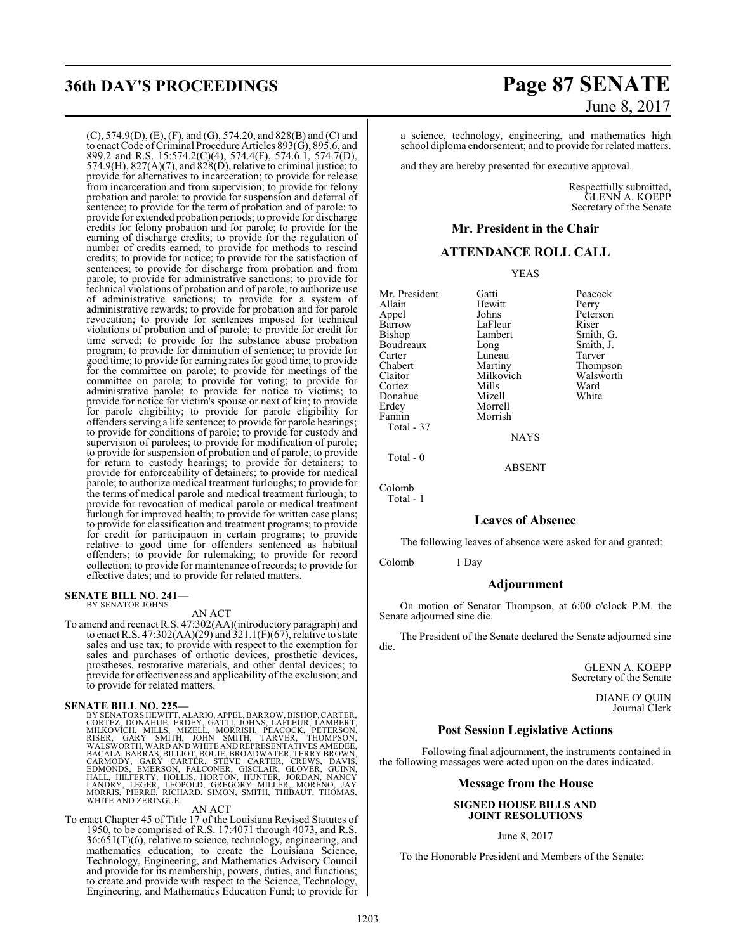(C), 574.9(D), (E), (F), and (G), 574.20, and 828(B) and (C) and to enact Code ofCriminal Procedure Articles 893(G), 895.6, and 899.2 and R.S. 15:574.2(C)(4), 574.4(F), 574.6.1, 574.7(D),  $574.9(H)$ ,  $827(A)(7)$ , and  $828(D)$ , relative to criminal justice; to provide for alternatives to incarceration; to provide for release from incarceration and from supervision; to provide for felony probation and parole; to provide for suspension and deferral of sentence; to provide for the term of probation and of parole; to provide for extended probation periods; to provide for discharge credits for felony probation and for parole; to provide for the earning of discharge credits; to provide for the regulation of number of credits earned; to provide for methods to rescind credits; to provide for notice; to provide for the satisfaction of sentences; to provide for discharge from probation and from parole; to provide for administrative sanctions; to provide for technical violations of probation and of parole; to authorize use of administrative sanctions; to provide for a system of administrative rewards; to provide for probation and for parole revocation; to provide for sentences imposed for technical violations of probation and of parole; to provide for credit for time served; to provide for the substance abuse probation program; to provide for diminution of sentence; to provide for good time; to provide for earning rates for good time; to provide for the committee on parole; to provide for meetings of the committee on parole; to provide for voting; to provide for administrative parole; to provide for notice to victims; to provide for notice for victim's spouse or next of kin; to provide for parole eligibility; to provide for parole eligibility for offenders serving a life sentence; to provide for parole hearings; to provide for conditions of parole; to provide for custody and supervision of parolees; to provide for modification of parole; to provide for suspension of probation and of parole; to provide for return to custody hearings; to provide for detainers; to provide for enforceability of detainers; to provide for medical parole; to authorize medical treatment furloughs; to provide for the terms of medical parole and medical treatment furlough; to provide for revocation of medical parole or medical treatment furlough for improved health; to provide for written case plans; to provide for classification and treatment programs; to provide for credit for participation in certain programs; to provide relative to good time for offenders sentenced as habitual offenders; to provide for rulemaking; to provide for record collection; to provide for maintenance of records; to provide for effective dates; and to provide for related matters.

#### **SENATE BILL NO. 241—** BY SENATOR JOHNS

AN ACT

To amend and reenact R.S. 47:302(AA)(introductory paragraph) and to enact R.S. 47:302(AA)(29) and  $321.1(F)(67)$ , relative to state sales and use tax; to provide with respect to the exemption for sales and purchases of orthotic devices, prosthetic devices, prostheses, restorative materials, and other dental devices; to provide for effectiveness and applicability of the exclusion; and to provide for related matters.

#### **SENATE BILL NO. 225—**

BY SENATORS HEWITT, ALARIO, APPEL, BARROW, BISHOP, CARTEZ, DONAHUE, ERDEY, GATTI, JOHNS, LAFLEUR, LAMBERT, MILKOVICH, MILKS, MIZELL, MORRISH, PEACOCK, PETERSON,<br>RISER, GARY SMITH, JOHN SMITH, TARVER, THOMPSON,<br>WALSWORTH, W

#### AN ACT

To enact Chapter 45 of Title 17 of the Louisiana Revised Statutes of 1950, to be comprised of R.S. 17:4071 through 4073, and R.S. 36:651(T)(6), relative to science, technology, engineering, and mathematics education; to create the Louisiana Science, Technology, Engineering, and Mathematics Advisory Council and provide for its membership, powers, duties, and functions; to create and provide with respect to the Science, Technology, Engineering, and Mathematics Education Fund; to provide for

## **36th DAY'S PROCEEDINGS Page 87 SENATE** June 8, 2017

a science, technology, engineering, and mathematics high school diploma endorsement; and to provide for related matters.

and they are hereby presented for executive approval.

Respectfully submitted, GLENN A. KOEPP Secretary of the Senate

#### **Mr. President in the Chair**

### **ATTENDANCE ROLL CALL**

YEAS

Mr. President Gatti Peacock Allain Hewitt<br>Appel Johns Appel Johns Peterson<br>Barrow LaFleur Riser Barrow LaFleur<br>Bishop Lambert Boudreaux Long Smith,<br>Carter Luneau Tarver Carter Luneau<br>Chabert Martiny Cortez Mills Ward Donahue<br>Erdev

Erdey Morrell<br>Fannin Morrish Morrish

Lambert Smith, G.<br>
Long Smith, J. Chabert Martiny Thompson<br>Claitor Milkovich Walsworth Milkovich Walsw<br>Mills Ward

**NAYS** 

ABSENT

Total - 0

Colomb

Total - 1

Total - 37

#### **Leaves of Absence**

The following leaves of absence were asked for and granted:

Colomb 1 Day

#### **Adjournment**

On motion of Senator Thompson, at 6:00 o'clock P.M. the Senate adjourned sine die.

The President of the Senate declared the Senate adjourned sine die.

> GLENN A. KOEPP Secretary of the Senate

> > DIANE O' QUIN Journal Clerk

#### **Post Session Legislative Actions**

Following final adjournment, the instruments contained in the following messages were acted upon on the dates indicated.

#### **Message from the House**

#### **SIGNED HOUSE BILLS AND JOINT RESOLUTIONS**

June 8, 2017

To the Honorable President and Members of the Senate: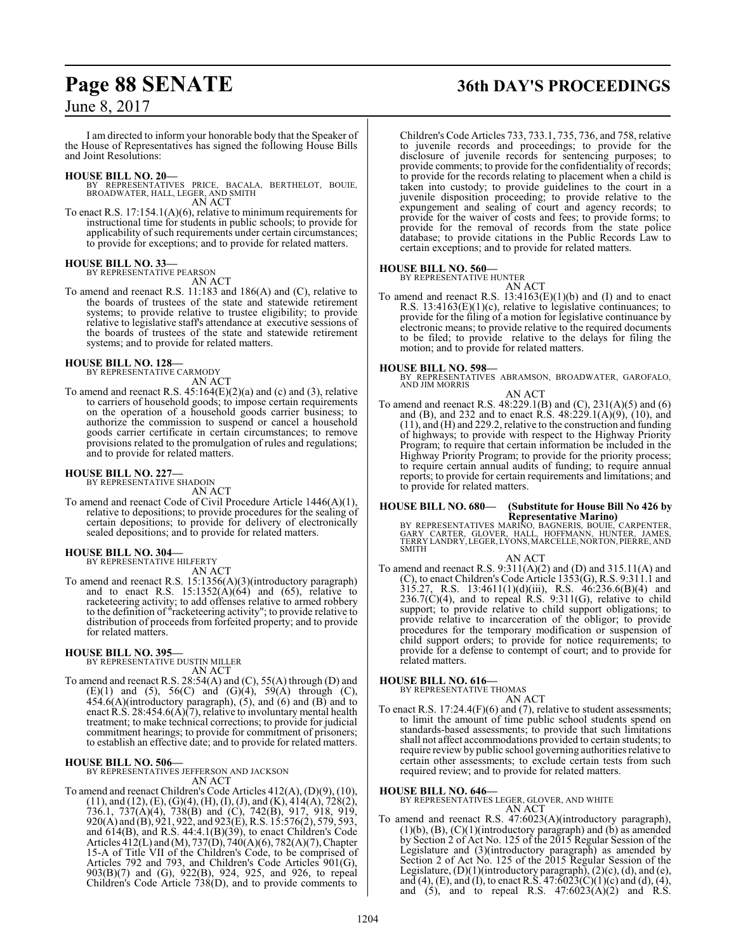## **Page 88 SENATE 36th DAY'S PROCEEDINGS**

### June 8, 2017

I am directed to inform your honorable body that the Speaker of the House of Representatives has signed the following House Bills and Joint Resolutions:

#### **HOUSE BILL NO. 20—**

BY REPRESENTATIVES PRICE, BACALA, BERTHELOT, BOUIE, BROADWATER, HALL, LEGER, AND SMITH AN ACT

To enact R.S. 17:154.1(A)(6), relative to minimum requirements for instructional time for students in public schools; to provide for applicability of such requirements under certain circumstances; to provide for exceptions; and to provide for related matters.

## **HOUSE BILL NO. 33—** BY REPRESENTATIVE PEARSON

AN ACT

To amend and reenact R.S. 11:183 and 186(A) and (C), relative to the boards of trustees of the state and statewide retirement systems; to provide relative to trustee eligibility; to provide relative to legislative staff's attendance at executive sessions of the boards of trustees of the state and statewide retirement systems; and to provide for related matters.

#### **HOUSE BILL NO. 128—** BY REPRESENTATIVE CARMODY

AN ACT

To amend and reenact R.S. 45:164(E)(2)(a) and (c) and (3), relative to carriers of household goods; to impose certain requirements on the operation of a household goods carrier business; to authorize the commission to suspend or cancel a household goods carrier certificate in certain circumstances; to remove provisions related to the promulgation of rules and regulations; and to provide for related matters.

### **HOUSE BILL NO. 227—** BY REPRESENTATIVE SHADOIN

AN ACT

To amend and reenact Code of Civil Procedure Article 1446(A)(1), relative to depositions; to provide procedures for the sealing of certain depositions; to provide for delivery of electronically sealed depositions; and to provide for related matters.

### **HOUSE BILL NO. 304—** BY REPRESENTATIVE HILFERTY

AN ACT

To amend and reenact R.S. 15:1356(A)(3)(introductory paragraph) and to enact R.S.  $15:1352(\text{\AA})(64)$  and  $(65)$ , relative to racketeering activity; to add offenses relative to armed robbery to the definition of "racketeering activity"; to provide relative to distribution of proceeds from forfeited property; and to provide for related matters.

### **HOUSE BILL NO. 395—**

BY REPRESENTATIVE DUSTIN MILLER AN ACT

To amend and reenact R.S. 28:54(A) and (C), 55(A) through (D) and (E)(1) and (5), 56(C) and (G)(4), 59(A) through (C),  $454.6(A)$ (introductory paragraph),  $(5)$ , and  $(6)$  and  $(B)$  and to enact R.S. 28:454.6(A)(7), relative to involuntary mental health treatment; to make technical corrections; to provide for judicial commitment hearings; to provide for commitment of prisoners; to establish an effective date; and to provide for related matters.

#### **HOUSE BILL NO. 506—**

BY REPRESENTATIVES JEFFERSON AND JACKSON AN ACT

To amend and reenact Children's Code Articles 412(A), (D)(9), (10),  $(11)$ , and  $(12)$ ,  $(E)$ ,  $(G)(4)$ ,  $(H)$ ,  $(I)$ ,  $(J)$ , and  $(K)$ ,  $414(A)$ ,  $728(2)$ , 736.1, 737(A)(4), 738(B) and (C), 742(B), 917, 918, 919, 920(A) and (B), 921, 922, and 923(E), R.S. 15:576(2), 579, 593, and 614(B), and R.S. 44:4.1(B)(39), to enact Children's Code Articles 412(L) and (M), 737(D), 740(A)(6), 782(A)(7), Chapter 15-A of Title VII of the Children's Code, to be comprised of Articles 792 and 793, and Children's Code Articles 901(G), 903(B)(7) and (G), 922(B), 924, 925, and 926, to repeal Children's Code Article 738(D), and to provide comments to

Children's Code Articles 733, 733.1, 735, 736, and 758, relative to juvenile records and proceedings; to provide for the disclosure of juvenile records for sentencing purposes; to provide comments; to provide for the confidentiality of records; to provide for the records relating to placement when a child is taken into custody; to provide guidelines to the court in a juvenile disposition proceeding; to provide relative to the expungement and sealing of court and agency records; to provide for the waiver of costs and fees; to provide forms; to provide for the removal of records from the state police database; to provide citations in the Public Records Law to certain exceptions; and to provide for related matters.

#### **HOUSE BILL NO. 560—** BY REPRESENTATIVE HUNTER

AN ACT To amend and reenact R.S.  $13:4163(E)(1)(b)$  and (I) and to enact R.S. 13:4163(E)(1)(c), relative to legislative continuances; to provide for the filing of a motion for legislative continuance by electronic means; to provide relative to the required documents to be filed; to provide relative to the delays for filing the motion; and to provide for related matters.

**HOUSE BILL NO. 598—** BY REPRESENTATIVES ABRAMSON, BROADWATER, GAROFALO, AND JIM MORRIS

#### AN ACT

To amend and reenact R.S. 48:229.1(B) and (C), 231(A)(5) and (6) and (B), and 232 and to enact R.S. 48:229.1(A)(9), (10), and (11), and (H) and 229.2, relative to the construction and funding of highways; to provide with respect to the Highway Priority Program; to require that certain information be included in the Highway Priority Program; to provide for the priority process; to require certain annual audits of funding; to require annual reports; to provide for certain requirements and limitations; and to provide for related matters.

## **HOUSE BILL NO. 680— (Substitute for House Bill No 426 by**

**Representative Marino)<br>BY REPRESENTATIVES MARINO, BAGNERIS, BOUIE, CARPENTER,<br>GARY CARTER, GLOVER, HALL, HOFFMANN, HUNTER, JAMES,<br>TERRY LANDRY, LEGER, LYONS, MARCELLE, NORTON, PIERRE, AND** SMITH

AN ACT To amend and reenact R.S. 9:311(A)(2) and (D) and 315.11(A) and (C), to enact Children's Code Article 1353(G), R.S. 9:311.1 and 315.27, R.S. 13:4611(1)(d)(iii), R.S. 46:236.6(B)(4) and  $236.7(C)(4)$ , and to repeal R.S.  $9:311(G)$ , relative to child support; to provide relative to child support obligations; to provide relative to incarceration of the obligor; to provide procedures for the temporary modification or suspension of child support orders; to provide for notice requirements; to provide for a defense to contempt of court; and to provide for related matters.

### **HOUSE BILL NO. 616—** BY REPRESENTATIVE THOMAS

AN ACT To enact R.S. 17:24.4(F)(6) and (7), relative to student assessments; to limit the amount of time public school students spend on standards-based assessments; to provide that such limitations shall not affect accommodations provided to certain students; to require review by public school governing authorities relative to certain other assessments; to exclude certain tests from such required review; and to provide for related matters.

#### **HOUSE BILL NO. 646—**

BY REPRESENTATIVES LEGER, GLOVER, AND WHITE AN ACT

To amend and reenact R.S. 47:6023(A)(introductory paragraph),  $(1)(b)$ ,  $(B)$ ,  $(C)(1)($ introductory paragraph) and  $(b)$  as amended by Section 2 of Act No. 125 of the 2015 Regular Session of the Legislature and (3)(introductory paragraph) as amended by Section 2 of Act No. 125 of the 2015 Regular Session of the Legislature, (D)(1)(introductory paragraph), (2)(c), (d), and (e), and (4), (E), and (I), to enact R.S. 47:6023(C)(1)(c) and (d), (4), and  $(5)$ , and to repeal R.S.  $47:6023(A)(2)$  and R.S.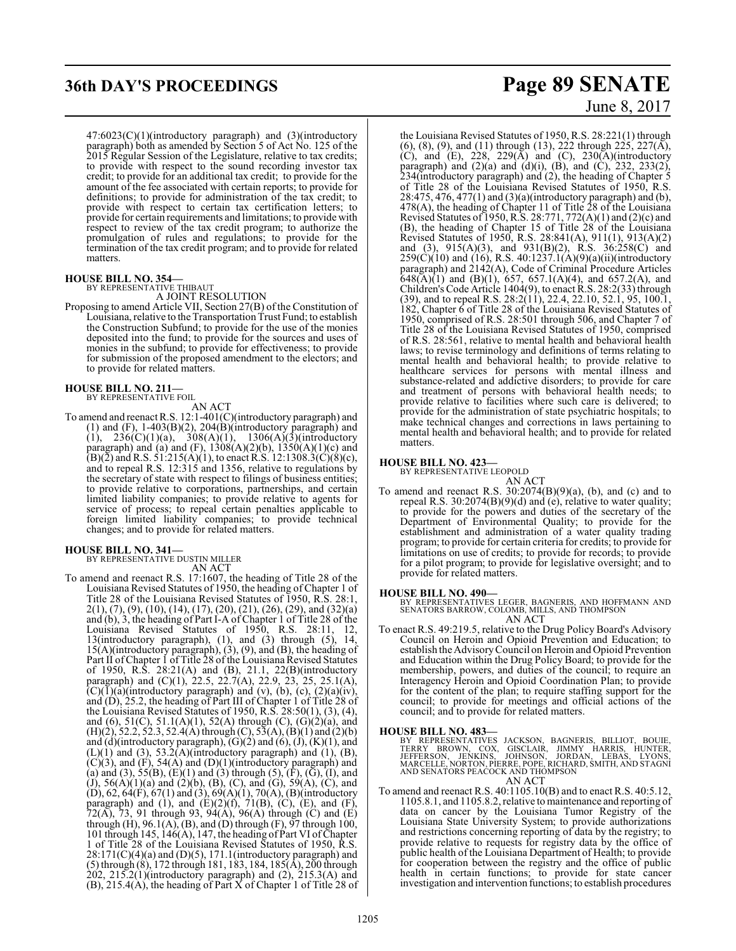## **36th DAY'S PROCEEDINGS Page 89 SENATE**

47:6023(C)(1)(introductory paragraph) and (3)(introductory paragraph) both as amended by Section 5 of Act No. 125 of the 2015 Regular Session of the Legislature, relative to tax credits; to provide with respect to the sound recording investor tax credit; to provide for an additional tax credit; to provide for the amount of the fee associated with certain reports; to provide for definitions; to provide for administration of the tax credit; to provide with respect to certain tax certification letters; to provide for certain requirements and limitations; to provide with respect to review of the tax credit program; to authorize the promulgation of rules and regulations; to provide for the termination of the tax credit program; and to provide for related matters.

#### **HOUSE BILL NO. 354—**

BY REPRESENTATIVE THIBAUT A JOINT RESOLUTION

Proposing to amend Article VII, Section 27(B) of the Constitution of Louisiana, relative to the Transportation Trust Fund; to establish the Construction Subfund; to provide for the use of the monies deposited into the fund; to provide for the sources and uses of monies in the subfund; to provide for effectiveness; to provide for submission of the proposed amendment to the electors; and to provide for related matters.

### **HOUSE BILL NO. 211—**

BY REPRESENTATIVE FOIL

AN ACT To amend and reenact R.S. 12:1-401(C)(introductory paragraph) and (1) and  $(F)$ , 1-403 $(B)(2)$ , 204 $(B)$ (introductory paragraph) and  $(1)$ , 236(C)(1)(a), 308(A)(1), 1306(A)(3)(introductory paragraph) and (a) and (F),  $1308(A)(2)(b)$ ,  $1350(A)(1)(c)$  and  $(B)(\bar{2})$  and R.S. 51:215(A)(1), to enact R.S. 12:1308.3(C)(8)(c), and to repeal R.S. 12:315 and 1356, relative to regulations by the secretary of state with respect to filings of business entities; to provide relative to corporations, partnerships, and certain limited liability companies; to provide relative to agents for service of process; to repeal certain penalties applicable to foreign limited liability companies; to provide technical changes; and to provide for related matters.

## **HOUSE BILL NO. 341—** BY REPRESENTATIVE DUSTIN MILLER

AN ACT To amend and reenact R.S. 17:1607, the heading of Title 28 of the Louisiana Revised Statutes of 1950, the heading of Chapter 1 of Title 28 of the Louisiana Revised Statutes of 1950, R.S. 28:1, 2(1), (7), (9), (10), (14), (17), (20), (21), (26), (29), and (32)(a) and (b), 3, the heading of Part I-A of Chapter 1 of Title 28 of the Louisiana Revised Statutes of 1950, R.S. 28:11, 12, 13(introductory paragraph), (1), and (3) through (5), 14, 15(A)(introductory paragraph), (3), (9), and (B), the heading of Part II of Chapter 1 of Title 28 of the Louisiana Revised Statutes of 1950, R.S. 28:21(A) and (B), 21.1, 22(B)(introductory paragraph) and (C)(1), 22.5, 22.7(A), 22.9, 23, 25, 25.1(A),  $\overline{C}$ ( $\overline{1}$ )( $\overline{a}$ )(introductory paragraph) and (v), (b), (c), (2)( $\overline{a}$ )(iv), and (D), 25.2, the heading of Part III of Chapter 1 of Title 28 of the Louisiana Revised Statutes of 1950, R.S. 28:50(1), (3), (4), and (6),  $51(C)$ ,  $51.1(A)(1)$ ,  $52(A)$  through  $(C)$ ,  $(G)(2)(a)$ , and  $(H)(2)$ , 52.2, 52.3, 52.4(A) through (C), 53(A), (B)(1) and (2)(b) and  $(d)$ (introductory paragraph),  $(G)(2)$  and  $(6)$ ,  $(J)$ ,  $(K)(1)$ , and  $(L)(1)$  and  $(3)$ , 53.2(A)(introductory paragraph) and  $(1)$ ,  $(B)$ ,  $(C)(3)$ , and  $(F)$ , 54(A) and  $(D)(1)$ (introductory paragraph) and (a) and (3),  $55(B)$ ,  $(E)(1)$  and (3) through (5),  $(F)$ ,  $(\bar{G})$ ,  $(I)$ , and (J), 56(A)(1)(a) and (2)(b), (B), (C), and (G), 59(A), (C), and  $(D)$ , 62, 64(F), 67(1) and (3), 69(A)(1), 70(A), (B)(introductory paragraph) and (1), and  $(E)(2)(f)$ , 71 $(B)$ ,  $(C)$ ,  $(E)$ , and  $(F)$ , 72(A), 73, 91 through 93, 94(A), 96(A) through (C) and (E) through (H), 96.1(A), (B), and (D) through (F), 97 through 100, 101 through 145,  $146(A)$ , 147, the heading of Part VI of Chapter 1 of Title 28 of the Louisiana Revised Statutes of 1950, R.S.  $28:171(C)(4)(a)$  and  $(D)(5)$ , 171.1(introductory paragraph) and (5) through (8), 172 through 181, 183, 184, 185(A), 200 through  $202$ ,  $215.2(1)$ (introductory paragraph) and  $(2)$ ,  $215.3(A)$  and (B), 215.4(A), the heading of Part X of Chapter 1 of Title 28 of

# June 8, 2017

the Louisiana Revised Statutes of 1950, R.S. 28:221(1) through  $(6)$ ,  $(8)$ ,  $(9)$ , and  $(11)$  through  $(13)$ , 222 through 225, 227 $(\overline{A})$ , (C), and (E),  $228$ ,  $229(A)$  and (C),  $230(A)$ (introductory paragraph) and  $(2)(a)$  and  $(d)(i)$ ,  $(B)$ , and  $(C)$ , 232, 233 $(2)$ , 234(introductory paragraph) and (2), the heading of Chapter 5 of Title 28 of the Louisiana Revised Statutes of 1950, R.S. 28:475, 476, 477(1) and (3)(a)(introductory paragraph) and (b), 478(A), the heading of Chapter 11 of Title 28 of the Louisiana Revised Statutes of 1950, R.S. 28:771, 772(A)(1) and (2)(c) and (B), the heading of Chapter 15 of Title 28 of the Louisiana Revised Statutes of 1950, R.S. 28:841(A), 911(1), 913(A)(2) and (3), 915(A)(3), and 931(B)(2), R.S. 36:258(C) and  $259(C)(10)$  and (16), R.S.  $40:1237.1(A)(9)(a)(ii)(introductory)$ paragraph) and 2142(A), Code of Criminal Procedure Articles  $648(A)(1)$  and  $(B)(1)$ , 657, 657.1(A)(4), and 657.2(A), and Children's Code Article 1404(9), to enact R.S. 28:2(33) through (39), and to repeal R.S. 28:2(11), 22.4, 22.10, 52.1, 95, 100.1, 182, Chapter 6 of Title 28 of the Louisiana Revised Statutes of 1950, comprised of R.S. 28:501 through 506, and Chapter 7 of Title 28 of the Louisiana Revised Statutes of 1950, comprised of R.S. 28:561, relative to mental health and behavioral health laws; to revise terminology and definitions of terms relating to mental health and behavioral health; to provide relative to healthcare services for persons with mental illness and substance-related and addictive disorders; to provide for care and treatment of persons with behavioral health needs; to provide relative to facilities where such care is delivered; to provide for the administration of state psychiatric hospitals; to make technical changes and corrections in laws pertaining to mental health and behavioral health; and to provide for related matters.

#### **HOUSE BILL NO. 423—**

BY REPRESENTATIVE LEOPOLD

- AN ACT
- To amend and reenact R.S.  $30:2074(B)(9)(a)$ , (b), and (c) and to repeal R.S. 30:2074(B)(9)(d) and (e), relative to water quality; to provide for the powers and duties of the secretary of the Department of Environmental Quality; to provide for the establishment and administration of a water quality trading program; to provide for certain criteria for credits; to provide for limitations on use of credits; to provide for records; to provide for a pilot program; to provide for legislative oversight; and to provide for related matters.

#### **HOUSE BILL NO. 490—**

BY REPRESENTATIVES LEGER, BAGNERIS, AND HOFFMANN AND SENATORS BARROW, COLOMB, MILLS, AND THOMPSON AN ACT

To enact R.S. 49:219.5, relative to the Drug Policy Board's Advisory Council on Heroin and Opioid Prevention and Education; to establish the Advisory Council on Heroin and Opioid Prevention and Education within the Drug Policy Board; to provide for the membership, powers, and duties of the council; to require an Interagency Heroin and Opioid Coordination Plan; to provide for the content of the plan; to require staffing support for the council; to provide for meetings and official actions of the council; and to provide for related matters.

#### **HOUSE BILL NO. 483—**

BY REPRESENTATIVES JACKSON, BAGNERIS, BILLIOT, BOUIE,<br>TERRY BROWN, COX, GISCLAIR, JIMMY HARRIS, HUNTER,<br>JEFFERSON, JENKINS, JOHNSON, JORDAN, LEBAS, LYONS,<br>MARCELLE,NORTON,PIERRE,POPE,RICHARD,SMITH,ANDSTAGNI<br>AND SENATORSPEA AN ACT

To amend and reenact R.S. 40:1105.10(B) and to enact R.S. 40:5.12, 1105.8.1, and 1105.8.2, relative to maintenance and reporting of data on cancer by the Louisiana Tumor Registry of the Louisiana State University System; to provide authorizations and restrictions concerning reporting of data by the registry; to provide relative to requests for registry data by the office of public health of the Louisiana Department of Health; to provide for cooperation between the registry and the office of public health in certain functions; to provide for state cancer investigation and intervention functions; to establish procedures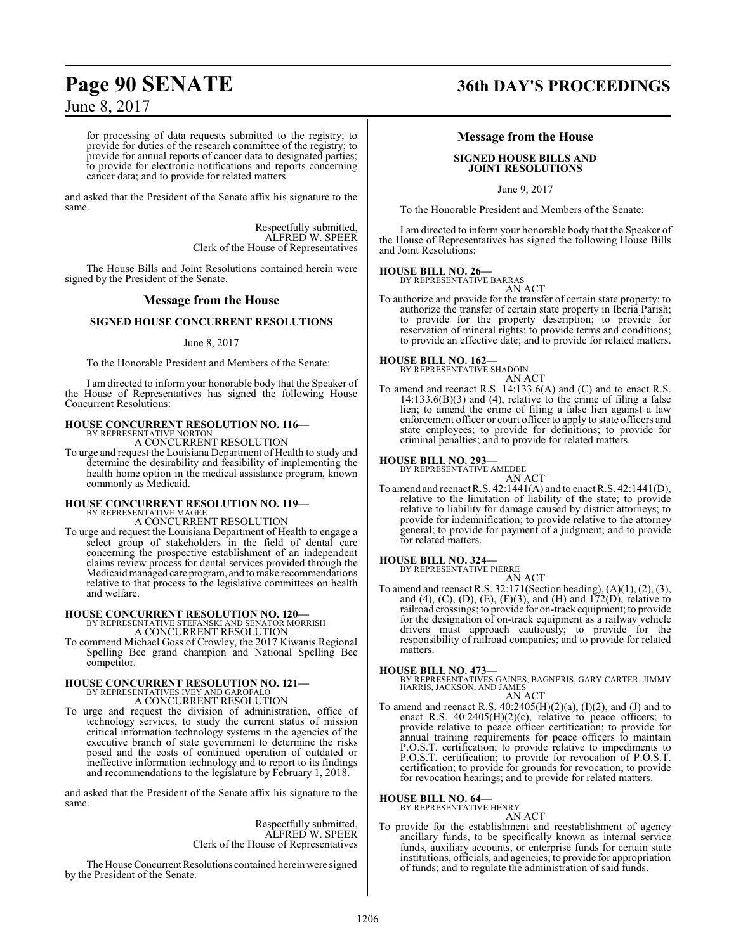for processing of data requests submitted to the registry; to provide for duties of the research committee of the registry; to provide for annual reports of cancer data to designated parties; to provide for electronic notifications and reports concerning cancer data; and to provide for related matters.

and asked that the President of the Senate affix his signature to the same.

> Respectfully submitted, ALFRED W. SPEER Clerk of the House of Representatives

The House Bills and Joint Resolutions contained herein were signed by the President of the Senate.

### **Message from the House**

#### **SIGNED HOUSE CONCURRENT RESOLUTIONS**

#### June 8, 2017

To the Honorable President and Members of the Senate:

I am directed to inform your honorable body that the Speaker of the House of Representatives has signed the following House Concurrent Resolutions:

#### **HOUSE CONCURRENT RESOLUTION NO. 116—** BY REPRESENTATIVE NORTON

A CONCURRENT RESOLUTION

To urge and request the Louisiana Department of Health to study and determine the desirability and feasibility of implementing the health home option in the medical assistance program, known commonly as Medicaid.

#### **HOUSE CONCURRENT RESOLUTION NO. 119—** BY REPRESENTATIVE MAGEE

A CONCURRENT RESOLUTION

To urge and request the Louisiana Department of Health to engage a select group of stakeholders in the field of dental care concerning the prospective establishment of an independent claims review process for dental services provided through the Medicaid managed care program, and to make recommendations relative to that process to the legislative committees on health and welfare.

## **HOUSE CONCURRENT RESOLUTION NO. 120—** BY REPRESENTATIVE STEFANSKI AND SENATOR MORRISH

A CONCURRENT RESOLUTION

To commend Michael Goss of Crowley, the 2017 Kiwanis Regional Spelling Bee grand champion and National Spelling Bee competitor.

# **HOUSE CONCURRENT RESOLUTION NO. 121—** BY REPRESENTATIVES IVEY AND GAROFALO A CONCURRENT RESOLUTION

To urge and request the division of administration, office of technology services, to study the current status of mission critical information technology systems in the agencies of the executive branch of state government to determine the risks posed and the costs of continued operation of outdated or ineffective information technology and to report to its findings and recommendations to the legislature by February 1, 2018.

and asked that the President of the Senate affix his signature to the same.

> Respectfully submitted, ALFRED W. SPEER Clerk of the House of Representatives

The House Concurrent Resolutions contained herein were signed by the President of the Senate.

## **Page 90 SENATE 36th DAY'S PROCEEDINGS**

#### **Message from the House**

#### **SIGNED HOUSE BILLS AND JOINT RESOLUTIONS**

June 9, 2017

To the Honorable President and Members of the Senate:

I am directed to inform your honorable body that the Speaker of the House of Representatives has signed the following House Bills and Joint Resolutions:

### **HOUSE BILL NO. 26—** BY REPRESENTATIVE BARRAS

AN ACT

To authorize and provide for the transfer of certain state property; to authorize the transfer of certain state property in Iberia Parish; to provide for the property description; to provide for reservation of mineral rights; to provide terms and conditions; to provide an effective date; and to provide for related matters.

#### **HOUSE BILL NO. 162—**

BY REPRESENTATIVE SHADOIN AN ACT

To amend and reenact R.S. 14:133.6(A) and (C) and to enact R.S. 14:133.6(B)(3) and (4), relative to the crime of filing a false lien; to amend the crime of filing a false lien against a law enforcement officer or court officer to apply to state officers and state employees; to provide for definitions; to provide for criminal penalties; and to provide for related matters.

#### **HOUSE BILL NO. 293—**

BY REPRESENTATIVE AMEDEE AN ACT

To amend and reenact R.S. 42:1441(A) and to enact R.S. 42:1441(D), relative to the limitation of liability of the state; to provide relative to liability for damage caused by district attorneys; to provide for indemnification; to provide relative to the attorney general; to provide for payment of a judgment; and to provide for related matters.

#### **HOUSE BILL NO. 324—**

BY REPRESENTATIVE PIERRE

AN ACT To amend and reenact R.S. 32:171(Section heading), (A)(1), (2), (3), and (4), (C), (D), (E), (F)(3), and (H) and  $172(D)$ , relative to railroad crossings; to provide for on-track equipment; to provide for the designation of on-track equipment as a railway vehicle drivers must approach cautiously; to provide for the responsibility of railroad companies; and to provide for related matters.

#### **HOUSE BILL NO. 473—**

BY REPRESENTATIVES GAINES, BAGNERIS, GARY CARTER, JIMMY HARRIS, JACKSON, AND JAMES

- AN ACT
- To amend and reenact R.S.  $40:2405(H)(2)(a)$ ,  $(I)(2)$ , and  $(J)$  and to enact R.S. 40:2405(H)(2)(c), relative to peace officers; to provide relative to peace officer certification; to provide for annual training requirements for peace officers to maintain P.O.S.T. certification; to provide relative to impediments to P.O.S.T. certification; to provide for revocation of P.O.S.T. certification; to provide for grounds for revocation; to provide for revocation hearings; and to provide for related matters.

#### **HOUSE BILL NO. 64—**

BY REPRESENTATIVE HENRY AN ACT

To provide for the establishment and reestablishment of agency ancillary funds, to be specifically known as internal service funds, auxiliary accounts, or enterprise funds for certain state institutions, officials, and agencies; to provide for appropriation of funds; and to regulate the administration of said funds.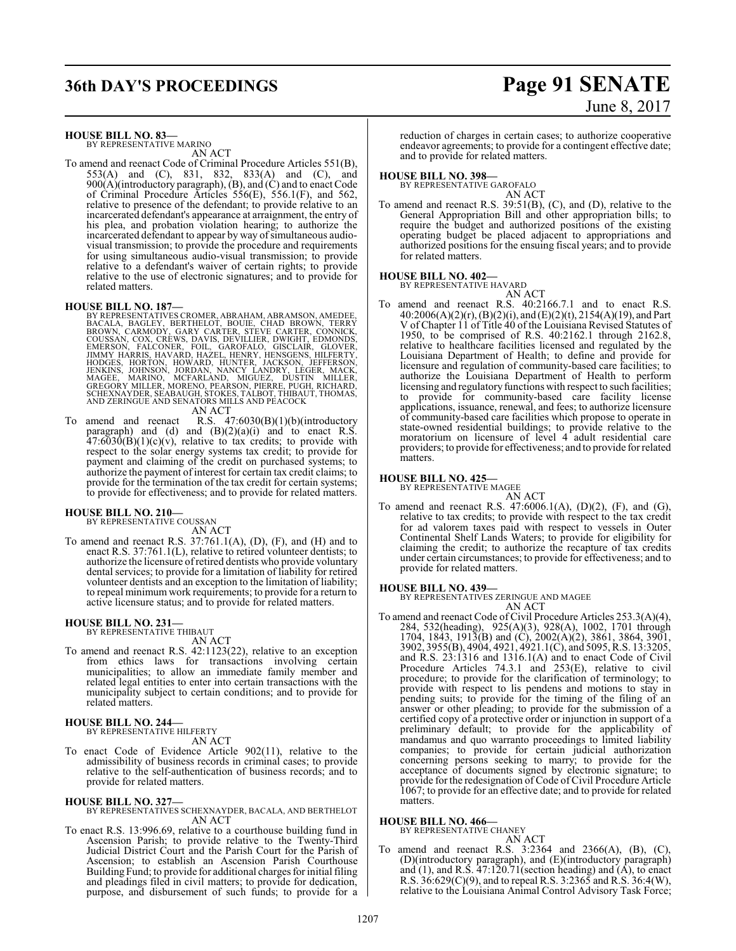## **36th DAY'S PROCEEDINGS Page 91 SENATE**

# June 8, 2017

**HOUSE BILL NO. 83—**

BY REPRESENTATIVE MARINO AN ACT

To amend and reenact Code of Criminal Procedure Articles 551(B), 553(A) and (C), 831, 832, 833(A) and (C), and 900(A)(introductory paragraph), (B), and (C) and to enact Code of Criminal Procedure Articles 556(E), 556.1(F), and 562, relative to presence of the defendant; to provide relative to an incarcerated defendant's appearance at arraignment, the entry of his plea, and probation violation hearing; to authorize the incarcerated defendant to appear by way of simultaneous audiovisual transmission; to provide the procedure and requirements for using simultaneous audio-visual transmission; to provide relative to a defendant's waiver of certain rights; to provide relative to the use of electronic signatures; and to provide for related matters.

- HOUSE BILL NO. 187—<br>
BY REPRESENTATIVES CROMER, ABRAHAM, ABRAMSON, AMEDEE, BACALA, BAGLEY, BERTHELOT, BOUIE, CHAD BROWN, TERRY<br>
BROWN, CARMODY, GARY CARTER, STEVE CARTER, CONNICK,<br>
COUSSAN, COX, CREWS, DAVIS, DAVISIER, DWI
	- AN ACT
- To amend and reenact R.S. 47:6030(B)(1)(b)(introductory paragraph) and (d) and  $(B)(2)(a)(i)$  and to enact R.S.  $47:6030(B)(1)(c)(v)$ , relative to tax credits; to provide with respect to the solar energy systems tax credit; to provide for payment and claiming of the credit on purchased systems; to authorize the payment of interest for certain tax credit claims; to provide for the termination of the tax credit for certain systems; to provide for effectiveness; and to provide for related matters.

#### **HOUSE BILL NO. 210—**

BY REPRESENTATIVE COUSSAN AN ACT

To amend and reenact R.S. 37:761.1(A), (D), (F), and (H) and to enact R.S. 37:761.1(L), relative to retired volunteer dentists; to authorize the licensure ofretired dentists who provide voluntary dental services; to provide for a limitation of liability for retired volunteer dentists and an exception to the limitation of liability; to repeal minimumwork requirements; to provide for a return to active licensure status; and to provide for related matters.

### **HOUSE BILL NO. 231—** BY REPRESENTATIVE THIBAUT

AN ACT

To amend and reenact R.S. 42:1123(22), relative to an exception from ethics laws for transactions involving certain municipalities; to allow an immediate family member and related legal entities to enter into certain transactions with the municipality subject to certain conditions; and to provide for related matters.

#### **HOUSE BILL NO. 244—** BY REPRESENTATIVE HILFERTY

AN ACT

To enact Code of Evidence Article 902(11), relative to the admissibility of business records in criminal cases; to provide relative to the self-authentication of business records; and to provide for related matters.

#### **HOUSE BILL NO. 327—**

BY REPRESENTATIVES SCHEXNAYDER, BACALA, AND BERTHELOT AN ACT

To enact R.S. 13:996.69, relative to a courthouse building fund in Ascension Parish; to provide relative to the Twenty-Third Judicial District Court and the Parish Court for the Parish of Ascension; to establish an Ascension Parish Courthouse Building Fund; to provide for additional charges for initial filing and pleadings filed in civil matters; to provide for dedication, purpose, and disbursement of such funds; to provide for a

reduction of charges in certain cases; to authorize cooperative endeavor agreements; to provide for a contingent effective date; and to provide for related matters.

### **HOUSE BILL NO. 398—**

BY REPRESENTATIVE GAROFALO

AN ACT To amend and reenact R.S. 39:51(B), (C), and (D), relative to the General Appropriation Bill and other appropriation bills; to require the budget and authorized positions of the existing operating budget be placed adjacent to appropriations and authorized positions for the ensuing fiscal years; and to provide

### for related matters. **HOUSE BILL NO. 402—**

BY REPRESENTATIVE HAVARD

- AN ACT
- To amend and reenact R.S. 40:2166.7.1 and to enact R.S. 40:2006(A)(2)(r), (B)(2)(i), and (E)(2)(t), 2154(A)(19), and Part V of Chapter 11 of Title 40 of the Louisiana Revised Statutes of 1950, to be comprised of R.S. 40:2162.1 through 2162.8, relative to healthcare facilities licensed and regulated by the Louisiana Department of Health; to define and provide for licensure and regulation of community-based care facilities; to authorize the Louisiana Department of Health to perform licensing and regulatory functions with respect to such facilities; to provide for community-based care facility license applications, issuance, renewal, and fees; to authorize licensure of community-based care facilities which propose to operate in state-owned residential buildings; to provide relative to the moratorium on licensure of level 4 adult residential care providers; to provide for effectiveness; and to provide for related matters.

#### **HOUSE BILL NO. 425—**

BY REPRESENTATIVE MAGEE

$$
AN A
$$

To amend and reenact R.S. 47:6006.1(A), (D)(2), (F), and (G), relative to tax credits; to provide with respect to the tax credit for ad valorem taxes paid with respect to vessels in Outer Continental Shelf Lands Waters; to provide for eligibility for claiming the credit; to authorize the recapture of tax credits under certain circumstances; to provide for effectiveness; and to provide for related matters.

 $\mathbb C\mathrm{T}$ 

#### **HOUSE BILL NO. 439—**

BY REPRESENTATIVES ZERINGUE AND MAGEE AN ACT

To amend and reenact Code of Civil Procedure Articles 253.3(A)(4), 284, 532(heading), 925(A)(3), 928(A), 1002, 1701 through 1704, 1843, 1913(B) and (C), 2002(A)(2), 3861, 3864, 3901, 3902, 3955(B), 4904, 4921, 4921.1(C), and 5095, R.S. 13:3205, and R.S. 23:1316 and 1316.1(A) and to enact Code of Civil Procedure Articles 74.3.1 and 253(E), relative to civil procedure; to provide for the clarification of terminology; to provide with respect to lis pendens and motions to stay in pending suits; to provide for the timing of the filing of an answer or other pleading; to provide for the submission of a certified copy of a protective order or injunction in support of a preliminary default; to provide for the applicability of mandamus and quo warranto proceedings to limited liability companies; to provide for certain judicial authorization concerning persons seeking to marry; to provide for the acceptance of documents signed by electronic signature; to provide for the redesignation of Code of Civil Procedure Article 1067; to provide for an effective date; and to provide for related matters.

### **HOUSE BILL NO. 466—**

BY REPRESENTATIVE CHANEY

$$
AN ACT
$$

To amend and reenact R.S. 3:2364 and 2366(A), (B), (C), (D)(introductory paragraph), and (E)(introductory paragraph) and  $(1)$ , and R.S.  $47:120.71$  (section heading) and  $(A)$ , to enact R.S. 36:629(C)(9), and to repeal R.S. 3:2365 and R.S. 36:4(W), relative to the Louisiana Animal Control Advisory Task Force;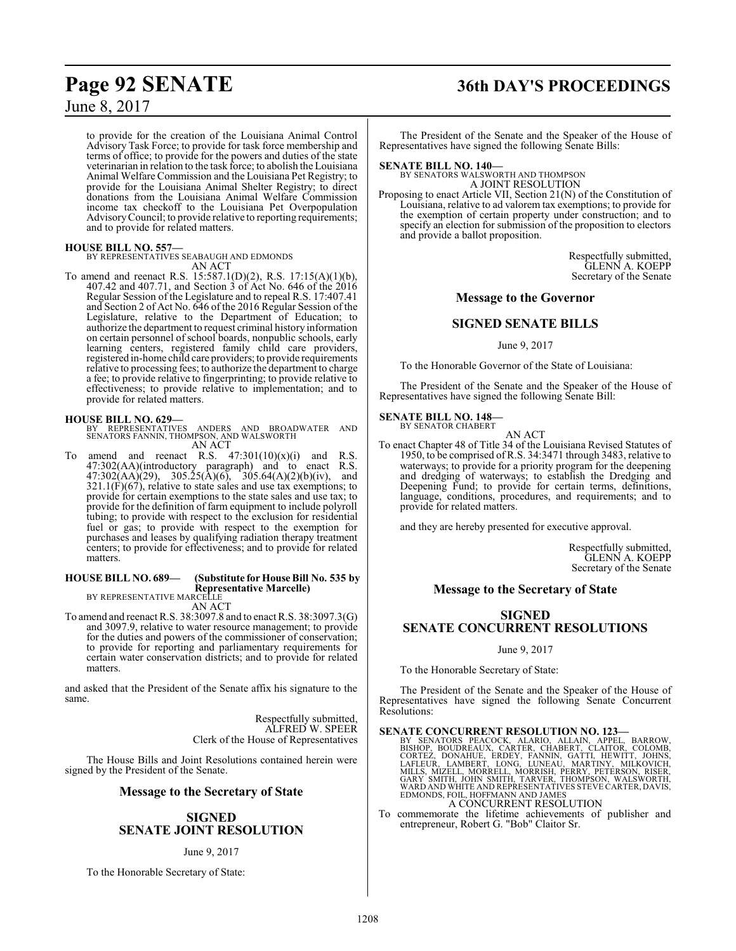to provide for the creation of the Louisiana Animal Control Advisory Task Force; to provide for task force membership and terms of office; to provide for the powers and duties of the state veterinarian in relation to the task force; to abolish the Louisiana Animal Welfare Commission and the Louisiana Pet Registry; to provide for the Louisiana Animal Shelter Registry; to direct donations from the Louisiana Animal Welfare Commission income tax checkoff to the Louisiana Pet Overpopulation AdvisoryCouncil; to provide relative to reporting requirements; and to provide for related matters.

#### **HOUSE BILL NO. 557—**

BY REPRESENTATIVES SEABAUGH AND EDMONDS AN ACT

To amend and reenact R.S. 15:587.1(D)(2), R.S. 17:15(A)(1)(b), 407.42 and 407.71, and Section 3 of Act No. 646 of the 2016 Regular Session of the Legislature and to repeal R.S. 17:407.41 and Section 2 of Act No. 646 of the 2016 Regular Session of the Legislature, relative to the Department of Education; to authorize the department to request criminal history information on certain personnel of school boards, nonpublic schools, early learning centers, registered family child care providers, registered in-home child care providers; to provide requirements relative to processing fees; to authorize the department to charge a fee; to provide relative to fingerprinting; to provide relative to effectiveness; to provide relative to implementation; and to provide for related matters.

### **HOUSE BILL NO. 629—**

BY REPRESENTATIVES ANDERS AND BROADWATER AND SENATORS FANNIN, THOMPSON, AND WALSWORTH AN ACT

amend and reenact R.S.  $47:301(10)(x)(i)$  and R.S. 47:302(AA)(introductory paragraph) and to enact R.S.  $47:302(AA)(29)$ ,  $305.25(A)(6)$ ,  $305.64(A)(2)(b)(iv)$ , and  $321.1(F)(67)$ , relative to state sales and use tax exemptions; to provide for certain exemptions to the state sales and use tax; to provide for the definition of farm equipment to include polyroll tubing; to provide with respect to the exclusion for residential fuel or gas; to provide with respect to the exemption for purchases and leases by qualifying radiation therapy treatment centers; to provide for effectiveness; and to provide for related matters.

### **HOUSE BILL NO. 689— (Substitute for House Bill No. 535 by**

**Representative Marcelle)**

BY REPRESENTATIVE MARCELLE AN ACT

To amend and reenact R.S. 38:3097.8 and to enact R.S. 38:3097.3(G) and 3097.9, relative to water resource management; to provide for the duties and powers of the commissioner of conservation; to provide for reporting and parliamentary requirements for certain water conservation districts; and to provide for related matters.

and asked that the President of the Senate affix his signature to the same.

> Respectfully submitted, ALFRED W. SPEER Clerk of the House of Representatives

The House Bills and Joint Resolutions contained herein were signed by the President of the Senate.

#### **Message to the Secretary of State**

### **SIGNED SENATE JOINT RESOLUTION**

#### June 9, 2017

To the Honorable Secretary of State:

## **Page 92 SENATE 36th DAY'S PROCEEDINGS**

The President of the Senate and the Speaker of the House of Representatives have signed the following Senate Bills:

#### **SENATE BILL NO. 140—**

BY SENATORS WALSWORTH AND THOMPSON A JOINT RESOLUTION

Proposing to enact Article VII, Section 21(N) of the Constitution of Louisiana, relative to ad valorem tax exemptions; to provide for the exemption of certain property under construction; and to specify an election for submission of the proposition to electors and provide a ballot proposition.

> Respectfully submitted, GLENN A. KOEPP Secretary of the Senate

#### **Message to the Governor**

### **SIGNED SENATE BILLS**

June 9, 2017

To the Honorable Governor of the State of Louisiana:

The President of the Senate and the Speaker of the House of Representatives have signed the following Senate Bill:

#### **SENATE BILL NO. 148—** BY SENATOR CHABERT

AN ACT

To enact Chapter 48 of Title 34 of the Louisiana Revised Statutes of 1950, to be comprised of R.S. 34:3471 through 3483, relative to waterways; to provide for a priority program for the deepening and dredging of waterways; to establish the Dredging and Deepening Fund; to provide for certain terms, definitions, language, conditions, procedures, and requirements; and to provide for related matters.

and they are hereby presented for executive approval.

Respectfully submitted, GLENN A. KOEPP Secretary of the Senate

#### **Message to the Secretary of State**

### **SIGNED SENATE CONCURRENT RESOLUTIONS**

June 9, 2017

To the Honorable Secretary of State:

The President of the Senate and the Speaker of the House of Representatives have signed the following Senate Concurrent Resolutions:

#### **SENATE CONCURRENT RESOLUTION NO. 123—**

BY SENATORS PEACOCK, ALARIO, ALLAIN, APPEL, BARROW,<br>BISHOP, BOUDREAUX, CARTER, CHABERT, CLAITOR, COLOMB,<br>CORTEZ, DONAHUE, ERDEY, FANNIN, GATTI, HEWITT, JOHNS,<br>LAFLEUR, LAMBERT, LONG, LUNEAU, MARTINY, MILKOVICH,<br>MILLS, MIZE A CONCURRENT RESOLUTION

To commemorate the lifetime achievements of publisher and entrepreneur, Robert G. "Bob" Claitor Sr.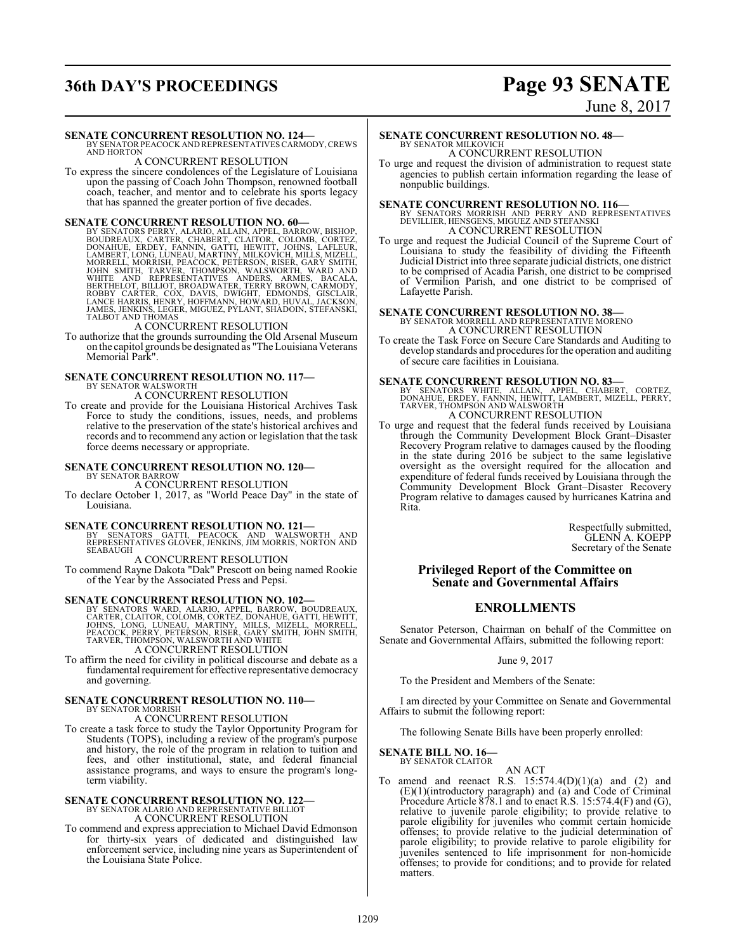## **36th DAY'S PROCEEDINGS Page 93 SENATE**

### June 8, 2017

#### **SENATE CONCURRENT RESOLUTION NO. 124—**

BY SENATOR PEACOCK AND REPRESENTATIVES CARMODY, CREWS<br>AND HORTON

#### A CONCURRENT RESOLUTION

To express the sincere condolences of the Legislature of Louisiana upon the passing of Coach John Thompson, renowned football coach, teacher, and mentor and to celebrate his sports legacy that has spanned the greater portion of five decades.

**SENATE CONCURRENT RESOLUTION NO. 60**<br>BY SENATORS PERRY, ALARIO, ALLAIN, APPEL, BARROW, BISHOP, BOUDREAUX, CARTER, CHABERT, CLAITOR, COLOMB, CORTEZ,<br>DONAHUE, ERDEY, FANNIN, GATTI, HEWITT, JOHNS, LAFLEUR,<br>LAMBERT, LONG, LUN

To authorize that the grounds surrounding the Old Arsenal Museum on the capitol grounds be designated as "The Louisiana Veterans Memorial Park".

#### **SENATE CONCURRENT RESOLUTION NO. 117—**

BY SENATOR WALSWORTH A CONCURRENT RESOLUTION

To create and provide for the Louisiana Historical Archives Task Force to study the conditions, issues, needs, and problems relative to the preservation of the state's historical archives and records and to recommend any action or legislation that the task force deems necessary or appropriate.

#### **SENATE CONCURRENT RESOLUTION NO. 120—** BY SENATOR BARROW

A CONCURRENT RESOLUTION

To declare October 1, 2017, as "World Peace Day" in the state of Louisiana.

**SENATE CONCURRENT RESOLUTION NO. 121—**<br>BY SENATORS GATTI, PEACOCK AND WALSWORTH AND<br>REPRESENTATIVES GLOVER, JENKINS, JIM MORRIS, NORTON AND SEABAUGH

A CONCURRENT RESOLUTION To commend Rayne Dakota "Dak" Prescott on being named Rookie of the Year by the Associated Press and Pepsi.

SENATE CONCURRENT RESOLUTION NO. 102—<br>BY SENATORS WARD, ALARIO, APPEL, BARROW, BOUDREAUX,<br>CARTER, CLAITOR, COLOMB, CORTEZ, DONAHUE, GATTI, HEWITT,<br>JOHNS, LONG, LUNEAU, MARTINY, MILLS, MIZELL, MORRELL,<br>PEACOCK, PERRY, PETER A CONCURRENT RESOLUTION

To affirm the need for civility in political discourse and debate as a fundamental requirement for effective representative democracy and governing.

#### **SENATE CONCURRENT RESOLUTION NO. 110—** BY SENATOR MORRISH A CONCURRENT RESOLUTION

To create a task force to study the Taylor Opportunity Program for Students (TOPS), including a review of the program's purpose and history, the role of the program in relation to tuition and fees, and other institutional, state, and federal financial assistance programs, and ways to ensure the program's longterm viability.

### **SENATE CONCURRENT RESOLUTION NO. 122—** BY SENATOR ALARIO AND REPRESENTATIVE BILLIOT A CONCURRENT RESOLUTION

To commend and express appreciation to Michael David Edmonson for thirty-six years of dedicated and distinguished law enforcement service, including nine years as Superintendent of the Louisiana State Police.

## **SENATE CONCURRENT RESOLUTION NO. 48—**

BY SENATOR MILKOVICH A CONCURRENT RESOLUTION

To urge and request the division of administration to request state agencies to publish certain information regarding the lease of nonpublic buildings.

**SENATE CONCURRENT RESOLUTION NO. 116—**<br>BY SENATORS MORRISH AND PERRY AND REPRESENTATIVES<br>DEVILLIER, HENSGENS, MIGUEZ AND STEFANSKI A CONCURRENT RESOLUTION

To urge and request the Judicial Council of the Supreme Court of Louisiana to study the feasibility of dividing the Fifteenth Judicial District into three separate judicial districts, one district to be comprised of Acadia Parish, one district to be comprised of Vermilion Parish, and one district to be comprised of Lafayette Parish.

### **SENATE CONCURRENT RESOLUTION NO. 38—** BY SENATOR MORRELL AND REPRESENTATIVE MORENO A CONCURRENT RESOLUTION

To create the Task Force on Secure Care Standards and Auditing to develop standards and procedures for the operation and auditing of secure care facilities in Louisiana.

**SENATE CONCURRENT RESOLUTION NO. 83**—<br>
BY SENATORS WHITE, ALLAIN, APPEL, CHABERT, CORTEZ,<br>
DONAHUE, ERDEY, FANNIN, HEWITT, LAMBERT, MIZELL, PERRY,<br>
TARVER, THOMPSON AND WALSWORTH A CONCURRENT RESOLUTION

To urge and request that the federal funds received by Louisiana through the Community Development Block Grant–Disaster Recovery Program relative to damages caused by the flooding in the state during 2016 be subject to the same legislative oversight as the oversight required for the allocation and expenditure of federal funds received by Louisiana through the Community Development Block Grant–Disaster Recovery Program relative to damages caused by hurricanes Katrina and Rita.

> Respectfully submitted, GLENN A. KOEPP Secretary of the Senate

#### **Privileged Report of the Committee on Senate and Governmental Affairs**

### **ENROLLMENTS**

Senator Peterson, Chairman on behalf of the Committee on Senate and Governmental Affairs, submitted the following report:

#### June 9, 2017

To the President and Members of the Senate:

I am directed by your Committee on Senate and Governmental Affairs to submit the following report:

The following Senate Bills have been properly enrolled:

#### **SENATE BILL NO. 16—** BY SENATOR CLAITOR

AN ACT

To amend and reenact R.S.  $15:574.4(D)(1)(a)$  and  $(2)$  and (E)(1)(introductory paragraph) and (a) and Code of Criminal Procedure Article 878.1 and to enact R.S. 15:574.4(F) and (G), relative to juvenile parole eligibility; to provide relative to parole eligibility for juveniles who commit certain homicide offenses; to provide relative to the judicial determination of parole eligibility; to provide relative to parole eligibility for juveniles sentenced to life imprisonment for non-homicide offenses; to provide for conditions; and to provide for related matters.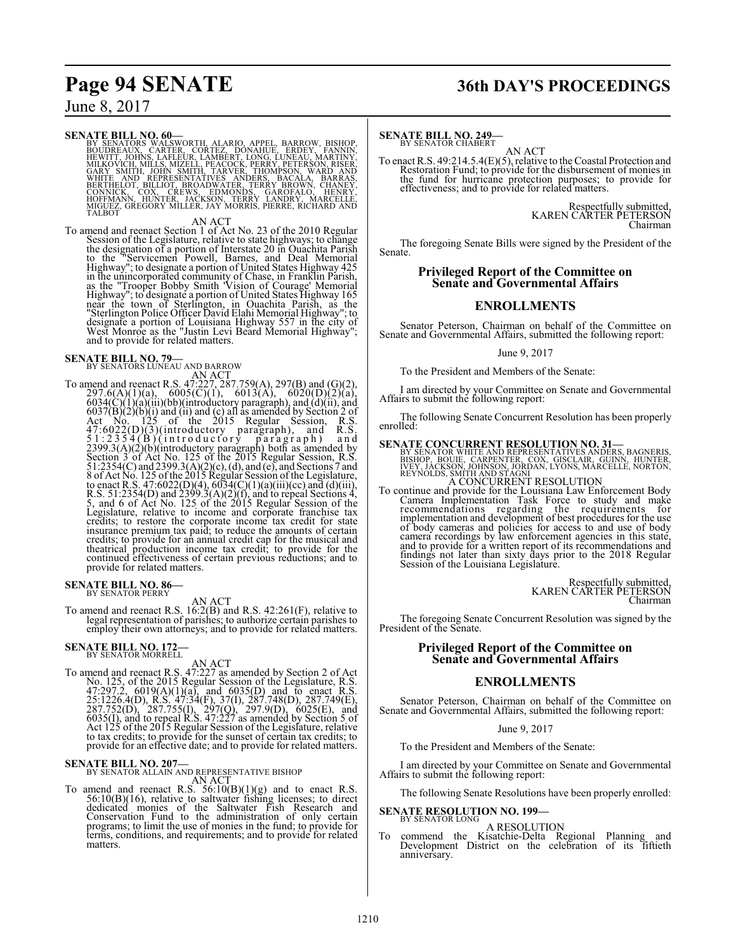## **Page 94 SENATE 36th DAY'S PROCEEDINGS**

June 8, 2017

SENATE BILL NO. 60—<br>BY SENATORS WALSWORTH, ALARIO, APPEL, BARROW, BISHOP, BOUDREAUX, CARTER, CORTEZ, DONAHUE, ERDEY, FANNIN,<br>HEWITT, JOHNS, LAFLEUR, LAMBERT, LONG, LUNEAU, MARTINY, SMITH, JOHNS, LAELUR, PEACOCK, PERRY, PET

AN ACT<br>
AN ACT<br>
To amend and reenact Section 1 of Act No. 23 of the 2010 Regular<br>
Session of the Legislature, relative to state highways; to change<br>
the designation of a portion of Interstate 20 in Ouachita Parish<br>
to the

## **SENATE BILL NO. 79—**<br>BY SENATORS LUNEAU AND BARROW

AN ACT<br>
To amend and reenact R.S. 47:27.759(A), 297(B) and (G)(2),<br>
297.6(A)(1)(a), 6005(C)(1), 6013(A), 6020(D)(2)(a),<br>
6034(C)(1)(a)(iii)(bb)(introductory paragraph), and (d)(ii), and<br>
6037(B)(2)(b)(i) and (ii) and (c) credits; to restore the corporate income tax credit for state<br>insurance premium tax paid; to reduce the amounts of certain<br>credits; to provide for an annual credit cap for the musical and<br>theatrical production income tax c continued effectiveness of certain previous reductions; and to provide for related matters.

### **SENATE BILL NO. 86-**<br>BY SENATOR PERRY

AN ACT

To amend and reenact R.S. 16:2(B) and R.S. 42:261(F), relative to legal representation of parishes; to authorize certain parishes to employ their own attorneys; and to provide for related matters.

### **SENATE BILL NO. 172-**<br>BY SENATOR MORRELL

AN ACT<br>
To amend and reenact R.S. 47:227 as amended by Section 2 of Act<br>
No. 125, of the 2015 Regular Session of the Legislature, R.S.<br>
47:297.2, 6019(A)(1)(a), and 6035(D) and to enact R.S.<br>
25:1226.4(D), R.S. 47:34(F), to tax credits; to provide for the sunset of certain tax credits; to provide for an effective date; and to provide for related matters.

**SENATE BILL NO. 207—**<br>BY SENATOR ALLAIN AND REPRESENTATIVE BISHOP<br>To amend and reenact R.S. 56:10(B)(1)(g) and to enact R.S.  $56:10(B)(16)$ , relative to saltwater fishing licenses; to direct dedicated monies of the Saltwater Fish Research and Conservation Fund to the administration of only certain programs; to limit the use of monies in the fund; matters.

### **SENATE BILL NO. 249-**<br>BY SENATOR CHABERT

AN ACT

To enact R.S. 49:214.5.4(E)(5), relative to theCoastal Protection and Restoration Fund; to provide for the disbursement of monies in the fund for hurricane protection purposes; to provide for effectiveness; and to provide for related matters.

> Respectfully submitted, KAREN CARTER PETERSON Chairman

The foregoing Senate Bills were signed by the President of the Senate.

#### **Privileged Report of the Committee on Senate and Governmental Affairs**

#### **ENROLLMENTS**

Senator Peterson, Chairman on behalf of the Committee on Senate and Governmental Affairs, submitted the following report:

June 9, 2017

To the President and Members of the Senate:

I am directed by your Committee on Senate and Governmental Affairs to submit the following report:

The following Senate Concurrent Resolution has been properly enrolled:

**SENATE CONCURRENT RESOLUTION NO. 31—**<br>BY SENATOR WHITE AND REPRESENTATIVES ANDERS, BAGNERIS,<br>BISHOP, BOUIE, CARPENTER, COX, GISCLAIR, GUINN, HUNTER,<br>IVEY, JACKSON, JOHNSON, JORDAN, LYONS, MARCELLE, NORTON,<br>REYNOLDS, SMITH A CONCURRENT RESOLUTION

To continue and provide for the Louisiana Law Enforcement Body Camera Implementation Task Force to study and make recommendations regarding the requirements for implementation and development of best procedures for the use of body cameras and policies for access to and use of body<br>camera recordings by law enforcement agencies in this state,<br>and to provide for a written report of its recommendations and<br>findings not later than sixty days prio Session of the Louisiana Legislature.

> Respectfully submitted, KAREN CARTER PETERSON Chairman

The foregoing Senate Concurrent Resolution was signed by the President of the Senate.

#### **Privileged Report of the Committee on Senate and Governmental Affairs**

#### **ENROLLMENTS**

Senator Peterson, Chairman on behalf of the Committee on Senate and Governmental Affairs, submitted the following report:

June 9, 2017

To the President and Members of the Senate:

I am directed by your Committee on Senate and Governmental Affairs to submit the following report:

The following Senate Resolutions have been properly enrolled:

### **SENATE RESOLUTION NO. 199-**<br>BY SENATOR LONG

A RESOLUTION

To commend the Kisatchie-Delta Regional Planning and Development District on the celebration of its fiftieth anniversary.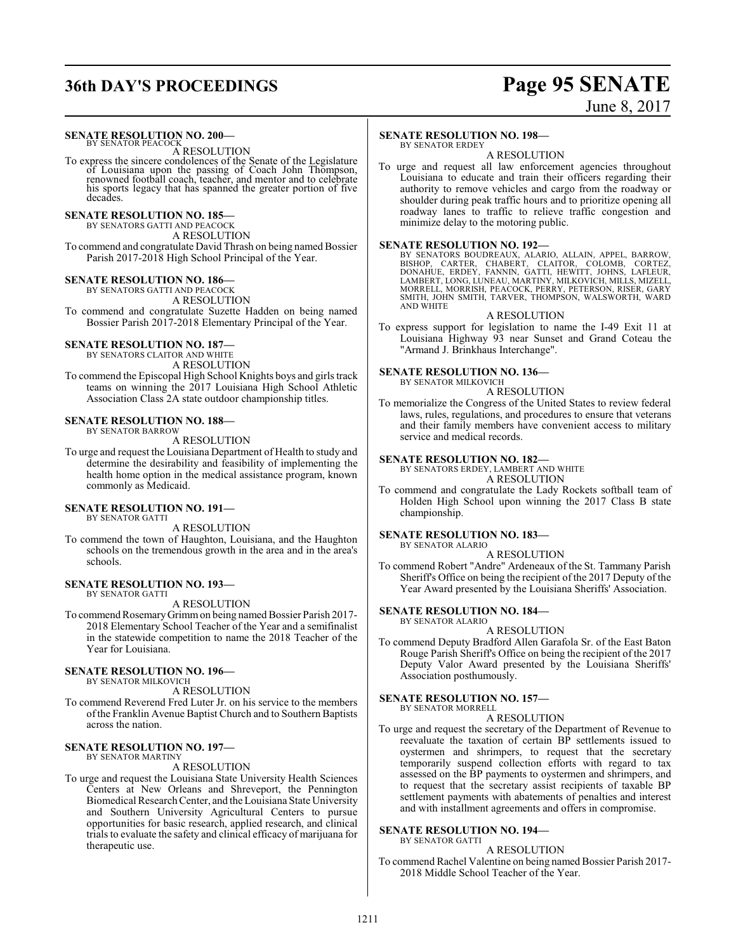## **36th DAY'S PROCEEDINGS Page 95 SENATE**

# June 8, 2017

## **SENATE RESOLUTION NO. 200–**<br>BY SENATOR PEACOCK

A RESOLUTION

To express the sincere condolences of the Senate of the Legislature of Louisiana upon the passing of Coach John Thompson, renowned football coach, teacher, and mentor and to celebrate his sports legacy that has spanned the greater portion of five decades.

#### **SENATE RESOLUTION NO. 185—**

BY SENATORS GATTI AND PEACOCK A RESOLUTION

To commend and congratulate David Thrash on being named Bossier Parish 2017-2018 High School Principal of the Year.

#### **SENATE RESOLUTION NO. 186—**

BY SENATORS GATTI AND PEACOCK A RESOLUTION

To commend and congratulate Suzette Hadden on being named Bossier Parish 2017-2018 Elementary Principal of the Year.

#### **SENATE RESOLUTION NO. 187—**

BY SENATORS CLAITOR AND WHITE A RESOLUTION

To commend the Episcopal High School Knights boys and girls track teams on winning the 2017 Louisiana High School Athletic Association Class 2A state outdoor championship titles.

#### **SENATE RESOLUTION NO. 188—**

BY SENATOR BARROW

A RESOLUTION

To urge and request the Louisiana Department of Health to study and determine the desirability and feasibility of implementing the health home option in the medical assistance program, known commonly as Medicaid.

#### **SENATE RESOLUTION NO. 191—**

BY SENATOR GATTI

A RESOLUTION To commend the town of Haughton, Louisiana, and the Haughton schools on the tremendous growth in the area and in the area's

### **SENATE RESOLUTION NO. 193—**

BY SENATOR GATTI

schools.

#### A RESOLUTION

To commend Rosemary Grimm on being named Bossier Parish 2017-2018 Elementary School Teacher of the Year and a semifinalist in the statewide competition to name the 2018 Teacher of the Year for Louisiana.

#### **SENATE RESOLUTION NO. 196—**

BY SENATOR MILKOVICH

A RESOLUTION

To commend Reverend Fred Luter Jr. on his service to the members ofthe Franklin Avenue Baptist Church and to Southern Baptists across the nation.

#### **SENATE RESOLUTION NO. 197—** BY SENATOR MARTINY

A RESOLUTION

To urge and request the Louisiana State University Health Sciences Centers at New Orleans and Shreveport, the Pennington Biomedical ResearchCenter, and theLouisiana State University and Southern University Agricultural Centers to pursue opportunities for basic research, applied research, and clinical trials to evaluate the safety and clinical efficacy of marijuana for therapeutic use.

#### **SENATE RESOLUTION NO. 198—**

BY SENATOR ERDEY

minimize delay to the motoring public.

A RESOLUTION To urge and request all law enforcement agencies throughout Louisiana to educate and train their officers regarding their authority to remove vehicles and cargo from the roadway or shoulder during peak traffic hours and to prioritize opening all

SENATE RESOLUTION NO. 192—<br>BY SENATORS BOUDREAUX, ALARIO, ALLAIN, APPEL, BARROW, BISHOP, CARTER, CHABERT, CLAITOR, COLOMB, CORTEZ,<br>DONAHUE, ERDEY, FANNIN, GATTI, HEWITT, JOHNS, LAFLEUR,<br>LAMBERT, LONG, LUNEAU, MARTINY, MILK SMITH, JOHN SMITH, TARVER, THOMPSON, WALSWORTH, WARD AND WHITE

roadway lanes to traffic to relieve traffic congestion and

#### A RESOLUTION

To express support for legislation to name the I-49 Exit 11 at Louisiana Highway 93 near Sunset and Grand Coteau the "Armand J. Brinkhaus Interchange".

#### **SENATE RESOLUTION NO. 136—**

BY SENATOR MILKOVICH A RESOLUTION

To memorialize the Congress of the United States to review federal laws, rules, regulations, and procedures to ensure that veterans and their family members have convenient access to military service and medical records.

#### **SENATE RESOLUTION NO. 182—**

BY SENATORS ERDEY, LAMBERT AND WHITE

A RESOLUTION

To commend and congratulate the Lady Rockets softball team of Holden High School upon winning the 2017 Class B state championship.

#### **SENATE RESOLUTION NO. 183—**

BY SENATOR ALARIO

- A RESOLUTION
- To commend Robert "Andre" Ardeneaux of the St. Tammany Parish Sheriff's Office on being the recipient of the 2017 Deputy of the Year Award presented by the Louisiana Sheriffs' Association.

#### **SENATE RESOLUTION NO. 184—**

BY SENATOR ALARIO A RESOLUTION

To commend Deputy Bradford Allen Garafola Sr. of the East Baton Rouge Parish Sheriff's Office on being the recipient of the 2017 Deputy Valor Award presented by the Louisiana Sheriffs' Association posthumously.

#### **SENATE RESOLUTION NO. 157—**

BY SENATOR MORRELL

A RESOLUTION

To urge and request the secretary of the Department of Revenue to reevaluate the taxation of certain BP settlements issued to oystermen and shrimpers, to request that the secretary temporarily suspend collection efforts with regard to tax assessed on the BP payments to oystermen and shrimpers, and to request that the secretary assist recipients of taxable BP settlement payments with abatements of penalties and interest and with installment agreements and offers in compromise.

#### **SENATE RESOLUTION NO. 194—**

BY SENATOR GATTI A RESOLUTION

To commend Rachel Valentine on being named Bossier Parish 2017- 2018 Middle School Teacher of the Year.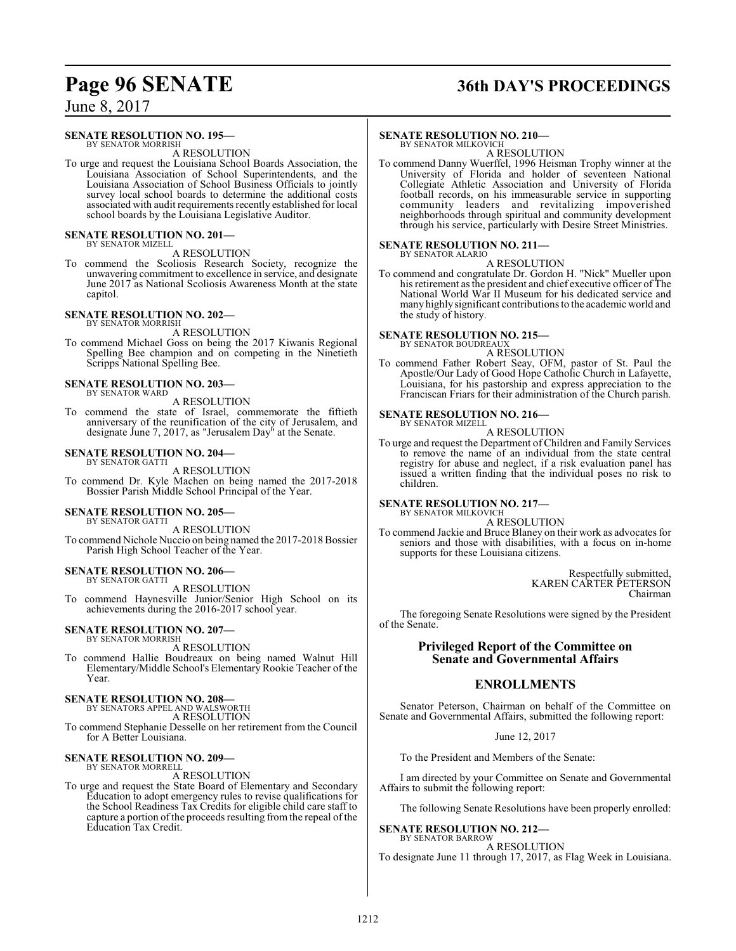## **Page 96 SENATE 36th DAY'S PROCEEDINGS**

June 8, 2017

#### **SENATE RESOLUTION NO. 195—**

BY SENATOR MORRISH A RESOLUTION

To urge and request the Louisiana School Boards Association, the Louisiana Association of School Superintendents, and the Louisiana Association of School Business Officials to jointly survey local school boards to determine the additional costs associated with audit requirements recently established for local school boards by the Louisiana Legislative Auditor.

## **SENATE RESOLUTION NO. 201—** BY SENATOR MIZELL

A RESOLUTION

To commend the Scoliosis Research Society, recognize the unwavering commitment to excellence in service, and designate June 2017 as National Scoliosis Awareness Month at the state capitol.

#### **SENATE RESOLUTION NO. 202—** BY SENATOR MORRISH

A RESOLUTION

To commend Michael Goss on being the 2017 Kiwanis Regional Spelling Bee champion and on competing in the Ninetieth Scripps National Spelling Bee.

#### **SENATE RESOLUTION NO. 203—** BY SENATOR WARD

#### A RESOLUTION

To commend the state of Israel, commemorate the fiftieth anniversary of the reunification of the city of Jerusalem, and designate June 7, 2017, as "Jerusalem Day" at the Senate.

#### **SENATE RESOLUTION NO. 204—** BY SENATOR GATTI

A RESOLUTION

To commend Dr. Kyle Machen on being named the 2017-2018 Bossier Parish Middle School Principal of the Year.

#### **SENATE RESOLUTION NO. 205—**

BY SENATOR GATTI

A RESOLUTION To commend Nichole Nuccio on being named the 2017-2018 Bossier Parish High School Teacher of the Year.

#### **SENATE RESOLUTION NO. 206—** BY SENATOR GATTI

A RESOLUTION

To commend Haynesville Junior/Senior High School on its achievements during the 2016-2017 school year.

#### **SENATE RESOLUTION NO. 207—** BY SENATOR MORRISH

A RESOLUTION

To commend Hallie Boudreaux on being named Walnut Hill Elementary/Middle School's Elementary Rookie Teacher of the Year.

## **SENATE RESOLUTION NO. 208—** BY SENATORS APPEL AND WALSWORTH

A RESOLUTION

To commend Stephanie Desselle on her retirement from the Council for A Better Louisiana.

### **SENATE RESOLUTION NO. 209—**

BY SENATOR MORRELL A RESOLUTION

To urge and request the State Board of Elementary and Secondary Education to adopt emergency rules to revise qualifications for the School Readiness Tax Credits for eligible child care staff to capture a portion of the proceeds resulting from the repeal of the Education Tax Credit.

#### **SENATE RESOLUTION NO. 210—**

BY SENATOR MILKOVICH A RESOLUTION

To commend Danny Wuerffel, 1996 Heisman Trophy winner at the University of Florida and holder of seventeen National Collegiate Athletic Association and University of Florida football records, on his immeasurable service in supporting community leaders and revitalizing impoverished neighborhoods through spiritual and community development through his service, particularly with Desire Street Ministries.

#### **SENATE RESOLUTION NO. 211—**

BY SENATOR ALARIO A RESOLUTION

To commend and congratulate Dr. Gordon H. "Nick" Mueller upon his retirement as the president and chief executive officer of The National World War II Museum for his dedicated service and many highlysignificant contributions to the academic world and the study of history.

#### **SENATE RESOLUTION NO. 215—**

BY SENATOR BOUDREAUX A RESOLUTION

To commend Father Robert Seay, OFM, pastor of St. Paul the Apostle/Our Lady of Good Hope Catholic Church in Lafayette, Louisiana, for his pastorship and express appreciation to the Franciscan Friars for their administration of the Church parish.

#### **SENATE RESOLUTION NO. 216—** BY SENATOR MIZELL

A RESOLUTION

To urge and request the Department of Children and Family Services to remove the name of an individual from the state central registry for abuse and neglect, if a risk evaluation panel has issued a written finding that the individual poses no risk to children.

**SENATE RESOLUTION NO. 217—** BY SENATOR MILKOVICH

### A RESOLUTION

To commend Jackie and Bruce Blaney on their work as advocates for seniors and those with disabilities, with a focus on in-home supports for these Louisiana citizens.

> Respectfully submitted, KAREN CARTER PETERSON Chairman

The foregoing Senate Resolutions were signed by the President of the Senate.

### **Privileged Report of the Committee on Senate and Governmental Affairs**

### **ENROLLMENTS**

Senator Peterson, Chairman on behalf of the Committee on Senate and Governmental Affairs, submitted the following report:

June 12, 2017

To the President and Members of the Senate:

I am directed by your Committee on Senate and Governmental Affairs to submit the following report:

The following Senate Resolutions have been properly enrolled:

### **SENATE RESOLUTION NO. 212—**

BY SENATOR BARROW A RESOLUTION To designate June 11 through 17, 2017, as Flag Week in Louisiana.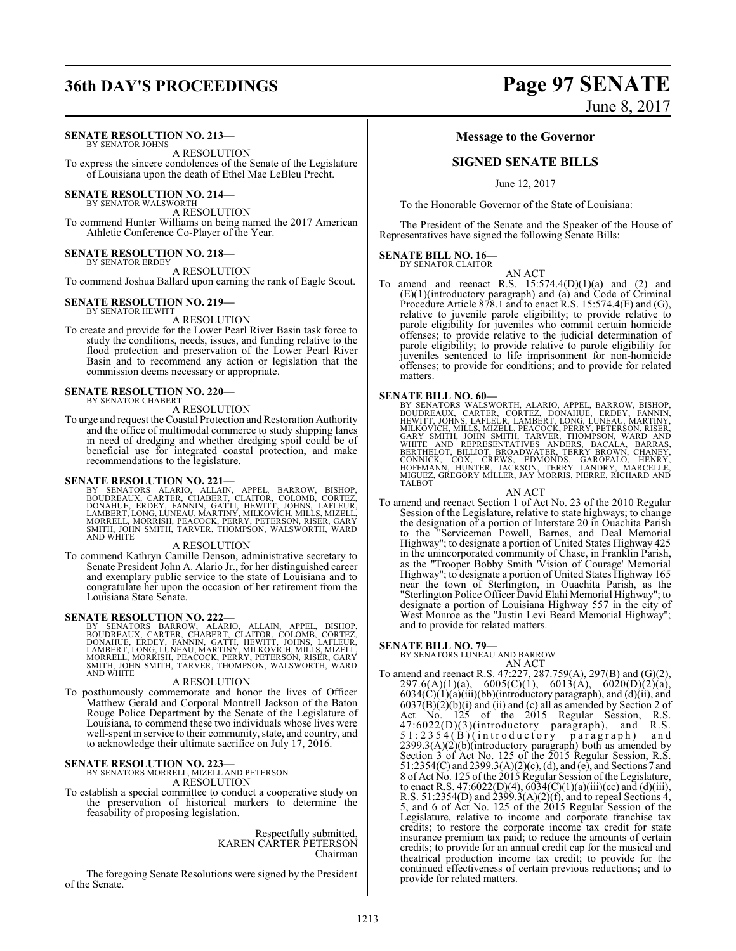## **36th DAY'S PROCEEDINGS Page 97 SENATE**

#### **SENATE RESOLUTION NO. 213—**

BY SENATOR JOHNS A RESOLUTION To express the sincere condolences of the Senate of the Legislature

of Louisiana upon the death of Ethel Mae LeBleu Precht.

### **SENATE RESOLUTION NO. 214—** BY SENATOR WALSWORTH

A RESOLUTION To commend Hunter Williams on being named the 2017 American Athletic Conference Co-Player of the Year.

#### **SENATE RESOLUTION NO. 218—** BY SENATOR ERDEY

A RESOLUTION

To commend Joshua Ballard upon earning the rank of Eagle Scout.

#### **SENATE RESOLUTION NO. 219—** BY SENATOR HEWITT

A RESOLUTION

To create and provide for the Lower Pearl River Basin task force to study the conditions, needs, issues, and funding relative to the flood protection and preservation of the Lower Pearl River Basin and to recommend any action or legislation that the commission deems necessary or appropriate.

#### **SENATE RESOLUTION NO. 220—** BY SENATOR CHABERT

A RESOLUTION

To urge and request the Coastal Protection and Restoration Authority and the office of multimodal commerce to study shipping lanes in need of dredging and whether dredging spoil could be of beneficial use for integrated coastal protection, and make recommendations to the legislature.

#### **SENATE RESOLUTION NO. 221—**

BY SENATORS ALARIO, ALLAIN, APPEL, BARROW, BISHOP,<br>BOUDREAUX, CARTER, CHABERT, CLAITOR, COLOMB, CORTEZ,<br>DONAHUE, ERDEY, FANNIN, GATTI, HEWITT, JOHNS, LAFLEUR,<br>LAMBERT,LONG,LUNEAU,MARTINY,MILKOVICH,MILLS,MIZELL,<br>MORRELL,MOR

#### A RESOLUTION

To commend Kathryn Camille Denson, administrative secretary to Senate President John A. Alario Jr., for her distinguished career and exemplary public service to the state of Louisiana and to congratulate her upon the occasion of her retirement from the Louisiana State Senate.

#### **SENATE RESOLUTION NO. 222—**

BY SENATORS BARROW, ALARIO, ALLAIN, APPEL, BISHOP,<br>BOUDREAUX, CARTER, CHABERT, CLAITOR, COLOMB, CORTEZ,<br>DONAHUE, ERDEY, FANNIN, GATTI, HEWITT, JOHNS, LAFLEUR,<br>LAMBERT, LONG, LUNEAU, MARTINY, MILKOVICH, MILLS, MIZELL,<br>MORRE SMITH, JOHN SMITH, TARVER, THOMPSON, WALSWORTH, WARD AND WHITE

#### A RESOLUTION

To posthumously commemorate and honor the lives of Officer Matthew Gerald and Corporal Montrell Jackson of the Baton Rouge Police Department by the Senate of the Legislature of Louisiana, to commend these two individuals whose lives were well-spent in service to their community, state, and country, and to acknowledge their ultimate sacrifice on July 17, 2016.

#### **SENATE RESOLUTION NO. 223—**

BY SENATORS MORRELL, MIZELL AND PETERSON A RESOLUTION

To establish a special committee to conduct a cooperative study on the preservation of historical markers to determine the feasability of proposing legislation.

> Respectfully submitted, KAREN CARTER PETERSON Chairman

The foregoing Senate Resolutions were signed by the President of the Senate.

June 8, 2017

#### **Message to the Governor**

### **SIGNED SENATE BILLS**

June 12, 2017

To the Honorable Governor of the State of Louisiana:

The President of the Senate and the Speaker of the House of Representatives have signed the following Senate Bills:

#### **SENATE BILL NO. 16—** BY SENATOR CLAITOR

AN ACT

To amend and reenact R.S.  $15:574.4(D)(1)(a)$  and  $(2)$  and (E)(1)(introductory paragraph) and (a) and Code of Criminal Procedure Article 878.1 and to enact R.S. 15:574.4(F) and (G), relative to juvenile parole eligibility; to provide relative to parole eligibility for juveniles who commit certain homicide offenses; to provide relative to the judicial determination of parole eligibility; to provide relative to parole eligibility for juveniles sentenced to life imprisonment for non-homicide offenses; to provide for conditions; and to provide for related matters.

#### **SENATE BILL NO. 60—**

BY SENATORS WALSWORTH, ALARIO, APPEL, BARROW, BISHOP, BOUDREAUX, CARTER, CORTEZ, DONAHUE, ERDEY, FANNIN,<br>HEWITT, JOHNS, LAFER, CORTEZ, DONAHUE, ERDEY, FANNIN,<br>MILKOVICH, MILLS, MIZELL, PEACOCK, PERRY, PETERSON, RISER,<br>GARY MIGUEZ, GREGORY MILLER, JAY MORRIS, PIERRE, RICHARD AND TALBOT

AN ACT

To amend and reenact Section 1 of Act No. 23 of the 2010 Regular Session of the Legislature, relative to state highways; to change the designation of a portion of Interstate 20 in Ouachita Parish to the "Servicemen Powell, Barnes, and Deal Memorial Highway"; to designate a portion of United States Highway 425 in the unincorporated community of Chase, in Franklin Parish, as the "Trooper Bobby Smith 'Vision of Courage' Memorial Highway"; to designate a portion of United States Highway 165 near the town of Sterlington, in Ouachita Parish, as the "Sterlington Police Officer David Elahi Memorial Highway"; to designate a portion of Louisiana Highway 557 in the city of West Monroe as the "Justin Levi Beard Memorial Highway"; and to provide for related matters.

#### **SENATE BILL NO. 79—**

BY SENATORS LUNEAU AND BARROW AN ACT

To amend and reenact R.S. 47:227, 287.759(A), 297(B) and (G)(2), 297.6(A)(1)(a), 6005(C)(1), 6013(A), 6020(D)(2)(a),  $6034(\dot{C})(1)(a)(iii)(bb)(introductory paragraph), and (d)(ii), and$  $6037(B)(2)(b)(i)$  and (ii) and (c) all as amended by Section 2 of Act No. 125 of the 2015 Regular Session, R.S. 47:6022(D)(3)(introductory paragraph), and R.S. 51:2354(B)(introductory paragraph) and 2399.3(A)(2)(b)(introductory paragraph) both as amended by Section 3 of Act No. 125 of the 2015 Regular Session, R.S. 51:2354(C) and 2399.3(A)(2)(c), (d), and (e), and Sections 7 and 8 of Act No. 125 of the 2015 Regular Session of the Legislature, to enact R.S. 47:6022(D)(4),  $6034(C)(1)(a)(iii)(cc)$  and (d)(iii), R.S. 51:2354(D) and  $\text{2399.3(A)(2)(f)}$ , and to repeal Sections 4, 5, and 6 of Act No. 125 of the 2015 Regular Session of the Legislature, relative to income and corporate franchise tax credits; to restore the corporate income tax credit for state insurance premium tax paid; to reduce the amounts of certain credits; to provide for an annual credit cap for the musical and theatrical production income tax credit; to provide for the continued effectiveness of certain previous reductions; and to provide for related matters.